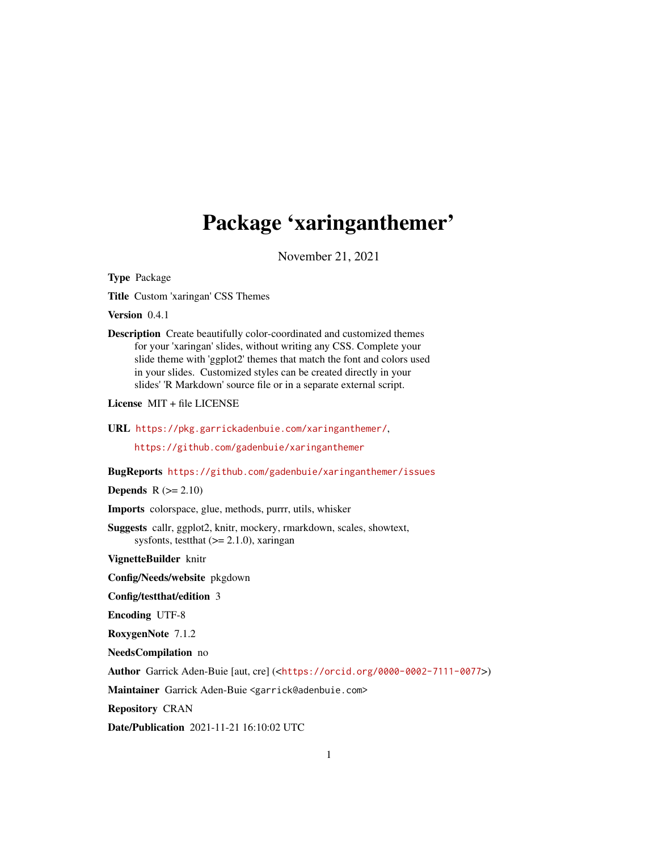# <span id="page-0-0"></span>Package 'xaringanthemer'

November 21, 2021

Type Package

Title Custom 'xaringan' CSS Themes

Version 0.4.1

Description Create beautifully color-coordinated and customized themes for your 'xaringan' slides, without writing any CSS. Complete your slide theme with 'ggplot2' themes that match the font and colors used in your slides. Customized styles can be created directly in your slides' 'R Markdown' source file or in a separate external script.

License MIT + file LICENSE

URL <https://pkg.garrickadenbuie.com/xaringanthemer/>,

<https://github.com/gadenbuie/xaringanthemer>

BugReports <https://github.com/gadenbuie/xaringanthemer/issues>

**Depends**  $R$  ( $>= 2.10$ )

Imports colorspace, glue, methods, purrr, utils, whisker

Suggests callr, ggplot2, knitr, mockery, rmarkdown, scales, showtext, sysfonts, test that  $(>= 2.1.0)$ , xaringan

VignetteBuilder knitr

Config/Needs/website pkgdown

Config/testthat/edition 3

Encoding UTF-8

RoxygenNote 7.1.2

NeedsCompilation no

Author Garrick Aden-Buie [aut, cre] (<<https://orcid.org/0000-0002-7111-0077>>)

Maintainer Garrick Aden-Buie <garrick@adenbuie.com>

Repository CRAN

Date/Publication 2021-11-21 16:10:02 UTC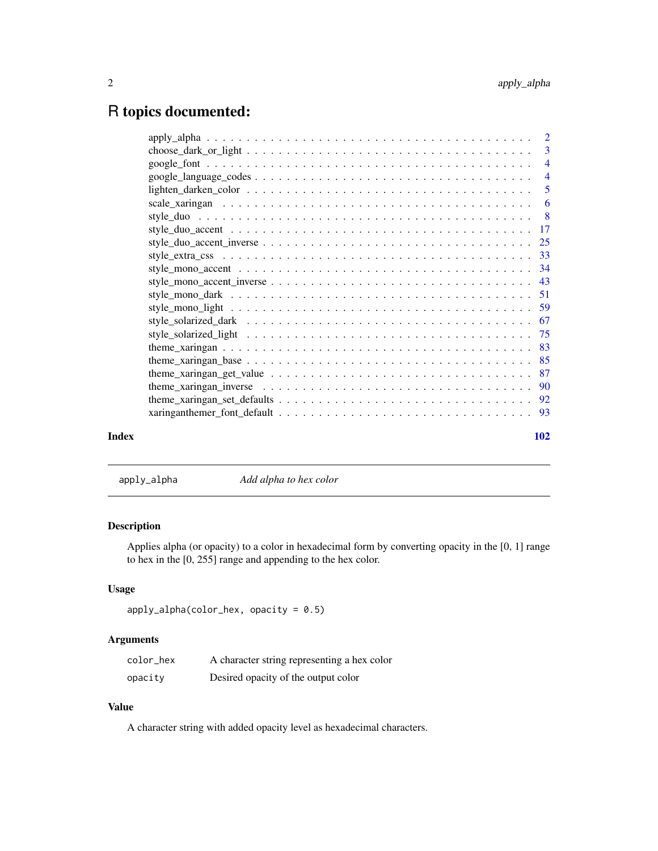# <span id="page-1-0"></span>R topics documented:

|       | theme_xaringan_get_value $\ldots \ldots \ldots \ldots \ldots \ldots \ldots \ldots \ldots \ldots \ldots \ldots \ldots$ 87 |     |
|-------|--------------------------------------------------------------------------------------------------------------------------|-----|
|       |                                                                                                                          |     |
|       |                                                                                                                          |     |
|       |                                                                                                                          |     |
| Index |                                                                                                                          | 102 |
|       |                                                                                                                          |     |

apply\_alpha *Add alpha to hex color*

# Description

Applies alpha (or opacity) to a color in hexadecimal form by converting opacity in the [0, 1] range to hex in the [0, 255] range and appending to the hex color.

# Usage

```
apply_alpha(color\_hex, opacity = 0.5)
```
# Arguments

| color_hex | A character string representing a hex color |
|-----------|---------------------------------------------|
| opacity   | Desired opacity of the output color         |

# Value

A character string with added opacity level as hexadecimal characters.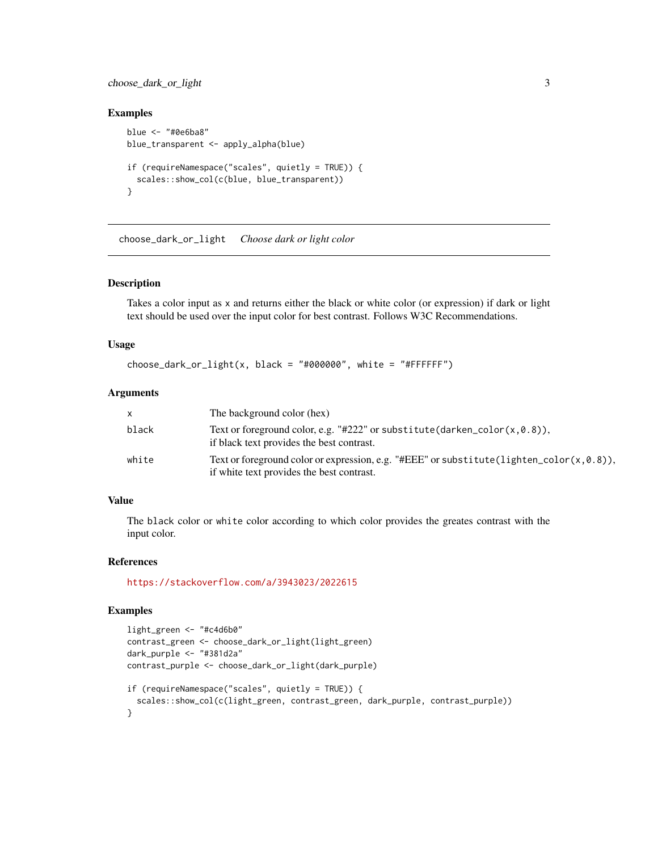# <span id="page-2-0"></span>choose\_dark\_or\_light 3

# Examples

```
blue <- "#0e6ba8"
blue_transparent <- apply_alpha(blue)
if (requireNamespace("scales", quietly = TRUE)) {
  scales::show_col(c(blue, blue_transparent))
}
```
choose\_dark\_or\_light *Choose dark or light color*

# Description

Takes a color input as x and returns either the black or white color (or expression) if dark or light text should be used over the input color for best contrast. Follows W3C Recommendations.

#### Usage

```
choose\_dark\_or\_light(x, black = "#000000", white = "#FFFFFF")
```
#### Arguments

| $\times$ | The background color (hex)                                                                                                             |
|----------|----------------------------------------------------------------------------------------------------------------------------------------|
| black    | Text or foreground color, e.g. "#222" or substitute (darken_color( $x, 0.8$ )),<br>if black text provides the best contrast.           |
| white    | Text or foreground color or expression, e.g. "#EEE" or substitute (lighten_color(x,0.8)),<br>if white text provides the best contrast. |

# Value

The black color or white color according to which color provides the greates contrast with the input color.

# References

<https://stackoverflow.com/a/3943023/2022615>

# Examples

```
light_green <- "#c4d6b0"
contrast_green <- choose_dark_or_light(light_green)
dark_purple <- "#381d2a"
contrast_purple <- choose_dark_or_light(dark_purple)
if (requireNamespace("scales", quietly = TRUE)) {
  scales::show_col(c(light_green, contrast_green, dark_purple, contrast_purple))
}
```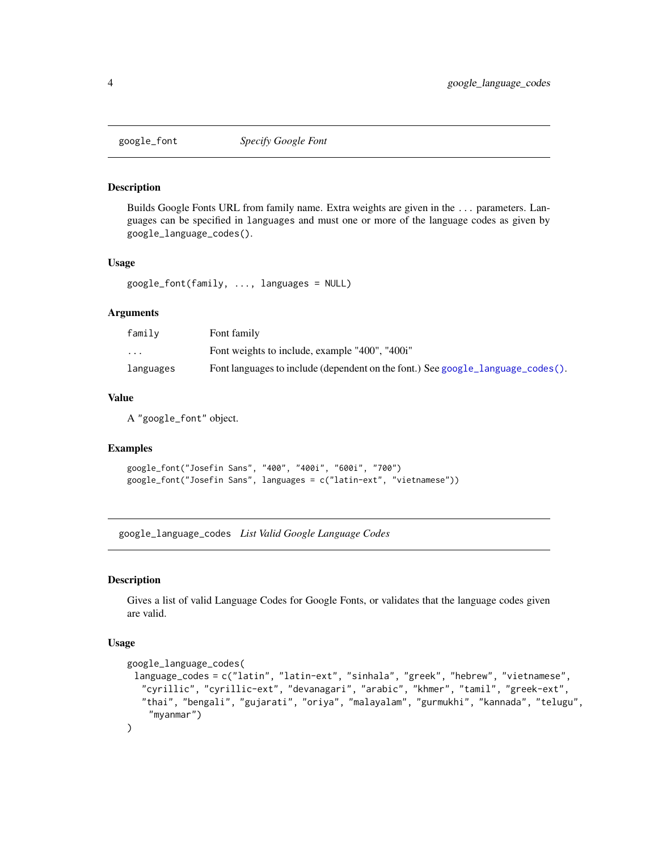<span id="page-3-2"></span><span id="page-3-0"></span>

#### Description

Builds Google Fonts URL from family name. Extra weights are given in the ... parameters. Languages can be specified in languages and must one or more of the language codes as given by google\_language\_codes().

#### Usage

```
google_font(family, ..., languages = NULL)
```
# Arguments

| family                  | Font family                                                                     |
|-------------------------|---------------------------------------------------------------------------------|
| $\cdot$ $\cdot$ $\cdot$ | Font weights to include, example "400", "400i"                                  |
| languages               | Font languages to include (dependent on the font.) See google_language_codes(). |

# Value

A "google\_font" object.

# Examples

```
google_font("Josefin Sans", "400", "400i", "600i", "700")
google_font("Josefin Sans", languages = c("latin-ext", "vietnamese"))
```
<span id="page-3-1"></span>google\_language\_codes *List Valid Google Language Codes*

# Description

Gives a list of valid Language Codes for Google Fonts, or validates that the language codes given are valid.

#### Usage

```
google_language_codes(
 language_codes = c("latin", "latin-ext", "sinhala", "greek", "hebrew", "vietnamese",
  "cyrillic", "cyrillic-ext", "devanagari", "arabic", "khmer", "tamil", "greek-ext",
  "thai", "bengali", "gujarati", "oriya", "malayalam", "gurmukhi", "kannada", "telugu",
    "myanmar")
\mathcal{L}
```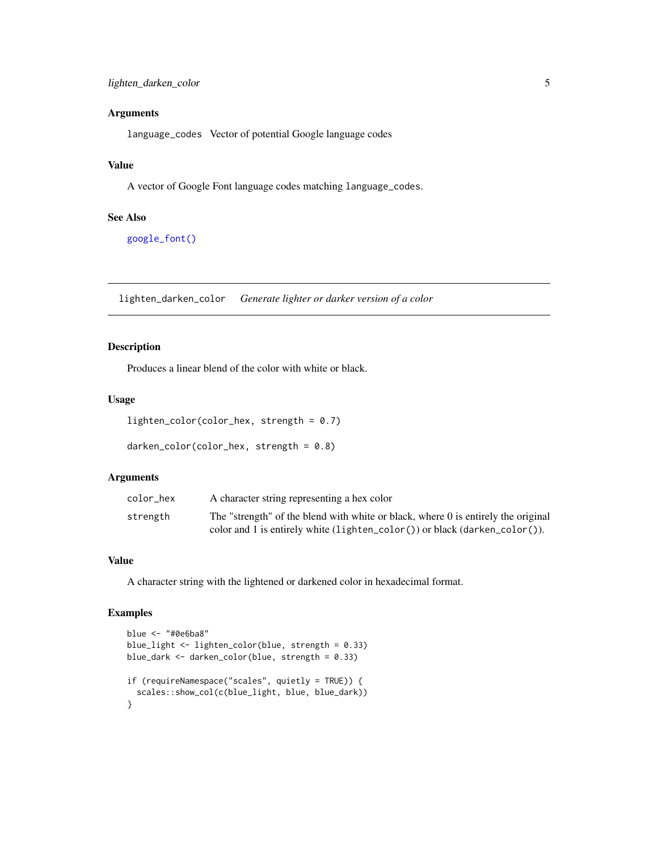<span id="page-4-0"></span>language\_codes Vector of potential Google language codes

# Value

A vector of Google Font language codes matching language\_codes.

#### See Also

[google\\_font\(\)](#page-3-2)

lighten\_darken\_color *Generate lighter or darker version of a color*

# Description

Produces a linear blend of the color with white or black.

#### Usage

```
lighten_color(color_hex, strength = 0.7)
```

```
darken_color(color_hex, strength = 0.8)
```
# Arguments

| color hex | A character string representing a hex color                                         |
|-----------|-------------------------------------------------------------------------------------|
| strength  | The "strength" of the blend with white or black, where 0 is entirely the original   |
|           | color and 1 is entirely white $(l$ ighten_color $(l)$ or black $(darken\_color()$ . |

# Value

A character string with the lightened or darkened color in hexadecimal format.

# Examples

```
blue <- "#0e6ba8"
blue_light <- lighten_color(blue, strength = 0.33)
blue_dark <- darken_color(blue, strength = 0.33)
if (requireNamespace("scales", quietly = TRUE)) {
  scales::show_col(c(blue_light, blue, blue_dark))
}
```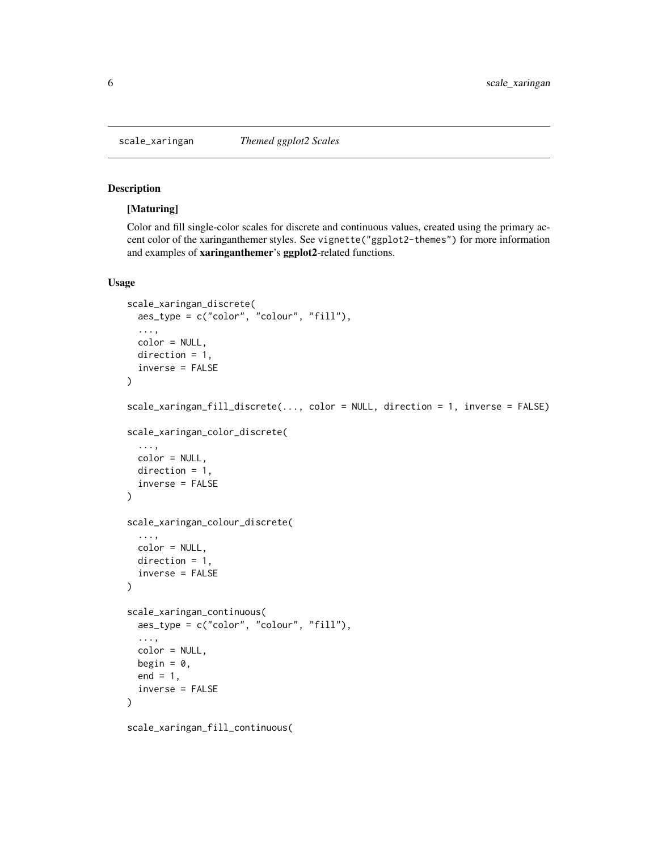<span id="page-5-0"></span>

# Description

#### [Maturing]

Color and fill single-color scales for discrete and continuous values, created using the primary accent color of the xaringanthemer styles. See vignette("ggplot2-themes") for more information and examples of xaringanthemer's ggplot2-related functions.

# Usage

```
scale_xaringan_discrete(
  aes_type = c("color", "colour", "fill"),
  ...,
  color = NULL,
 direction = 1,
  inverse = FALSE
)
scale_xaringan_fill_discrete(..., color = NULL, direction = 1, inverse = FALSE)
scale_xaringan_color_discrete(
  ...,
 color = NULL,
 direction = 1,
  inverse = FALSE
\lambdascale_xaringan_colour_discrete(
  ...,
 color = NULL,
 direction = 1,
  inverse = FALSE
)
scale_xaringan_continuous(
  aes_type = c("color", "colour", "fill"),
  ...,
 color = NULL,
 begin = 0,
 end = 1,
  inverse = FALSE
)
```
scale\_xaringan\_fill\_continuous(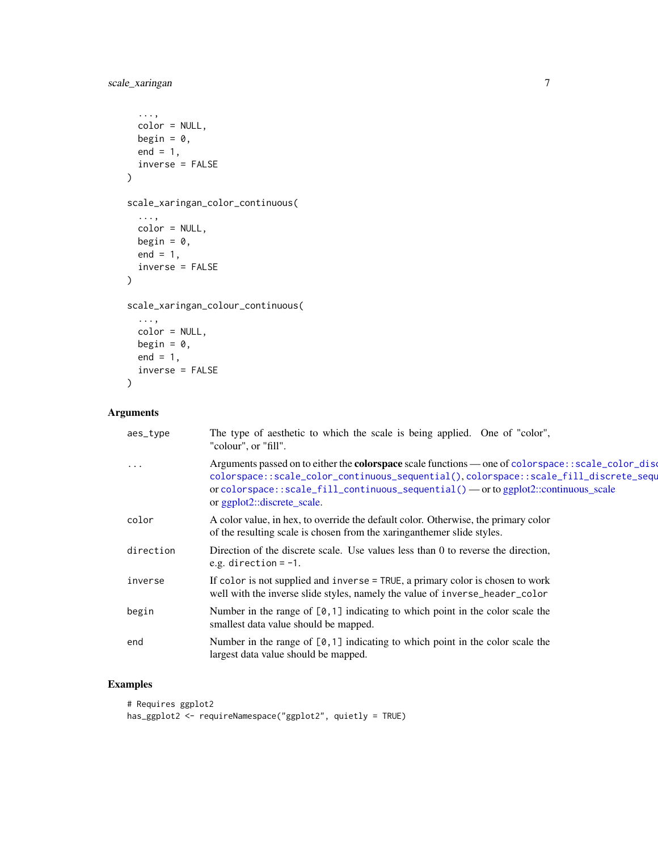```
...,
 color = NULL,
 begin = 0,
 end = 1,
 inverse = FALSE
\mathcal{L}scale_xaringan_color_continuous(
  ...,
 color = NULL,
 begin = 0,
 end = 1,
 inverse = FALSE
)
scale_xaringan_colour_continuous(
  ...,
 color = NULL,
 begin = 0,
 end = 1,
 inverse = FALSE
)
```

| aes_type  | The type of aesthetic to which the scale is being applied. One of "color",<br>"colour", or "fill".                                                                                                                                                                                                                        |
|-----------|---------------------------------------------------------------------------------------------------------------------------------------------------------------------------------------------------------------------------------------------------------------------------------------------------------------------------|
| $\cdots$  | Arguments passed on to either the <b>colorspace</b> scale functions — one of colorspace: : scale_color_dise<br>colorspace::scale_color_continuous_sequential(),colorspace::scale_fill_discrete_sequ<br>or colorspace::scale_fill_continuous_sequential() — or to ggplot2::continuous_scale<br>or ggplot2::discrete_scale. |
| color     | A color value, in hex, to override the default color. Otherwise, the primary color<br>of the resulting scale is chosen from the xaringanthemer slide styles.                                                                                                                                                              |
| direction | Direction of the discrete scale. Use values less than 0 to reverse the direction,<br>e.g. direction $= -1$ .                                                                                                                                                                                                              |
| inverse   | If color is not supplied and inverse = TRUE, a primary color is chosen to work<br>well with the inverse slide styles, namely the value of inverse_header_color                                                                                                                                                            |
| begin     | Number in the range of $[0, 1]$ indicating to which point in the color scale the<br>smallest data value should be mapped.                                                                                                                                                                                                 |
| end       | Number in the range of $[0,1]$ indicating to which point in the color scale the<br>largest data value should be mapped.                                                                                                                                                                                                   |
|           |                                                                                                                                                                                                                                                                                                                           |

# Examples

```
# Requires ggplot2
has_ggplot2 <- requireNamespace("ggplot2", quietly = TRUE)
```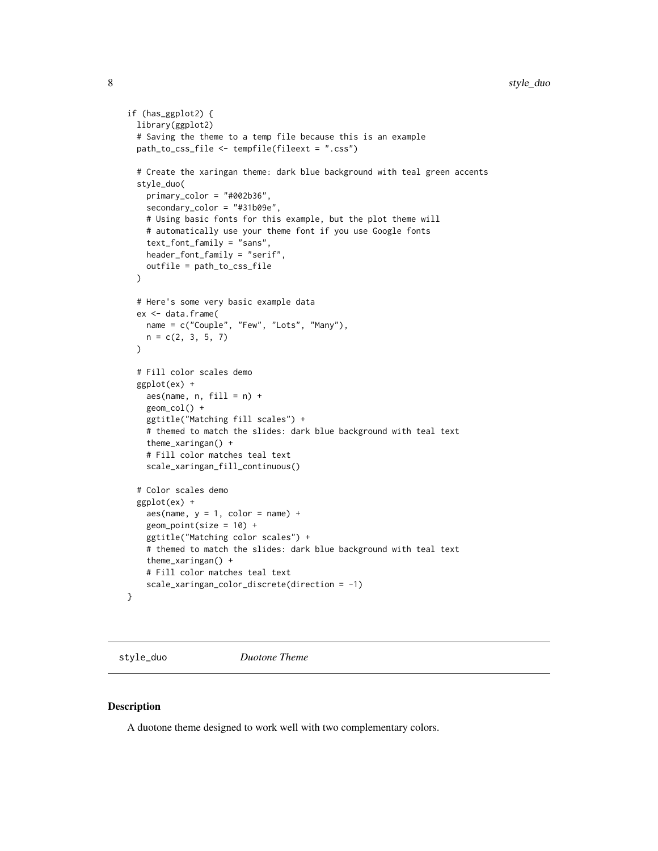```
if (has_ggplot2) {
 library(ggplot2)
 # Saving the theme to a temp file because this is an example
 path_to_css_file <- tempfile(fileext = ".css")
 # Create the xaringan theme: dark blue background with teal green accents
 style_duo(
   primary_color = "#002b36",
   secondary_color = "#31b09e",
   # Using basic fonts for this example, but the plot theme will
    # automatically use your theme font if you use Google fonts
    text_font_family = "sans",
   header_font_family = "serif",
   outfile = path_to_css_file
 )
 # Here's some very basic example data
 ex <- data.frame(
   name = c("Couple", "Few", "Lots", "Many"),
   n = c(2, 3, 5, 7))
 # Fill color scales demo
 ggplot(ex) +
   aes(name, n, fill = n) +geom_col() +
   ggtitle("Matching fill scales") +
    # themed to match the slides: dark blue background with teal text
    theme_xaringan() +
    # Fill color matches teal text
    scale_xaringan_fill_continuous()
 # Color scales demo
 ggplot(ex) +
   aes(name, y = 1, color = name) +geom_point(size = 10) +
   ggtitle("Matching color scales") +
   # themed to match the slides: dark blue background with teal text
    theme_xaringan() +
    # Fill color matches teal text
   scale_xaringan_color_discrete(direction = -1)
}
```
style\_duo *Duotone Theme*

#### Description

A duotone theme designed to work well with two complementary colors.

<span id="page-7-0"></span>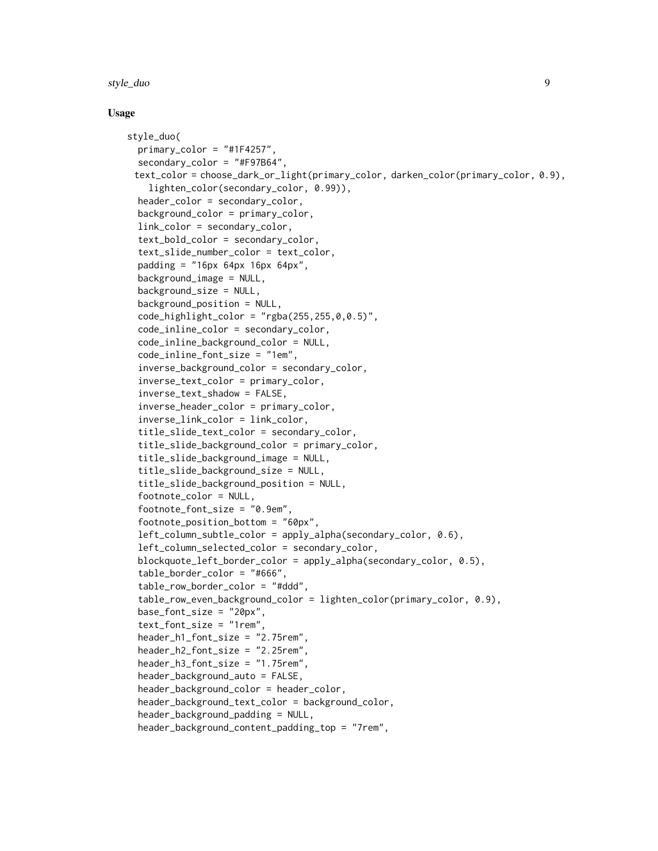#### style\_duo 9

#### Usage

```
style_duo(
  primary\_color = "#1F4257",secondary_color = "#F97B64",
 text_color = choose_dark_or_light(primary_color, darken_color(primary_color, 0.9),
    lighten_color(secondary_color, 0.99)),
  header_color = secondary_color,
  background_color = primary_color,
  link_color = secondary_color,
  text_bold_color = secondary_color,
  text_slide_number_color = text_color,
  padding = "16px 64px 16px 64px",background_image = NULL,
  background_size = NULL,
  background_position = NULL,
  code_{\text{highlight\_color}} = "rgba(255, 255, 0, 0.5)code_inline_color = secondary_color,
  code_inline_background_color = NULL,
  code_inline_font_size = "1em",
  inverse_background_color = secondary_color,
  inverse_text_color = primary_color,
  inverse_text_shadow = FALSE,
  inverse_header_color = primary_color,
  inverse_link_color = link_color,
  title_slide_text_color = secondary_color,
  title_slide_background_color = primary_color,
  title_slide_background_image = NULL,
  title_slide_background_size = NULL,
  title_slide_background_position = NULL,
  footnote_color = NULL,
  footnote_font_size = "0.9em",
  footnote_position_bottom = "60px",
  left_column_subtle_color = apply_alpha(secondary_color, 0.6),
  left_column_selected_color = secondary_color,
  blockquote_left_border_color = apply_alpha(secondary_color, 0.5),
  table_border_color = "#666",
  table_row_border_color = "#ddd",
  table_row_even_background_color = lighten_color(primary_color, 0.9),
  base_font_size = "20px",
  text_font_size = "1rem",
  header_h1_font_size = "2.75rem",
  header_h2_font_size = "2.25rem",
  header_h3_font_size = "1.75rem",
  header_background_auto = FALSE,
  header_background_color = header_color,
  header_background_text_color = background_color,
  header_background_padding = NULL,
  header_background_content_padding_top = "7rem",
```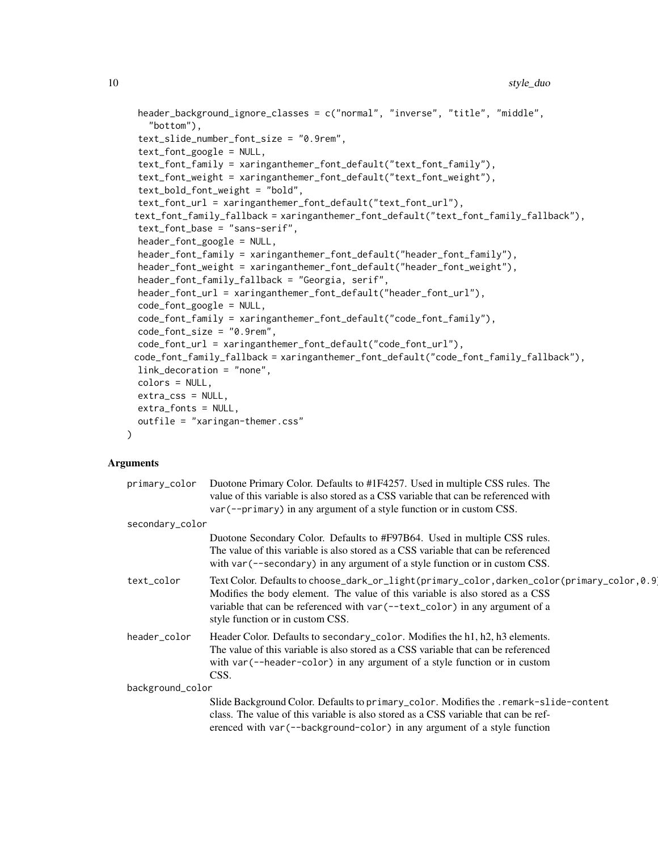```
header_background_ignore_classes = c("normal", "inverse", "title", "middle",
  "bottom"),
text_slide_number_font_size = "0.9rem",
text_font_google = NULL,
text_font_family = xaringanthemer_font_default("text_font_family"),
text_font_weight = xaringanthemer_font_default("text_font_weight"),
text_bold_font_weight = "bold",
text_font_url = xaringanthemer_font_default("text_font_url"),
text_font_family_fallback = xaringanthemer_font_default("text_font_family_fallback"),
text_font_base = "sans-serif",
header_font_google = NULL,
header_font_family = xaringanthemer_font_default("header_font_family"),
header_font_weight = xaringanthemer_font_default("header_font_weight"),
header_font_family_fallback = "Georgia, serif",
header_font_url = xaringanthemer_font_default("header_font_url"),
code_font_google = NULL,
code_font_family = xaringanthemer_font_default("code_font_family"),
code_font_size = "0.9rem",
code_font_url = xaringanthemer_font_default("code_font_url"),
code_font_family_fallback = xaringanthemer_font_default("code_font_family_fallback"),
link_decoration = "none",
colors = NULL,
extra_css = NULL,
extra_fonts = NULL,
outfile = "xaringan-themer.css"
```
 $\mathcal{L}$ 

| primary_color    | Duotone Primary Color. Defaults to #1F4257. Used in multiple CSS rules. The                                                                                                                                                                                                                    |
|------------------|------------------------------------------------------------------------------------------------------------------------------------------------------------------------------------------------------------------------------------------------------------------------------------------------|
|                  | value of this variable is also stored as a CSS variable that can be referenced with                                                                                                                                                                                                            |
|                  | var (--primary) in any argument of a style function or in custom CSS.                                                                                                                                                                                                                          |
| secondary_color  |                                                                                                                                                                                                                                                                                                |
|                  | Duotone Secondary Color. Defaults to #F97B64. Used in multiple CSS rules.<br>The value of this variable is also stored as a CSS variable that can be referenced<br>with var (--secondary) in any argument of a style function or in custom CSS.                                                |
| text_color       | Text Color. Defaults to choose_dark_or_light(primary_color,darken_color(primary_color,0.9<br>Modifies the body element. The value of this variable is also stored as a CSS<br>variable that can be referenced with var (--text_color) in any argument of a<br>style function or in custom CSS. |
| header_color     | Header Color. Defaults to secondary_color. Modifies the h1, h2, h3 elements.<br>The value of this variable is also stored as a CSS variable that can be referenced<br>with var (--header-color) in any argument of a style function or in custom<br>CSS.                                       |
| background_color |                                                                                                                                                                                                                                                                                                |
|                  | Slide Background Color. Defaults to primary_color. Modifies the .remark-slide-content                                                                                                                                                                                                          |
|                  | class. The value of this variable is also stored as a CSS variable that can be ref-                                                                                                                                                                                                            |
|                  | erenced with var (--background-color) in any argument of a style function                                                                                                                                                                                                                      |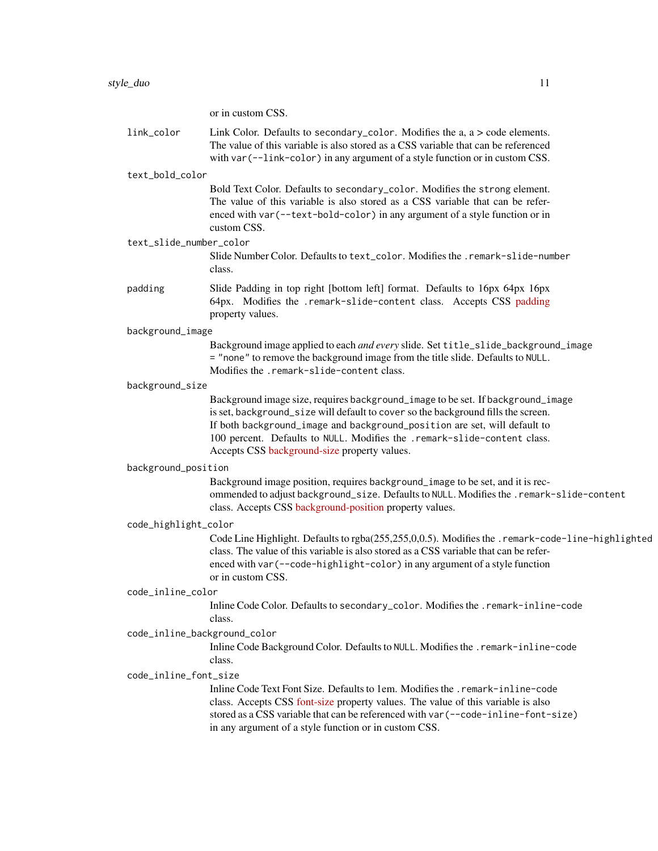or in custom CSS.

| link_color                   | Link Color. Defaults to secondary_color. Modifies the a, a > code elements.<br>The value of this variable is also stored as a CSS variable that can be referenced<br>with var (--link-color) in any argument of a style function or in custom CSS.                                                                                                                            |
|------------------------------|-------------------------------------------------------------------------------------------------------------------------------------------------------------------------------------------------------------------------------------------------------------------------------------------------------------------------------------------------------------------------------|
| text_bold_color              |                                                                                                                                                                                                                                                                                                                                                                               |
|                              | Bold Text Color. Defaults to secondary_color. Modifies the strong element.<br>The value of this variable is also stored as a CSS variable that can be refer-<br>enced with var (--text-bold-color) in any argument of a style function or in<br>custom CSS.                                                                                                                   |
| text_slide_number_color      | Slide Number Color. Defaults to text_color. Modifies the . remark-slide-number<br>class.                                                                                                                                                                                                                                                                                      |
| padding                      | Slide Padding in top right [bottom left] format. Defaults to 16px 64px 16px<br>64px. Modifies the .remark-slide-content class. Accepts CSS padding<br>property values.                                                                                                                                                                                                        |
| background_image             |                                                                                                                                                                                                                                                                                                                                                                               |
|                              | Background image applied to each and every slide. Set title_slide_background_image<br>= "none" to remove the background image from the title slide. Defaults to NULL.<br>Modifies the .remark-slide-content class.                                                                                                                                                            |
| background_size              |                                                                                                                                                                                                                                                                                                                                                                               |
|                              | Background image size, requires background_image to be set. If background_image<br>is set, background_size will default to cover so the background fills the screen.<br>If both background_image and background_position are set, will default to<br>100 percent. Defaults to NULL. Modifies the .remark-slide-content class.<br>Accepts CSS background-size property values. |
| background_position          |                                                                                                                                                                                                                                                                                                                                                                               |
|                              | Background image position, requires background_image to be set, and it is rec-<br>ommended to adjust background_size. Defaults to NULL. Modifies the . remark-slide-content<br>class. Accepts CSS background-position property values.                                                                                                                                        |
| code_highlight_color         |                                                                                                                                                                                                                                                                                                                                                                               |
|                              | Code Line Highlight. Defaults to rgba(255,255,0,0.5). Modifies the .remark-code-line-highlighted<br>class. The value of this variable is also stored as a CSS variable that can be refer-<br>enced with var (--code-highlight-color) in any argument of a style function<br>or in custom CSS.                                                                                 |
| code_inline_color            |                                                                                                                                                                                                                                                                                                                                                                               |
|                              | Inline Code Color. Defaults to secondary_color. Modifies the . remark-inline-code<br>class.                                                                                                                                                                                                                                                                                   |
| code_inline_background_color | Inline Code Background Color. Defaults to NULL. Modifies the . remark-inline-code<br>class.                                                                                                                                                                                                                                                                                   |
| code_inline_font_size        |                                                                                                                                                                                                                                                                                                                                                                               |
|                              | Inline Code Text Font Size. Defaults to 1em. Modifies the . remark-inline-code<br>class. Accepts CSS font-size property values. The value of this variable is also<br>stored as a CSS variable that can be referenced with var (--code-inline-font-size)<br>in any argument of a style function or in custom CSS.                                                             |
|                              |                                                                                                                                                                                                                                                                                                                                                                               |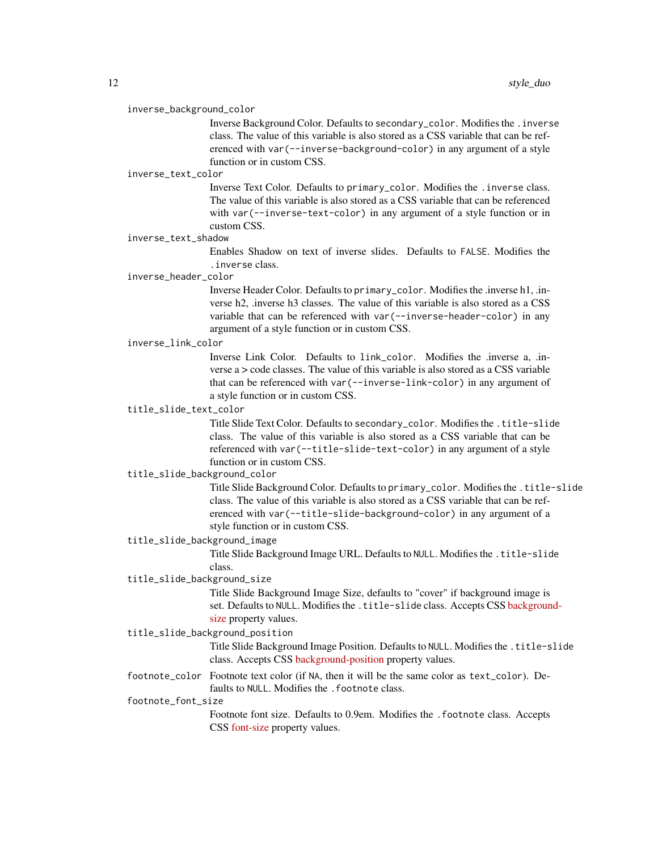#### inverse\_background\_color

Inverse Background Color. Defaults to secondary\_color. Modifies the .inverse class. The value of this variable is also stored as a CSS variable that can be referenced with var(--inverse-background-color) in any argument of a style function or in custom CSS.

#### inverse\_text\_color

Inverse Text Color. Defaults to primary\_color. Modifies the .inverse class. The value of this variable is also stored as a CSS variable that can be referenced with var(--inverse-text-color) in any argument of a style function or in custom CSS.

#### inverse\_text\_shadow

Enables Shadow on text of inverse slides. Defaults to FALSE. Modifies the .inverse class.

#### inverse\_header\_color

Inverse Header Color. Defaults to primary\_color. Modifies the .inverse h1, .inverse h2, .inverse h3 classes. The value of this variable is also stored as a CSS variable that can be referenced with var(--inverse-header-color) in any argument of a style function or in custom CSS.

#### inverse\_link\_color

Inverse Link Color. Defaults to link\_color. Modifies the .inverse a, .inverse  $a > \text{code classes}$ . The value of this variable is also stored as a CSS variable that can be referenced with var(--inverse-link-color) in any argument of a style function or in custom CSS.

# title\_slide\_text\_color

Title Slide Text Color. Defaults to secondary\_color. Modifies the .title-slide class. The value of this variable is also stored as a CSS variable that can be referenced with var(--title-slide-text-color) in any argument of a style function or in custom CSS.

# title\_slide\_background\_color

Title Slide Background Color. Defaults to primary\_color. Modifies the .title-slide class. The value of this variable is also stored as a CSS variable that can be referenced with var(--title-slide-background-color) in any argument of a style function or in custom CSS.

#### title\_slide\_background\_image

Title Slide Background Image URL. Defaults to NULL. Modifies the .title-slide class.

# title\_slide\_background\_size

Title Slide Background Image Size, defaults to "cover" if background image is set. Defaults to NULL. Modifies the .title-slide class. Accepts CSS [backgroun](https://developer.mozilla.org/en-US/docs/Web/CSS/background-size)d[size](https://developer.mozilla.org/en-US/docs/Web/CSS/background-size) property values.

#### title\_slide\_background\_position

Title Slide Background Image Position. Defaults to NULL. Modifies the .title-slide class. Accepts CSS [background-position](https://developer.mozilla.org/en-US/docs/Web/CSS/background-position) property values.

footnote\_color Footnote text color (if NA, then it will be the same color as text\_color). Defaults to NULL. Modifies the . footnote class.

#### footnote\_font\_size

Footnote font size. Defaults to 0.9em. Modifies the .footnote class. Accepts CSS [font-size](https://developer.mozilla.org/en-US/docs/Web/CSS/font-size) property values.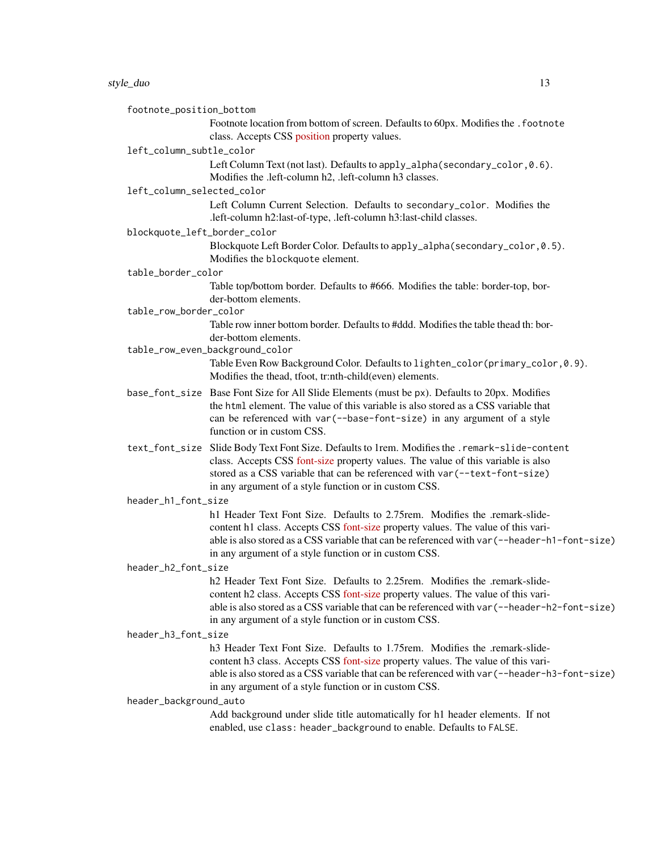footnote\_position\_bottom

Footnote location from bottom of screen. Defaults to 60px. Modifies the . footnote class. Accepts CSS [position](https://developer.mozilla.org/en-US/docs/Web/CSS/position_value) property values.

#### left\_column\_subtle\_color

Left Column Text (not last). Defaults to apply\_alpha(secondary\_color, 0.6). Modifies the .left-column h2, .left-column h3 classes.

#### left\_column\_selected\_color

Left Column Current Selection. Defaults to secondary\_color. Modifies the .left-column h2:last-of-type, .left-column h3:last-child classes.

blockquote\_left\_border\_color

Blockquote Left Border Color. Defaults to apply\_alpha(secondary\_color,0.5). Modifies the blockquote element.

#### table\_border\_color

Table top/bottom border. Defaults to #666. Modifies the table: border-top, border-bottom elements.

#### table\_row\_border\_color

Table row inner bottom border. Defaults to #ddd. Modifies the table thead th: border-bottom elements.

- table\_row\_even\_background\_color Table Even Row Background Color. Defaults to lighten\_color(primary\_color,0.9). Modifies the thead, tfoot, tr:nth-child(even) elements.
- base\_font\_size Base Font Size for All Slide Elements (must be px). Defaults to 20px. Modifies the html element. The value of this variable is also stored as a CSS variable that can be referenced with var(--base-font-size) in any argument of a style function or in custom CSS.
- text\_font\_size Slide Body Text Font Size. Defaults to 1rem. Modifies the .remark-slide-content class. Accepts CSS [font-size](https://developer.mozilla.org/en-US/docs/Web/CSS/font-size) property values. The value of this variable is also stored as a CSS variable that can be referenced with var(--text-font-size) in any argument of a style function or in custom CSS.

#### header\_h1\_font\_size

h1 Header Text Font Size. Defaults to 2.75rem. Modifies the .remark-slidecontent h1 class. Accepts CSS [font-size](https://developer.mozilla.org/en-US/docs/Web/CSS/font-size) property values. The value of this variable is also stored as a CSS variable that can be referenced with var(--header-h1-font-size) in any argument of a style function or in custom CSS.

# header\_h2\_font\_size

h2 Header Text Font Size. Defaults to 2.25rem. Modifies the .remark-slidecontent h2 class. Accepts CSS [font-size](https://developer.mozilla.org/en-US/docs/Web/CSS/font-size) property values. The value of this variable is also stored as a CSS variable that can be referenced with var(--header-h2-font-size) in any argument of a style function or in custom CSS.

#### header\_h3\_font\_size

h3 Header Text Font Size. Defaults to 1.75rem. Modifies the .remark-slidecontent h3 class. Accepts CSS [font-size](https://developer.mozilla.org/en-US/docs/Web/CSS/font-size) property values. The value of this variable is also stored as a CSS variable that can be referenced with var(--header-h3-font-size) in any argument of a style function or in custom CSS.

#### header\_background\_auto

Add background under slide title automatically for h1 header elements. If not enabled, use class: header\_background to enable. Defaults to FALSE.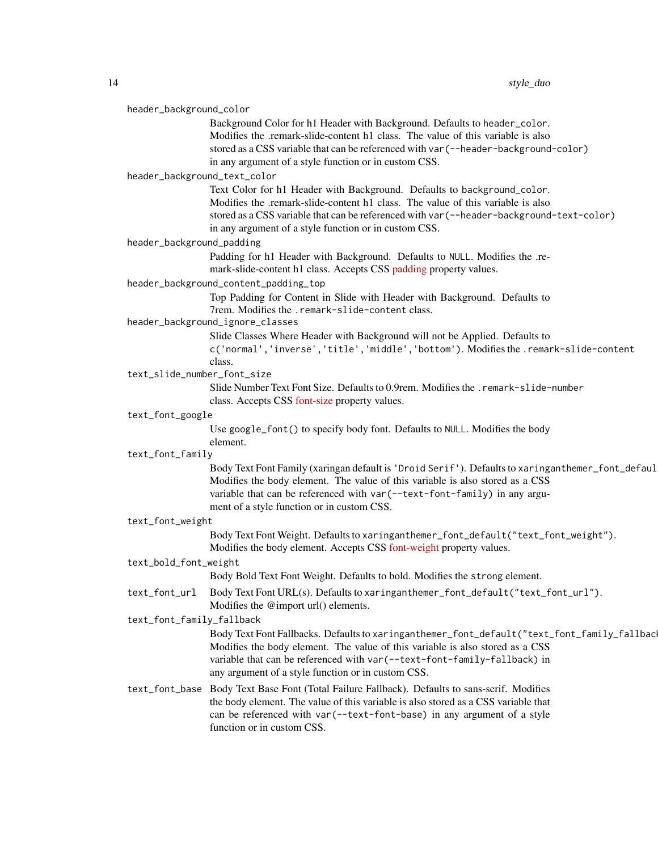| header_background_color |                              |                                                                                                                                                                                              |
|-------------------------|------------------------------|----------------------------------------------------------------------------------------------------------------------------------------------------------------------------------------------|
|                         |                              | Background Color for h1 Header with Background. Defaults to header_color.                                                                                                                    |
|                         |                              | Modifies the .remark-slide-content h1 class. The value of this variable is also                                                                                                              |
|                         |                              | stored as a CSS variable that can be referenced with var (--header-background-color)                                                                                                         |
|                         |                              | in any argument of a style function or in custom CSS.                                                                                                                                        |
|                         | header_background_text_color |                                                                                                                                                                                              |
|                         |                              | Text Color for h1 Header with Background. Defaults to background_color.                                                                                                                      |
|                         |                              | Modifies the .remark-slide-content h1 class. The value of this variable is also                                                                                                              |
|                         |                              | stored as a CSS variable that can be referenced with var (--header-background-text-color)                                                                                                    |
|                         |                              | in any argument of a style function or in custom CSS.                                                                                                                                        |
|                         | header_background_padding    |                                                                                                                                                                                              |
|                         |                              | Padding for h1 Header with Background. Defaults to NULL. Modifies the .re-<br>mark-slide-content h1 class. Accepts CSS padding property values.                                              |
|                         |                              | header_background_content_padding_top                                                                                                                                                        |
|                         |                              | Top Padding for Content in Slide with Header with Background. Defaults to<br>7rem. Modifies the .remark-slide-content class.                                                                 |
|                         |                              | header_background_ignore_classes                                                                                                                                                             |
|                         |                              | Slide Classes Where Header with Background will not be Applied. Defaults to                                                                                                                  |
|                         |                              | c('normal','inverse','title','middle','bottom'). Modifies the .remark-slide-content                                                                                                          |
|                         |                              | class.                                                                                                                                                                                       |
|                         | text_slide_number_font_size  |                                                                                                                                                                                              |
|                         |                              | Slide Number Text Font Size. Defaults to 0.9rem. Modifies the . remark-slide-number<br>class. Accepts CSS font-size property values.                                                         |
|                         | text_font_google             |                                                                                                                                                                                              |
|                         |                              | Use google_font() to specify body font. Defaults to NULL. Modifies the body<br>element.                                                                                                      |
|                         | text_font_family             |                                                                                                                                                                                              |
|                         |                              | Body Text Font Family (xaringan default is 'Droid Serif'). Defaults to xaringanthemer_font_defaul                                                                                            |
|                         |                              | Modifies the body element. The value of this variable is also stored as a CSS                                                                                                                |
|                         |                              | variable that can be referenced with var (--text-font-family) in any argu-                                                                                                                   |
|                         |                              | ment of a style function or in custom CSS.                                                                                                                                                   |
| text_font_weight        |                              |                                                                                                                                                                                              |
|                         |                              | Body Text Font Weight. Defaults to xaringanthemer_font_default("text_font_weight").<br>Modifies the body element. Accepts CSS font-weight property values.                                   |
|                         | text_bold_font_weight        |                                                                                                                                                                                              |
|                         |                              | Body Bold Text Font Weight. Defaults to bold. Modifies the strong element.                                                                                                                   |
|                         | text_font_url                | Body Text Font URL(s). Defaults to xaringanthemer_font_default("text_font_url").<br>Modifies the @import url() elements.                                                                     |
|                         | text_font_family_fallback    |                                                                                                                                                                                              |
|                         |                              |                                                                                                                                                                                              |
|                         |                              |                                                                                                                                                                                              |
|                         |                              | Modifies the body element. The value of this variable is also stored as a CSS                                                                                                                |
|                         |                              | variable that can be referenced with var (--text-font-family-fallback) in                                                                                                                    |
|                         |                              | any argument of a style function or in custom CSS.                                                                                                                                           |
|                         |                              | Body Text Font Fallbacks. Defaults to xaringanthemer_font_default("text_font_family_fallbac<br>text_font_base Body Text Base Font (Total Failure Fallback). Defaults to sans-serif. Modifies |
|                         |                              | the body element. The value of this variable is also stored as a CSS variable that                                                                                                           |
|                         |                              | can be referenced with var (--text-font-base) in any argument of a style<br>function or in custom CSS.                                                                                       |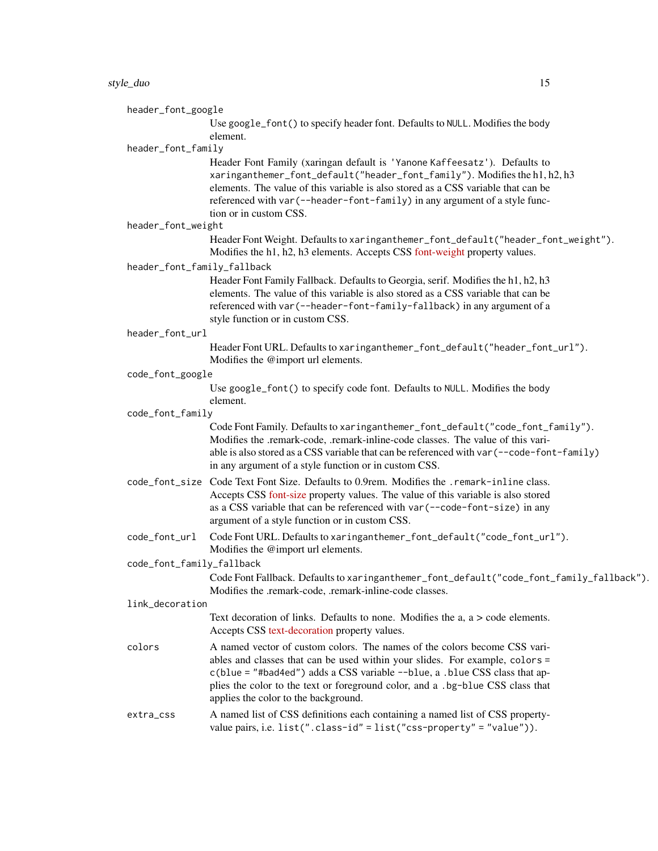#### style\_duo 15

header\_font\_google

Use google\_font() to specify header font. Defaults to NULL. Modifies the body element.

# header\_font\_family

Header Font Family (xaringan default is 'Yanone Kaffeesatz'). Defaults to xaringanthemer\_font\_default("header\_font\_family"). Modifies the h1, h2, h3 elements. The value of this variable is also stored as a CSS variable that can be referenced with var(--header-font-family) in any argument of a style function or in custom CSS.

header\_font\_weight

Header Font Weight. Defaults to xaringanthemer\_font\_default("header\_font\_weight"). Modifies the h1, h2, h3 elements. Accepts CSS [font-weight](https://developer.mozilla.org/en-US/docs/Web/CSS/font-weight) property values.

header\_font\_family\_fallback

Header Font Family Fallback. Defaults to Georgia, serif. Modifies the h1, h2, h3 elements. The value of this variable is also stored as a CSS variable that can be referenced with var(--header-font-family-fallback) in any argument of a style function or in custom CSS.

header\_font\_url

Header Font URL. Defaults to xaringanthemer\_font\_default("header\_font\_url"). Modifies the @import url elements.

#### code\_font\_google

Use google\_font() to specify code font. Defaults to NULL. Modifies the body element.

#### code\_font\_family

Code Font Family. Defaults to xaringanthemer\_font\_default("code\_font\_family"). Modifies the .remark-code, .remark-inline-code classes. The value of this variable is also stored as a CSS variable that can be referenced with var(--code-font-family) in any argument of a style function or in custom CSS.

- code\_font\_size Code Text Font Size. Defaults to 0.9rem. Modifies the .remark-inline class. Accepts CSS [font-size](https://developer.mozilla.org/en-US/docs/Web/CSS/font-size) property values. The value of this variable is also stored as a CSS variable that can be referenced with var(--code-font-size) in any argument of a style function or in custom CSS.
- code\_font\_url Code Font URL. Defaults to xaringanthemer\_font\_default("code\_font\_url"). Modifies the @import url elements.

code\_font\_family\_fallback

Code Font Fallback. Defaults to xaringanthemer\_font\_default("code\_font\_family\_fallback"). Modifies the .remark-code, .remark-inline-code classes.

#### link\_decoration

Text decoration of links. Defaults to none. Modifies the a, a > code elements. Accepts CSS [text-decoration](https://developer.mozilla.org/en-US/docs/Web/CSS/text-decoration) property values.

colors A named vector of custom colors. The names of the colors become CSS variables and classes that can be used within your slides. For example, colors = c(blue = "#bad4ed") adds a CSS variable --blue, a .blue CSS class that applies the color to the text or foreground color, and a .bg-blue CSS class that applies the color to the background.

# extra\_css A named list of CSS definitions each containing a named list of CSS propertyvalue pairs, i.e. list(".class-id" = list("css-property" = "value")).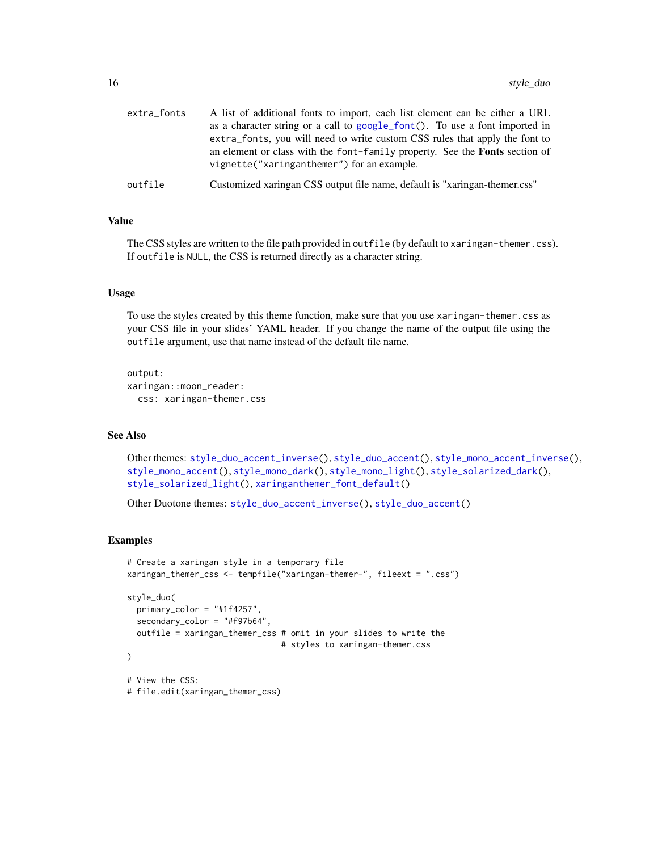| extra_fonts | A list of additional fonts to import, each list element can be either a URL<br>as a character string or a call to google_font(). To use a font imported in                                                      |
|-------------|-----------------------------------------------------------------------------------------------------------------------------------------------------------------------------------------------------------------|
|             | extra_fonts, you will need to write custom CSS rules that apply the font to<br>an element or class with the font-family property. See the <b>Fonts</b> section of<br>vignette("xaringanthemer") for an example. |
| outfile     | Customized xaringan CSS output file name, default is "xaringan-themer.css"                                                                                                                                      |

# Value

The CSS styles are written to the file path provided in outfile (by default to xaringan-themer.css). If outfile is NULL, the CSS is returned directly as a character string.

# Usage

To use the styles created by this theme function, make sure that you use xaringan-themer.css as your CSS file in your slides' YAML header. If you change the name of the output file using the outfile argument, use that name instead of the default file name.

output: xaringan::moon\_reader: css: xaringan-themer.css

# See Also

Other themes: [style\\_duo\\_accent\\_inverse\(](#page-24-1)), [style\\_duo\\_accent\(](#page-16-1)), [style\\_mono\\_accent\\_inverse\(](#page-42-1)), [style\\_mono\\_accent\(](#page-33-1)), [style\\_mono\\_dark\(](#page-50-1)), [style\\_mono\\_light\(](#page-58-1)), [style\\_solarized\\_dark\(](#page-66-1)), [style\\_solarized\\_light\(](#page-74-1)), [xaringanthemer\\_font\\_default\(](#page-92-1))

Other Duotone themes: [style\\_duo\\_accent\\_inverse\(](#page-24-1)), [style\\_duo\\_accent\(](#page-16-1))

# Examples

```
# Create a xaringan style in a temporary file
xaringan_themer_css <- tempfile("xaringan-themer-", fileext = ".css")
style_duo(
  primary_color = "#1f4257",
  secondary_color = "#f97b64",
  outfile = xaringan_themer_css # omit in your slides to write the
                                # styles to xaringan-themer.css
)
# View the CSS:
# file.edit(xaringan_themer_css)
```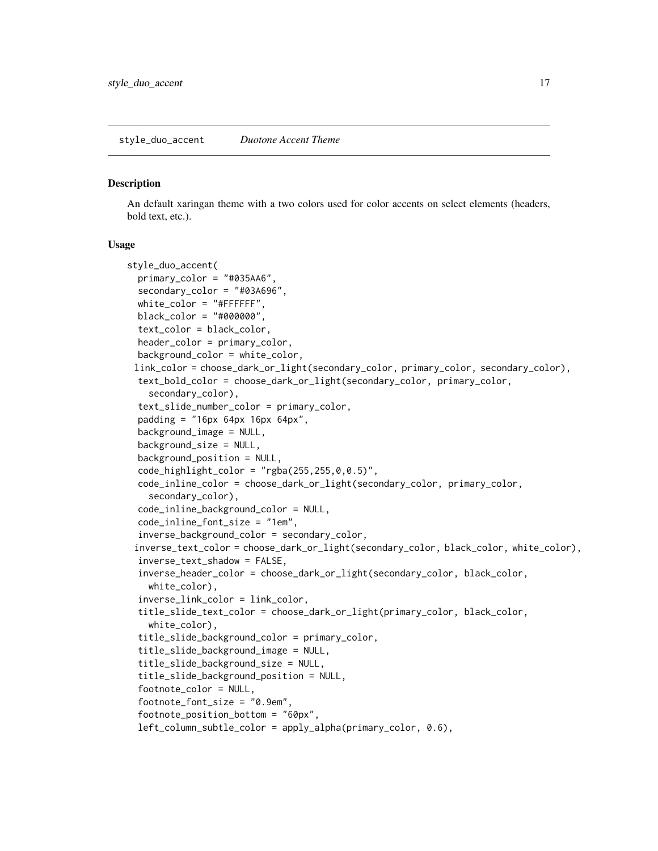<span id="page-16-1"></span><span id="page-16-0"></span>style\_duo\_accent *Duotone Accent Theme*

#### Description

An default xaringan theme with a two colors used for color accents on select elements (headers, bold text, etc.).

#### Usage

```
style_duo_accent(
  primary_color = "#035AA6",
  secondary_color = "#03A696",
  white_color = "#FFFFFF",
  black_color = "#000000",
  text_color = black_color,
  header_color = primary_color,
  background_color = white_color,
 link_color = choose_dark_or_light(secondary_color, primary_color, secondary_color),
  text_bold_color = choose_dark_or_light(secondary_color, primary_color,
    secondary_color),
  text_slide_number_color = primary_color,
  padding = "16px 64px 16px 64px",background_image = NULL,
  background_size = NULL,
  background_position = NULL,
  code_light_color = "rgba(255, 255, 0, 0.5)".
  code_inline_color = choose_dark_or_light(secondary_color, primary_color,
    secondary_color),
  code_inline_background_color = NULL,
  code_inline_font_size = "1em",
  inverse_background_color = secondary_color,
 inverse_text_color = choose_dark_or_light(secondary_color, black_color, white_color),
  inverse_text_shadow = FALSE,
  inverse_header_color = choose_dark_or_light(secondary_color, black_color,
    white_color),
  inverse_link_color = link_color,
  title_slide_text_color = choose_dark_or_light(primary_color, black_color,
    white_color),
  title_slide_background_color = primary_color,
  title_slide_background_image = NULL,
  title_slide_background_size = NULL,
  title_slide_background_position = NULL,
  footnote_color = NULL,
  footnote_font_size = "0.9em",
  footnote_position_bottom = "60px",
  left_column_subtle_color = apply_alpha(primary_color, 0.6),
```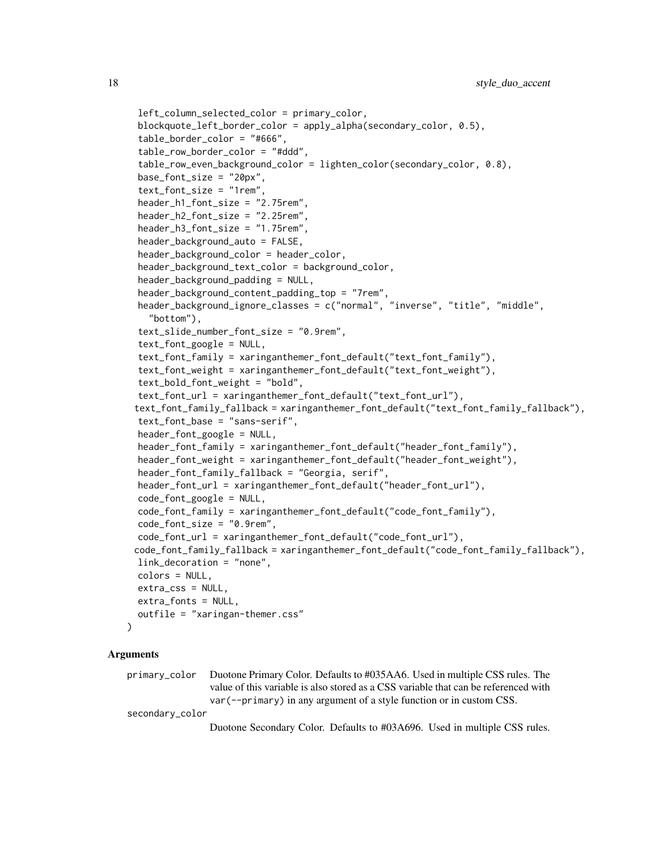```
left_column_selected_color = primary_color,
blockquote_left_border_color = apply_alpha(secondary_color, 0.5),
table_border_color = "#666",
table_row_border_color = "#ddd",
table_row_even_background_color = lighten_color(secondary_color, 0.8),
base_font_size = "20px",
text_font_size = "1rem",
header_h1_font_size = "2.75rem",
header_h2_font_size = "2.25rem",
header_h3_font_size = "1.75rem",
header_background_auto = FALSE,
header_background_color = header_color,
header_background_text_color = background_color,
header_background_padding = NULL,
header_background_content_padding_top = "7rem",
header_background_ignore_classes = c("normal", "inverse", "title", "middle",
  "bottom"),
text_slide_number_font_size = "0.9rem",
text_font_google = NULL,
text_font_family = xaringanthemer_font_default("text_font_family"),
text_font_weight = xaringanthemer_font_default("text_font_weight"),
text_bold_font_weight = "bold",
text_font_url = xaringanthemer_font_default("text_font_url"),
text_font_family_fallback = xaringanthemer_font_default("text_font_family_fallback"),
text_font_base = "sans-serif",
header_font_google = NULL,
header_font_family = xaringanthemer_font_default("header_font_family"),
header_font_weight = xaringanthemer_font_default("header_font_weight"),
header_font_family_fallback = "Georgia, serif",
header_font_url = xaringanthemer_font_default("header_font_url"),
code_font_google = NULL,
code_font_family = xaringanthemer_font_default("code_font_family"),
code_font_size = "0.9rem",
code_font_url = xaringanthemer_font_default("code_font_url"),
code_font_family_fallback = xaringanthemer_font_default("code_font_family_fallback"),
link_decoration = "none",
colors = NULL,
extra_css = NULL,
extra_fonts = NULL,
outfile = "xaringan-themer.css"
```
 $\lambda$ 

primary\_color Duotone Primary Color. Defaults to #035AA6. Used in multiple CSS rules. The value of this variable is also stored as a CSS variable that can be referenced with var(--primary) in any argument of a style function or in custom CSS.

secondary\_color

Duotone Secondary Color. Defaults to #03A696. Used in multiple CSS rules.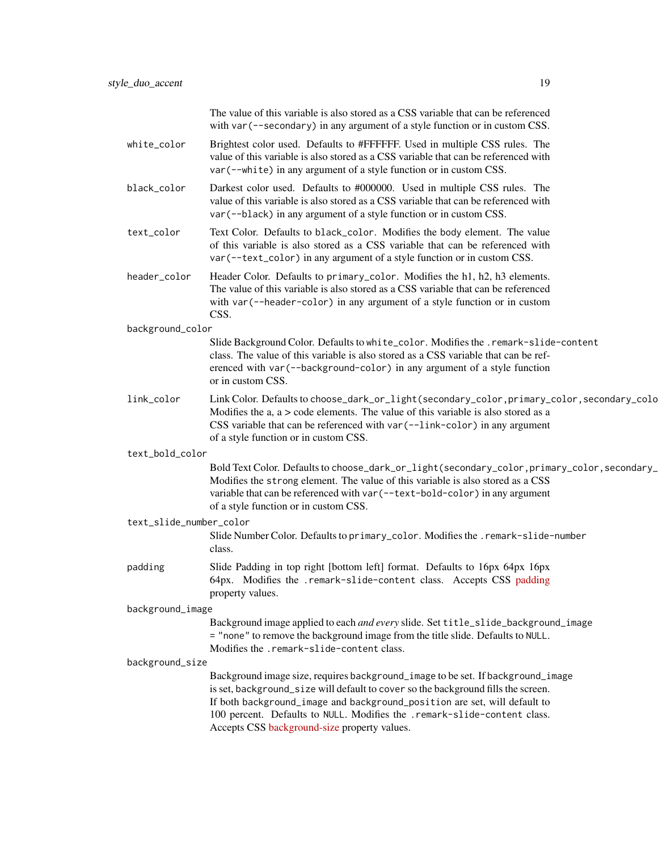|                         | The value of this variable is also stored as a CSS variable that can be referenced<br>with var (--secondary) in any argument of a style function or in custom CSS.                                                                                                                                                                                                            |
|-------------------------|-------------------------------------------------------------------------------------------------------------------------------------------------------------------------------------------------------------------------------------------------------------------------------------------------------------------------------------------------------------------------------|
| white_color             | Brightest color used. Defaults to #FFFFFF. Used in multiple CSS rules. The<br>value of this variable is also stored as a CSS variable that can be referenced with<br>var (--white) in any argument of a style function or in custom CSS.                                                                                                                                      |
| black_color             | Darkest color used. Defaults to #000000. Used in multiple CSS rules. The<br>value of this variable is also stored as a CSS variable that can be referenced with<br>var (--black) in any argument of a style function or in custom CSS.                                                                                                                                        |
| text_color              | Text Color. Defaults to black_color. Modifies the body element. The value<br>of this variable is also stored as a CSS variable that can be referenced with<br>var (--text_color) in any argument of a style function or in custom CSS.                                                                                                                                        |
| header_color            | Header Color. Defaults to primary_color. Modifies the h1, h2, h3 elements.<br>The value of this variable is also stored as a CSS variable that can be referenced<br>with var (--header-color) in any argument of a style function or in custom<br>CSS.                                                                                                                        |
| background_color        |                                                                                                                                                                                                                                                                                                                                                                               |
|                         | Slide Background Color. Defaults to white_color. Modifies the .remark-slide-content<br>class. The value of this variable is also stored as a CSS variable that can be ref-<br>erenced with var (--background-color) in any argument of a style function<br>or in custom CSS.                                                                                                  |
| link_color              | Link Color. Defaults to choose_dark_or_light(secondary_color, primary_color, secondary_colo<br>Modifies the $a, a >$ code elements. The value of this variable is also stored as a<br>CSS variable that can be referenced with var (--link-color) in any argument<br>of a style function or in custom CSS.                                                                    |
| text_bold_color         |                                                                                                                                                                                                                                                                                                                                                                               |
|                         | Bold Text Color. Defaults to choose_dark_or_light(secondary_color, primary_color, secondary_<br>Modifies the strong element. The value of this variable is also stored as a CSS<br>variable that can be referenced with var (--text-bold-color) in any argument<br>of a style function or in custom CSS.                                                                      |
| text_slide_number_color |                                                                                                                                                                                                                                                                                                                                                                               |
|                         | Slide Number Color. Defaults to primary_color. Modifies the .remark-slide-number<br>class.                                                                                                                                                                                                                                                                                    |
| padding                 | Slide Padding in top right [bottom left] format. Defaults to 16px 64px 16px<br>64px. Modifies the .remark-slide-content class. Accepts CSS padding<br>property values.                                                                                                                                                                                                        |
| background_image        |                                                                                                                                                                                                                                                                                                                                                                               |
|                         | Background image applied to each and every slide. Set title_slide_background_image<br>= "none" to remove the background image from the title slide. Defaults to NULL.<br>Modifies the .remark-slide-content class.                                                                                                                                                            |
| background_size         |                                                                                                                                                                                                                                                                                                                                                                               |
|                         | Background image size, requires background_image to be set. If background_image<br>is set, background_size will default to cover so the background fills the screen.<br>If both background_image and background_position are set, will default to<br>100 percent. Defaults to NULL. Modifies the .remark-slide-content class.<br>Accepts CSS background-size property values. |
|                         |                                                                                                                                                                                                                                                                                                                                                                               |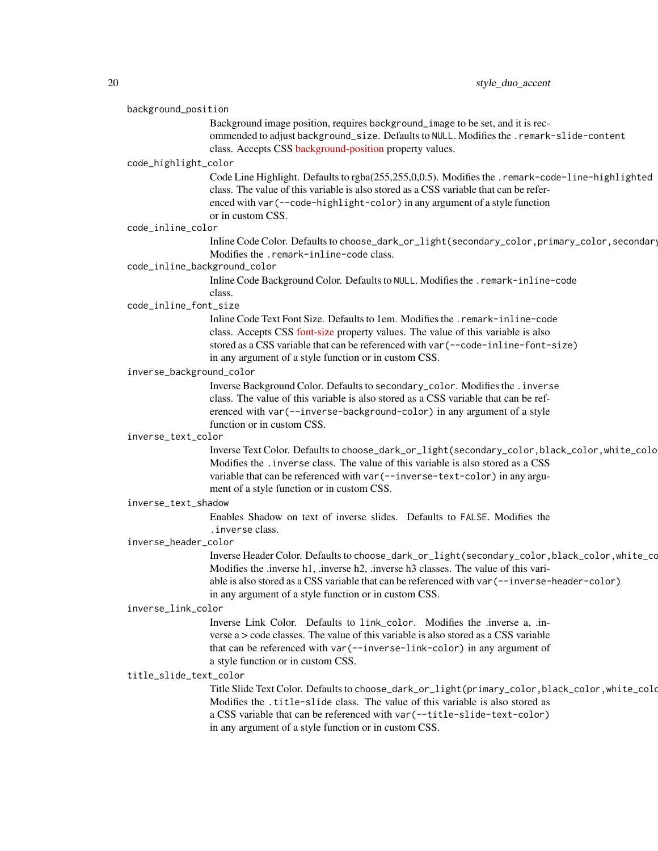#### background\_position

Background image position, requires background\_image to be set, and it is recommended to adjust background\_size. Defaults to NULL. Modifies the .remark-slide-content class. Accepts CSS [background-position](https://developer.mozilla.org/en-US/docs/Web/CSS/background-position) property values.

#### code\_highlight\_color

Code Line Highlight. Defaults to rgba(255,255,0,0.5). Modifies the .remark-code-line-highlighted class. The value of this variable is also stored as a CSS variable that can be referenced with var(--code-highlight-color) in any argument of a style function or in custom CSS.

#### code\_inline\_color

Inline Code Color. Defaults to choose\_dark\_or\_light(secondary\_color,primary\_color,secondary Modifies the .remark-inline-code class.

# code\_inline\_background\_color

Inline Code Background Color. Defaults to NULL. Modifies the .remark-inline-code class.

#### code\_inline\_font\_size

Inline Code Text Font Size. Defaults to 1em. Modifies the .remark-inline-code class. Accepts CSS [font-size](https://developer.mozilla.org/en-US/docs/Web/CSS/font-size) property values. The value of this variable is also stored as a CSS variable that can be referenced with var(--code-inline-font-size) in any argument of a style function or in custom CSS.

#### inverse\_background\_color

Inverse Background Color. Defaults to secondary\_color. Modifies the .inverse class. The value of this variable is also stored as a CSS variable that can be referenced with var(--inverse-background-color) in any argument of a style function or in custom CSS.

#### inverse\_text\_color

Inverse Text Color. Defaults to choose\_dark\_or\_light(secondary\_color,black\_color,white\_color). Modifies the .inverse class. The value of this variable is also stored as a CSS variable that can be referenced with var(--inverse-text-color) in any argument of a style function or in custom CSS.

#### inverse\_text\_shadow

Enables Shadow on text of inverse slides. Defaults to FALSE. Modifies the .inverse class.

#### inverse\_header\_color

Inverse Header Color. Defaults to choose\_dark\_or\_light(secondary\_color,black\_color,white\_color). Modifies the .inverse h1, .inverse h2, .inverse h3 classes. The value of this variable is also stored as a CSS variable that can be referenced with var(--inverse-header-color) in any argument of a style function or in custom CSS.

#### inverse\_link\_color

Inverse Link Color. Defaults to link\_color. Modifies the .inverse a, .inverse a > code classes. The value of this variable is also stored as a CSS variable that can be referenced with var(--inverse-link-color) in any argument of a style function or in custom CSS.

# title\_slide\_text\_color

Title Slide Text Color. Defaults to choose\_dark\_or\_light(primary\_color,black\_color,white\_color). Modifies the .title-slide class. The value of this variable is also stored as a CSS variable that can be referenced with var(--title-slide-text-color) in any argument of a style function or in custom CSS.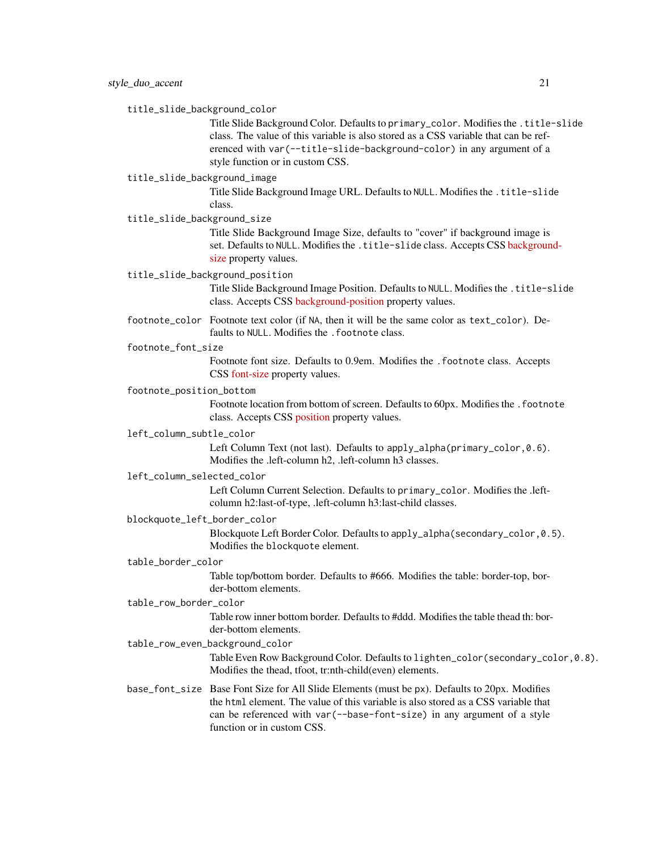title\_slide\_background\_color

Title Slide Background Color. Defaults to primary\_color. Modifies the .title-slide class. The value of this variable is also stored as a CSS variable that can be referenced with var(--title-slide-background-color) in any argument of a style function or in custom CSS.

# title\_slide\_background\_image

Title Slide Background Image URL. Defaults to NULL. Modifies the .title-slide class.

title\_slide\_background\_size

Title Slide Background Image Size, defaults to "cover" if background image is set. Defaults to NULL. Modifies the .title-slide class. Accepts CSS [backgroun](https://developer.mozilla.org/en-US/docs/Web/CSS/background-size)d[size](https://developer.mozilla.org/en-US/docs/Web/CSS/background-size) property values.

title\_slide\_background\_position

Title Slide Background Image Position. Defaults to NULL. Modifies the .title-slide class. Accepts CSS [background-position](https://developer.mozilla.org/en-US/docs/Web/CSS/background-position) property values.

footnote\_color Footnote text color (if NA, then it will be the same color as text\_color). Defaults to NULL. Modifies the . footnote class.

footnote\_font\_size

Footnote font size. Defaults to 0.9em. Modifies the .footnote class. Accepts CSS [font-size](https://developer.mozilla.org/en-US/docs/Web/CSS/font-size) property values.

# footnote\_position\_bottom

Footnote location from bottom of screen. Defaults to 60px. Modifies the .footnote class. Accepts CSS [position](https://developer.mozilla.org/en-US/docs/Web/CSS/position_value) property values.

#### left\_column\_subtle\_color

Left Column Text (not last). Defaults to apply\_alpha(primary\_color, 0.6). Modifies the .left-column h2, .left-column h3 classes.

#### left\_column\_selected\_color

Left Column Current Selection. Defaults to primary\_color. Modifies the .leftcolumn h2:last-of-type, .left-column h3:last-child classes.

#### blockquote\_left\_border\_color

Blockquote Left Border Color. Defaults to apply\_alpha(secondary\_color,0.5). Modifies the blockquote element.

#### table\_border\_color

Table top/bottom border. Defaults to #666. Modifies the table: border-top, border-bottom elements.

# table\_row\_border\_color

Table row inner bottom border. Defaults to #ddd. Modifies the table thead th: border-bottom elements.

# table\_row\_even\_background\_color

Table Even Row Background Color. Defaults to lighten\_color(secondary\_color,0.8). Modifies the thead, tfoot, tr:nth-child(even) elements.

base\_font\_size Base Font Size for All Slide Elements (must be px). Defaults to 20px. Modifies the html element. The value of this variable is also stored as a CSS variable that can be referenced with var(--base-font-size) in any argument of a style function or in custom CSS.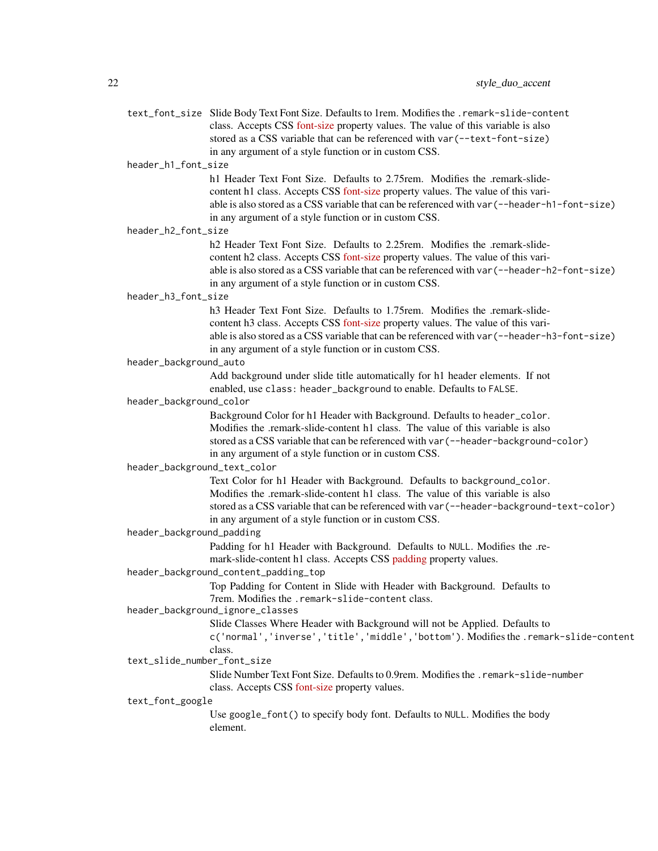|                              | text_font_size Slide Body Text Font Size. Defaults to 1rem. Modifies the .remark-slide-content<br>class. Accepts CSS font-size property values. The value of this variable is also |
|------------------------------|------------------------------------------------------------------------------------------------------------------------------------------------------------------------------------|
|                              | stored as a CSS variable that can be referenced with var (--text-font-size)                                                                                                        |
|                              | in any argument of a style function or in custom CSS.                                                                                                                              |
| header_h1_font_size          |                                                                                                                                                                                    |
|                              | h 1 Header Text Font Size. Defaults to 2.75 rem. Modifies the .remark-slide-<br>content h1 class. Accepts CSS font-size property values. The value of this vari-                   |
|                              | able is also stored as a CSS variable that can be referenced with var (--header-h1-font-size)                                                                                      |
|                              | in any argument of a style function or in custom CSS.                                                                                                                              |
| header_h2_font_size          |                                                                                                                                                                                    |
|                              | h2 Header Text Font Size. Defaults to 2.25rem. Modifies the .remark-slide-                                                                                                         |
|                              | content h2 class. Accepts CSS font-size property values. The value of this vari-                                                                                                   |
|                              | able is also stored as a CSS variable that can be referenced with var (--header-h2-font-size)                                                                                      |
| header_h3_font_size          | in any argument of a style function or in custom CSS.                                                                                                                              |
|                              | h3 Header Text Font Size. Defaults to 1.75rem. Modifies the .remark-slide-                                                                                                         |
|                              | content h3 class. Accepts CSS font-size property values. The value of this vari-                                                                                                   |
|                              | able is also stored as a CSS variable that can be referenced with var (--header-h3-font-size)                                                                                      |
|                              | in any argument of a style function or in custom CSS.                                                                                                                              |
| header_background_auto       |                                                                                                                                                                                    |
|                              | Add background under slide title automatically for h1 header elements. If not                                                                                                      |
|                              | enabled, use class: header_background to enable. Defaults to FALSE.                                                                                                                |
| header_background_color      |                                                                                                                                                                                    |
|                              | Background Color for h1 Header with Background. Defaults to header_color.                                                                                                          |
|                              | Modifies the .remark-slide-content h1 class. The value of this variable is also                                                                                                    |
|                              | stored as a CSS variable that can be referenced with var (--header-background-color)                                                                                               |
|                              | in any argument of a style function or in custom CSS.                                                                                                                              |
| header_background_text_color |                                                                                                                                                                                    |
|                              | Text Color for h1 Header with Background. Defaults to background_color.<br>Modifies the .remark-slide-content h1 class. The value of this variable is also                         |
|                              | stored as a CSS variable that can be referenced with var (--header-background-text-color)                                                                                          |
|                              | in any argument of a style function or in custom CSS.                                                                                                                              |
| header_background_padding    |                                                                                                                                                                                    |
|                              | Padding for h1 Header with Background. Defaults to NULL. Modifies the .re-                                                                                                         |
|                              | mark-slide-content h1 class. Accepts CSS padding property values.                                                                                                                  |
|                              | header_background_content_padding_top                                                                                                                                              |
|                              | Top Padding for Content in Slide with Header with Background. Defaults to                                                                                                          |
|                              | 7rem. Modifies the .remark-slide-content class.                                                                                                                                    |
|                              | header_background_ignore_classes                                                                                                                                                   |
|                              | Slide Classes Where Header with Background will not be Applied. Defaults to                                                                                                        |
|                              | c('normal','inverse','title','middle','bottom'). Modifies the .remark-slide-content<br>class.                                                                                      |
| text_slide_number_font_size  |                                                                                                                                                                                    |
|                              | Slide Number Text Font Size. Defaults to 0.9rem. Modifies the . remark-slide-number                                                                                                |
|                              | class. Accepts CSS font-size property values.                                                                                                                                      |
| text_font_google             |                                                                                                                                                                                    |
|                              | Use google_font() to specify body font. Defaults to NULL. Modifies the body                                                                                                        |
|                              | element.                                                                                                                                                                           |
|                              |                                                                                                                                                                                    |
|                              |                                                                                                                                                                                    |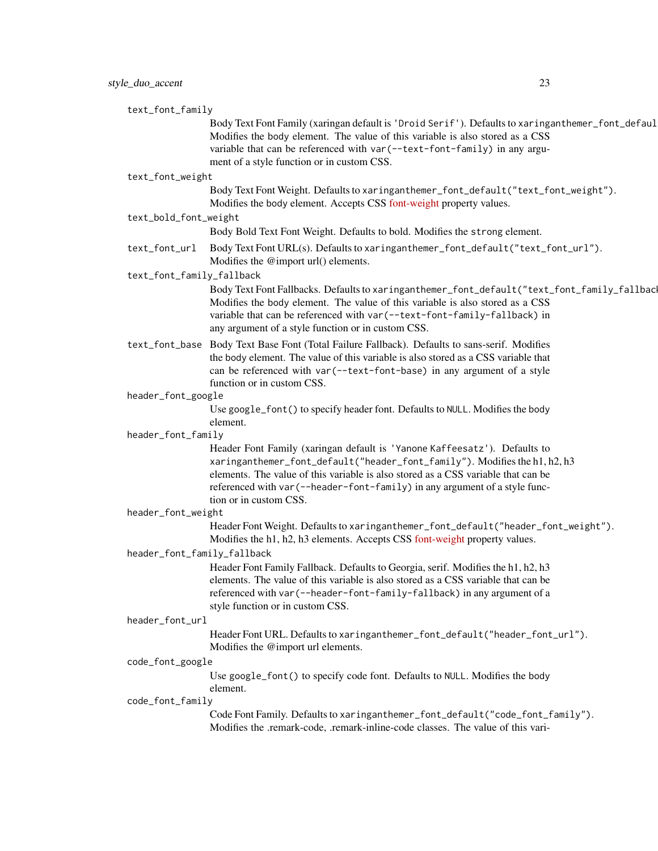| text_font_family            |                                                                                                                                                                                                                                                                                                                                                       |
|-----------------------------|-------------------------------------------------------------------------------------------------------------------------------------------------------------------------------------------------------------------------------------------------------------------------------------------------------------------------------------------------------|
|                             | Body Text Font Family (xaringan default is 'Droid Serif'). Defaults to xaringanthemer_font_defaul<br>Modifies the body element. The value of this variable is also stored as a CSS                                                                                                                                                                    |
|                             | variable that can be referenced with var (--text-font-family) in any argu-<br>ment of a style function or in custom CSS.                                                                                                                                                                                                                              |
| text_font_weight            |                                                                                                                                                                                                                                                                                                                                                       |
|                             | Body Text Font Weight. Defaults to xaringanthemer_font_default("text_font_weight").<br>Modifies the body element. Accepts CSS font-weight property values.                                                                                                                                                                                            |
| text_bold_font_weight       |                                                                                                                                                                                                                                                                                                                                                       |
|                             | Body Bold Text Font Weight. Defaults to bold. Modifies the strong element.                                                                                                                                                                                                                                                                            |
| text_font_url               | Body Text Font URL(s). Defaults to xaringanthemer_font_default("text_font_url").<br>Modifies the @import url() elements.                                                                                                                                                                                                                              |
| text_font_family_fallback   |                                                                                                                                                                                                                                                                                                                                                       |
|                             | Body Text Font Fallbacks. Defaults to xaringanthemer_font_default("text_font_family_fallbac<br>Modifies the body element. The value of this variable is also stored as a CSS<br>variable that can be referenced with var (--text-font-family-fallback) in<br>any argument of a style function or in custom CSS.                                       |
|                             | text_font_base Body Text Base Font (Total Failure Fallback). Defaults to sans-serif. Modifies<br>the body element. The value of this variable is also stored as a CSS variable that<br>can be referenced with var (--text-font-base) in any argument of a style<br>function or in custom CSS.                                                         |
| header_font_google          |                                                                                                                                                                                                                                                                                                                                                       |
|                             | Use google_font() to specify header font. Defaults to NULL. Modifies the body<br>element.                                                                                                                                                                                                                                                             |
| header_font_family          |                                                                                                                                                                                                                                                                                                                                                       |
|                             | Header Font Family (xaringan default is 'Yanone Kaffeesatz'). Defaults to<br>xaringanthemer_font_default("header_font_family"). Modifies the h1, h2, h3<br>elements. The value of this variable is also stored as a CSS variable that can be<br>referenced with var (--header-font-family) in any argument of a style func-<br>tion or in custom CSS. |
| header_font_weight          |                                                                                                                                                                                                                                                                                                                                                       |
|                             | Header Font Weight. Defaults to xaringanthemer_font_default("header_font_weight").<br>Modifies the h1, h2, h3 elements. Accepts CSS font-weight property values.                                                                                                                                                                                      |
| header_font_family_fallback |                                                                                                                                                                                                                                                                                                                                                       |
|                             | Header Font Family Fallback. Defaults to Georgia, serif. Modifies the h1, h2, h3<br>elements. The value of this variable is also stored as a CSS variable that can be<br>referenced with var (--header-font-family-fallback) in any argument of a<br>style function or in custom CSS.                                                                 |
| header_font_url             |                                                                                                                                                                                                                                                                                                                                                       |
|                             | Header Font URL. Defaults to xaringanthemer_font_default("header_font_url").<br>Modifies the @import url elements.                                                                                                                                                                                                                                    |
| code_font_google            |                                                                                                                                                                                                                                                                                                                                                       |
|                             | Use google_font() to specify code font. Defaults to NULL. Modifies the body<br>element.                                                                                                                                                                                                                                                               |
| code_font_family            |                                                                                                                                                                                                                                                                                                                                                       |
|                             | Code Font Family. Defaults to xaringanthemer_font_default("code_font_family").                                                                                                                                                                                                                                                                        |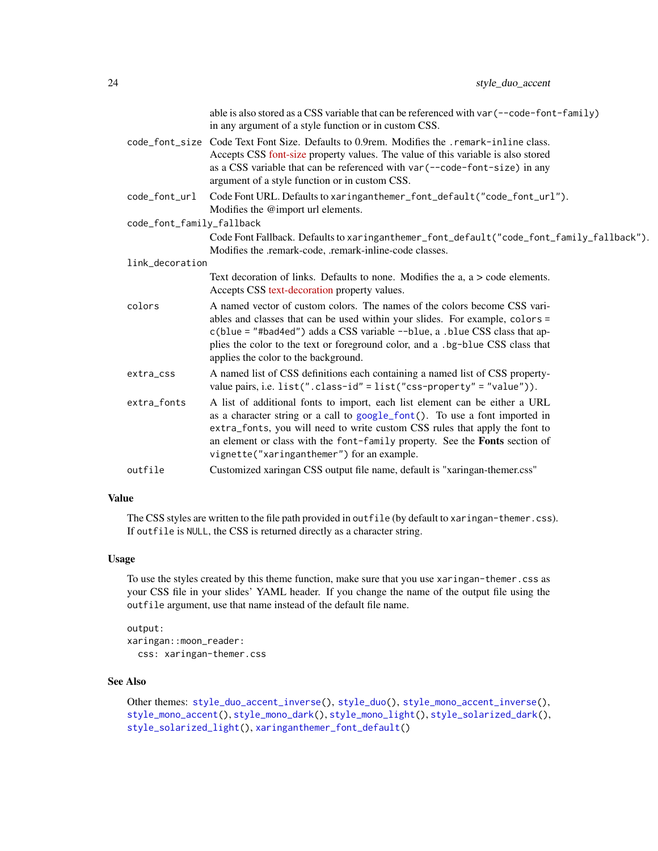|                           | able is also stored as a CSS variable that can be referenced with var (--code-font-family)<br>in any argument of a style function or in custom CSS.                                                                                                                                                                                                                    |  |  |
|---------------------------|------------------------------------------------------------------------------------------------------------------------------------------------------------------------------------------------------------------------------------------------------------------------------------------------------------------------------------------------------------------------|--|--|
|                           | code_font_size Code Text Font Size. Defaults to 0.9rem. Modifies the .remark-inline class.<br>Accepts CSS font-size property values. The value of this variable is also stored<br>as a CSS variable that can be referenced with var (--code-font-size) in any<br>argument of a style function or in custom CSS.                                                        |  |  |
| code_font_url             | Code Font URL. Defaults to xaringanthemer_font_default("code_font_url").<br>Modifies the @import url elements.                                                                                                                                                                                                                                                         |  |  |
| code_font_family_fallback |                                                                                                                                                                                                                                                                                                                                                                        |  |  |
|                           | Code Font Fallback. Defaults to xaringanthemer_font_default("code_font_family_fallback").<br>Modifies the .remark-code, .remark-inline-code classes.                                                                                                                                                                                                                   |  |  |
| link_decoration           |                                                                                                                                                                                                                                                                                                                                                                        |  |  |
|                           | Text decoration of links. Defaults to none. Modifies the $a$ , $a >$ code elements.<br>Accepts CSS text-decoration property values.                                                                                                                                                                                                                                    |  |  |
| colors                    | A named vector of custom colors. The names of the colors become CSS vari-<br>ables and classes that can be used within your slides. For example, colors =<br>c(blue = "#bad4ed") adds a CSS variable --blue, a .blue CSS class that ap-<br>plies the color to the text or foreground color, and a .bg-blue CSS class that<br>applies the color to the background.      |  |  |
| extra_css                 | A named list of CSS definitions each containing a named list of CSS property-<br>value pairs, i.e. $list("class-id" = list("css-property" = "value"))$ .                                                                                                                                                                                                               |  |  |
| extra_fonts               | A list of additional fonts to import, each list element can be either a URL<br>as a character string or a call to google_font(). To use a font imported in<br>extra_fonts, you will need to write custom CSS rules that apply the font to<br>an element or class with the font-family property. See the Fonts section of<br>vignette("xaringanthemer") for an example. |  |  |
| outfile                   | Customized xaringan CSS output file name, default is "xaringan-themer.css"                                                                                                                                                                                                                                                                                             |  |  |

# Value

The CSS styles are written to the file path provided in outfile (by default to xaringan-themer.css). If outfile is NULL, the CSS is returned directly as a character string.

# Usage

To use the styles created by this theme function, make sure that you use xaringan-themer.css as your CSS file in your slides' YAML header. If you change the name of the output file using the outfile argument, use that name instead of the default file name.

```
output:
xaringan::moon_reader:
 css: xaringan-themer.css
```
# See Also

Other themes: [style\\_duo\\_accent\\_inverse\(](#page-24-1)), [style\\_duo\(](#page-7-1)), [style\\_mono\\_accent\\_inverse\(](#page-42-1)), [style\\_mono\\_accent\(](#page-33-1)), [style\\_mono\\_dark\(](#page-50-1)), [style\\_mono\\_light\(](#page-58-1)), [style\\_solarized\\_dark\(](#page-66-1)), [style\\_solarized\\_light\(](#page-74-1)), [xaringanthemer\\_font\\_default\(](#page-92-1))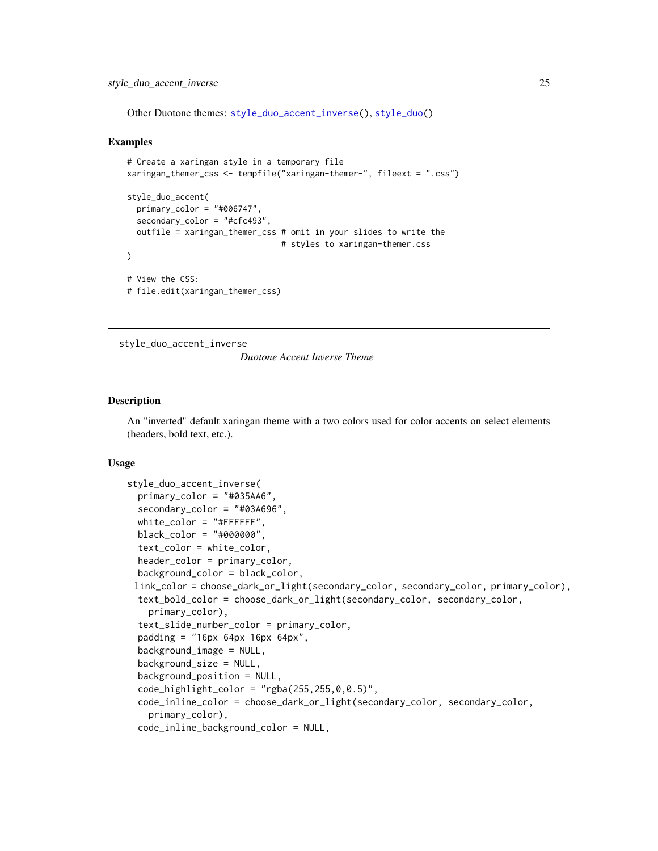<span id="page-24-0"></span>Other Duotone themes: [style\\_duo\\_accent\\_inverse\(](#page-24-1)), [style\\_duo\(](#page-7-1))

#### Examples

```
# Create a xaringan style in a temporary file
xaringan_themer_css <- tempfile("xaringan-themer-", fileext = ".css")
style_duo_accent(
 primary_color = "#006747",
 secondary_color = "#cfc493"
 outfile = xaringan_themer_css # omit in your slides to write the
                                # styles to xaringan-themer.css
)
# View the CSS:
# file.edit(xaringan_themer_css)
```
<span id="page-24-1"></span>style\_duo\_accent\_inverse

*Duotone Accent Inverse Theme*

#### Description

An "inverted" default xaringan theme with a two colors used for color accents on select elements (headers, bold text, etc.).

# Usage

```
style_duo_accent_inverse(
  primary_color = "#035AA6",
  secondary_color = "#03A696",
  white_color = "#FFFFFF",
 black_color = "#000000",
  text_color = white_color,
  header_color = primary_color,
  background_color = black_color,
 link_color = choose_dark_or_light(secondary_color, secondary_color, primary_color),
  text_bold_color = choose_dark_or_light(secondary_color, secondary_color,
    primary_color),
  text_slide_number_color = primary_color,
  padding = "16px 64px 16px 64px",
  background_image = NULL,
  background_size = NULL,
  background_position = NULL,
  code_light_color = "rgba(255, 255, 0, 0.5)".
  code_inline_color = choose_dark_or_light(secondary_color, secondary_color,
    primary_color),
  code_inline_background_color = NULL,
```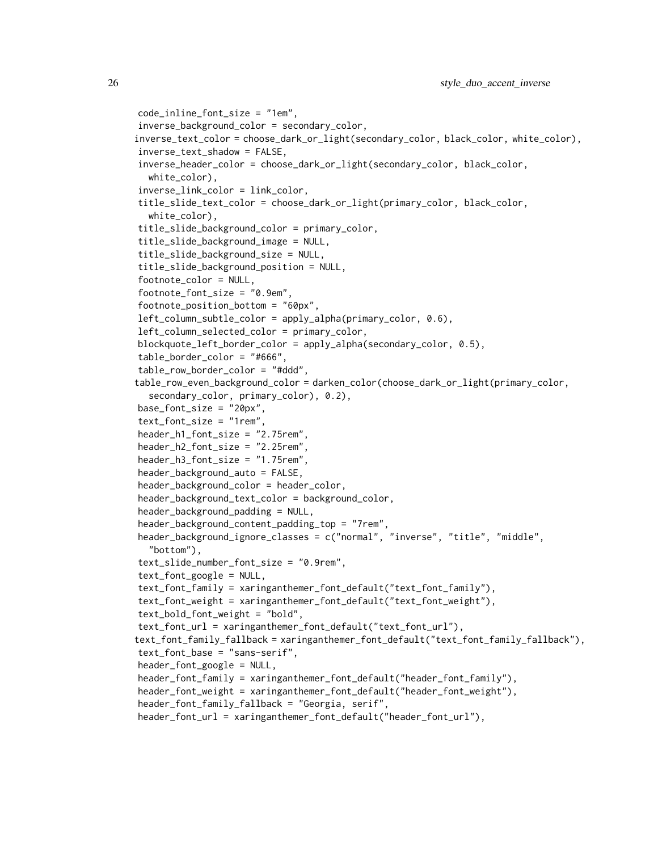```
code_inline_font_size = "1em",
inverse_background_color = secondary_color,
inverse_text_color = choose_dark_or_light(secondary_color, black_color, white_color),
inverse_text_shadow = FALSE,
inverse_header_color = choose_dark_or_light(secondary_color, black_color,
  white_color),
inverse_link_color = link_color,
title_slide_text_color = choose_dark_or_light(primary_color, black_color,
  white_color),
title_slide_background_color = primary_color,
title_slide_background_image = NULL,
title_slide_background_size = NULL,
title_slide_background_position = NULL,
footnote_color = NULL,
footnote_font_size = "0.9em",
footnote_position_bottom = "60px",
left_column_subtle_color = apply_alpha(primary_color, 0.6),
left_column_selected_color = primary_color,
blockquote_left_border_color = apply_alpha(secondary_color, 0.5),
table_border_color = "#666",
table_row_border_color = "#ddd",
table_row_even_background_color = darken_color(choose_dark_or_light(primary_color,
  secondary_color, primary_color), 0.2),
base_font_size = "20px",
text_font_size = "1rem",
header_h1_font_size = "2.75rem",
header_h2_font_size = "2.25rem",
header_h3_font_size = "1.75rem",
header_background_auto = FALSE,
header_background_color = header_color,
header_background_text_color = background_color,
header_background_padding = NULL,
header_background_content_padding_top = "7rem",
header_background_ignore_classes = c("normal", "inverse", "title", "middle",
  "bottom"),
text_slide_number_font_size = "0.9rem",
text_font_google = NULL,
text_font_family = xaringanthemer_font_default("text_font_family"),
text_font_weight = xaringanthemer_font_default("text_font_weight"),
text_bold_font_weight = "bold",
text_font_url = xaringanthemer_font_default("text_font_url"),
text_font_family_fallback = xaringanthemer_font_default("text_font_family_fallback"),
text_font_base = "sans-serif",
header_font_google = NULL,
header_font_family = xaringanthemer_font_default("header_font_family"),
header_font_weight = xaringanthemer_font_default("header_font_weight"),
header_font_family_fallback = "Georgia, serif",
header_font_url = xaringanthemer_font_default("header_font_url"),
```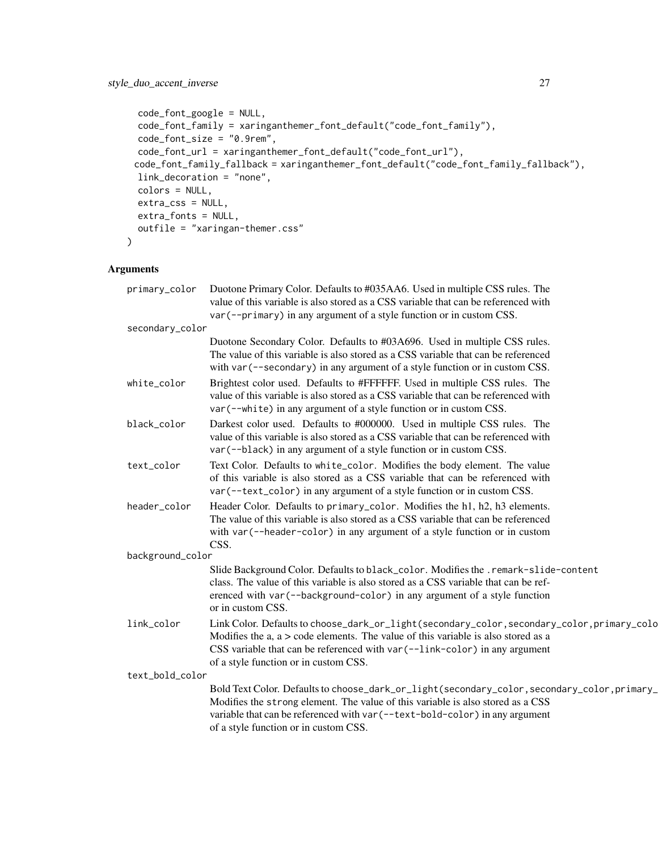```
code_font_google = NULL,
code_font_family = xaringanthemer_font_default("code_font_family"),
code_font_size = "0.9rem",
code_font_url = xaringanthemer_font_default("code_font_url"),
code_font_family_fallback = xaringanthemer_font_default("code_font_family_fallback"),
link_decoration = "none",
colors = NULL,
extra_css = NULL,
extra_fonts = NULL,
outfile = "xaringan-themer.css"
```
 $\mathcal{L}$ 

| primary_color    | Duotone Primary Color. Defaults to #035AA6. Used in multiple CSS rules. The                                                                                |
|------------------|------------------------------------------------------------------------------------------------------------------------------------------------------------|
|                  | value of this variable is also stored as a CSS variable that can be referenced with                                                                        |
|                  | var (--primary) in any argument of a style function or in custom CSS.                                                                                      |
| secondary_color  |                                                                                                                                                            |
|                  | Duotone Secondary Color. Defaults to #03A696. Used in multiple CSS rules.                                                                                  |
|                  | The value of this variable is also stored as a CSS variable that can be referenced                                                                         |
|                  | with $var(-$ -secondary) in any argument of a style function or in custom CSS.                                                                             |
| white_color      | Brightest color used. Defaults to #FFFFFF. Used in multiple CSS rules. The                                                                                 |
|                  | value of this variable is also stored as a CSS variable that can be referenced with<br>var (--white) in any argument of a style function or in custom CSS. |
|                  |                                                                                                                                                            |
| black_color      | Darkest color used. Defaults to #000000. Used in multiple CSS rules. The                                                                                   |
|                  | value of this variable is also stored as a CSS variable that can be referenced with                                                                        |
|                  | var (--black) in any argument of a style function or in custom CSS.                                                                                        |
| text_color       | Text Color. Defaults to white_color. Modifies the body element. The value                                                                                  |
|                  | of this variable is also stored as a CSS variable that can be referenced with                                                                              |
|                  | var (--text_color) in any argument of a style function or in custom CSS.                                                                                   |
| header_color     | Header Color. Defaults to primary_color. Modifies the h1, h2, h3 elements.                                                                                 |
|                  | The value of this variable is also stored as a CSS variable that can be referenced                                                                         |
|                  | with var (--header-color) in any argument of a style function or in custom                                                                                 |
| background_color | CSS.                                                                                                                                                       |
|                  | Slide Background Color. Defaults to black_color. Modifies the .remark-slide-content                                                                        |
|                  | class. The value of this variable is also stored as a CSS variable that can be ref-                                                                        |
|                  | erenced with var (--background-color) in any argument of a style function                                                                                  |
|                  | or in custom CSS.                                                                                                                                          |
| link_color       | Link Color. Defaults to choose_dark_or_light(secondary_color, secondary_color, primary_colo                                                                |
|                  | Modifies the $a$ , $a >$ code elements. The value of this variable is also stored as a                                                                     |
|                  | CSS variable that can be referenced with var (--link-color) in any argument                                                                                |
|                  | of a style function or in custom CSS.                                                                                                                      |
| text_bold_color  |                                                                                                                                                            |
|                  | Bold Text Color. Defaults to choose_dark_or_light(secondary_color, secondary_color, primary_                                                               |
|                  | Modifies the strong element. The value of this variable is also stored as a CSS                                                                            |
|                  | variable that can be referenced with var (--text-bold-color) in any argument                                                                               |
|                  | of a style function or in custom CSS.                                                                                                                      |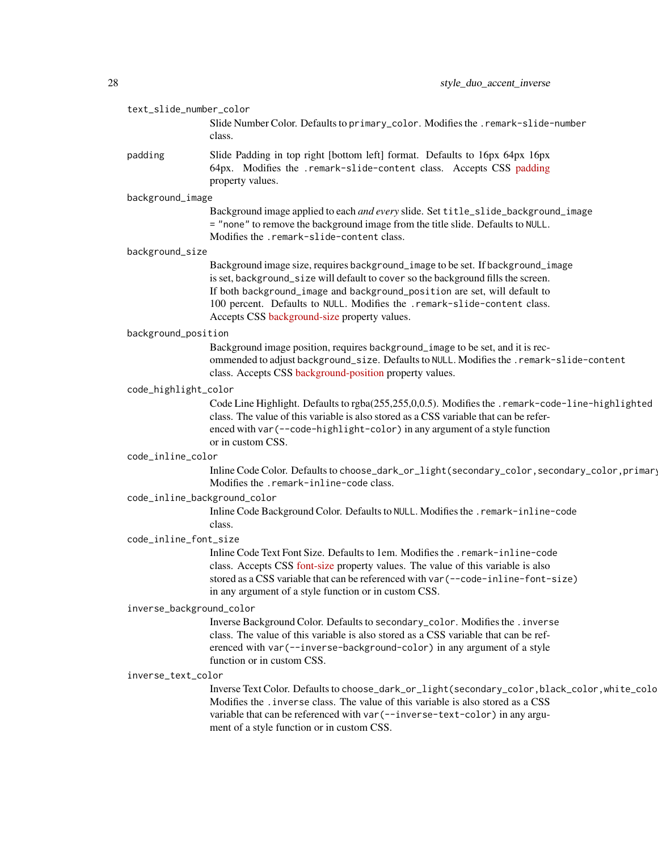| text_slide_number_color |                                                                                                                                                                                                                                                                                                                                                                               |
|-------------------------|-------------------------------------------------------------------------------------------------------------------------------------------------------------------------------------------------------------------------------------------------------------------------------------------------------------------------------------------------------------------------------|
|                         | Slide Number Color. Defaults to primary_color. Modifies the .remark-slide-number<br>class.                                                                                                                                                                                                                                                                                    |
| padding                 | Slide Padding in top right [bottom left] format. Defaults to 16px 64px 16px<br>64px. Modifies the .remark-slide-content class. Accepts CSS padding<br>property values.                                                                                                                                                                                                        |
| background_image        |                                                                                                                                                                                                                                                                                                                                                                               |
|                         | Background image applied to each and every slide. Set title_slide_background_image<br>= "none" to remove the background image from the title slide. Defaults to NULL.<br>Modifies the .remark-slide-content class.                                                                                                                                                            |
| background_size         |                                                                                                                                                                                                                                                                                                                                                                               |
|                         | Background image size, requires background_image to be set. If background_image<br>is set, background_size will default to cover so the background fills the screen.<br>If both background_image and background_position are set, will default to<br>100 percent. Defaults to NULL. Modifies the .remark-slide-content class.<br>Accepts CSS background-size property values. |
| background_position     |                                                                                                                                                                                                                                                                                                                                                                               |
|                         | Background image position, requires background_image to be set, and it is rec-<br>ommended to adjust background_size. Defaults to NULL. Modifies the . remark-slide-content<br>class. Accepts CSS background-position property values.                                                                                                                                        |
| code_highlight_color    |                                                                                                                                                                                                                                                                                                                                                                               |
|                         | Code Line Highlight. Defaults to rgba(255,255,0,0.5). Modifies the .remark-code-line-highlighted<br>class. The value of this variable is also stored as a CSS variable that can be refer-<br>enced with var (--code-highlight-color) in any argument of a style function<br>or in custom CSS.                                                                                 |
| code_inline_color       |                                                                                                                                                                                                                                                                                                                                                                               |
|                         | Inline Code Color. Defaults to choose_dark_or_light(secondary_color,secondary_color,primary<br>Modifies the .remark-inline-code class.                                                                                                                                                                                                                                        |
|                         | code_inline_background_color                                                                                                                                                                                                                                                                                                                                                  |
|                         | Inline Code Background Color. Defaults to NULL. Modifies the . remark-inline-code<br>class.                                                                                                                                                                                                                                                                                   |
| code_inline_font_size   |                                                                                                                                                                                                                                                                                                                                                                               |
|                         | Inline Code Text Font Size. Defaults to 1em. Modifies the . remark-inline-code<br>class. Accepts CSS font-size property values. The value of this variable is also<br>stored as a CSS variable that can be referenced with var (--code-inline-font-size)<br>in any argument of a style function or in custom CSS.                                                             |
|                         | inverse_background_color                                                                                                                                                                                                                                                                                                                                                      |
|                         | Inverse Background Color. Defaults to secondary_color. Modifies the . inverse<br>class. The value of this variable is also stored as a CSS variable that can be ref-<br>erenced with var (--inverse-background-color) in any argument of a style<br>function or in custom CSS.                                                                                                |
| inverse_text_color      |                                                                                                                                                                                                                                                                                                                                                                               |
|                         | Inverse Text Color. Defaults to choose_dark_or_light(secondary_color,black_color,white_colo<br>Modifies the . inverse class. The value of this variable is also stored as a CSS<br>variable that can be referenced with var (--inverse-text-color) in any argu-<br>ment of a style function or in custom CSS.                                                                 |
|                         |                                                                                                                                                                                                                                                                                                                                                                               |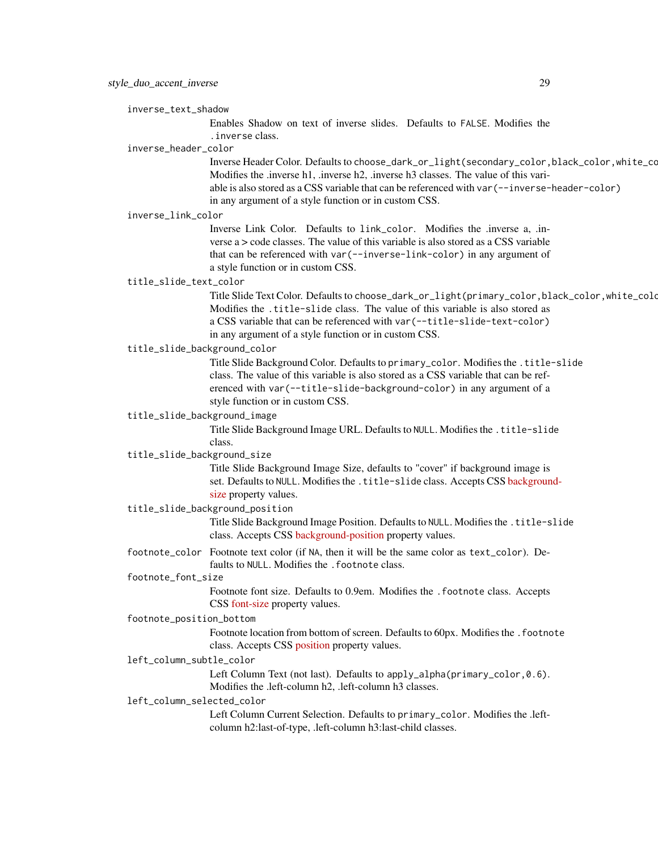inverse\_text\_shadow

Enables Shadow on text of inverse slides. Defaults to FALSE. Modifies the .inverse class.

#### inverse\_header\_color

Inverse Header Color. Defaults to choose\_dark\_or\_light(secondary\_color,black\_color,white\_color). Modifies the .inverse h1, .inverse h2, .inverse h3 classes. The value of this variable is also stored as a CSS variable that can be referenced with var(--inverse-header-color) in any argument of a style function or in custom CSS.

#### inverse\_link\_color

Inverse Link Color. Defaults to link\_color. Modifies the .inverse a, .inverse  $a >$  code classes. The value of this variable is also stored as a CSS variable that can be referenced with var(--inverse-link-color) in any argument of a style function or in custom CSS.

# title\_slide\_text\_color

Title Slide Text Color. Defaults to choose\_dark\_or\_light(primary\_color,black\_color,white\_color). Modifies the .title-slide class. The value of this variable is also stored as a CSS variable that can be referenced with var(--title-slide-text-color) in any argument of a style function or in custom CSS.

#### title\_slide\_background\_color

Title Slide Background Color. Defaults to primary\_color. Modifies the .title-slide class. The value of this variable is also stored as a CSS variable that can be referenced with var(--title-slide-background-color) in any argument of a style function or in custom CSS.

# title\_slide\_background\_image

Title Slide Background Image URL. Defaults to NULL. Modifies the .title-slide class.

#### title\_slide\_background\_size

Title Slide Background Image Size, defaults to "cover" if background image is set. Defaults to NULL. Modifies the .title-slide class. Accepts CSS [backgroun](https://developer.mozilla.org/en-US/docs/Web/CSS/background-size)d[size](https://developer.mozilla.org/en-US/docs/Web/CSS/background-size) property values.

#### title\_slide\_background\_position

Title Slide Background Image Position. Defaults to NULL. Modifies the .title-slide class. Accepts CSS [background-position](https://developer.mozilla.org/en-US/docs/Web/CSS/background-position) property values.

# footnote\_color Footnote text color (if NA, then it will be the same color as text\_color). Defaults to NULL. Modifies the . footnote class.

#### footnote\_font\_size

Footnote font size. Defaults to 0.9em. Modifies the .footnote class. Accepts CSS [font-size](https://developer.mozilla.org/en-US/docs/Web/CSS/font-size) property values.

# footnote\_position\_bottom

Footnote location from bottom of screen. Defaults to 60px. Modifies the . footnote class. Accepts CSS [position](https://developer.mozilla.org/en-US/docs/Web/CSS/position_value) property values.

#### left\_column\_subtle\_color

Left Column Text (not last). Defaults to apply\_alpha(primary\_color,0.6). Modifies the .left-column h2, .left-column h3 classes.

#### left\_column\_selected\_color

Left Column Current Selection. Defaults to primary\_color. Modifies the .leftcolumn h2:last-of-type, .left-column h3:last-child classes.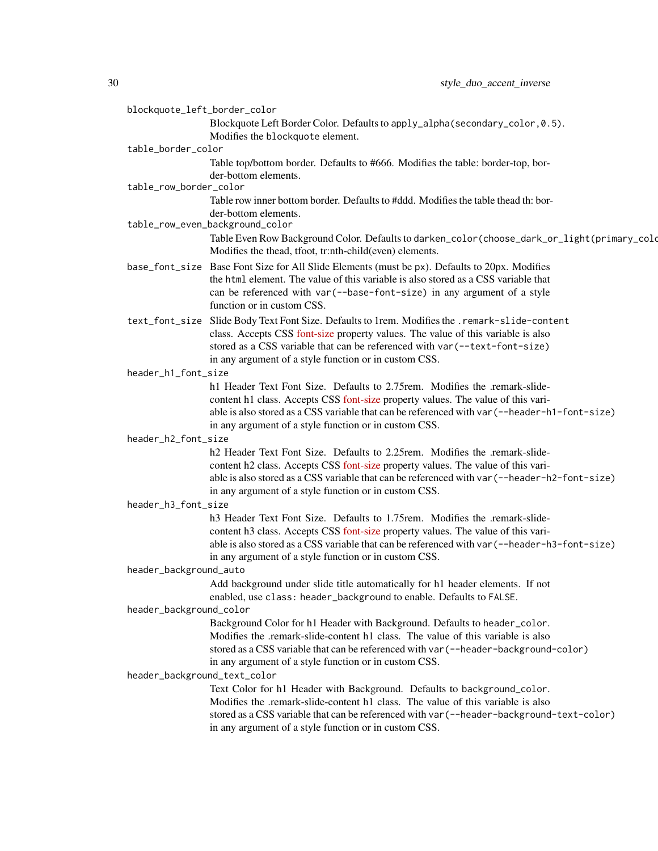| blockquote_left_border_color    |                                                                                                                                                                                   |  |
|---------------------------------|-----------------------------------------------------------------------------------------------------------------------------------------------------------------------------------|--|
|                                 | Blockquote Left Border Color. Defaults to apply_alpha(secondary_color, 0.5).                                                                                                      |  |
|                                 | Modifies the blockquote element.                                                                                                                                                  |  |
| table_border_color              |                                                                                                                                                                                   |  |
|                                 | Table top/bottom border. Defaults to #666. Modifies the table: border-top, bor-                                                                                                   |  |
| table_row_border_color          | der-bottom elements.                                                                                                                                                              |  |
|                                 | Table row inner bottom border. Defaults to #ddd. Modifies the table thead th: bor-                                                                                                |  |
|                                 | der-bottom elements.                                                                                                                                                              |  |
| table_row_even_background_color |                                                                                                                                                                                   |  |
|                                 | Table Even Row Background Color. Defaults to darken_color(choose_dark_or_light(primary_colo<br>Modifies the thead, tfoot, tr:nth-child(even) elements.                            |  |
|                                 | base_font_size Base Font Size for All Slide Elements (must be px). Defaults to 20px. Modifies                                                                                     |  |
|                                 | the html element. The value of this variable is also stored as a CSS variable that                                                                                                |  |
|                                 | can be referenced with var (--base-font-size) in any argument of a style                                                                                                          |  |
|                                 | function or in custom CSS.                                                                                                                                                        |  |
|                                 | text_font_size Slide Body Text Font Size. Defaults to 1rem. Modifies the .remark-slide-content                                                                                    |  |
|                                 | class. Accepts CSS font-size property values. The value of this variable is also                                                                                                  |  |
|                                 | stored as a CSS variable that can be referenced with var (--text-font-size)                                                                                                       |  |
|                                 | in any argument of a style function or in custom CSS.                                                                                                                             |  |
| header_h1_font_size             |                                                                                                                                                                                   |  |
|                                 | h1 Header Text Font Size. Defaults to 2.75rem. Modifies the .remark-slide-                                                                                                        |  |
|                                 | content h1 class. Accepts CSS font-size property values. The value of this vari-<br>able is also stored as a CSS variable that can be referenced with var (--header-h1-font-size) |  |
|                                 | in any argument of a style function or in custom CSS.                                                                                                                             |  |
| header_h2_font_size             |                                                                                                                                                                                   |  |
|                                 | h2 Header Text Font Size. Defaults to 2.25rem. Modifies the .remark-slide-                                                                                                        |  |
|                                 | content h2 class. Accepts CSS font-size property values. The value of this vari-                                                                                                  |  |
|                                 | able is also stored as a CSS variable that can be referenced with var (--header-h2-font-size)                                                                                     |  |
|                                 | in any argument of a style function or in custom CSS.                                                                                                                             |  |
| header_h3_font_size             |                                                                                                                                                                                   |  |
|                                 | h3 Header Text Font Size. Defaults to 1.75rem. Modifies the .remark-slide-                                                                                                        |  |
|                                 | content h3 class. Accepts CSS font-size property values. The value of this vari-                                                                                                  |  |
|                                 | able is also stored as a CSS variable that can be referenced with var (--header-h3-font-size)                                                                                     |  |
|                                 | in any argument of a style function or in custom CSS.                                                                                                                             |  |
| header_background_auto          | Add background under slide title automatically for h1 header elements. If not                                                                                                     |  |
|                                 | enabled, use class: header_background to enable. Defaults to FALSE.                                                                                                               |  |
| header_background_color         |                                                                                                                                                                                   |  |
|                                 | Background Color for h1 Header with Background. Defaults to header_color.                                                                                                         |  |
|                                 | Modifies the .remark-slide-content h1 class. The value of this variable is also                                                                                                   |  |
|                                 | stored as a CSS variable that can be referenced with var (--header-background-color)                                                                                              |  |
|                                 | in any argument of a style function or in custom CSS.                                                                                                                             |  |
| header_background_text_color    |                                                                                                                                                                                   |  |
|                                 | Text Color for h1 Header with Background. Defaults to background_color.                                                                                                           |  |
|                                 | Modifies the .remark-slide-content h1 class. The value of this variable is also                                                                                                   |  |
|                                 | stored as a CSS variable that can be referenced with var (--header-background-text-color)                                                                                         |  |
|                                 | in any argument of a style function or in custom CSS.                                                                                                                             |  |
|                                 |                                                                                                                                                                                   |  |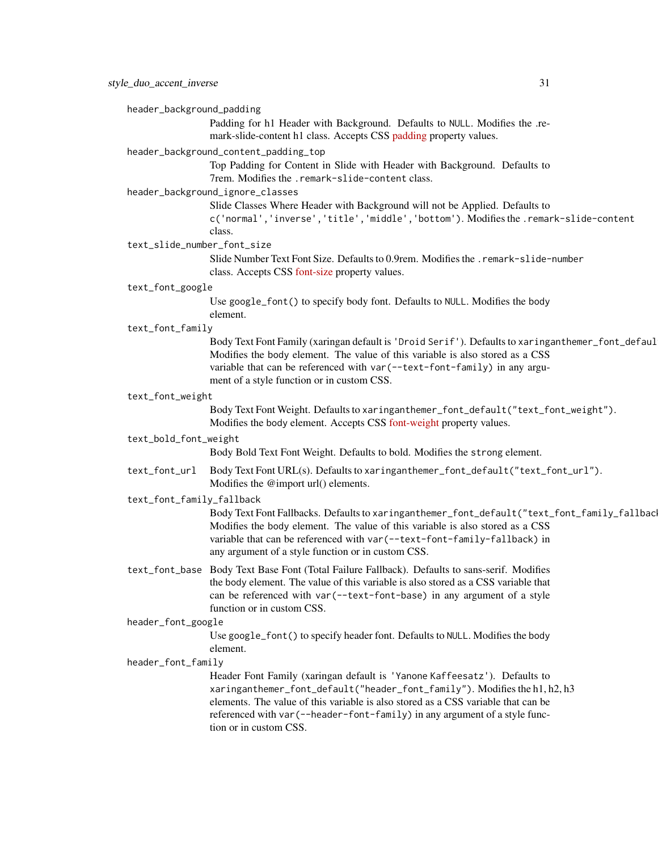header\_background\_padding

Padding for h1 Header with Background. Defaults to NULL. Modifies the .remark-slide-content h1 class. Accepts CSS [padding](https://developer.mozilla.org/en-US/docs/Web/CSS/padding) property values.

#### header\_background\_content\_padding\_top

Top Padding for Content in Slide with Header with Background. Defaults to 7rem. Modifies the .remark-slide-content class.

# header\_background\_ignore\_classes

Slide Classes Where Header with Background will not be Applied. Defaults to c('normal','inverse','title','middle','bottom'). Modifies the .remark-slide-content class.

# text\_slide\_number\_font\_size

Slide Number Text Font Size. Defaults to 0.9rem. Modifies the .remark-slide-number class. Accepts CSS [font-size](https://developer.mozilla.org/en-US/docs/Web/CSS/font-size) property values.

#### text\_font\_google

Use google\_font() to specify body font. Defaults to NULL. Modifies the body element.

#### text\_font\_family

Body Text Font Family (xaringan default is 'Droid Serif'). Defaults to xaringanthemer\_font\_defaul Modifies the body element. The value of this variable is also stored as a CSS variable that can be referenced with var(--text-font-family) in any argument of a style function or in custom CSS.

#### text\_font\_weight

Body Text Font Weight. Defaults to xaringanthemer\_font\_default("text\_font\_weight"). Modifies the body element. Accepts CSS [font-weight](https://developer.mozilla.org/en-US/docs/Web/CSS/font-weight) property values.

#### text\_bold\_font\_weight

Body Bold Text Font Weight. Defaults to bold. Modifies the strong element.

text\_font\_url Body Text Font URL(s). Defaults to xaringanthemer\_font\_default("text\_font\_url"). Modifies the @import url() elements.

#### text\_font\_family\_fallback

Body Text Font Fallbacks. Defaults to xaringanthemer\_font\_default("text\_font\_family\_fallback"). Modifies the body element. The value of this variable is also stored as a CSS variable that can be referenced with var(--text-font-family-fallback) in any argument of a style function or in custom CSS.

text\_font\_base Body Text Base Font (Total Failure Fallback). Defaults to sans-serif. Modifies the body element. The value of this variable is also stored as a CSS variable that can be referenced with var(--text-font-base) in any argument of a style function or in custom CSS.

#### header\_font\_google

Use google\_font() to specify header font. Defaults to NULL. Modifies the body element.

# header\_font\_family

Header Font Family (xaringan default is 'Yanone Kaffeesatz'). Defaults to xaringanthemer\_font\_default("header\_font\_family"). Modifies the h1, h2, h3 elements. The value of this variable is also stored as a CSS variable that can be referenced with var(--header-font-family) in any argument of a style function or in custom CSS.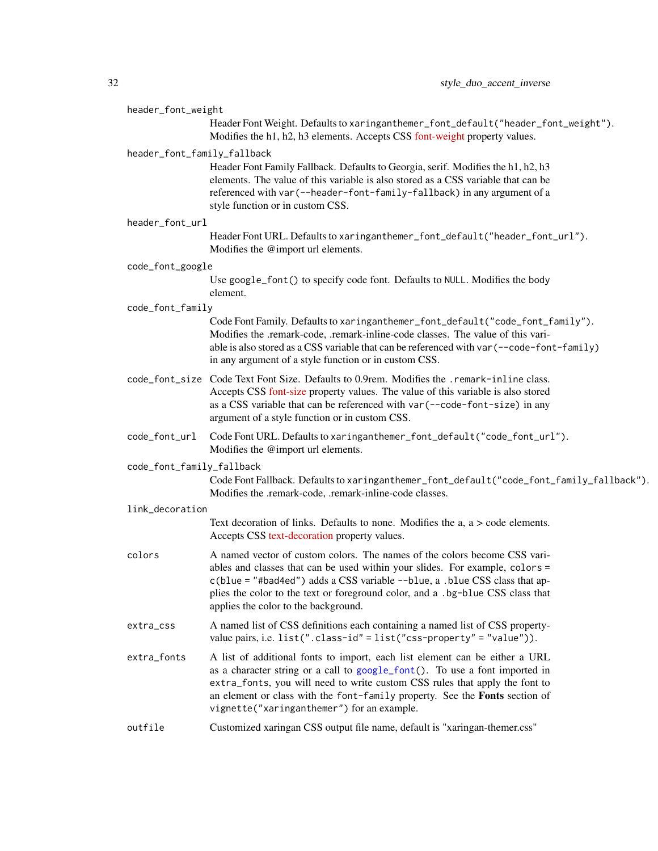#### header\_font\_weight

Header Font Weight. Defaults to xaringanthemer\_font\_default("header\_font\_weight"). Modifies the h1, h2, h3 elements. Accepts CSS [font-weight](https://developer.mozilla.org/en-US/docs/Web/CSS/font-weight) property values.

#### header\_font\_family\_fallback

Header Font Family Fallback. Defaults to Georgia, serif. Modifies the h1, h2, h3 elements. The value of this variable is also stored as a CSS variable that can be referenced with var(--header-font-family-fallback) in any argument of a style function or in custom CSS.

| header_font_url |  |  |
|-----------------|--|--|
|-----------------|--|--|

Header Font URL. Defaults to xaringanthemer\_font\_default("header\_font\_url"). Modifies the @import url elements.

- code\_font\_google
	- Use google\_font() to specify code font. Defaults to NULL. Modifies the body element.

#### code\_font\_family

Code Font Family. Defaults to xaringanthemer\_font\_default("code\_font\_family"). Modifies the .remark-code, .remark-inline-code classes. The value of this variable is also stored as a CSS variable that can be referenced with var(--code-font-family) in any argument of a style function or in custom CSS.

- code\_font\_size Code Text Font Size. Defaults to 0.9rem. Modifies the .remark-inline class. Accepts CSS [font-size](https://developer.mozilla.org/en-US/docs/Web/CSS/font-size) property values. The value of this variable is also stored as a CSS variable that can be referenced with var(--code-font-size) in any argument of a style function or in custom CSS.
- code\_font\_url Code Font URL. Defaults to xaringanthemer\_font\_default("code\_font\_url"). Modifies the @import url elements.

code\_font\_family\_fallback

Code Font Fallback. Defaults to xaringanthemer\_font\_default("code\_font\_family\_fallback"). Modifies the .remark-code, .remark-inline-code classes.

#### link\_decoration

Text decoration of links. Defaults to none. Modifies the a, a > code elements. Accepts CSS [text-decoration](https://developer.mozilla.org/en-US/docs/Web/CSS/text-decoration) property values.

- colors A named vector of custom colors. The names of the colors become CSS variables and classes that can be used within your slides. For example, colors = c(blue = "#bad4ed") adds a CSS variable --blue, a .blue CSS class that applies the color to the text or foreground color, and a .bg-blue CSS class that applies the color to the background.
- extra\_css A named list of CSS definitions each containing a named list of CSS propertyvalue pairs, i.e. list(".class-id" = list("css-property" = "value")).
- extra\_fonts A list of additional fonts to import, each list element can be either a URL as a character string or a call to [google\\_font\(](#page-3-2)). To use a font imported in extra\_fonts, you will need to write custom CSS rules that apply the font to an element or class with the font-family property. See the Fonts section of vignette("xaringanthemer") for an example.

# outfile Customized xaringan CSS output file name, default is "xaringan-themer.css"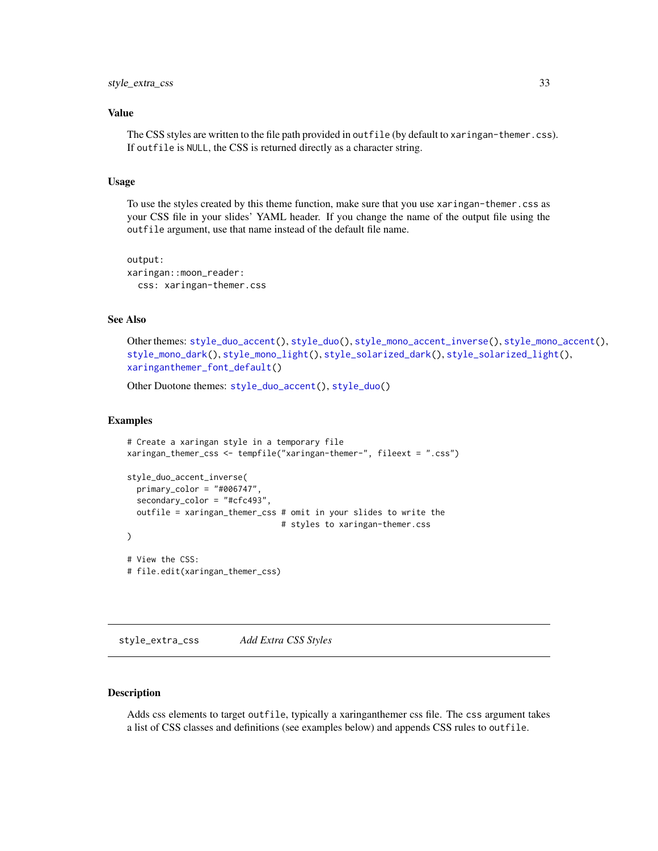# <span id="page-32-0"></span>Value

The CSS styles are written to the file path provided in outfile (by default to xaringan-themer.css). If outfile is NULL, the CSS is returned directly as a character string.

# Usage

To use the styles created by this theme function, make sure that you use xaringan-themer.css as your CSS file in your slides' YAML header. If you change the name of the output file using the outfile argument, use that name instead of the default file name.

```
output:
xaringan::moon_reader:
  css: xaringan-themer.css
```
# See Also

Other themes: [style\\_duo\\_accent\(](#page-16-1)), [style\\_duo\(](#page-7-1)), [style\\_mono\\_accent\\_inverse\(](#page-42-1)), [style\\_mono\\_accent\(](#page-33-1)), [style\\_mono\\_dark\(](#page-50-1)), [style\\_mono\\_light\(](#page-58-1)), [style\\_solarized\\_dark\(](#page-66-1)), [style\\_solarized\\_light\(](#page-74-1)), [xaringanthemer\\_font\\_default\(](#page-92-1))

Other Duotone themes: [style\\_duo\\_accent\(](#page-16-1)), [style\\_duo\(](#page-7-1))

# Examples

```
# Create a xaringan style in a temporary file
xaringan_themer_css <- tempfile("xaringan-themer-", fileext = ".css")
style_duo_accent_inverse(
  primary_color = "#006747"
  secondary_color = "#cfc493",
  outfile = xaringan_themer_css # omit in your slides to write the
                                # styles to xaringan-themer.css
)
# View the CSS:
# file.edit(xaringan_themer_css)
```
style\_extra\_css *Add Extra CSS Styles*

# Description

Adds css elements to target outfile, typically a xaringanthemer css file. The css argument takes a list of CSS classes and definitions (see examples below) and appends CSS rules to outfile.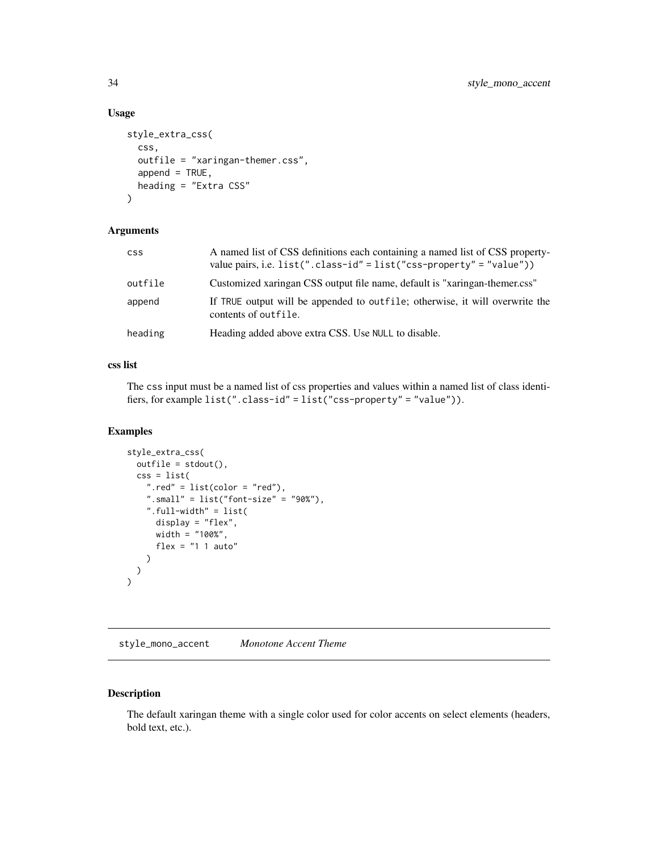# Usage

```
style_extra_css(
  css,
 outfile = "xaringan-themer.css",
 append = TRUE,heading = "Extra CSS"
)
```
# Arguments

| CSS.    | A named list of CSS definitions each containing a named list of CSS property-<br>value pairs, i.e. $list("class-id" = list("cs-s property" = "value"))$ |
|---------|---------------------------------------------------------------------------------------------------------------------------------------------------------|
| outfile | Customized xaringan CSS output file name, default is "xaringan-themer.css"                                                                              |
| append  | If TRUE output will be appended to outfile; otherwise, it will overwrite the<br>contents of outfile.                                                    |
| heading | Heading added above extra CSS. Use NULL to disable.                                                                                                     |

# css list

The css input must be a named list of css properties and values within a named list of class identifiers, for example list(".class-id" = list("css-property" = "value")).

# Examples

```
style_extra_css(
  outfile = stdout(),
  \csc = \text{list}(".red" = list(color = "red"),
    ".small" = list("font-size" = "90%"),
    ".full-width" = list(
      display = "flex",
      width = "100%",
      flex = "1 1 auto"
    )
 )
\mathcal{L}
```
<span id="page-33-1"></span>style\_mono\_accent *Monotone Accent Theme*

# Description

The default xaringan theme with a single color used for color accents on select elements (headers, bold text, etc.).

<span id="page-33-0"></span>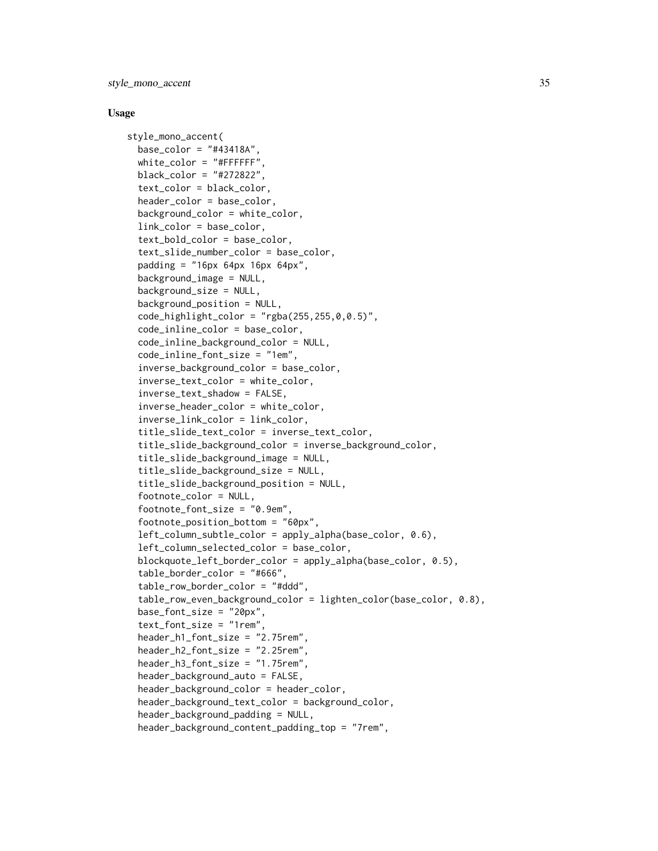style\_mono\_accent 35

#### Usage

```
style_mono_accent(
  base\_color = "#43418A",white\_color = "#FFFFFF",black_color = "#272822",
  text_color = black_color,
  header_color = base_color,
  background_color = white_color,
  link_color = base_color,
  text_bold_color = base_color,
  text_slide_number_color = base_color,
  padding = "16px 64px 16px 64px",background_image = NULL,
  background_size = NULL,
  background_position = NULL,
  code_highlight\_color = "rgba(255, 255, 0, 0.5)",
  code_inline_color = base_color,
  code_inline_background_color = NULL,
  code_inline_font_size = "1em",
  inverse_background_color = base_color,
  inverse_text_color = white_color,
  inverse_text_shadow = FALSE,
  inverse_header_color = white_color,
  inverse_link_color = link_color,
  title_slide_text_color = inverse_text_color,
  title_slide_background_color = inverse_background_color,
  title_slide_background_image = NULL,
  title_slide_background_size = NULL,
  title_slide_background_position = NULL,
  footnote_color = NULL,
  footnote_font_size = "0.9em",
  footnote_position_bottom = "60px",
  left_column_subtle_color = apply_alpha(base_color, 0.6),
  left_column_selected_color = base_color,
  blockquote_left_border_color = apply_alpha(base_color, 0.5),
  table_border_color = "#666",
  table_row_border_color = "#ddd",
  table_row_even_background_color = lighten_color(base_color, 0.8),
  base_font_size = "20px",
  text_font_size = "1rem",
  header_h1_font_size = "2.75rem",
  header_h2_font_size = "2.25rem",
  header_h3_font_size = "1.75rem",
  header_background_auto = FALSE,
  header_background_color = header_color,
  header_background_text_color = background_color,
  header_background_padding = NULL,
  header_background_content_padding_top = "7rem",
```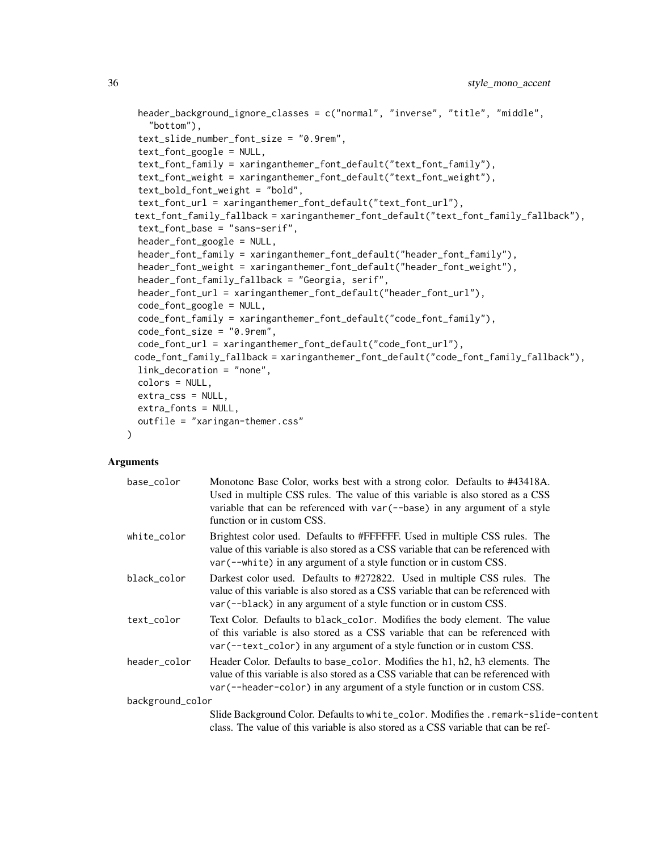```
header_background_ignore_classes = c("normal", "inverse", "title", "middle",
  "bottom"),
text_slide_number_font_size = "0.9rem",
text_font_google = NULL,
text_font_family = xaringanthemer_font_default("text_font_family"),
text_font_weight = xaringanthemer_font_default("text_font_weight"),
text_bold_font_weight = "bold",
text_font_url = xaringanthemer_font_default("text_font_url"),
text_font_family_fallback = xaringanthemer_font_default("text_font_family_fallback"),
text_font_base = "sans-serif",
header_font_google = NULL,
header_font_family = xaringanthemer_font_default("header_font_family"),
header_font_weight = xaringanthemer_font_default("header_font_weight"),
header_font_family_fallback = "Georgia, serif",
header_font_url = xaringanthemer_font_default("header_font_url"),
code_font_google = NULL,
code_font_family = xaringanthemer_font_default("code_font_family"),
code_font_size = "0.9rem",
code_font_url = xaringanthemer_font_default("code_font_url"),
code_font_family_fallback = xaringanthemer_font_default("code_font_family_fallback"),
link_decoration = "none",
colors = NULL,
extra_css = NULL,
extra_fonts = NULL,
outfile = "xaringan-themer.css"
```
 $\mathcal{L}$ 

| base color       | Monotone Base Color, works best with a strong color. Defaults to #43418A.<br>Used in multiple CSS rules. The value of this variable is also stored as a CSS<br>variable that can be referenced with var $(-$ -base) in any argument of a style<br>function or in custom CSS. |
|------------------|------------------------------------------------------------------------------------------------------------------------------------------------------------------------------------------------------------------------------------------------------------------------------|
| white color      | Brightest color used. Defaults to #FFFFFF. Used in multiple CSS rules. The<br>value of this variable is also stored as a CSS variable that can be referenced with<br>var (--white) in any argument of a style function or in custom CSS.                                     |
| black color      | Darkest color used. Defaults to #272822. Used in multiple CSS rules. The<br>value of this variable is also stored as a CSS variable that can be referenced with<br>var (--black) in any argument of a style function or in custom CSS.                                       |
| text_color       | Text Color. Defaults to black_color. Modifies the body element. The value<br>of this variable is also stored as a CSS variable that can be referenced with<br>$var(-text{Text\_color})$ in any argument of a style function or in custom CSS.                                |
| header_color     | Header Color. Defaults to base_color. Modifies the h1, h2, h3 elements. The<br>value of this variable is also stored as a CSS variable that can be referenced with<br>var (--header-color) in any argument of a style function or in custom CSS.                             |
| background_color |                                                                                                                                                                                                                                                                              |
|                  | Slide Background Color. Defaults to white_color. Modifies the .remark-slide-content<br>class. The value of this variable is also stored as a CSS variable that can be ref-                                                                                                   |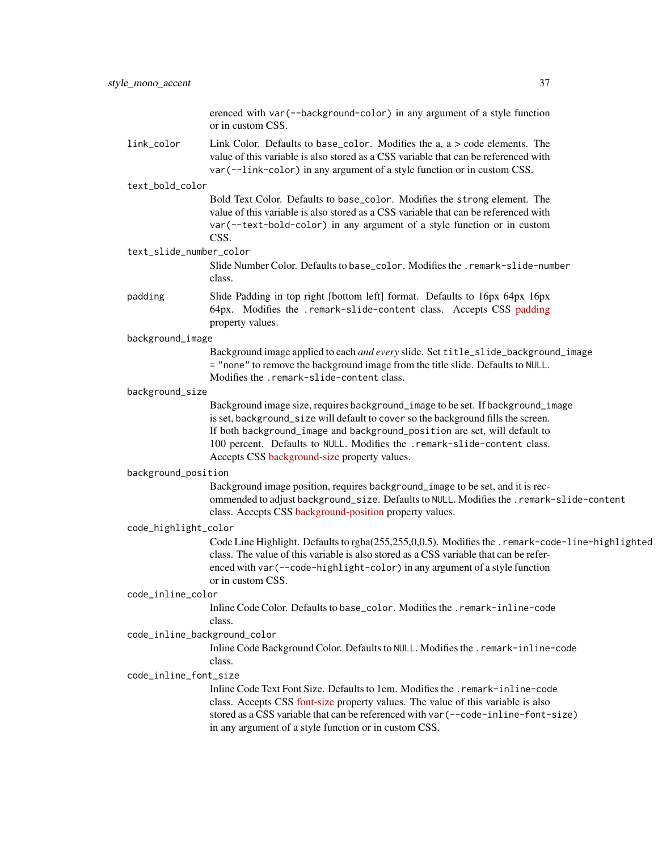| erenced with var (--background-color) in any argument of a style function |
|---------------------------------------------------------------------------|
| or in custom CSS.                                                         |
|                                                                           |

link\_color Link Color. Defaults to base\_color. Modifies the a, a > code elements. The value of this variable is also stored as a CSS variable that can be referenced with var(--link-color) in any argument of a style function or in custom CSS.

#### text\_bold\_color

Bold Text Color. Defaults to base\_color. Modifies the strong element. The value of this variable is also stored as a CSS variable that can be referenced with var(--text-bold-color) in any argument of a style function or in custom CSS.

#### text\_slide\_number\_color

Slide Number Color. Defaults to base\_color. Modifies the .remark-slide-number class.

padding Slide Padding in top right [bottom left] format. Defaults to 16px 64px 16px 64px. Modifies the .remark-slide-content class. Accepts CSS [padding](https://developer.mozilla.org/en-US/docs/Web/CSS/padding) property values.

### background\_image

Background image applied to each *and every* slide. Set title\_slide\_background\_image = "none" to remove the background image from the title slide. Defaults to NULL. Modifies the .remark-slide-content class.

### background\_size

Background image size, requires background\_image to be set. If background\_image is set, background\_size will default to cover so the background fills the screen. If both background\_image and background\_position are set, will default to 100 percent. Defaults to NULL. Modifies the .remark-slide-content class. Accepts CSS [background-size](https://developer.mozilla.org/en-US/docs/Web/CSS/background-size) property values.

### background\_position

Background image position, requires background\_image to be set, and it is recommended to adjust background\_size. Defaults to NULL. Modifies the .remark-slide-content class. Accepts CSS [background-position](https://developer.mozilla.org/en-US/docs/Web/CSS/background-position) property values.

## code\_highlight\_color

Code Line Highlight. Defaults to rgba(255,255,0,0.5). Modifies the .remark-code-line-highlighted class. The value of this variable is also stored as a CSS variable that can be referenced with var(--code-highlight-color) in any argument of a style function or in custom CSS.

#### code\_inline\_color

Inline Code Color. Defaults to base\_color. Modifies the .remark-inline-code class.

#### code\_inline\_background\_color

Inline Code Background Color. Defaults to NULL. Modifies the .remark-inline-code class.

## code\_inline\_font\_size

Inline Code Text Font Size. Defaults to 1em. Modifies the .remark-inline-code class. Accepts CSS [font-size](https://developer.mozilla.org/en-US/docs/Web/CSS/font-size) property values. The value of this variable is also stored as a CSS variable that can be referenced with var(--code-inline-font-size) in any argument of a style function or in custom CSS.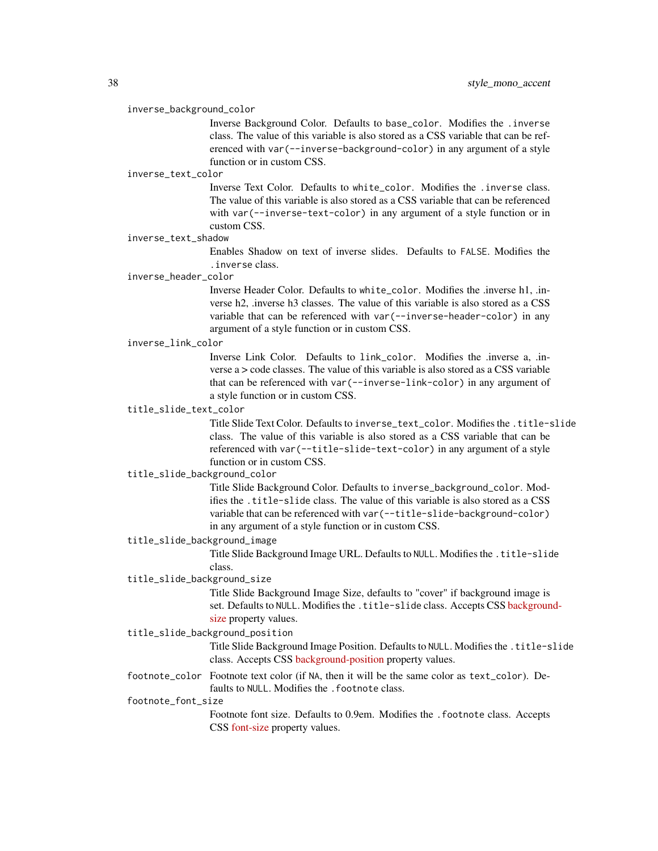#### inverse\_background\_color

Inverse Background Color. Defaults to base\_color. Modifies the .inverse class. The value of this variable is also stored as a CSS variable that can be referenced with var(--inverse-background-color) in any argument of a style function or in custom CSS.

#### inverse\_text\_color

Inverse Text Color. Defaults to white\_color. Modifies the .inverse class. The value of this variable is also stored as a CSS variable that can be referenced with var(--inverse-text-color) in any argument of a style function or in custom CSS.

#### inverse\_text\_shadow

Enables Shadow on text of inverse slides. Defaults to FALSE. Modifies the .inverse class.

#### inverse\_header\_color

Inverse Header Color. Defaults to white\_color. Modifies the .inverse h1, .inverse h2, .inverse h3 classes. The value of this variable is also stored as a CSS variable that can be referenced with var(--inverse-header-color) in any argument of a style function or in custom CSS.

## inverse\_link\_color

Inverse Link Color. Defaults to link\_color. Modifies the .inverse a, .inverse  $a > \text{code classes}$ . The value of this variable is also stored as a CSS variable that can be referenced with var(--inverse-link-color) in any argument of a style function or in custom CSS.

## title\_slide\_text\_color

Title Slide Text Color. Defaults to inverse\_text\_color. Modifies the .title-slide class. The value of this variable is also stored as a CSS variable that can be referenced with var(--title-slide-text-color) in any argument of a style function or in custom CSS.

## title\_slide\_background\_color

Title Slide Background Color. Defaults to inverse\_background\_color. Modifies the .title-slide class. The value of this variable is also stored as a CSS variable that can be referenced with var(--title-slide-background-color) in any argument of a style function or in custom CSS.

#### title\_slide\_background\_image

Title Slide Background Image URL. Defaults to NULL. Modifies the .title-slide class.

### title\_slide\_background\_size

Title Slide Background Image Size, defaults to "cover" if background image is set. Defaults to NULL. Modifies the .title-slide class. Accepts CSS [backgroun](https://developer.mozilla.org/en-US/docs/Web/CSS/background-size)d[size](https://developer.mozilla.org/en-US/docs/Web/CSS/background-size) property values.

## title\_slide\_background\_position

Title Slide Background Image Position. Defaults to NULL. Modifies the .title-slide class. Accepts CSS [background-position](https://developer.mozilla.org/en-US/docs/Web/CSS/background-position) property values.

footnote\_color Footnote text color (if NA, then it will be the same color as text\_color). Defaults to NULL. Modifies the . footnote class.

### footnote\_font\_size

Footnote font size. Defaults to 0.9em. Modifies the .footnote class. Accepts CSS [font-size](https://developer.mozilla.org/en-US/docs/Web/CSS/font-size) property values.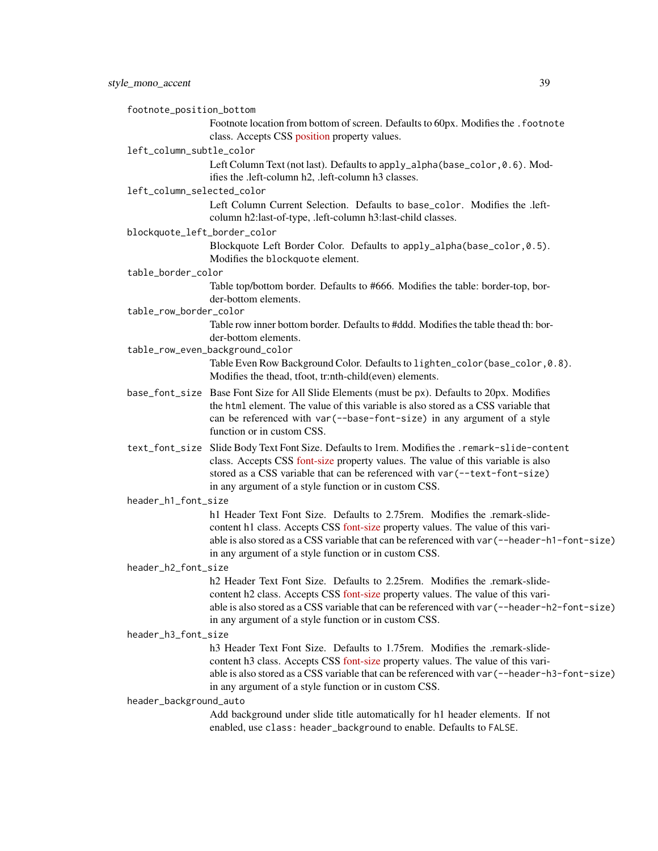footnote\_position\_bottom

Footnote location from bottom of screen. Defaults to 60px. Modifies the . footnote class. Accepts CSS [position](https://developer.mozilla.org/en-US/docs/Web/CSS/position_value) property values.

#### left\_column\_subtle\_color

Left Column Text (not last). Defaults to apply\_alpha(base\_color, 0.6). Modifies the .left-column h2, .left-column h3 classes.

### left\_column\_selected\_color

Left Column Current Selection. Defaults to base\_color. Modifies the .leftcolumn h2:last-of-type, .left-column h3:last-child classes.

blockquote\_left\_border\_color

Blockquote Left Border Color. Defaults to apply\_alpha(base\_color,0.5). Modifies the blockquote element.

#### table\_border\_color

Table top/bottom border. Defaults to #666. Modifies the table: border-top, border-bottom elements.

#### table\_row\_border\_color

Table row inner bottom border. Defaults to #ddd. Modifies the table thead th: border-bottom elements.

- table\_row\_even\_background\_color Table Even Row Background Color. Defaults to lighten\_color(base\_color,0.8). Modifies the thead, tfoot, tr:nth-child(even) elements.
- base\_font\_size Base Font Size for All Slide Elements (must be px). Defaults to 20px. Modifies the html element. The value of this variable is also stored as a CSS variable that can be referenced with var(--base-font-size) in any argument of a style function or in custom CSS.
- text\_font\_size Slide Body Text Font Size. Defaults to 1rem. Modifies the .remark-slide-content class. Accepts CSS [font-size](https://developer.mozilla.org/en-US/docs/Web/CSS/font-size) property values. The value of this variable is also stored as a CSS variable that can be referenced with var(--text-font-size) in any argument of a style function or in custom CSS.

#### header\_h1\_font\_size

h1 Header Text Font Size. Defaults to 2.75rem. Modifies the .remark-slidecontent h1 class. Accepts CSS [font-size](https://developer.mozilla.org/en-US/docs/Web/CSS/font-size) property values. The value of this variable is also stored as a CSS variable that can be referenced with var(--header-h1-font-size) in any argument of a style function or in custom CSS.

## header\_h2\_font\_size

h2 Header Text Font Size. Defaults to 2.25rem. Modifies the .remark-slidecontent h2 class. Accepts CSS [font-size](https://developer.mozilla.org/en-US/docs/Web/CSS/font-size) property values. The value of this variable is also stored as a CSS variable that can be referenced with var(--header-h2-font-size) in any argument of a style function or in custom CSS.

#### header\_h3\_font\_size

h3 Header Text Font Size. Defaults to 1.75rem. Modifies the .remark-slidecontent h3 class. Accepts CSS [font-size](https://developer.mozilla.org/en-US/docs/Web/CSS/font-size) property values. The value of this variable is also stored as a CSS variable that can be referenced with var(--header-h3-font-size) in any argument of a style function or in custom CSS.

#### header\_background\_auto

Add background under slide title automatically for h1 header elements. If not enabled, use class: header\_background to enable. Defaults to FALSE.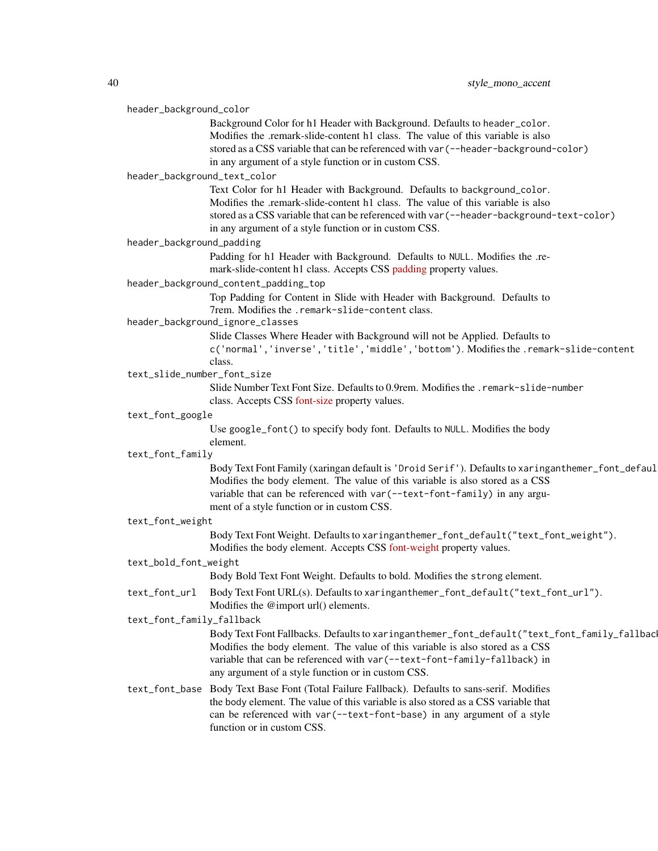| header_background_color |                              |                                                                                                   |
|-------------------------|------------------------------|---------------------------------------------------------------------------------------------------|
|                         |                              | Background Color for h1 Header with Background. Defaults to header_color.                         |
|                         |                              | Modifies the .remark-slide-content h1 class. The value of this variable is also                   |
|                         |                              | stored as a CSS variable that can be referenced with var (--header-background-color)              |
|                         |                              | in any argument of a style function or in custom CSS.                                             |
|                         | header_background_text_color |                                                                                                   |
|                         |                              | Text Color for h1 Header with Background. Defaults to background_color.                           |
|                         |                              | Modifies the .remark-slide-content h1 class. The value of this variable is also                   |
|                         |                              | stored as a CSS variable that can be referenced with var (--header-background-text-color)         |
|                         |                              | in any argument of a style function or in custom CSS.                                             |
|                         | header_background_padding    |                                                                                                   |
|                         |                              | Padding for h1 Header with Background. Defaults to NULL. Modifies the .re-                        |
|                         |                              | mark-slide-content h1 class. Accepts CSS padding property values.                                 |
|                         |                              | header_background_content_padding_top                                                             |
|                         |                              | Top Padding for Content in Slide with Header with Background. Defaults to                         |
|                         |                              | 7rem. Modifies the .remark-slide-content class.                                                   |
|                         |                              | header_background_ignore_classes                                                                  |
|                         |                              | Slide Classes Where Header with Background will not be Applied. Defaults to                       |
|                         |                              | c('normal','inverse','title','middle','bottom'). Modifies the .remark-slide-content               |
|                         | text_slide_number_font_size  | class.                                                                                            |
|                         |                              | Slide Number Text Font Size. Defaults to 0.9rem. Modifies the .remark-slide-number                |
|                         |                              | class. Accepts CSS font-size property values.                                                     |
|                         | text_font_google             |                                                                                                   |
|                         |                              | Use google_font() to specify body font. Defaults to NULL. Modifies the body                       |
|                         |                              | element.                                                                                          |
|                         | text_font_family             |                                                                                                   |
|                         |                              | Body Text Font Family (xaringan default is 'Droid Serif'). Defaults to xaringanthemer_font_defaul |
|                         |                              | Modifies the body element. The value of this variable is also stored as a CSS                     |
|                         |                              | variable that can be referenced with var (--text-font-family) in any argu-                        |
|                         |                              | ment of a style function or in custom CSS.                                                        |
|                         | text_font_weight             |                                                                                                   |
|                         |                              | Body Text Font Weight. Defaults to xaringanthemer_font_default("text_font_weight").               |
|                         |                              | Modifies the body element. Accepts CSS font-weight property values.                               |
|                         | text_bold_font_weight        |                                                                                                   |
|                         |                              | Body Bold Text Font Weight. Defaults to bold. Modifies the strong element.                        |
|                         | text_font_url                | Body Text Font URL(s). Defaults to xaringanthemer_font_default("text_font_url").                  |
|                         |                              | Modifies the @import url() elements.                                                              |
|                         | text_font_family_fallback    |                                                                                                   |
|                         |                              | Body Text Font Fallbacks. Defaults to xaringanthemer_font_default("text_font_family_fallbac       |
|                         |                              | Modifies the body element. The value of this variable is also stored as a CSS                     |
|                         |                              | variable that can be referenced with var (--text-font-family-fallback) in                         |
|                         |                              | any argument of a style function or in custom CSS.                                                |
|                         |                              | text_font_base Body Text Base Font (Total Failure Fallback). Defaults to sans-serif. Modifies     |
|                         |                              | the body element. The value of this variable is also stored as a CSS variable that                |
|                         |                              | can be referenced with var (--text-font-base) in any argument of a style                          |
|                         |                              | function or in custom CSS.                                                                        |
|                         |                              |                                                                                                   |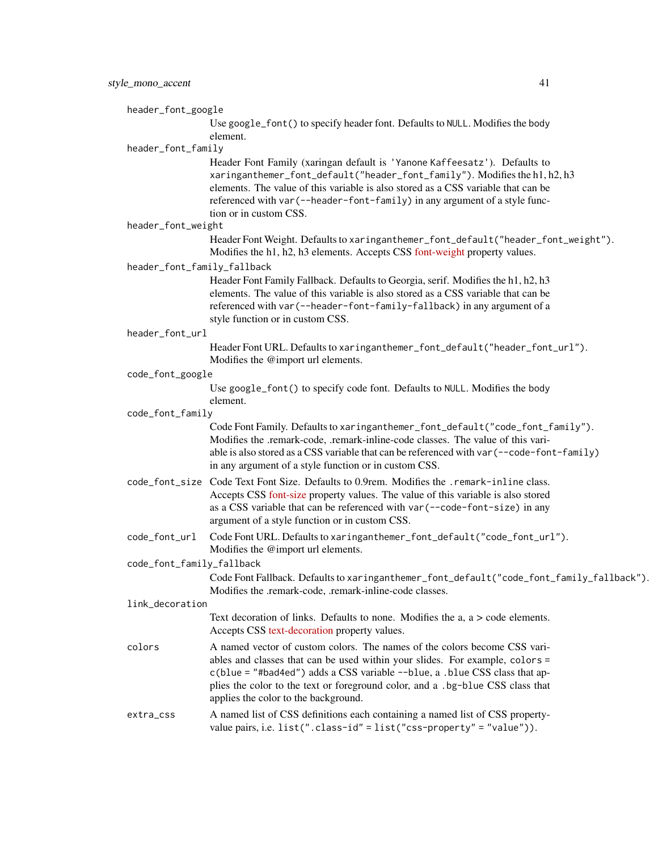header\_font\_google

Use google\_font() to specify header font. Defaults to NULL. Modifies the body element.

### header\_font\_family

Header Font Family (xaringan default is 'Yanone Kaffeesatz'). Defaults to xaringanthemer\_font\_default("header\_font\_family"). Modifies the h1, h2, h3 elements. The value of this variable is also stored as a CSS variable that can be referenced with var(--header-font-family) in any argument of a style function or in custom CSS.

header\_font\_weight

Header Font Weight. Defaults to xaringanthemer\_font\_default("header\_font\_weight"). Modifies the h1, h2, h3 elements. Accepts CSS [font-weight](https://developer.mozilla.org/en-US/docs/Web/CSS/font-weight) property values.

header\_font\_family\_fallback

Header Font Family Fallback. Defaults to Georgia, serif. Modifies the h1, h2, h3 elements. The value of this variable is also stored as a CSS variable that can be referenced with var(--header-font-family-fallback) in any argument of a style function or in custom CSS.

header\_font\_url

Header Font URL. Defaults to xaringanthemer\_font\_default("header\_font\_url"). Modifies the @import url elements.

#### code\_font\_google

Use google\_font() to specify code font. Defaults to NULL. Modifies the body element.

#### code\_font\_family

Code Font Family. Defaults to xaringanthemer\_font\_default("code\_font\_family"). Modifies the .remark-code, .remark-inline-code classes. The value of this variable is also stored as a CSS variable that can be referenced with var(--code-font-family) in any argument of a style function or in custom CSS.

- code\_font\_size Code Text Font Size. Defaults to 0.9rem. Modifies the .remark-inline class. Accepts CSS [font-size](https://developer.mozilla.org/en-US/docs/Web/CSS/font-size) property values. The value of this variable is also stored as a CSS variable that can be referenced with var(--code-font-size) in any argument of a style function or in custom CSS.
- code\_font\_url Code Font URL. Defaults to xaringanthemer\_font\_default("code\_font\_url"). Modifies the @import url elements.

code\_font\_family\_fallback

Code Font Fallback. Defaults to xaringanthemer\_font\_default("code\_font\_family\_fallback"). Modifies the .remark-code, .remark-inline-code classes.

#### link\_decoration

Text decoration of links. Defaults to none. Modifies the a, a > code elements. Accepts CSS [text-decoration](https://developer.mozilla.org/en-US/docs/Web/CSS/text-decoration) property values.

colors A named vector of custom colors. The names of the colors become CSS variables and classes that can be used within your slides. For example, colors = c(blue = "#bad4ed") adds a CSS variable --blue, a .blue CSS class that applies the color to the text or foreground color, and a .bg-blue CSS class that applies the color to the background.

## extra\_css A named list of CSS definitions each containing a named list of CSS propertyvalue pairs, i.e. list(".class-id" = list("css-property" = "value")).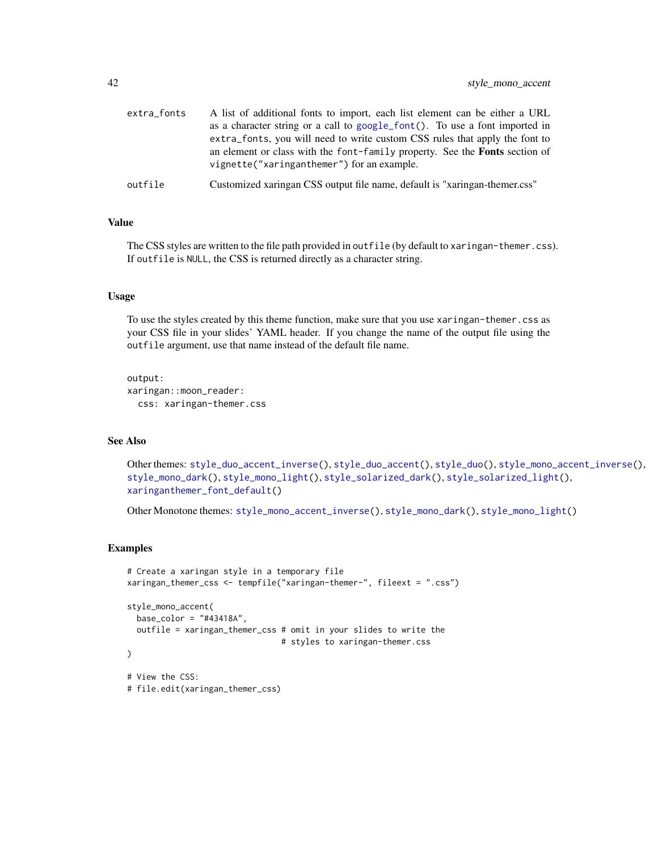| extra_fonts | A list of additional fonts to import, each list element can be either a URL                                                                                |
|-------------|------------------------------------------------------------------------------------------------------------------------------------------------------------|
|             | as a character string or a call to google_font(). To use a font imported in<br>extra_fonts, you will need to write custom CSS rules that apply the font to |
|             | an element or class with the font-family property. See the <b>Fonts</b> section of<br>vignette("xaringanthemer") for an example.                           |
| outfile     | Customized xaringan CSS output file name, default is "xaringan-themer.css"                                                                                 |

## Value

The CSS styles are written to the file path provided in outfile (by default to xaringan-themer.css). If outfile is NULL, the CSS is returned directly as a character string.

## Usage

To use the styles created by this theme function, make sure that you use xaringan-themer.css as your CSS file in your slides' YAML header. If you change the name of the output file using the outfile argument, use that name instead of the default file name.

```
output:
xaringan::moon_reader:
  css: xaringan-themer.css
```
# See Also

Other themes: [style\\_duo\\_accent\\_inverse\(](#page-24-0)), [style\\_duo\\_accent\(](#page-16-0)), [style\\_duo\(](#page-7-0)), [style\\_mono\\_accent\\_inverse\(](#page-42-0)), [style\\_mono\\_dark\(](#page-50-0)), [style\\_mono\\_light\(](#page-58-0)), [style\\_solarized\\_dark\(](#page-66-0)), [style\\_solarized\\_light\(](#page-74-0)), [xaringanthemer\\_font\\_default\(](#page-92-0))

Other Monotone themes: [style\\_mono\\_accent\\_inverse\(](#page-42-0)), [style\\_mono\\_dark\(](#page-50-0)), [style\\_mono\\_light\(](#page-58-0))

## Examples

```
# Create a xaringan style in a temporary file
xaringan_themer_css <- tempfile("xaringan-themer-", fileext = ".css")
style_mono_accent(
  base_color = "#43418A",
  outfile = xaringan_themer_css # omit in your slides to write the
                                # styles to xaringan-themer.css
)
# View the CSS:
# file.edit(xaringan_themer_css)
```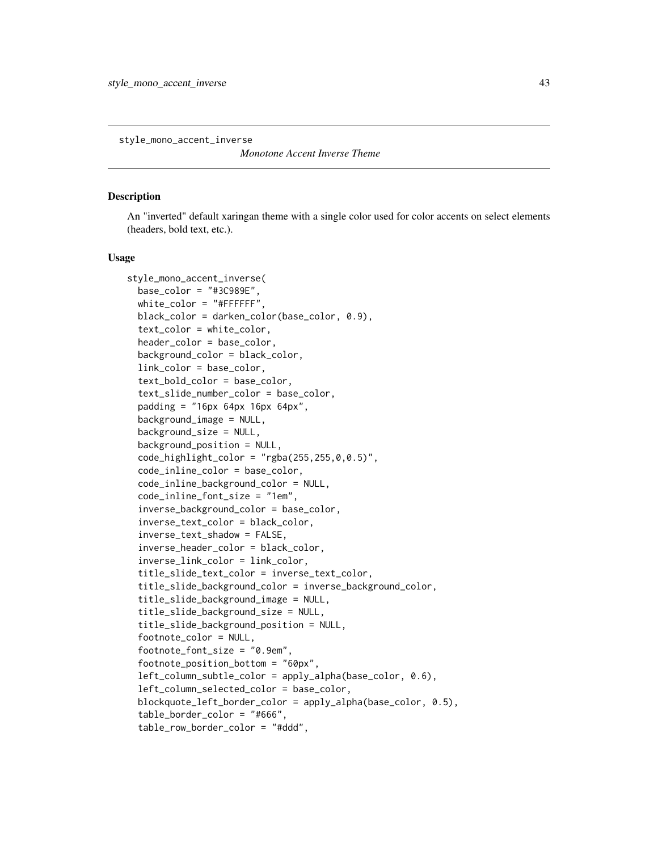<span id="page-42-0"></span>style\_mono\_accent\_inverse

*Monotone Accent Inverse Theme*

### **Description**

An "inverted" default xaringan theme with a single color used for color accents on select elements (headers, bold text, etc.).

#### Usage

```
style_mono_accent_inverse(
  base\_color = "#3C989E",white_color = "#FFFFFF",
 black_color = darken_color(base_color, 0.9),
  text_color = white_color,
  header_color = base_color,
  background_color = black_color,
  link_color = base_color,
  text_bold_color = base_color,
  text_slide_number_color = base_color,
  padding = "16px 64px 16px 64px",background_image = NULL,
  background_size = NULL,
  background_position = NULL,
  code_highlight\_color = "rgba(255, 255, 0, 0.5)code_inline_color = base_color,
  code_inline_background_color = NULL,
  code_inline_font_size = "1em",
  inverse_background_color = base_color,
  inverse_text_color = black_color,
  inverse_text_shadow = FALSE,
  inverse_header_color = black_color,
  inverse_link_color = link_color,
  title_slide_text_color = inverse_text_color,
  title_slide_background_color = inverse_background_color,
  title_slide_background_image = NULL,
  title_slide_background_size = NULL,
  title_slide_background_position = NULL,
  footnote_color = NULL,
  footnote_font_size = "0.9em",
  footnote_position_bottom = "60px",
  left_column_subtle_color = apply_alpha(base_color, 0.6),
  left_column_selected_color = base_color,
  blockquote_left_border_color = apply_alpha(base_color, 0.5),
  table_border_color = "#666",
  table_row_border_color = "#ddd",
```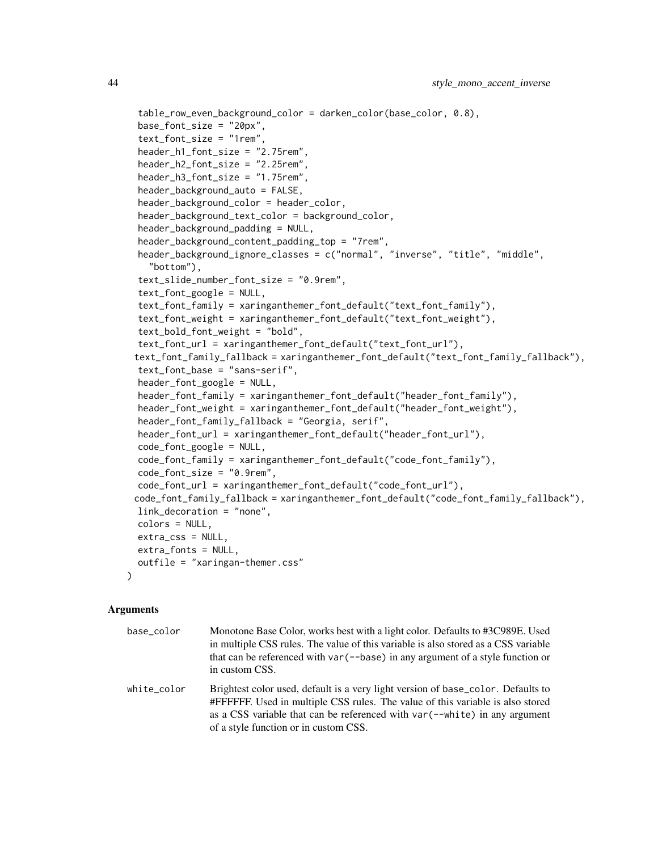```
table_row_even_background_color = darken_color(base_color, 0.8),
base_font_size = "20px".text_font_size = "1rem",
header_h1_font_size = "2.75rem",
header_h2_font_size = "2.25rem",
header_h3_font_size = "1.75rem",
header_background_auto = FALSE,
header_background_color = header_color,
header_background_text_color = background_color,
header_background_padding = NULL,
header_background_content_padding_top = "7rem",
header_background_ignore_classes = c("normal", "inverse", "title", "middle",
  "bottom"),
text_slide_number_font_size = "0.9rem",
text_font_google = NULL,
text_font_family = xaringanthemer_font_default("text_font_family"),
text_font_weight = xaringanthemer_font_default("text_font_weight"),
text_bold_font_weight = "bold",
text_font_url = xaringanthemer_font_default("text_font_url"),
text_font_family_fallback = xaringanthemer_font_default("text_font_family_fallback"),
text_font_base = "sans-serif",
header_font_google = NULL,
header_font_family = xaringanthemer_font_default("header_font_family"),
header_font_weight = xaringanthemer_font_default("header_font_weight"),
header_font_family_fallback = "Georgia, serif",
header_font_url = xaringanthemer_font_default("header_font_url"),
code_font_google = NULL,
code_font_family = xaringanthemer_font_default("code_font_family"),
code_font_size = "0.9rem",
code_font_url = xaringanthemer_font_default("code_font_url"),
code_font_family_fallback = xaringanthemer_font_default("code_font_family_fallback"),
link_decoration = "none",
colors = NULL,
extra_css = NULL,
extra_fonts = NULL,
outfile = "xaringan-themer.css"
```
#### Arguments

)

| base color  | Monotone Base Color, works best with a light color. Defaults to #3C989E. Used<br>in multiple CSS rules. The value of this variable is also stored as a CSS variable<br>that can be referenced with var $(-$ -base) in any argument of a style function or<br>in custom CSS.                        |
|-------------|----------------------------------------------------------------------------------------------------------------------------------------------------------------------------------------------------------------------------------------------------------------------------------------------------|
| white_color | Brightest color used, default is a very light version of base_color. Defaults to<br>#FFFFFF. Used in multiple CSS rules. The value of this variable is also stored<br>as a CSS variable that can be referenced with $var(-\text{-white})$ in any argument<br>of a style function or in custom CSS. |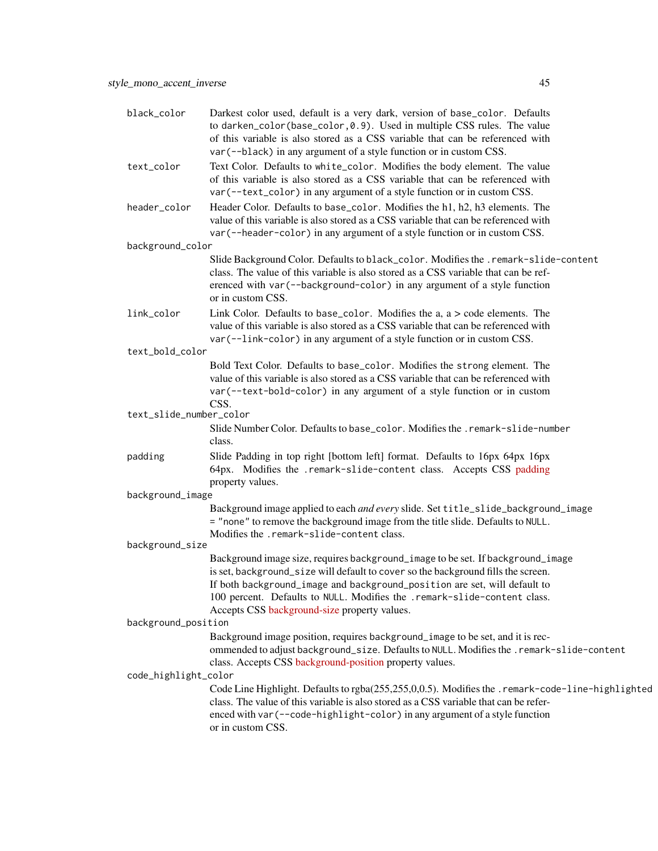| black_color             | Darkest color used, default is a very dark, version of base_color. Defaults<br>to darken_color(base_color, 0.9). Used in multiple CSS rules. The value<br>of this variable is also stored as a CSS variable that can be referenced with<br>var (--black) in any argument of a style function or in custom CSS.                                                                |
|-------------------------|-------------------------------------------------------------------------------------------------------------------------------------------------------------------------------------------------------------------------------------------------------------------------------------------------------------------------------------------------------------------------------|
| text_color              | Text Color. Defaults to white_color. Modifies the body element. The value<br>of this variable is also stored as a CSS variable that can be referenced with<br>var (--text_color) in any argument of a style function or in custom CSS.                                                                                                                                        |
| header_color            | Header Color. Defaults to base_color. Modifies the h1, h2, h3 elements. The<br>value of this variable is also stored as a CSS variable that can be referenced with<br>var (--header-color) in any argument of a style function or in custom CSS.                                                                                                                              |
| background_color        |                                                                                                                                                                                                                                                                                                                                                                               |
|                         | Slide Background Color. Defaults to black_color. Modifies the .remark-slide-content<br>class. The value of this variable is also stored as a CSS variable that can be ref-<br>erenced with var (--background-color) in any argument of a style function<br>or in custom CSS.                                                                                                  |
| link_color              | Link Color. Defaults to base_color. Modifies the $a$ , $a >$ code elements. The<br>value of this variable is also stored as a CSS variable that can be referenced with<br>var (--link-color) in any argument of a style function or in custom CSS.                                                                                                                            |
| text_bold_color         |                                                                                                                                                                                                                                                                                                                                                                               |
|                         | Bold Text Color. Defaults to base_color. Modifies the strong element. The<br>value of this variable is also stored as a CSS variable that can be referenced with<br>var (--text-bold-color) in any argument of a style function or in custom<br>CSS.                                                                                                                          |
| text_slide_number_color |                                                                                                                                                                                                                                                                                                                                                                               |
|                         | Slide Number Color. Defaults to base_color. Modifies the . remark-slide-number<br>class.                                                                                                                                                                                                                                                                                      |
| padding                 | Slide Padding in top right [bottom left] format. Defaults to 16px 64px 16px<br>64px. Modifies the .remark-slide-content class. Accepts CSS padding<br>property values.                                                                                                                                                                                                        |
| background_image        |                                                                                                                                                                                                                                                                                                                                                                               |
|                         | Background image applied to each and every slide. Set title_slide_background_image<br>= "none" to remove the background image from the title slide. Defaults to NULL.                                                                                                                                                                                                         |
| background_size         | Modifies the .remark-slide-content class.                                                                                                                                                                                                                                                                                                                                     |
|                         | Background image size, requires background_image to be set. If background_image<br>is set, background_size will default to cover so the background fills the screen.<br>If both background_image and background_position are set, will default to<br>100 percent. Defaults to NULL. Modifies the .remark-slide-content class.<br>Accepts CSS background-size property values. |
| background_position     |                                                                                                                                                                                                                                                                                                                                                                               |
| code_highlight_color    | Background image position, requires background_image to be set, and it is rec-<br>ommended to adjust background_size. Defaults to NULL. Modifies the . remark-slide-content<br>class. Accepts CSS background-position property values.                                                                                                                                        |
|                         | Code Line Highlight. Defaults to rgba(255,255,0,0.5). Modifies the .remark-code-line-highlighted<br>class. The value of this variable is also stored as a CSS variable that can be refer-<br>enced with var (--code-highlight-color) in any argument of a style function<br>or in custom CSS.                                                                                 |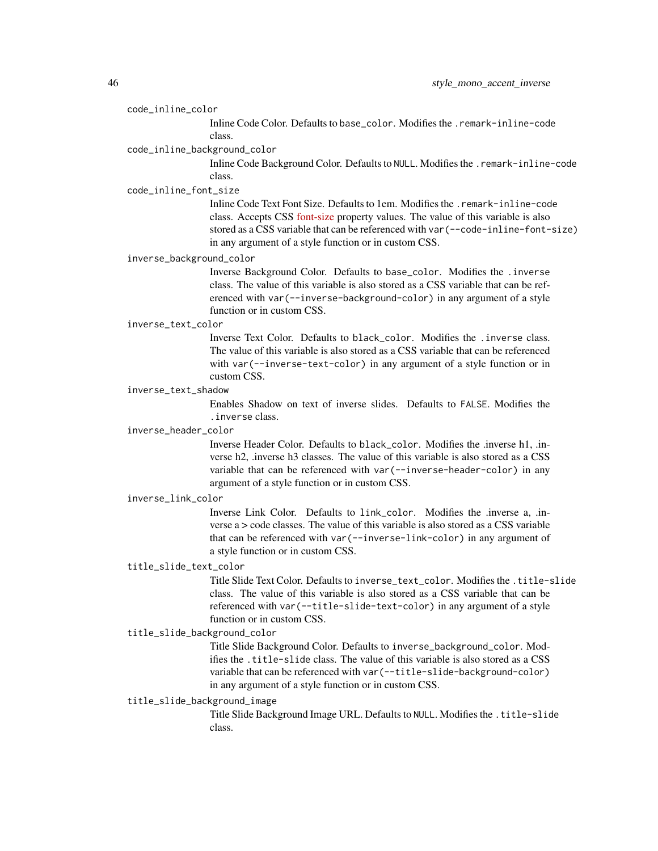#### code\_inline\_color

Inline Code Color. Defaults to base\_color. Modifies the .remark-inline-code class.

#### code\_inline\_background\_color

Inline Code Background Color. Defaults to NULL. Modifies the .remark-inline-code class.

### code\_inline\_font\_size

Inline Code Text Font Size. Defaults to 1em. Modifies the .remark-inline-code class. Accepts CSS [font-size](https://developer.mozilla.org/en-US/docs/Web/CSS/font-size) property values. The value of this variable is also stored as a CSS variable that can be referenced with var(--code-inline-font-size) in any argument of a style function or in custom CSS.

## inverse\_background\_color

Inverse Background Color. Defaults to base\_color. Modifies the .inverse class. The value of this variable is also stored as a CSS variable that can be referenced with var(--inverse-background-color) in any argument of a style function or in custom CSS.

#### inverse\_text\_color

Inverse Text Color. Defaults to black\_color. Modifies the .inverse class. The value of this variable is also stored as a CSS variable that can be referenced with var(--inverse-text-color) in any argument of a style function or in custom CSS.

## inverse\_text\_shadow

Enables Shadow on text of inverse slides. Defaults to FALSE. Modifies the .inverse class.

### inverse\_header\_color

Inverse Header Color. Defaults to black\_color. Modifies the .inverse h1, .inverse h2, .inverse h3 classes. The value of this variable is also stored as a CSS variable that can be referenced with var(--inverse-header-color) in any argument of a style function or in custom CSS.

#### inverse\_link\_color

Inverse Link Color. Defaults to link\_color. Modifies the .inverse a, .inverse a > code classes. The value of this variable is also stored as a CSS variable that can be referenced with var(--inverse-link-color) in any argument of a style function or in custom CSS.

## title\_slide\_text\_color

Title Slide Text Color. Defaults to inverse\_text\_color. Modifies the .title-slide class. The value of this variable is also stored as a CSS variable that can be referenced with var(--title-slide-text-color) in any argument of a style function or in custom CSS.

## title\_slide\_background\_color

Title Slide Background Color. Defaults to inverse\_background\_color. Modifies the .title-slide class. The value of this variable is also stored as a CSS variable that can be referenced with var(--title-slide-background-color) in any argument of a style function or in custom CSS.

### title\_slide\_background\_image

Title Slide Background Image URL. Defaults to NULL. Modifies the .title-slide class.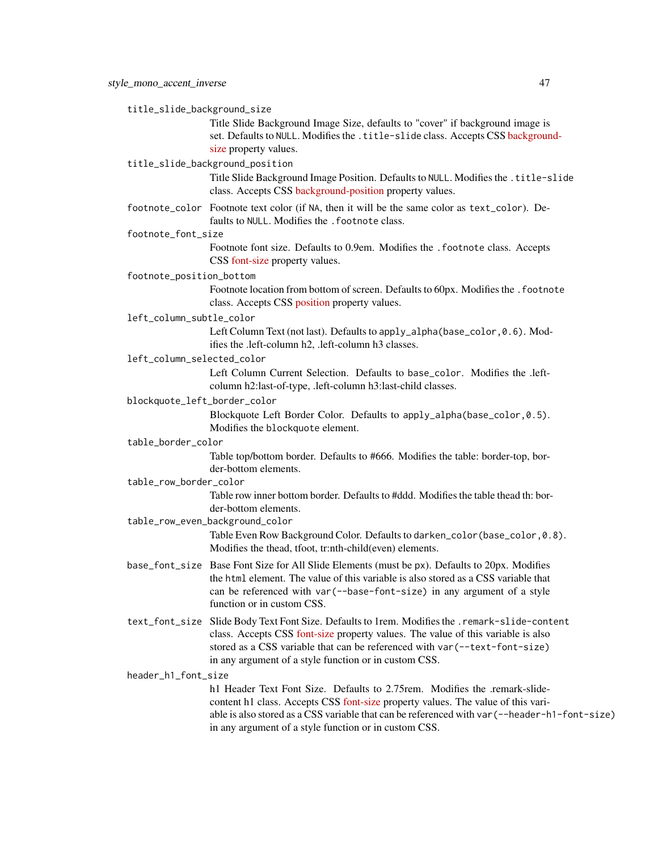title\_slide\_background\_size

Title Slide Background Image Size, defaults to "cover" if background image is set. Defaults to NULL. Modifies the .title-slide class. Accepts CSS [backgroun](https://developer.mozilla.org/en-US/docs/Web/CSS/background-size)d[size](https://developer.mozilla.org/en-US/docs/Web/CSS/background-size) property values.

#### title\_slide\_background\_position

Title Slide Background Image Position. Defaults to NULL. Modifies the .title-slide class. Accepts CSS [background-position](https://developer.mozilla.org/en-US/docs/Web/CSS/background-position) property values.

footnote\_color Footnote text color (if NA, then it will be the same color as text\_color). Defaults to NULL. Modifies the . footnote class.

#### footnote\_font\_size

Footnote font size. Defaults to 0.9em. Modifies the .footnote class. Accepts CSS [font-size](https://developer.mozilla.org/en-US/docs/Web/CSS/font-size) property values.

### footnote\_position\_bottom

Footnote location from bottom of screen. Defaults to 60px. Modifies the . footnote class. Accepts CSS [position](https://developer.mozilla.org/en-US/docs/Web/CSS/position_value) property values.

left\_column\_subtle\_color

Left Column Text (not last). Defaults to apply\_alpha(base\_color, 0.6). Modifies the .left-column h2, .left-column h3 classes.

left\_column\_selected\_color

Left Column Current Selection. Defaults to base\_color. Modifies the .leftcolumn h2:last-of-type, .left-column h3:last-child classes.

blockquote\_left\_border\_color

Blockquote Left Border Color. Defaults to apply\_alpha(base\_color,0.5). Modifies the blockquote element.

table\_border\_color

Table top/bottom border. Defaults to #666. Modifies the table: border-top, border-bottom elements.

table\_row\_border\_color

Table row inner bottom border. Defaults to #ddd. Modifies the table thead th: border-bottom elements.

table\_row\_even\_background\_color

Table Even Row Background Color. Defaults to darken\_color(base\_color,0.8). Modifies the thead, tfoot, tr:nth-child(even) elements.

- base\_font\_size Base Font Size for All Slide Elements (must be px). Defaults to 20px. Modifies the html element. The value of this variable is also stored as a CSS variable that can be referenced with var(--base-font-size) in any argument of a style function or in custom CSS.
- text\_font\_size Slide Body Text Font Size. Defaults to 1rem. Modifies the .remark-slide-content class. Accepts CSS [font-size](https://developer.mozilla.org/en-US/docs/Web/CSS/font-size) property values. The value of this variable is also stored as a CSS variable that can be referenced with var(--text-font-size) in any argument of a style function or in custom CSS.

header\_h1\_font\_size

h1 Header Text Font Size. Defaults to 2.75 rem. Modifies the remark-slidecontent h1 class. Accepts CSS [font-size](https://developer.mozilla.org/en-US/docs/Web/CSS/font-size) property values. The value of this variable is also stored as a CSS variable that can be referenced with var(--header-h1-font-size) in any argument of a style function or in custom CSS.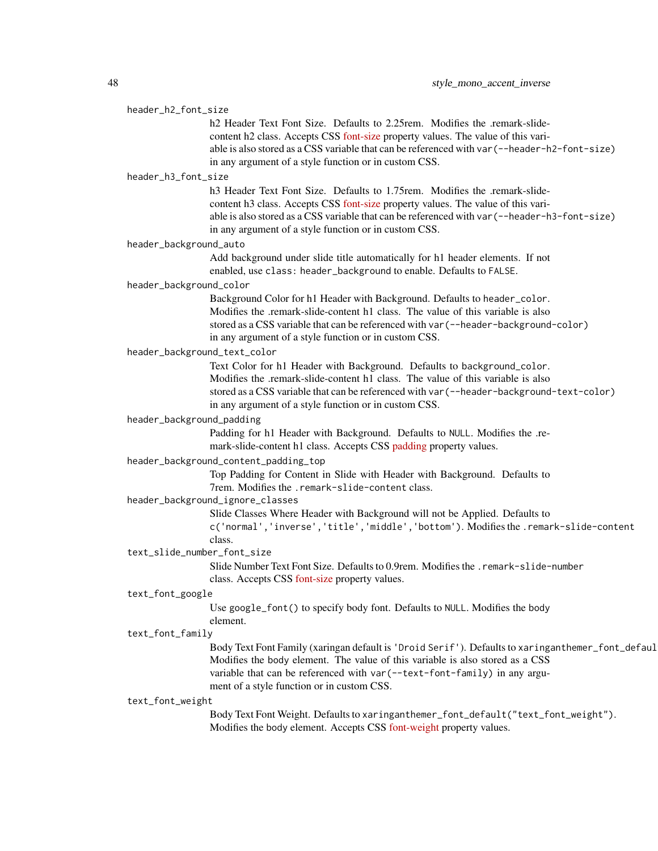#### header\_h2\_font\_size

h<sub>2</sub> Header Text Font Size. Defaults to 2.25rem. Modifies the .remark-slidecontent h2 class. Accepts CSS [font-size](https://developer.mozilla.org/en-US/docs/Web/CSS/font-size) property values. The value of this variable is also stored as a CSS variable that can be referenced with var(--header-h2-font-size) in any argument of a style function or in custom CSS.

## header\_h3\_font\_size

h<sub>3</sub> Header Text Font Size. Defaults to 1.75rem. Modifies the .remark-slidecontent h3 class. Accepts CSS [font-size](https://developer.mozilla.org/en-US/docs/Web/CSS/font-size) property values. The value of this variable is also stored as a CSS variable that can be referenced with var(--header-h3-font-size) in any argument of a style function or in custom CSS.

#### header\_background\_auto

Add background under slide title automatically for h1 header elements. If not enabled, use class: header\_background to enable. Defaults to FALSE.

### header\_background\_color

Background Color for h1 Header with Background. Defaults to header\_color. Modifies the .remark-slide-content h1 class. The value of this variable is also stored as a CSS variable that can be referenced with var(--header-background-color) in any argument of a style function or in custom CSS.

## header\_background\_text\_color

Text Color for h1 Header with Background. Defaults to background\_color. Modifies the .remark-slide-content h1 class. The value of this variable is also stored as a CSS variable that can be referenced with var(--header-background-text-color) in any argument of a style function or in custom CSS.

### header\_background\_padding

Padding for h1 Header with Background. Defaults to NULL. Modifies the .remark-slide-content h1 class. Accepts CSS [padding](https://developer.mozilla.org/en-US/docs/Web/CSS/padding) property values.

## header\_background\_content\_padding\_top

Top Padding for Content in Slide with Header with Background. Defaults to 7rem. Modifies the .remark-slide-content class.

## header\_background\_ignore\_classes

Slide Classes Where Header with Background will not be Applied. Defaults to c('normal','inverse','title','middle','bottom'). Modifies the .remark-slide-content

#### class.

text\_slide\_number\_font\_size

Slide Number Text Font Size. Defaults to 0.9rem. Modifies the .remark-slide-number class. Accepts CSS [font-size](https://developer.mozilla.org/en-US/docs/Web/CSS/font-size) property values.

#### text\_font\_google

Use google\_font() to specify body font. Defaults to NULL. Modifies the body element.

#### text\_font\_family

Body Text Font Family (xaringan default is 'Droid Serif'). Defaults to xaringanthemer\_font\_defaul Modifies the body element. The value of this variable is also stored as a CSS variable that can be referenced with var(--text-font-family) in any argument of a style function or in custom CSS.

### text\_font\_weight

Body Text Font Weight. Defaults to xaringanthemer\_font\_default("text\_font\_weight"). Modifies the body element. Accepts CSS [font-weight](https://developer.mozilla.org/en-US/docs/Web/CSS/font-weight) property values.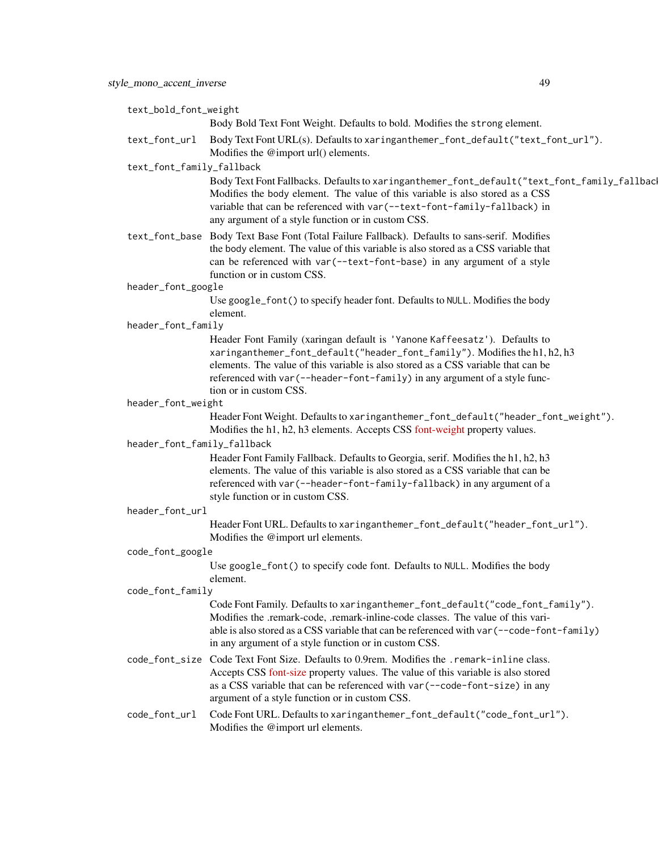| text_bold_font_weight       |                                                                                                                                                                                                                                                                                                                                                       |
|-----------------------------|-------------------------------------------------------------------------------------------------------------------------------------------------------------------------------------------------------------------------------------------------------------------------------------------------------------------------------------------------------|
|                             | Body Bold Text Font Weight. Defaults to bold. Modifies the strong element.                                                                                                                                                                                                                                                                            |
| text_font_url               | Body Text Font URL(s). Defaults to xaringanthemer_font_default("text_font_url").<br>Modifies the @import url() elements.                                                                                                                                                                                                                              |
| text_font_family_fallback   |                                                                                                                                                                                                                                                                                                                                                       |
|                             | Body Text Font Fallbacks. Defaults to xaringanthemer_font_default("text_font_family_fallbac<br>Modifies the body element. The value of this variable is also stored as a CSS<br>variable that can be referenced with var (--text-font-family-fallback) in<br>any argument of a style function or in custom CSS.                                       |
|                             | text_font_base Body Text Base Font (Total Failure Fallback). Defaults to sans-serif. Modifies<br>the body element. The value of this variable is also stored as a CSS variable that<br>can be referenced with var (--text-font-base) in any argument of a style<br>function or in custom CSS.                                                         |
| header_font_google          |                                                                                                                                                                                                                                                                                                                                                       |
|                             | Use google_font() to specify header font. Defaults to NULL. Modifies the body<br>element.                                                                                                                                                                                                                                                             |
| header_font_family          |                                                                                                                                                                                                                                                                                                                                                       |
|                             | Header Font Family (xaringan default is 'Yanone Kaffeesatz'). Defaults to<br>xaringanthemer_font_default("header_font_family"). Modifies the h1, h2, h3<br>elements. The value of this variable is also stored as a CSS variable that can be<br>referenced with var (--header-font-family) in any argument of a style func-<br>tion or in custom CSS. |
| header_font_weight          |                                                                                                                                                                                                                                                                                                                                                       |
|                             | Header Font Weight. Defaults to xaringanthemer_font_default("header_font_weight").<br>Modifies the h1, h2, h3 elements. Accepts CSS font-weight property values.                                                                                                                                                                                      |
| header_font_family_fallback |                                                                                                                                                                                                                                                                                                                                                       |
|                             | Header Font Family Fallback. Defaults to Georgia, serif. Modifies the h1, h2, h3<br>elements. The value of this variable is also stored as a CSS variable that can be<br>referenced with var (--header-font-family-fallback) in any argument of a<br>style function or in custom CSS.                                                                 |
| header_font_url             |                                                                                                                                                                                                                                                                                                                                                       |
|                             | Header Font URL. Defaults to xaringanthemer_font_default("header_font_url").<br>Modifies the @import url elements.                                                                                                                                                                                                                                    |
| code_font_google            |                                                                                                                                                                                                                                                                                                                                                       |
|                             | Use google_font() to specify code font. Defaults to NULL. Modifies the body<br>element.                                                                                                                                                                                                                                                               |
| code_font_family            |                                                                                                                                                                                                                                                                                                                                                       |
|                             | Code Font Family. Defaults to xaringanthemer_font_default("code_font_family").<br>Modifies the .remark-code, .remark-inline-code classes. The value of this vari-<br>able is also stored as a CSS variable that can be referenced with var (--code-font-family)<br>in any argument of a style function or in custom CSS.                              |
|                             | code_font_size Code Text Font Size. Defaults to 0.9rem. Modifies the .remark-inline class.<br>Accepts CSS font-size property values. The value of this variable is also stored<br>as a CSS variable that can be referenced with var (--code-font-size) in any<br>argument of a style function or in custom CSS.                                       |
| code_font_url               | Code Font URL. Defaults to xaringanthemer_font_default("code_font_url").<br>Modifies the @import url elements.                                                                                                                                                                                                                                        |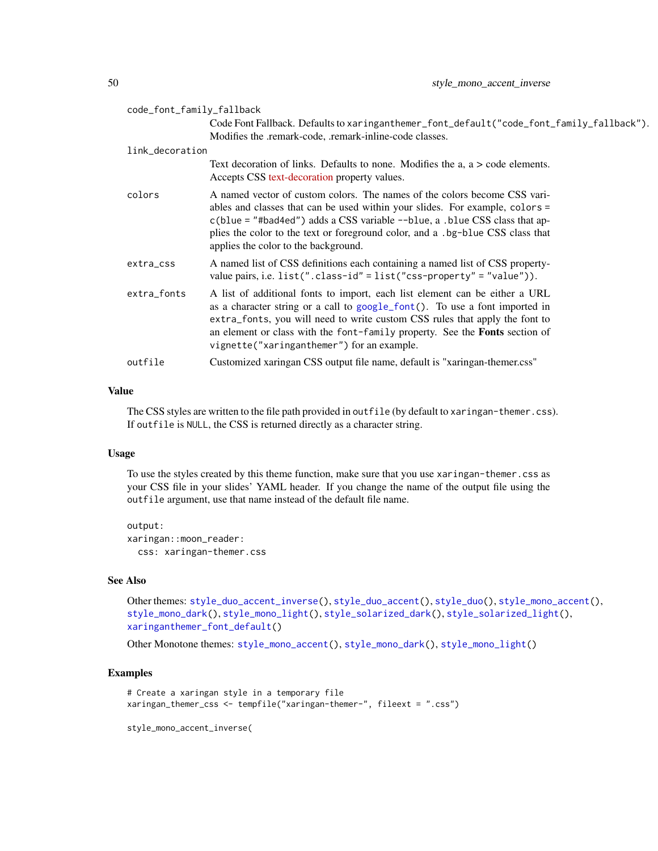| code_font_family_fallback |                                                                                                                                                                                                                                                                                                                                                                               |
|---------------------------|-------------------------------------------------------------------------------------------------------------------------------------------------------------------------------------------------------------------------------------------------------------------------------------------------------------------------------------------------------------------------------|
|                           | Code Font Fallback. Defaults to xaringanthemer_font_default("code_font_family_fallback").<br>Modifies the .remark-code, .remark-inline-code classes.                                                                                                                                                                                                                          |
| link_decoration           |                                                                                                                                                                                                                                                                                                                                                                               |
|                           | Text decoration of links. Defaults to none. Modifies the $a, a > code$ elements.<br>Accepts CSS text-decoration property values.                                                                                                                                                                                                                                              |
| colors                    | A named vector of custom colors. The names of the colors become CSS vari-<br>ables and classes that can be used within your slides. For example, colors =<br>$c(blue = "#bad4ed")$ adds a CSS variable $\neg$ -blue, a .blue CSS class that ap-<br>plies the color to the text or foreground color, and a .bg-blue CSS class that<br>applies the color to the background.     |
| extra_css                 | A named list of CSS definitions each containing a named list of CSS property-<br>value pairs, i.e. $list("class-id" = list("css-property" = "value"))$ .                                                                                                                                                                                                                      |
| extra_fonts               | A list of additional fonts to import, each list element can be either a URL<br>as a character string or a call to google_font(). To use a font imported in<br>extra_fonts, you will need to write custom CSS rules that apply the font to<br>an element or class with the font-family property. See the <b>Fonts</b> section of<br>vignette("xaringanthemer") for an example. |
| outfile                   | Customized xaringan CSS output file name, default is "xaringan-themer.css"                                                                                                                                                                                                                                                                                                    |

## Value

The CSS styles are written to the file path provided in outfile (by default to xaringan-themer.css). If outfile is NULL, the CSS is returned directly as a character string.

## Usage

To use the styles created by this theme function, make sure that you use xaringan-themer.css as your CSS file in your slides' YAML header. If you change the name of the output file using the outfile argument, use that name instead of the default file name.

output: xaringan::moon\_reader: css: xaringan-themer.css

### See Also

Other themes: [style\\_duo\\_accent\\_inverse\(](#page-24-0)), [style\\_duo\\_accent\(](#page-16-0)), [style\\_duo\(](#page-7-0)), [style\\_mono\\_accent\(](#page-33-0)), [style\\_mono\\_dark\(](#page-50-0)), [style\\_mono\\_light\(](#page-58-0)), [style\\_solarized\\_dark\(](#page-66-0)), [style\\_solarized\\_light\(](#page-74-0)), [xaringanthemer\\_font\\_default\(](#page-92-0))

Other Monotone themes: [style\\_mono\\_accent\(](#page-33-0)), [style\\_mono\\_dark\(](#page-50-0)), [style\\_mono\\_light\(](#page-58-0))

## Examples

```
# Create a xaringan style in a temporary file
xaringan_themer_css <- tempfile("xaringan-themer-", fileext = ".css")
```
style\_mono\_accent\_inverse(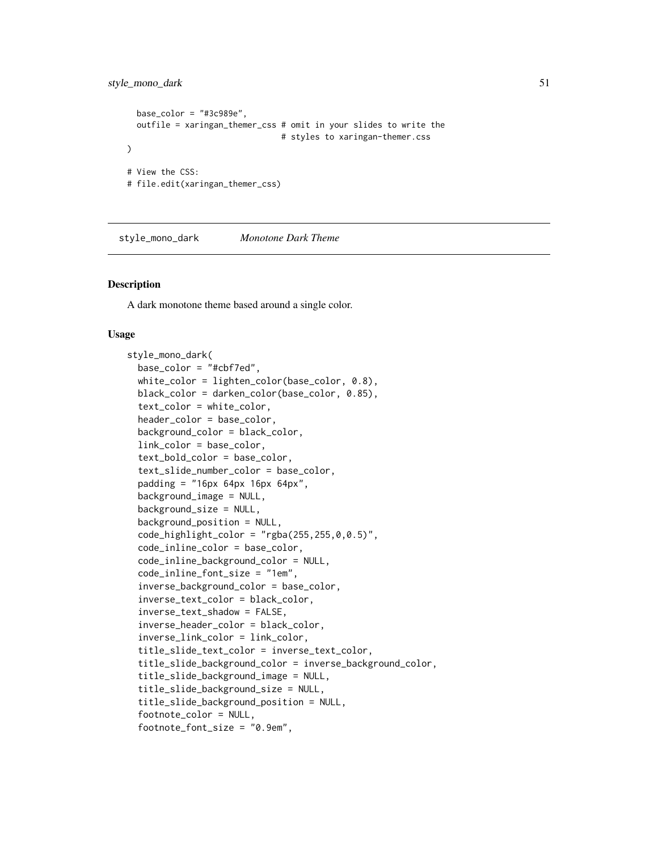## style\_mono\_dark 51

```
base_color = "#3c989e",
 outfile = xaringan_themer_css # omit in your slides to write the
                                 # styles to xaringan-themer.css
\mathcal{L}# View the CSS:
# file.edit(xaringan_themer_css)
```
<span id="page-50-0"></span>style\_mono\_dark *Monotone Dark Theme*

## Description

A dark monotone theme based around a single color.

#### Usage

```
style_mono_dark(
  base_color = "#cbf7ed",
  white_color = lighten_color(base_color, 0.8),
  black_color = darken_color(base_color, 0.85),
  text_color = white_color,
  header_color = base_color,
  background_color = black_color,
  link_color = base_color,
  text_bold_color = base_color,
  text_slide_number_color = base_color,
  padding = "16px 64px 16px 64px",background_image = NULL,
  background_size = NULL,
  background_position = NULL,
  code_highlight\_color = "rgba(255, 255, 0, 0.5)code_inline_color = base_color,
  code_inline_background_color = NULL,
  code_inline_font_size = "1em",
  inverse_background_color = base_color,
  inverse_text_color = black_color,
  inverse_text_shadow = FALSE,
  inverse_header_color = black_color,
  inverse_link_color = link_color,
  title_slide_text_color = inverse_text_color,
  title_slide_background_color = inverse_background_color,
  title_slide_background_image = NULL,
  title_slide_background_size = NULL,
  title_slide_background_position = NULL,
  footnote_color = NULL,
  footnote_font_size = "0.9em",
```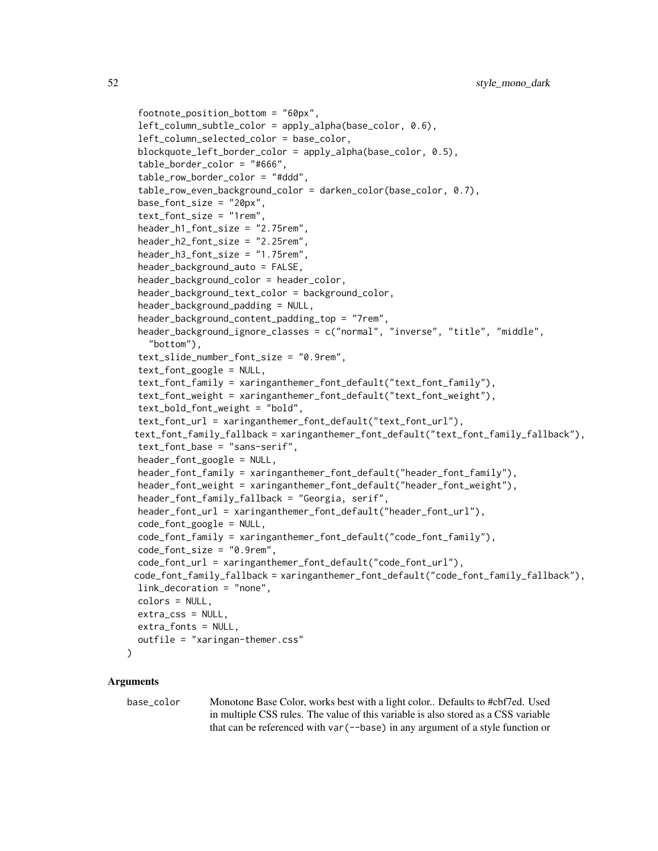```
footnote_position_bottom = "60px",
left_column_subtle_color = apply_alpha(base_color, 0.6),
left_column_selected_color = base_color,
blockquote_left_border_color = apply_alpha(base_color, 0.5),
table_border_color = "#666",
table_row_border_color = "#ddd",
table_row_even_background_color = darken_color(base_color, 0.7),
base_font_size = "20px",
text_font_size = "1rem",header_h1_font_size = "2.75rem",
header_h2_font_size = "2.25rem",
header_h3_font_size = "1.75rem",
header_background_auto = FALSE,
header_background_color = header_color,
header_background_text_color = background_color,
header_background_padding = NULL,
header_background_content_padding_top = "7rem",
header_background_ignore_classes = c("normal", "inverse", "title", "middle",
  "bottom"),
text_slide_number_font_size = "0.9rem",
text_font_google = NULL,
text_font_family = xaringanthemer_font_default("text_font_family"),
text_font_weight = xaringanthemer_font_default("text_font_weight"),
text_bold_font_weight = "bold",
text_font_url = xaringanthemer_font_default("text_font_url"),
text_font_family_fallback = xaringanthemer_font_default("text_font_family_fallback"),
text_font_base = "sans-serif",
header_font_google = NULL,
header_font_family = xaringanthemer_font_default("header_font_family"),
header_font_weight = xaringanthemer_font_default("header_font_weight"),
header_font_family_fallback = "Georgia, serif",
header_font_url = xaringanthemer_font_default("header_font_url"),
code_font_google = NULL,
code_font_family = xaringanthemer_font_default("code_font_family"),
code_font_size = "0.9rem",
code_font_url = xaringanthemer_font_default("code_font_url"),
code_font_family_fallback = xaringanthemer_font_default("code_font_family_fallback"),
link_decoration = "none",
colors = NULL,
extra_css = NULL,
extra_fonts = NULL,
outfile = "xaringan-themer.css"
```
#### Arguments

)

base\_color Monotone Base Color, works best with a light color.. Defaults to #cbf7ed. Used in multiple CSS rules. The value of this variable is also stored as a CSS variable that can be referenced with var(--base) in any argument of a style function or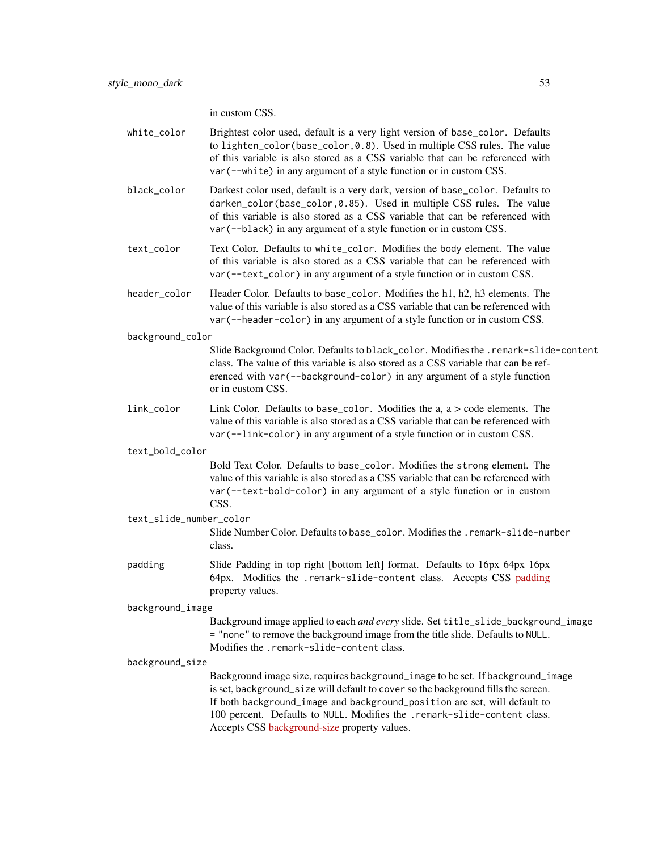in custom CSS.

| white_color             | Brightest color used, default is a very light version of base_color. Defaults<br>to lighten_color(base_color,0.8). Used in multiple CSS rules. The value<br>of this variable is also stored as a CSS variable that can be referenced with<br>var (--white) in any argument of a style function or in custom CSS.                                                              |
|-------------------------|-------------------------------------------------------------------------------------------------------------------------------------------------------------------------------------------------------------------------------------------------------------------------------------------------------------------------------------------------------------------------------|
| black_color             | Darkest color used, default is a very dark, version of base_color. Defaults to<br>darken_color(base_color,0.85). Used in multiple CSS rules. The value<br>of this variable is also stored as a CSS variable that can be referenced with<br>var (--black) in any argument of a style function or in custom CSS.                                                                |
| text_color              | Text Color. Defaults to white_color. Modifies the body element. The value<br>of this variable is also stored as a CSS variable that can be referenced with<br>var (--text_color) in any argument of a style function or in custom CSS.                                                                                                                                        |
| header_color            | Header Color. Defaults to base_color. Modifies the h1, h2, h3 elements. The<br>value of this variable is also stored as a CSS variable that can be referenced with<br>var (--header-color) in any argument of a style function or in custom CSS.                                                                                                                              |
| background_color        |                                                                                                                                                                                                                                                                                                                                                                               |
|                         | Slide Background Color. Defaults to black_color. Modifies the .remark-slide-content<br>class. The value of this variable is also stored as a CSS variable that can be ref-<br>erenced with var (--background-color) in any argument of a style function<br>or in custom CSS.                                                                                                  |
| link_color              | Link Color. Defaults to base_color. Modifies the $a, a > code$ elements. The<br>value of this variable is also stored as a CSS variable that can be referenced with<br>var (--link-color) in any argument of a style function or in custom CSS.                                                                                                                               |
| text_bold_color         |                                                                                                                                                                                                                                                                                                                                                                               |
|                         | Bold Text Color. Defaults to base_color. Modifies the strong element. The<br>value of this variable is also stored as a CSS variable that can be referenced with<br>var (--text-bold-color) in any argument of a style function or in custom<br>CSS.                                                                                                                          |
| text_slide_number_color |                                                                                                                                                                                                                                                                                                                                                                               |
|                         | Slide Number Color. Defaults to base_color. Modifies the . remark-slide-number<br>class.                                                                                                                                                                                                                                                                                      |
| padding                 | Slide Padding in top right [bottom left] format. Defaults to 16px 64px 16px<br>64px. Modifies the .remark-slide-content class. Accepts CSS padding<br>property values.                                                                                                                                                                                                        |
| background_image        |                                                                                                                                                                                                                                                                                                                                                                               |
|                         | Background image applied to each and every slide. Set title_slide_background_image<br>= "none" to remove the background image from the title slide. Defaults to NULL.<br>Modifies the .remark-slide-content class.                                                                                                                                                            |
| background_size         |                                                                                                                                                                                                                                                                                                                                                                               |
|                         | Background image size, requires background_image to be set. If background_image<br>is set, background_size will default to cover so the background fills the screen.<br>If both background_image and background_position are set, will default to<br>100 percent. Defaults to NULL. Modifies the .remark-slide-content class.<br>Accepts CSS background-size property values. |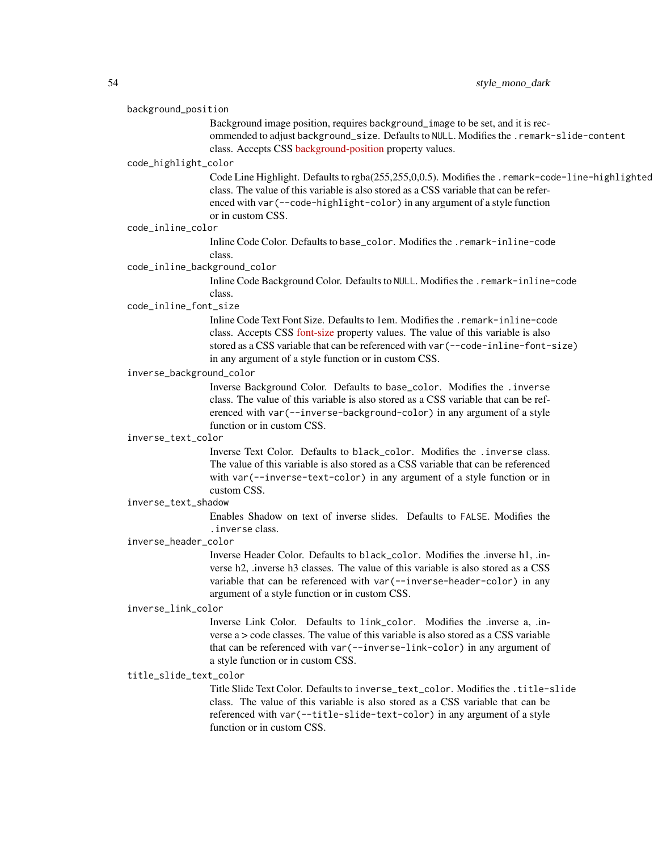#### background\_position

Background image position, requires background\_image to be set, and it is recommended to adjust background\_size. Defaults to NULL. Modifies the .remark-slide-content class. Accepts CSS [background-position](https://developer.mozilla.org/en-US/docs/Web/CSS/background-position) property values.

#### code\_highlight\_color

Code Line Highlight. Defaults to rgba(255,255,0,0.5). Modifies the .remark-code-line-highlighted class. The value of this variable is also stored as a CSS variable that can be referenced with var(--code-highlight-color) in any argument of a style function or in custom CSS.

## code\_inline\_color

Inline Code Color. Defaults to base\_color. Modifies the .remark-inline-code class.

### code\_inline\_background\_color

Inline Code Background Color. Defaults to NULL. Modifies the .remark-inline-code class.

### code\_inline\_font\_size

Inline Code Text Font Size. Defaults to 1em. Modifies the .remark-inline-code class. Accepts CSS [font-size](https://developer.mozilla.org/en-US/docs/Web/CSS/font-size) property values. The value of this variable is also stored as a CSS variable that can be referenced with var(--code-inline-font-size) in any argument of a style function or in custom CSS.

## inverse\_background\_color

Inverse Background Color. Defaults to base\_color. Modifies the .inverse class. The value of this variable is also stored as a CSS variable that can be referenced with var(--inverse-background-color) in any argument of a style function or in custom CSS.

#### inverse\_text\_color

Inverse Text Color. Defaults to black\_color. Modifies the .inverse class. The value of this variable is also stored as a CSS variable that can be referenced with var(--inverse-text-color) in any argument of a style function or in custom CSS.

#### inverse\_text\_shadow

Enables Shadow on text of inverse slides. Defaults to FALSE. Modifies the .inverse class.

#### inverse\_header\_color

Inverse Header Color. Defaults to black\_color. Modifies the .inverse h1, .inverse h2, .inverse h3 classes. The value of this variable is also stored as a CSS variable that can be referenced with var(--inverse-header-color) in any argument of a style function or in custom CSS.

## inverse\_link\_color

Inverse Link Color. Defaults to link\_color. Modifies the .inverse a, .inverse  $a > \text{code classes}$ . The value of this variable is also stored as a CSS variable that can be referenced with var(--inverse-link-color) in any argument of a style function or in custom CSS.

### title\_slide\_text\_color

Title Slide Text Color. Defaults to inverse\_text\_color. Modifies the .title-slide class. The value of this variable is also stored as a CSS variable that can be referenced with var(--title-slide-text-color) in any argument of a style function or in custom CSS.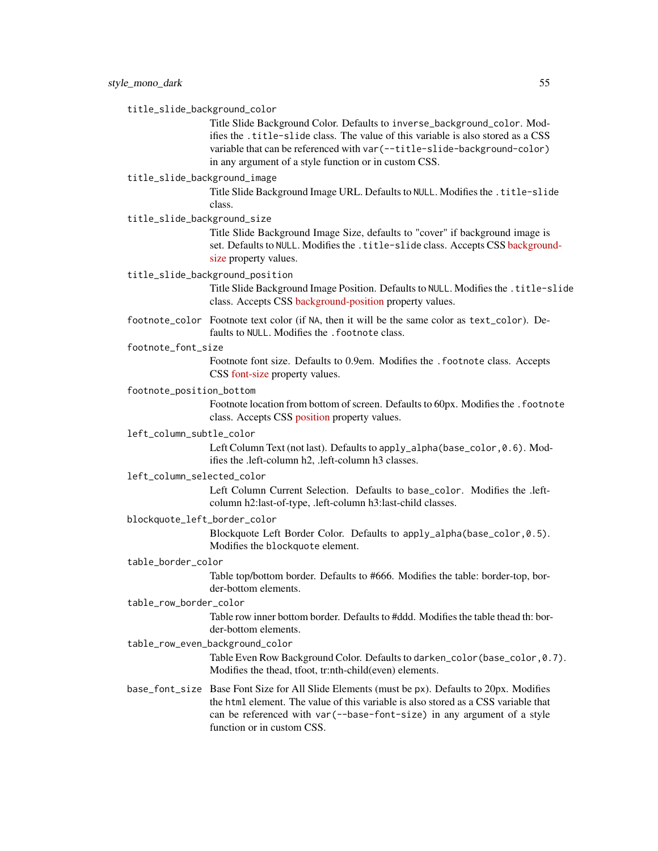title\_slide\_background\_color

Title Slide Background Color. Defaults to inverse\_background\_color. Modifies the .title-slide class. The value of this variable is also stored as a CSS variable that can be referenced with var(--title-slide-background-color) in any argument of a style function or in custom CSS.

## title\_slide\_background\_image

Title Slide Background Image URL. Defaults to NULL. Modifies the .title-slide class.

title\_slide\_background\_size

Title Slide Background Image Size, defaults to "cover" if background image is set. Defaults to NULL. Modifies the .title-slide class. Accepts CSS [backgroun](https://developer.mozilla.org/en-US/docs/Web/CSS/background-size)d[size](https://developer.mozilla.org/en-US/docs/Web/CSS/background-size) property values.

title\_slide\_background\_position

Title Slide Background Image Position. Defaults to NULL. Modifies the .title-slide class. Accepts CSS [background-position](https://developer.mozilla.org/en-US/docs/Web/CSS/background-position) property values.

footnote\_color Footnote text color (if NA, then it will be the same color as text\_color). Defaults to NULL. Modifies the . footnote class.

footnote\_font\_size

Footnote font size. Defaults to 0.9em. Modifies the .footnote class. Accepts CSS [font-size](https://developer.mozilla.org/en-US/docs/Web/CSS/font-size) property values.

## footnote\_position\_bottom

Footnote location from bottom of screen. Defaults to 60px. Modifies the .footnote class. Accepts CSS [position](https://developer.mozilla.org/en-US/docs/Web/CSS/position_value) property values.

### left\_column\_subtle\_color

Left Column Text (not last). Defaults to apply\_alpha(base\_color, 0.6). Modifies the .left-column h2, .left-column h3 classes.

#### left\_column\_selected\_color

Left Column Current Selection. Defaults to base\_color. Modifies the .leftcolumn h2:last-of-type, .left-column h3:last-child classes.

## blockquote\_left\_border\_color

Blockquote Left Border Color. Defaults to apply\_alpha(base\_color,0.5). Modifies the blockquote element.

#### table\_border\_color

Table top/bottom border. Defaults to #666. Modifies the table: border-top, border-bottom elements.

## table\_row\_border\_color

Table row inner bottom border. Defaults to #ddd. Modifies the table thead th: border-bottom elements.

### table\_row\_even\_background\_color

Table Even Row Background Color. Defaults to darken\_color(base\_color, 0.7). Modifies the thead, tfoot, tr:nth-child(even) elements.

base\_font\_size Base Font Size for All Slide Elements (must be px). Defaults to 20px. Modifies the html element. The value of this variable is also stored as a CSS variable that can be referenced with var(--base-font-size) in any argument of a style function or in custom CSS.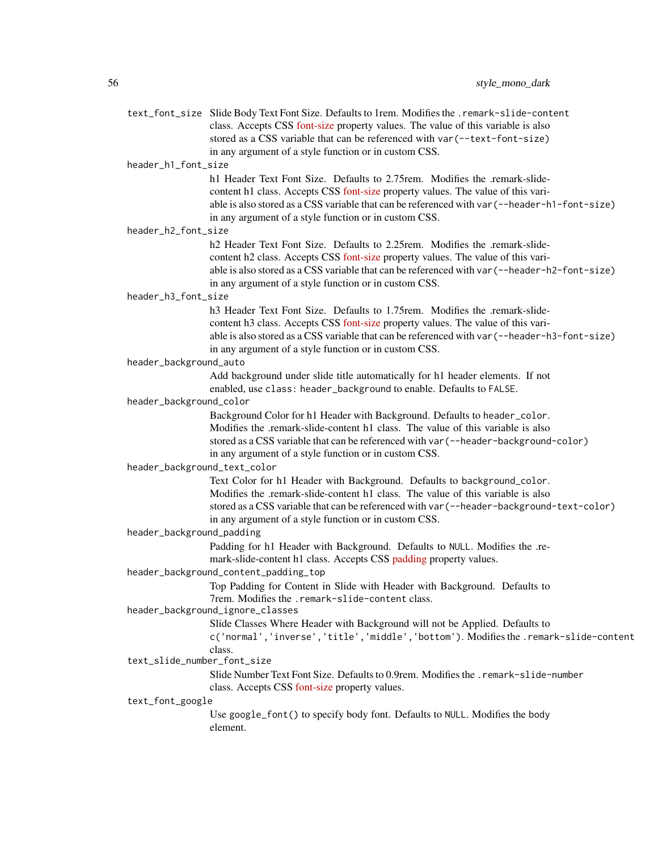|                              | text_font_size Slide Body Text Font Size. Defaults to 1rem. Modifies the .remark-slide-content<br>class. Accepts CSS font-size property values. The value of this variable is also<br>stored as a CSS variable that can be referenced with var (--text-font-size)<br>in any argument of a style function or in custom CSS. |
|------------------------------|----------------------------------------------------------------------------------------------------------------------------------------------------------------------------------------------------------------------------------------------------------------------------------------------------------------------------|
| header_h1_font_size          |                                                                                                                                                                                                                                                                                                                            |
|                              | h 1 Header Text Font Size. Defaults to 2.75 rem. Modifies the .remark-slide-<br>content h1 class. Accepts CSS font-size property values. The value of this vari-<br>able is also stored as a CSS variable that can be referenced with var (--header-h1-font-size)<br>in any argument of a style function or in custom CSS. |
| header_h2_font_size          |                                                                                                                                                                                                                                                                                                                            |
|                              | h2 Header Text Font Size. Defaults to 2.25rem. Modifies the .remark-slide-<br>content h2 class. Accepts CSS font-size property values. The value of this vari-<br>able is also stored as a CSS variable that can be referenced with var (--header-h2-font-size)<br>in any argument of a style function or in custom CSS.   |
| header_h3_font_size          |                                                                                                                                                                                                                                                                                                                            |
|                              | h3 Header Text Font Size. Defaults to 1.75rem. Modifies the .remark-slide-<br>content h3 class. Accepts CSS font-size property values. The value of this vari-<br>able is also stored as a CSS variable that can be referenced with var (--header-h3-font-size)<br>in any argument of a style function or in custom CSS.   |
| header_background_auto       |                                                                                                                                                                                                                                                                                                                            |
|                              | Add background under slide title automatically for h1 header elements. If not<br>enabled, use class: header_background to enable. Defaults to FALSE.                                                                                                                                                                       |
| header_background_color      |                                                                                                                                                                                                                                                                                                                            |
|                              | Background Color for h1 Header with Background. Defaults to header_color.<br>Modifies the .remark-slide-content h1 class. The value of this variable is also<br>stored as a CSS variable that can be referenced with var (--header-background-color)<br>in any argument of a style function or in custom CSS.              |
| header_background_text_color |                                                                                                                                                                                                                                                                                                                            |
|                              | Text Color for h1 Header with Background. Defaults to background_color.<br>Modifies the .remark-slide-content h1 class. The value of this variable is also<br>stored as a CSS variable that can be referenced with var (--header-background-text-color)<br>in any argument of a style function or in custom CSS.           |
| header_background_padding    |                                                                                                                                                                                                                                                                                                                            |
|                              | Padding for h1 Header with Background. Defaults to NULL. Modifies the .re-<br>mark-slide-content h1 class. Accepts CSS padding property values.                                                                                                                                                                            |
|                              | header_background_content_padding_top                                                                                                                                                                                                                                                                                      |
|                              | Top Padding for Content in Slide with Header with Background. Defaults to<br>7rem. Modifies the .remark-slide-content class.                                                                                                                                                                                               |
|                              | header_background_ignore_classes                                                                                                                                                                                                                                                                                           |
|                              | Slide Classes Where Header with Background will not be Applied. Defaults to<br>c('normal','inverse','title','middle','bottom'). Modifies the .remark-slide-content<br>class.                                                                                                                                               |
| text_slide_number_font_size  |                                                                                                                                                                                                                                                                                                                            |
|                              | Slide Number Text Font Size. Defaults to 0.9rem. Modifies the . remark-slide-number<br>class. Accepts CSS font-size property values.                                                                                                                                                                                       |
| text_font_google             |                                                                                                                                                                                                                                                                                                                            |
|                              | Use google_font() to specify body font. Defaults to NULL. Modifies the body<br>element.                                                                                                                                                                                                                                    |
|                              |                                                                                                                                                                                                                                                                                                                            |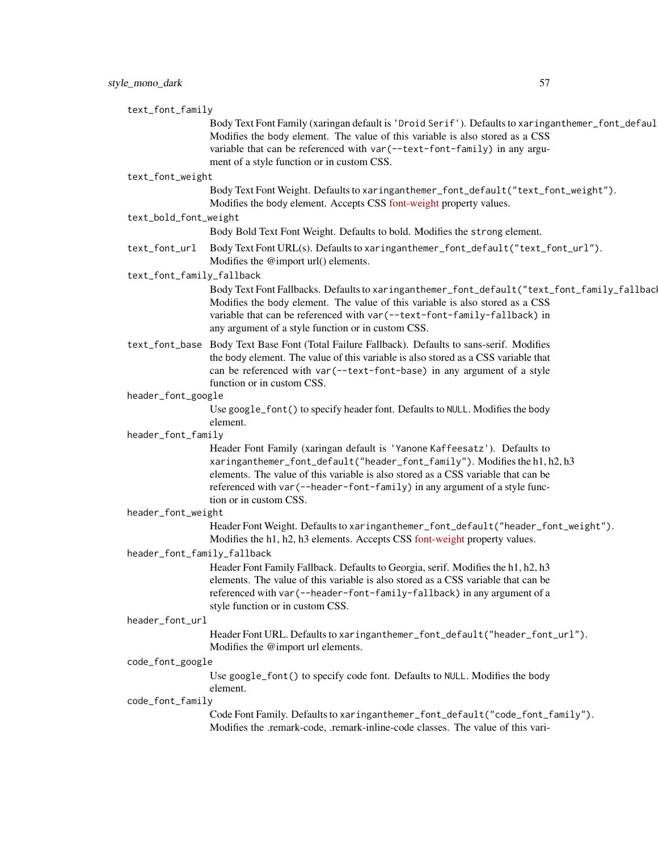| text_font_family            |                                                                                                                                                                              |
|-----------------------------|------------------------------------------------------------------------------------------------------------------------------------------------------------------------------|
|                             | Body Text Font Family (xaringan default is 'Droid Serif'). Defaults to xaringanthemer_font_defaul                                                                            |
|                             | Modifies the body element. The value of this variable is also stored as a CSS<br>variable that can be referenced with var (--text-font-family) in any argu-                  |
|                             | ment of a style function or in custom CSS.                                                                                                                                   |
| text_font_weight            |                                                                                                                                                                              |
|                             | Body Text Font Weight. Defaults to xaringanthemer_font_default("text_font_weight").<br>Modifies the body element. Accepts CSS font-weight property values.                   |
| text_bold_font_weight       |                                                                                                                                                                              |
|                             | Body Bold Text Font Weight. Defaults to bold. Modifies the strong element.                                                                                                   |
| text_font_url               | Body Text Font URL(s). Defaults to xaringanthemer_font_default("text_font_url").<br>Modifies the @import url() elements.                                                     |
| text_font_family_fallback   |                                                                                                                                                                              |
|                             | Body Text Font Fallbacks. Defaults to xaringanthemer_font_default("text_font_family_fallbac<br>Modifies the body element. The value of this variable is also stored as a CSS |
|                             | variable that can be referenced with var (--text-font-family-fallback) in                                                                                                    |
|                             | any argument of a style function or in custom CSS.                                                                                                                           |
|                             | text_font_base Body Text Base Font (Total Failure Fallback). Defaults to sans-serif. Modifies                                                                                |
|                             | the body element. The value of this variable is also stored as a CSS variable that                                                                                           |
|                             | can be referenced with var (--text-font-base) in any argument of a style<br>function or in custom CSS.                                                                       |
| header_font_google          |                                                                                                                                                                              |
|                             | Use google_font() to specify header font. Defaults to NULL. Modifies the body                                                                                                |
|                             | element.                                                                                                                                                                     |
| header_font_family          |                                                                                                                                                                              |
|                             | Header Font Family (xaringan default is 'Yanone Kaffeesatz'). Defaults to<br>xaringanthemer_font_default("header_font_family"). Modifies the h1, h2, h3                      |
|                             | elements. The value of this variable is also stored as a CSS variable that can be                                                                                            |
|                             | referenced with var (--header-font-family) in any argument of a style func-                                                                                                  |
|                             | tion or in custom CSS.                                                                                                                                                       |
| header_font_weight          | Header Font Weight. Defaults to xaringanthemer_font_default("header_font_weight").                                                                                           |
|                             | Modifies the h1, h2, h3 elements. Accepts CSS font-weight property values.                                                                                                   |
| header_font_family_fallback |                                                                                                                                                                              |
|                             | Header Font Family Fallback. Defaults to Georgia, serif. Modifies the h1, h2, h3                                                                                             |
|                             | elements. The value of this variable is also stored as a CSS variable that can be                                                                                            |
|                             | referenced with var (--header-font-family-fallback) in any argument of a<br>style function or in custom CSS.                                                                 |
| header_font_url             |                                                                                                                                                                              |
|                             | Header Font URL. Defaults to xaringanthemer_font_default("header_font_url").                                                                                                 |
|                             | Modifies the @import url elements.                                                                                                                                           |
| code_font_google            |                                                                                                                                                                              |
|                             | Use google_font() to specify code font. Defaults to NULL. Modifies the body<br>element.                                                                                      |
| code_font_family            |                                                                                                                                                                              |
|                             | Code Font Family. Defaults to xaringanthemer_font_default("code_font_family").<br>Modifies the .remark-code, .remark-inline-code classes. The value of this vari-            |
|                             |                                                                                                                                                                              |
|                             |                                                                                                                                                                              |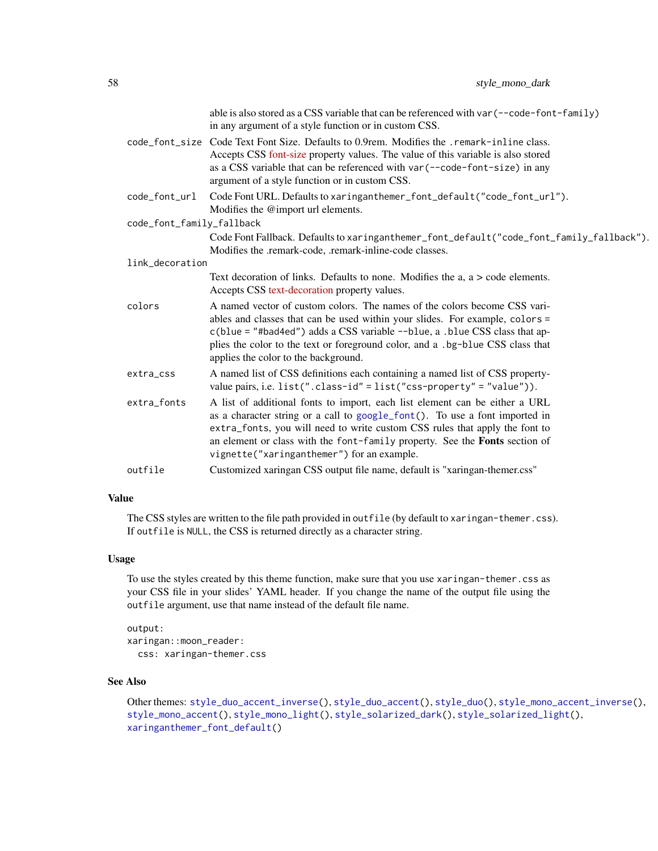|                           | able is also stored as a CSS variable that can be referenced with var (--code-font-family)<br>in any argument of a style function or in custom CSS.                                                                                       |
|---------------------------|-------------------------------------------------------------------------------------------------------------------------------------------------------------------------------------------------------------------------------------------|
|                           | code_font_size Code Text Font Size. Defaults to 0.9rem. Modifies the .remark-inline class.<br>Accepts CSS font-size property values. The value of this variable is also stored                                                            |
|                           | as a CSS variable that can be referenced with var (--code-font-size) in any<br>argument of a style function or in custom CSS.                                                                                                             |
| code_font_url             | Code Font URL. Defaults to xaringanthemer_font_default("code_font_url").<br>Modifies the @import url elements.                                                                                                                            |
| code_font_family_fallback |                                                                                                                                                                                                                                           |
|                           | Code Font Fallback. Defaults to xaringanthemer_font_default("code_font_family_fallback").<br>Modifies the .remark-code, .remark-inline-code classes.                                                                                      |
| link_decoration           |                                                                                                                                                                                                                                           |
|                           | Text decoration of links. Defaults to none. Modifies the $a, a > code$ elements.<br>Accepts CSS text-decoration property values.                                                                                                          |
| colors                    | A named vector of custom colors. The names of the colors become CSS vari-<br>ables and classes that can be used within your slides. For example, colors =                                                                                 |
|                           | c(blue = "#bad4ed") adds a CSS variable --blue, a .blue CSS class that ap-                                                                                                                                                                |
|                           | plies the color to the text or foreground color, and a .bg-blue CSS class that<br>applies the color to the background.                                                                                                                    |
| extra_css                 | A named list of CSS definitions each containing a named list of CSS property-<br>value pairs, i.e. list(".class-id" = list("css-property" = "value")).                                                                                    |
| extra_fonts               | A list of additional fonts to import, each list element can be either a URL<br>as a character string or a call to google_font(). To use a font imported in<br>extra_fonts, you will need to write custom CSS rules that apply the font to |
|                           | an element or class with the font-family property. See the Fonts section of<br>vignette("xaringanthemer") for an example.                                                                                                                 |
| outfile                   | Customized xaringan CSS output file name, default is "xaringan-themer.css"                                                                                                                                                                |
|                           |                                                                                                                                                                                                                                           |

## Value

The CSS styles are written to the file path provided in outfile (by default to xaringan-themer.css). If outfile is NULL, the CSS is returned directly as a character string.

## Usage

To use the styles created by this theme function, make sure that you use xaringan-themer.css as your CSS file in your slides' YAML header. If you change the name of the output file using the outfile argument, use that name instead of the default file name.

```
output:
xaringan::moon_reader:
 css: xaringan-themer.css
```
## See Also

Other themes: [style\\_duo\\_accent\\_inverse\(](#page-24-0)), [style\\_duo\\_accent\(](#page-16-0)), [style\\_duo\(](#page-7-0)), [style\\_mono\\_accent\\_inverse\(](#page-42-0)), [style\\_mono\\_accent\(](#page-33-0)), [style\\_mono\\_light\(](#page-58-0)), [style\\_solarized\\_dark\(](#page-66-0)), [style\\_solarized\\_light\(](#page-74-0)), [xaringanthemer\\_font\\_default\(](#page-92-0))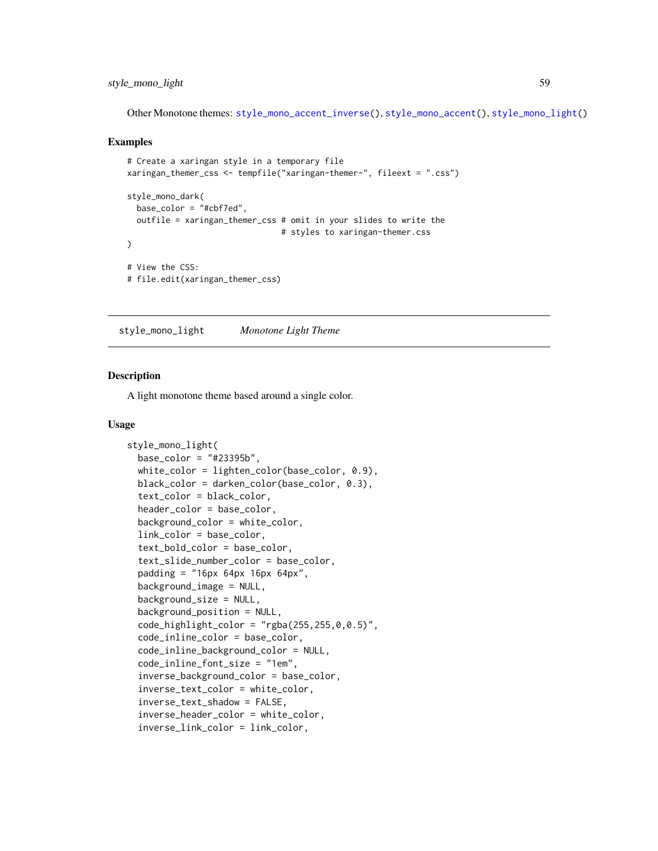## style\_mono\_light 59

Other Monotone themes: [style\\_mono\\_accent\\_inverse\(](#page-42-0)), [style\\_mono\\_accent\(](#page-33-0)), [style\\_mono\\_light\(](#page-58-0))

#### Examples

```
# Create a xaringan style in a temporary file
xaringan_themer_css <- tempfile("xaringan-themer-", fileext = ".css")
style_mono_dark(
 base_color = "#cbf7ed",
 outfile = xaringan_themer_css # omit in your slides to write the
                                # styles to xaringan-themer.css
)
# View the CSS:
# file.edit(xaringan_themer_css)
```
<span id="page-58-0"></span>style\_mono\_light *Monotone Light Theme*

## Description

A light monotone theme based around a single color.

### Usage

```
style_mono_light(
 base_color = "#23395b",
  white_color = lighten_color(base_color, 0.9),
  black_color = darken_color(base_color, 0.3),
  text_color = black_color,
  header_color = base_color,
  background_color = white_color,
  link_color = base_color,
  text_bold_color = base_color,
  text_slide_number_color = base_color,
  padding = "16px 64px 16px 64px",background_image = NULL,
  background_size = NULL,
  background_position = NULL,
  code_highlight\_color = "rgba(255, 255, 0, 0.5)code_inline_color = base_color,
  code_inline_background_color = NULL,
  code_inline_font_size = "1em",
  inverse_background_color = base_color,
  inverse_text_color = white_color,
  inverse_text_shadow = FALSE,
  inverse_header_color = white_color,
  inverse_link_color = link_color,
```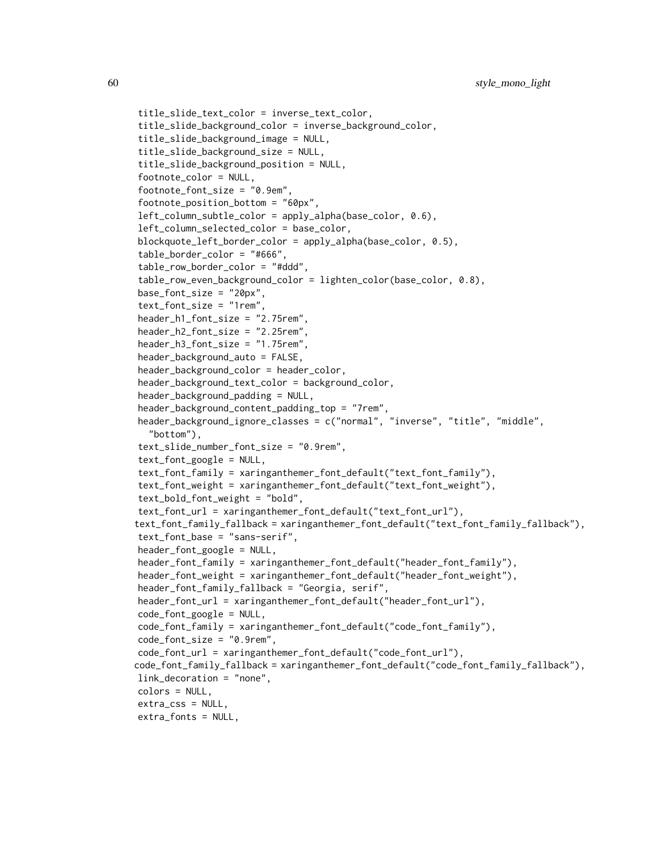```
title_slide_text_color = inverse_text_color,
title_slide_background_color = inverse_background_color,
title_slide_background_image = NULL,
title_slide_background_size = NULL,
title_slide_background_position = NULL,
footnote_color = NULL,
footnote_font_size = "0.9em",
footnote_position_bottom = "60px",
left_column_subtle_color = apply_alpha(base_color, 0.6),
left_column_selected_color = base_color,
blockquote_left_border_color = apply_alpha(base_color, 0.5),
table_border_color = "#666",
table_row_border_color = "#ddd",
table_row_even_background_color = lighten_color(base_color, 0.8),
base_font_size = "20px",
text_font_size = "1rem",
header_h1_font_size = "2.75rem",
header_h2_font_size = "2.25rem",
header_h3_font_size = "1.75rem",
header_background_auto = FALSE,
header_background_color = header_color,
header_background_text_color = background_color,
header_background_padding = NULL,
header_background_content_padding_top = "7rem",
header_background_ignore_classes = c("normal", "inverse", "title", "middle",
  "bottom"),
text_slide_number_font_size = "0.9rem",
text_font_google = NULL,
text_font_family = xaringanthemer_font_default("text_font_family"),
text_font_weight = xaringanthemer_font_default("text_font_weight"),
text_bold_font_weight = "bold",
text_font_url = xaringanthemer_font_default("text_font_url"),
text_font_family_fallback = xaringanthemer_font_default("text_font_family_fallback"),
text_font_base = "sans-serif",
header_font_google = NULL,
header_font_family = xaringanthemer_font_default("header_font_family"),
header_font_weight = xaringanthemer_font_default("header_font_weight"),
header_font_family_fallback = "Georgia, serif",
header_font_url = xaringanthemer_font_default("header_font_url"),
code_font_google = NULL,
code_font_family = xaringanthemer_font_default("code_font_family"),
code_font_size = "0.9rem",
code_font_url = xaringanthemer_font_default("code_font_url"),
code_font_family_fallback = xaringanthemer_font_default("code_font_family_fallback"),
link_decoration = "none",
colors = NULL,
extra_css = NULL,
extra_fonts = NULL,
```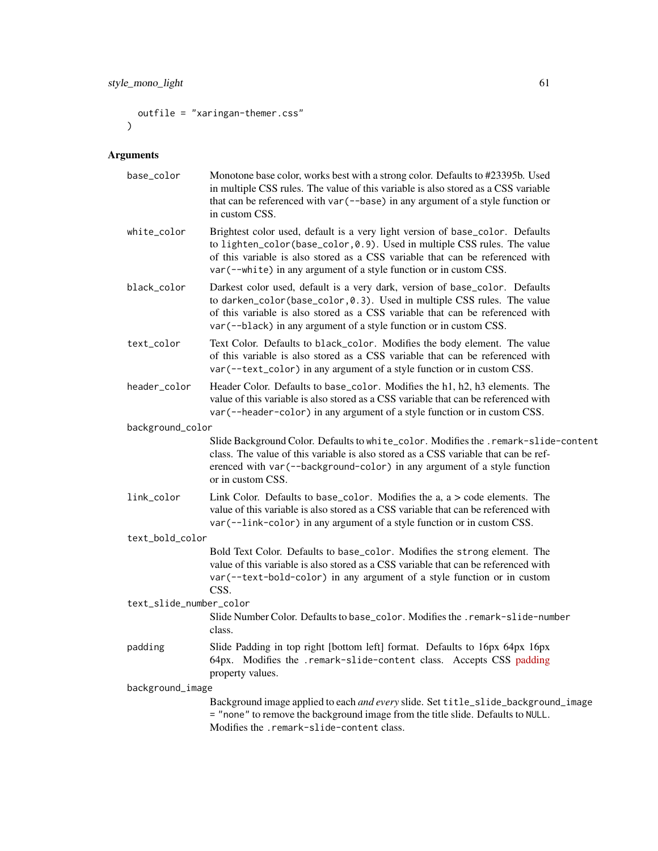```
outfile = "xaringan-themer.css"
\mathcal{L}
```
# Arguments

| base_color              | Monotone base color, works best with a strong color. Defaults to #23395b. Used<br>in multiple CSS rules. The value of this variable is also stored as a CSS variable<br>that can be referenced with var (--base) in any argument of a style function or<br>in custom CSS.                                        |
|-------------------------|------------------------------------------------------------------------------------------------------------------------------------------------------------------------------------------------------------------------------------------------------------------------------------------------------------------|
| white_color             | Brightest color used, default is a very light version of base_color. Defaults<br>to lighten_color(base_color,0.9). Used in multiple CSS rules. The value<br>of this variable is also stored as a CSS variable that can be referenced with<br>var (--white) in any argument of a style function or in custom CSS. |
| black_color             | Darkest color used, default is a very dark, version of base_color. Defaults<br>to darken_color(base_color, 0.3). Used in multiple CSS rules. The value<br>of this variable is also stored as a CSS variable that can be referenced with<br>var (--black) in any argument of a style function or in custom CSS.   |
| text_color              | Text Color. Defaults to black_color. Modifies the body element. The value<br>of this variable is also stored as a CSS variable that can be referenced with<br>var (--text_color) in any argument of a style function or in custom CSS.                                                                           |
| header_color            | Header Color. Defaults to base_color. Modifies the h1, h2, h3 elements. The<br>value of this variable is also stored as a CSS variable that can be referenced with<br>var (--header-color) in any argument of a style function or in custom CSS.                                                                 |
| background_color        |                                                                                                                                                                                                                                                                                                                  |
|                         | Slide Background Color. Defaults to white_color. Modifies the .remark-slide-content<br>class. The value of this variable is also stored as a CSS variable that can be ref-<br>erenced with var (--background-color) in any argument of a style function<br>or in custom CSS.                                     |
| link_color              | Link Color. Defaults to base_color. Modifies the $a, a > code$ elements. The<br>value of this variable is also stored as a CSS variable that can be referenced with<br>var (--link-color) in any argument of a style function or in custom CSS.                                                                  |
| text_bold_color         |                                                                                                                                                                                                                                                                                                                  |
|                         | Bold Text Color. Defaults to base_color. Modifies the strong element. The<br>value of this variable is also stored as a CSS variable that can be referenced with<br>var (--text-bold-color) in any argument of a style function or in custom<br>CSS.                                                             |
| text_slide_number_color |                                                                                                                                                                                                                                                                                                                  |
|                         | Slide Number Color. Defaults to base_color. Modifies the . remark-slide-number<br>class.                                                                                                                                                                                                                         |
| padding                 | Slide Padding in top right [bottom left] format. Defaults to 16px 64px 16px<br>64px. Modifies the .remark-slide-content class. Accepts CSS padding<br>property values.                                                                                                                                           |
| background_image        |                                                                                                                                                                                                                                                                                                                  |
|                         | Background image applied to each and every slide. Set title_slide_background_image<br>= "none" to remove the background image from the title slide. Defaults to NULL.<br>Modifies the .remark-slide-content class.                                                                                               |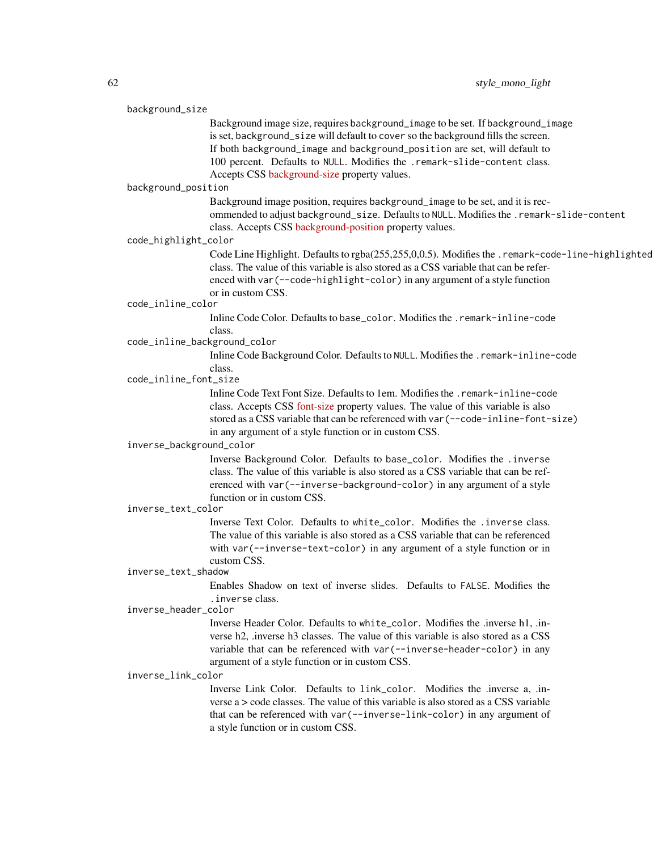| background_size                                  |                                                                                                  |  |
|--------------------------------------------------|--------------------------------------------------------------------------------------------------|--|
|                                                  | Background image size, requires background_image to be set. If background_image                  |  |
|                                                  | is set, background_size will default to cover so the background fills the screen.                |  |
|                                                  | If both background_image and background_position are set, will default to                        |  |
|                                                  | 100 percent. Defaults to NULL. Modifies the .remark-slide-content class.                         |  |
|                                                  | Accepts CSS background-size property values.                                                     |  |
| background_position                              |                                                                                                  |  |
|                                                  | Background image position, requires background_image to be set, and it is rec-                   |  |
|                                                  | ommended to adjust background_size. Defaults to NULL. Modifies the . remark-slide-content        |  |
|                                                  | class. Accepts CSS background-position property values.                                          |  |
| code_highlight_color                             |                                                                                                  |  |
|                                                  |                                                                                                  |  |
|                                                  | Code Line Highlight. Defaults to rgba(255,255,0,0.5). Modifies the .remark-code-line-highlighted |  |
|                                                  | class. The value of this variable is also stored as a CSS variable that can be refer-            |  |
|                                                  | enced with var (--code-highlight-color) in any argument of a style function                      |  |
|                                                  | or in custom CSS.                                                                                |  |
| code_inline_color                                |                                                                                                  |  |
|                                                  | Inline Code Color. Defaults to base_color. Modifies the .remark-inline-code                      |  |
|                                                  | class.<br>code_inline_background_color                                                           |  |
|                                                  |                                                                                                  |  |
|                                                  | Inline Code Background Color. Defaults to NULL. Modifies the .remark-inline-code<br>class.       |  |
| code_inline_font_size                            |                                                                                                  |  |
|                                                  | Inline Code Text Font Size. Defaults to 1em. Modifies the .remark-inline-code                    |  |
|                                                  | class. Accepts CSS font-size property values. The value of this variable is also                 |  |
|                                                  |                                                                                                  |  |
|                                                  | stored as a CSS variable that can be referenced with var (--code-inline-font-size)               |  |
|                                                  | in any argument of a style function or in custom CSS.                                            |  |
| inverse_background_color                         |                                                                                                  |  |
|                                                  | Inverse Background Color. Defaults to base_color. Modifies the .inverse                          |  |
|                                                  | class. The value of this variable is also stored as a CSS variable that can be ref-              |  |
|                                                  | erenced with var (--inverse-background-color) in any argument of a style                         |  |
| function or in custom CSS.<br>inverse_text_color |                                                                                                  |  |
|                                                  |                                                                                                  |  |
|                                                  | Inverse Text Color. Defaults to white_color. Modifies the .inverse class.                        |  |
|                                                  | The value of this variable is also stored as a CSS variable that can be referenced               |  |
|                                                  | with var (--inverse-text-color) in any argument of a style function or in                        |  |
|                                                  | custom CSS.                                                                                      |  |
| inverse_text_shadow                              |                                                                                                  |  |
|                                                  | Enables Shadow on text of inverse slides. Defaults to FALSE. Modifies the<br>. inverse class.    |  |
| inverse_header_color                             |                                                                                                  |  |
|                                                  | Inverse Header Color. Defaults to white_color. Modifies the .inverse h1, .in-                    |  |
|                                                  | verse h2, inverse h3 classes. The value of this variable is also stored as a CSS                 |  |
|                                                  | variable that can be referenced with var (--inverse-header-color) in any                         |  |
|                                                  | argument of a style function or in custom CSS.                                                   |  |
|                                                  |                                                                                                  |  |
| inverse_link_color                               |                                                                                                  |  |
|                                                  | Inverse Link Color. Defaults to link_color. Modifies the .inverse a, .in-                        |  |
|                                                  | verse a > code classes. The value of this variable is also stored as a CSS variable              |  |
|                                                  | that can be referenced with var (--inverse-link-color) in any argument of                        |  |
|                                                  | a style function or in custom CSS.                                                               |  |
|                                                  |                                                                                                  |  |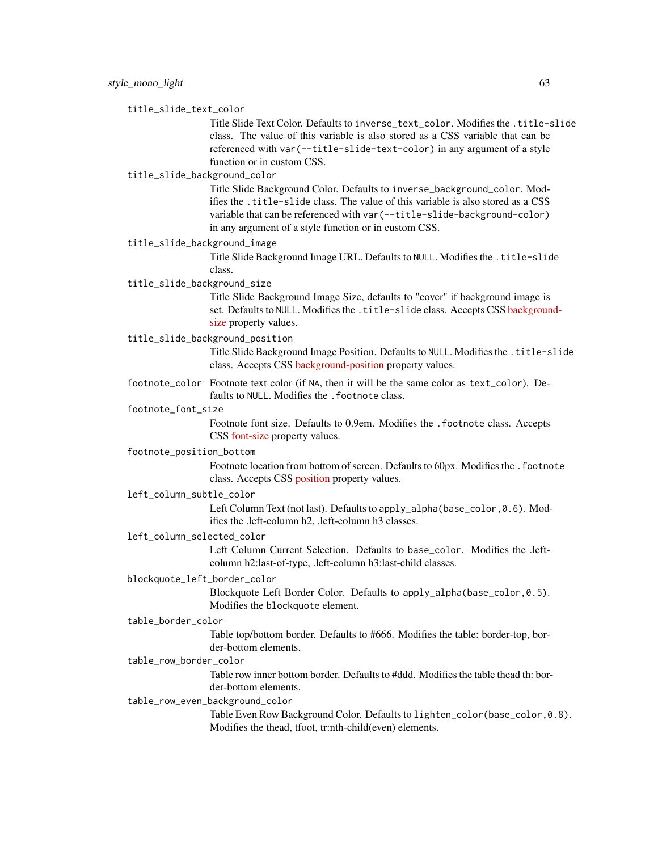### title\_slide\_text\_color

Title Slide Text Color. Defaults to inverse\_text\_color. Modifies the .title-slide class. The value of this variable is also stored as a CSS variable that can be referenced with var(--title-slide-text-color) in any argument of a style function or in custom CSS.

## title\_slide\_background\_color

Title Slide Background Color. Defaults to inverse\_background\_color. Modifies the .title-slide class. The value of this variable is also stored as a CSS variable that can be referenced with var(--title-slide-background-color) in any argument of a style function or in custom CSS.

#### title\_slide\_background\_image

Title Slide Background Image URL. Defaults to NULL. Modifies the .title-slide class.

## title\_slide\_background\_size

Title Slide Background Image Size, defaults to "cover" if background image is set. Defaults to NULL. Modifies the .title-slide class. Accepts CSS [backgroun](https://developer.mozilla.org/en-US/docs/Web/CSS/background-size)d[size](https://developer.mozilla.org/en-US/docs/Web/CSS/background-size) property values.

### title\_slide\_background\_position

Title Slide Background Image Position. Defaults to NULL. Modifies the .title-slide class. Accepts CSS [background-position](https://developer.mozilla.org/en-US/docs/Web/CSS/background-position) property values.

footnote\_color Footnote text color (if NA, then it will be the same color as text\_color). Defaults to NULL. Modifies the . footnote class.

## footnote\_font\_size

Footnote font size. Defaults to 0.9em. Modifies the .footnote class. Accepts CSS [font-size](https://developer.mozilla.org/en-US/docs/Web/CSS/font-size) property values.

#### footnote\_position\_bottom

Footnote location from bottom of screen. Defaults to 60px. Modifies the .footnote class. Accepts CSS [position](https://developer.mozilla.org/en-US/docs/Web/CSS/position_value) property values.

## left\_column\_subtle\_color

Left Column Text (not last). Defaults to apply\_alpha(base\_color, 0.6). Modifies the .left-column h2, .left-column h3 classes.

## left\_column\_selected\_color

Left Column Current Selection. Defaults to base\_color. Modifies the .leftcolumn h2:last-of-type, .left-column h3:last-child classes.

### blockquote\_left\_border\_color

Blockquote Left Border Color. Defaults to apply\_alpha(base\_color,0.5). Modifies the blockquote element.

## table\_border\_color

Table top/bottom border. Defaults to #666. Modifies the table: border-top, border-bottom elements.

## table\_row\_border\_color

Table row inner bottom border. Defaults to #ddd. Modifies the table thead th: border-bottom elements.

#### table\_row\_even\_background\_color

Table Even Row Background Color. Defaults to lighten\_color(base\_color,0.8). Modifies the thead, tfoot, tr:nth-child(even) elements.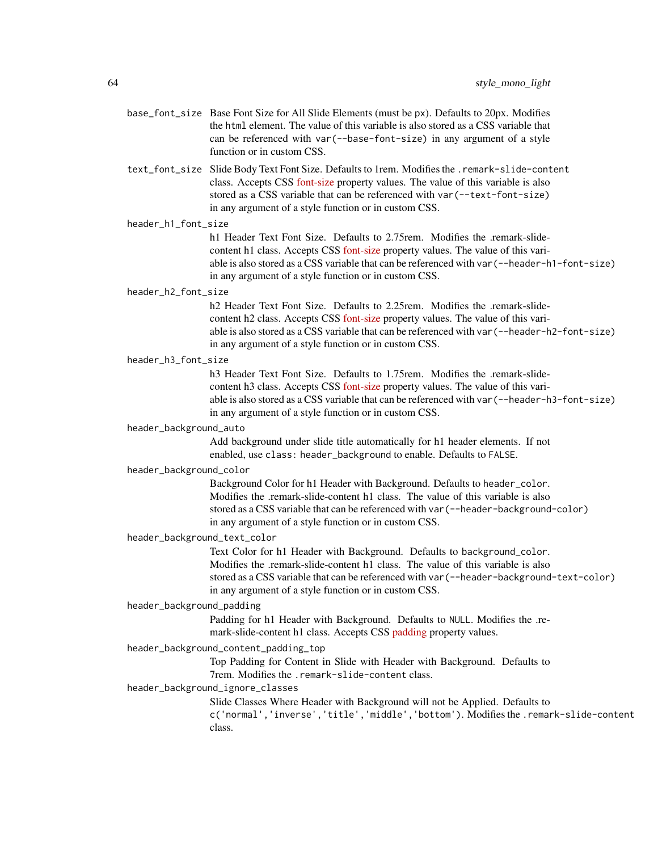- base\_font\_size Base Font Size for All Slide Elements (must be px). Defaults to 20px. Modifies the html element. The value of this variable is also stored as a CSS variable that can be referenced with var(--base-font-size) in any argument of a style function or in custom CSS.
- text\_font\_size Slide Body Text Font Size. Defaults to 1rem. Modifies the .remark-slide-content class. Accepts CSS [font-size](https://developer.mozilla.org/en-US/docs/Web/CSS/font-size) property values. The value of this variable is also stored as a CSS variable that can be referenced with var(--text-font-size) in any argument of a style function or in custom CSS.

### header\_h1\_font\_size

h1 Header Text Font Size. Defaults to 2.75rem. Modifies the .remark-slidecontent h1 class. Accepts CSS [font-size](https://developer.mozilla.org/en-US/docs/Web/CSS/font-size) property values. The value of this variable is also stored as a CSS variable that can be referenced with var(--header-h1-font-size) in any argument of a style function or in custom CSS.

### header\_h2\_font\_size

h<sub>2</sub> Header Text Font Size. Defaults to 2.25rem. Modifies the .remark-slidecontent h2 class. Accepts CSS [font-size](https://developer.mozilla.org/en-US/docs/Web/CSS/font-size) property values. The value of this variable is also stored as a CSS variable that can be referenced with var(--header-h2-font-size) in any argument of a style function or in custom CSS.

## header\_h3\_font\_size

h3 Header Text Font Size. Defaults to 1.75rem. Modifies the .remark-slidecontent h3 class. Accepts CSS [font-size](https://developer.mozilla.org/en-US/docs/Web/CSS/font-size) property values. The value of this variable is also stored as a CSS variable that can be referenced with var(--header-h3-font-size) in any argument of a style function or in custom CSS.

#### header\_background\_auto

Add background under slide title automatically for h1 header elements. If not enabled, use class: header\_background to enable. Defaults to FALSE.

### header\_background\_color

Background Color for h1 Header with Background. Defaults to header\_color. Modifies the .remark-slide-content h1 class. The value of this variable is also stored as a CSS variable that can be referenced with var(--header-background-color) in any argument of a style function or in custom CSS.

## header\_background\_text\_color

Text Color for h1 Header with Background. Defaults to background\_color. Modifies the .remark-slide-content h1 class. The value of this variable is also stored as a CSS variable that can be referenced with var(--header-background-text-color) in any argument of a style function or in custom CSS.

#### header\_background\_padding

Padding for h1 Header with Background. Defaults to NULL. Modifies the .remark-slide-content h1 class. Accepts CSS [padding](https://developer.mozilla.org/en-US/docs/Web/CSS/padding) property values.

#### header\_background\_content\_padding\_top

Top Padding for Content in Slide with Header with Background. Defaults to 7rem. Modifies the .remark-slide-content class.

## header\_background\_ignore\_classes

Slide Classes Where Header with Background will not be Applied. Defaults to c('normal','inverse','title','middle','bottom'). Modifies the .remark-slide-content

class.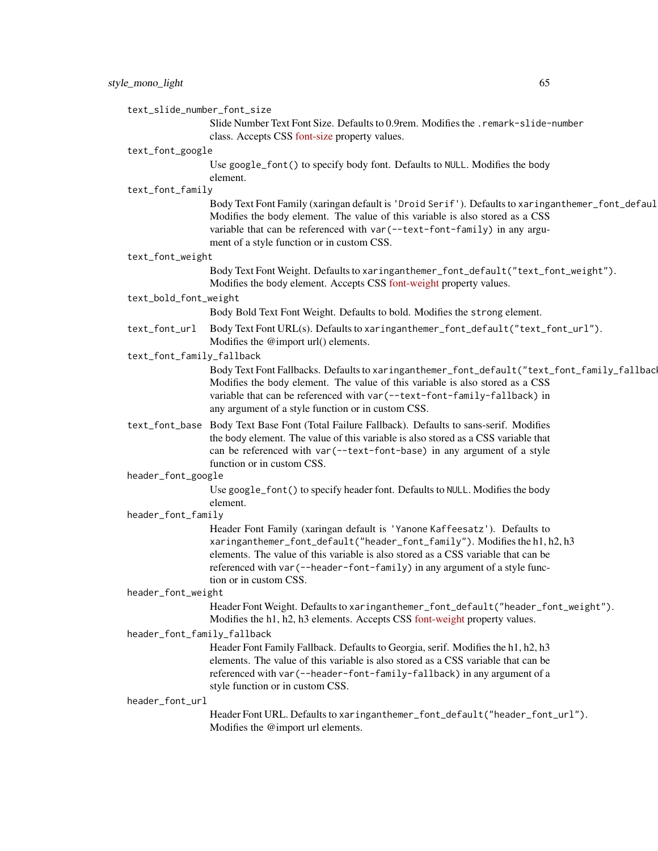text\_slide\_number\_font\_size

Slide Number Text Font Size. Defaults to 0.9rem. Modifies the .remark-slide-number class. Accepts CSS [font-size](https://developer.mozilla.org/en-US/docs/Web/CSS/font-size) property values.

## text\_font\_google

Use google\_font() to specify body font. Defaults to NULL. Modifies the body element.

text\_font\_family

Body Text Font Family (xaringan default is 'Droid Serif'). Defaults to xaringanthemer\_font\_defaul Modifies the body element. The value of this variable is also stored as a CSS variable that can be referenced with var(--text-font-family) in any argument of a style function or in custom CSS.

#### text\_font\_weight

Body Text Font Weight. Defaults to xaringanthemer\_font\_default("text\_font\_weight"). Modifies the body element. Accepts CSS [font-weight](https://developer.mozilla.org/en-US/docs/Web/CSS/font-weight) property values.

## text\_bold\_font\_weight

Body Bold Text Font Weight. Defaults to bold. Modifies the strong element.

text\_font\_url Body Text Font URL(s). Defaults to xaringanthemer\_font\_default("text\_font\_url"). Modifies the @import url() elements.

### text\_font\_family\_fallback

Body Text Font Fallbacks. Defaults to xaringanthemer\_font\_default("text\_font\_family\_fallback"). Modifies the body element. The value of this variable is also stored as a CSS variable that can be referenced with var(--text-font-family-fallback) in any argument of a style function or in custom CSS.

text\_font\_base Body Text Base Font (Total Failure Fallback). Defaults to sans-serif. Modifies the body element. The value of this variable is also stored as a CSS variable that can be referenced with var(--text-font-base) in any argument of a style function or in custom CSS.

header\_font\_google

Use google\_font() to specify header font. Defaults to NULL. Modifies the body element.

### header\_font\_family

Header Font Family (xaringan default is 'Yanone Kaffeesatz'). Defaults to xaringanthemer\_font\_default("header\_font\_family"). Modifies the h1, h2, h3 elements. The value of this variable is also stored as a CSS variable that can be referenced with var(--header-font-family) in any argument of a style function or in custom CSS.

#### header\_font\_weight

Header Font Weight. Defaults to xaringanthemer\_font\_default("header\_font\_weight"). Modifies the h1, h2, h3 elements. Accepts CSS [font-weight](https://developer.mozilla.org/en-US/docs/Web/CSS/font-weight) property values.

## header\_font\_family\_fallback

Header Font Family Fallback. Defaults to Georgia, serif. Modifies the h1, h2, h3 elements. The value of this variable is also stored as a CSS variable that can be referenced with var(--header-font-family-fallback) in any argument of a style function or in custom CSS.

#### header\_font\_url

Header Font URL. Defaults to xaringanthemer\_font\_default("header\_font\_url"). Modifies the @import url elements.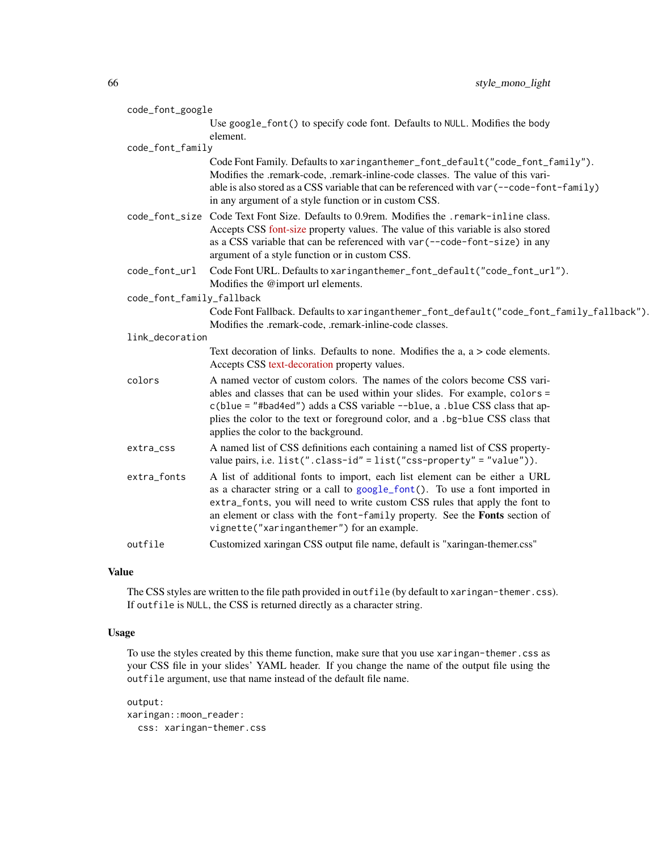| code_font_google          |                                                                                                                                                                                                                                                                                                                                                                        |
|---------------------------|------------------------------------------------------------------------------------------------------------------------------------------------------------------------------------------------------------------------------------------------------------------------------------------------------------------------------------------------------------------------|
|                           | Use google_font() to specify code font. Defaults to NULL. Modifies the body<br>element.                                                                                                                                                                                                                                                                                |
| code_font_family          |                                                                                                                                                                                                                                                                                                                                                                        |
|                           | Code Font Family. Defaults to xaringanthemer_font_default("code_font_family").<br>Modifies the .remark-code, .remark-inline-code classes. The value of this vari-<br>able is also stored as a CSS variable that can be referenced with var (--code-font-family)<br>in any argument of a style function or in custom CSS.                                               |
| code_font_size            | Code Text Font Size. Defaults to 0.9rem. Modifies the .remark-inline class.<br>Accepts CSS font-size property values. The value of this variable is also stored<br>as a CSS variable that can be referenced with var (--code-font-size) in any<br>argument of a style function or in custom CSS.                                                                       |
| code_font_url             | Code Font URL. Defaults to xaringanthemer_font_default("code_font_url").<br>Modifies the @import url elements.                                                                                                                                                                                                                                                         |
| code_font_family_fallback |                                                                                                                                                                                                                                                                                                                                                                        |
|                           | Code Font Fallback. Defaults to xaringanthemer_font_default("code_font_family_fallback").<br>Modifies the .remark-code, .remark-inline-code classes.                                                                                                                                                                                                                   |
| link_decoration           |                                                                                                                                                                                                                                                                                                                                                                        |
|                           | Text decoration of links. Defaults to none. Modifies the a, a > code elements.<br>Accepts CSS text-decoration property values.                                                                                                                                                                                                                                         |
| colors                    | A named vector of custom colors. The names of the colors become CSS vari-<br>ables and classes that can be used within your slides. For example, colors =<br>c(blue = "#bad4ed") adds a CSS variable --blue, a .blue CSS class that ap-<br>plies the color to the text or foreground color, and a .bg-blue CSS class that<br>applies the color to the background.      |
| extra_css                 | A named list of CSS definitions each containing a named list of CSS property-<br>value pairs, i.e. $list("class-id" = list("ess-property" = "value"))$ .                                                                                                                                                                                                               |
| extra_fonts               | A list of additional fonts to import, each list element can be either a URL<br>as a character string or a call to google_font(). To use a font imported in<br>extra_fonts, you will need to write custom CSS rules that apply the font to<br>an element or class with the font-family property. See the Fonts section of<br>vignette("xaringanthemer") for an example. |
| outfile                   | Customized xaringan CSS output file name, default is "xaringan-themer.css"                                                                                                                                                                                                                                                                                             |

## Value

The CSS styles are written to the file path provided in outfile (by default to xaringan-themer.css). If outfile is NULL, the CSS is returned directly as a character string.

## Usage

To use the styles created by this theme function, make sure that you use xaringan-themer.css as your CSS file in your slides' YAML header. If you change the name of the output file using the outfile argument, use that name instead of the default file name.

output: xaringan::moon\_reader: css: xaringan-themer.css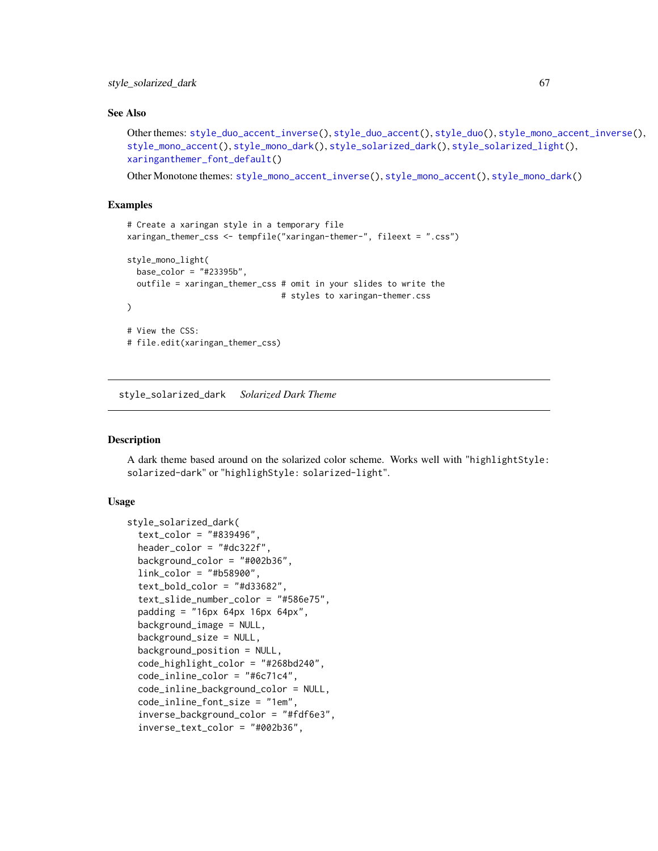## See Also

```
Other themes: style_duo_accent_inverse(), style_duo_accent(), style_duo(), style_mono_accent_inverse(),
style_mono_accent(), style_mono_dark(), style_solarized_dark(), style_solarized_light(),
xaringanthemer_font_default()
```
Other Monotone themes: [style\\_mono\\_accent\\_inverse\(](#page-42-0)), [style\\_mono\\_accent\(](#page-33-0)), [style\\_mono\\_dark\(](#page-50-0))

## Examples

```
# Create a xaringan style in a temporary file
xaringan_themer_css <- tempfile("xaringan-themer-", fileext = ".css")
style_mono_light(
 base_color = "#23395b",
 outfile = xaringan_themer_css # omit in your slides to write the
                                # styles to xaringan-themer.css
\lambda# View the CSS:
# file.edit(xaringan_themer_css)
```
<span id="page-66-0"></span>style\_solarized\_dark *Solarized Dark Theme*

#### Description

A dark theme based around on the solarized color scheme. Works well with "highlightStyle: solarized-dark" or "highlighStyle: solarized-light".

## Usage

```
style_solarized_dark(
  text_color = "#839496",
  header_color = "#dc322f",
  background_color = "#002b36",
  link_color = "#b58900",
  text\_bold\_color = "#d33682",text_slide_number_color = "#586e75",
  padding = "16px 64px 16px 64px",
  background_image = NULL,
  background_size = NULL,
  background_position = NULL,
  code_highlight_color = "#268bd240",
  code_inline_color = "#6c71c4",
  code_inline_background_color = NULL,
  code_inline_font_size = "1em",
  inverse_background_color = "#fdf6e3",
  inverse_text_color = "#002b36",
```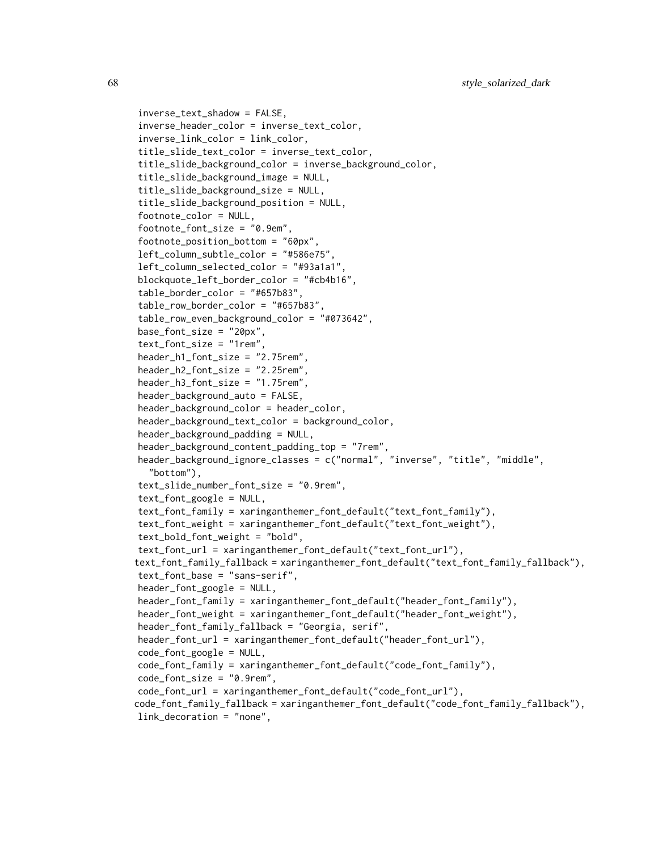```
inverse_text_shadow = FALSE,
inverse_header_color = inverse_text_color,
inverse_link_color = link_color,
title_slide_text_color = inverse_text_color,
title_slide_background_color = inverse_background_color,
title_slide_background_image = NULL,
title_slide_background_size = NULL,
title_slide_background_position = NULL,
footnote_color = NULL,
footnote_font_size = "0.9em",
footnote_position_bottom = "60px",
left_column_subtle_color = "#586e75",
left_column_selected_color = "#93a1a1",
blockquote_left_border_color = "#cb4b16",
table_border_color = "#657b83",
table_row_border_color = "#657b83",
table_row_even_background_color = "#073642",
base_font_size = "20px",
text_font_size = "1rem",
header_h1_font_size = "2.75rem",
header_h2_font_size = "2.25rem",
header_h3_font_size = "1.75rem",
header_background_auto = FALSE,
header_background_color = header_color,
header_background_text_color = background_color,
header_background_padding = NULL,
header_background_content_padding_top = "7rem",
header_background_ignore_classes = c("normal", "inverse", "title", "middle",
  "bottom"),
text_slide_number_font_size = "0.9rem",
text_font_google = NULL,
text_font_family = xaringanthemer_font_default("text_font_family"),
text_font_weight = xaringanthemer_font_default("text_font_weight"),
text_bold_font_weight = "bold",
text_font_url = xaringanthemer_font_default("text_font_url"),
text_font_family_fallback = xaringanthemer_font_default("text_font_family_fallback"),
text_font_base = "sans-serif",
header_font_google = NULL,
header_font_family = xaringanthemer_font_default("header_font_family"),
header_font_weight = xaringanthemer_font_default("header_font_weight"),
header_font_family_fallback = "Georgia, serif",
header_font_url = xaringanthemer_font_default("header_font_url"),
code_font_google = NULL,
code_font_family = xaringanthemer_font_default("code_font_family"),
code_font_size = "0.9rem",
code_font_url = xaringanthemer_font_default("code_font_url"),
code_font_family_fallback = xaringanthemer_font_default("code_font_family_fallback"),
link_decoration = "none",
```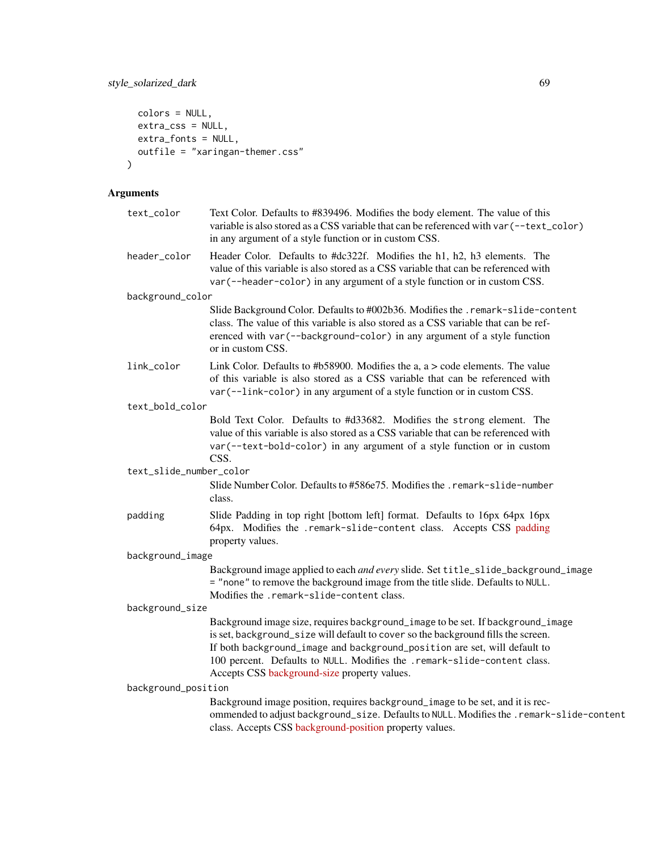```
colors = NULL,
 extra_css = NULL,
 extra_fonts = NULL,
 outfile = "xaringan-themer.css"
\mathcal{L}
```
# Arguments

| text_color              | Text Color. Defaults to #839496. Modifies the body element. The value of this<br>variable is also stored as a CSS variable that can be referenced with var (--text_color)<br>in any argument of a style function or in custom CSS.                                                                                                                                            |
|-------------------------|-------------------------------------------------------------------------------------------------------------------------------------------------------------------------------------------------------------------------------------------------------------------------------------------------------------------------------------------------------------------------------|
| header_color            | Header Color. Defaults to #dc322f. Modifies the h1, h2, h3 elements. The<br>value of this variable is also stored as a CSS variable that can be referenced with<br>var (--header-color) in any argument of a style function or in custom CSS.                                                                                                                                 |
| background_color        |                                                                                                                                                                                                                                                                                                                                                                               |
|                         | Slide Background Color. Defaults to #002b36. Modifies the .remark-slide-content<br>class. The value of this variable is also stored as a CSS variable that can be ref-<br>erenced with var (--background-color) in any argument of a style function<br>or in custom CSS.                                                                                                      |
| link_color              | Link Color. Defaults to #b58900. Modifies the a, $a > \text{code elements}$ . The value<br>of this variable is also stored as a CSS variable that can be referenced with<br>var (--link-color) in any argument of a style function or in custom CSS.                                                                                                                          |
| text_bold_color         |                                                                                                                                                                                                                                                                                                                                                                               |
|                         | Bold Text Color. Defaults to #d33682. Modifies the strong element. The<br>value of this variable is also stored as a CSS variable that can be referenced with<br>var(--text-bold-color) in any argument of a style function or in custom<br>CSS.                                                                                                                              |
| text_slide_number_color |                                                                                                                                                                                                                                                                                                                                                                               |
|                         | Slide Number Color. Defaults to #586e75. Modifies the . remark-slide-number<br>class.                                                                                                                                                                                                                                                                                         |
| padding                 | Slide Padding in top right [bottom left] format. Defaults to 16px 64px 16px<br>64px. Modifies the .remark-slide-content class. Accepts CSS padding<br>property values.                                                                                                                                                                                                        |
| background_image        |                                                                                                                                                                                                                                                                                                                                                                               |
|                         | Background image applied to each and every slide. Set title_slide_background_image<br>= "none" to remove the background image from the title slide. Defaults to NULL.<br>Modifies the .remark-slide-content class.                                                                                                                                                            |
| background_size         |                                                                                                                                                                                                                                                                                                                                                                               |
|                         | Background image size, requires background_image to be set. If background_image<br>is set, background_size will default to cover so the background fills the screen.<br>If both background_image and background_position are set, will default to<br>100 percent. Defaults to NULL. Modifies the .remark-slide-content class.<br>Accepts CSS background-size property values. |
| background_position     |                                                                                                                                                                                                                                                                                                                                                                               |
|                         | Background image position, requires background_image to be set, and it is rec-<br>ommended to adjust background_size. Defaults to NULL. Modifies the .remark-slide-content<br>class. Accepts CSS background-position property values.                                                                                                                                         |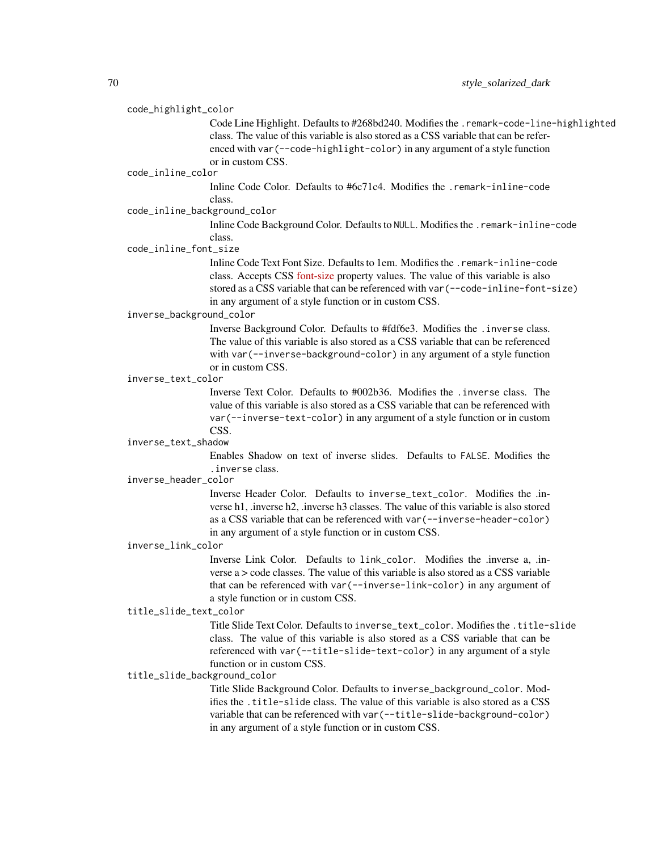## code\_highlight\_color

Code Line Highlight. Defaults to #268bd240. Modifies the .remark-code-line-highlighted class. The value of this variable is also stored as a CSS variable that can be referenced with var(--code-highlight-color) in any argument of a style function or in custom CSS.

#### code\_inline\_color

Inline Code Color. Defaults to #6c71c4. Modifies the .remark-inline-code class.

## code\_inline\_background\_color

Inline Code Background Color. Defaults to NULL. Modifies the .remark-inline-code class.

## code\_inline\_font\_size

Inline Code Text Font Size. Defaults to 1em. Modifies the .remark-inline-code class. Accepts CSS [font-size](https://developer.mozilla.org/en-US/docs/Web/CSS/font-size) property values. The value of this variable is also stored as a CSS variable that can be referenced with var(--code-inline-font-size) in any argument of a style function or in custom CSS.

#### inverse\_background\_color

Inverse Background Color. Defaults to #fdf6e3. Modifies the .inverse class. The value of this variable is also stored as a CSS variable that can be referenced with var(--inverse-background-color) in any argument of a style function or in custom CSS.

### inverse\_text\_color

Inverse Text Color. Defaults to #002b36. Modifies the .inverse class. The value of this variable is also stored as a CSS variable that can be referenced with var(--inverse-text-color) in any argument of a style function or in custom CSS.

## inverse\_text\_shadow

Enables Shadow on text of inverse slides. Defaults to FALSE. Modifies the .inverse class.

#### inverse\_header\_color

Inverse Header Color. Defaults to inverse\_text\_color. Modifies the .inverse h1, .inverse h2, .inverse h3 classes. The value of this variable is also stored as a CSS variable that can be referenced with var(--inverse-header-color) in any argument of a style function or in custom CSS.

#### inverse\_link\_color

Inverse Link Color. Defaults to link\_color. Modifies the .inverse a, .inverse a > code classes. The value of this variable is also stored as a CSS variable that can be referenced with var(--inverse-link-color) in any argument of a style function or in custom CSS.

#### title\_slide\_text\_color

Title Slide Text Color. Defaults to inverse\_text\_color. Modifies the .title-slide class. The value of this variable is also stored as a CSS variable that can be referenced with var(--title-slide-text-color) in any argument of a style function or in custom CSS.

### title\_slide\_background\_color

Title Slide Background Color. Defaults to inverse\_background\_color. Modifies the .title-slide class. The value of this variable is also stored as a CSS variable that can be referenced with var(--title-slide-background-color) in any argument of a style function or in custom CSS.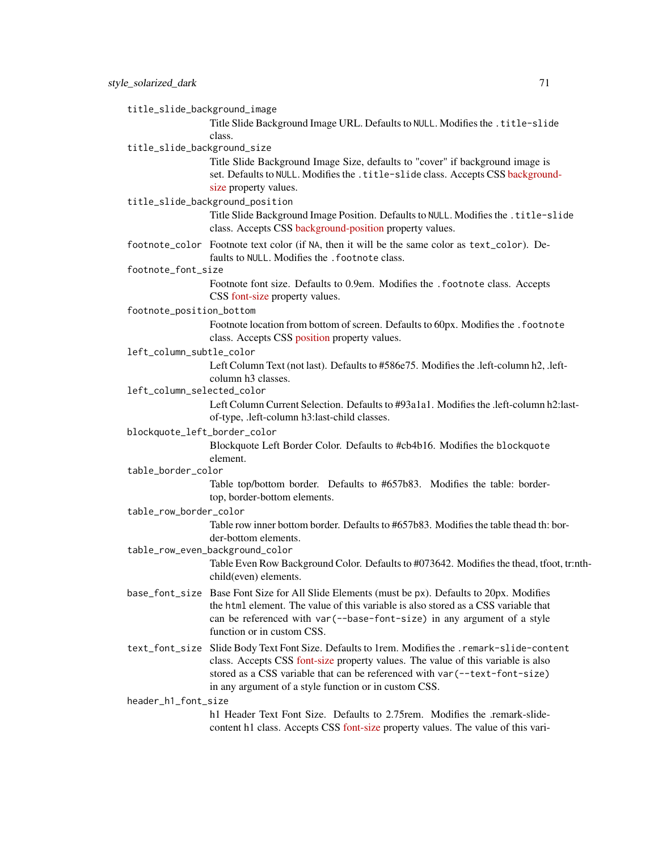title\_slide\_background\_image

Title Slide Background Image URL. Defaults to NULL. Modifies the .title-slide class.

title\_slide\_background\_size

Title Slide Background Image Size, defaults to "cover" if background image is set. Defaults to NULL. Modifies the .title-slide class. Accepts CSS [backgroun](https://developer.mozilla.org/en-US/docs/Web/CSS/background-size)d[size](https://developer.mozilla.org/en-US/docs/Web/CSS/background-size) property values.

title\_slide\_background\_position

Title Slide Background Image Position. Defaults to NULL. Modifies the .title-slide class. Accepts CSS [background-position](https://developer.mozilla.org/en-US/docs/Web/CSS/background-position) property values.

footnote\_color Footnote text color (if NA, then it will be the same color as text\_color). Defaults to NULL. Modifies the . footnote class.

#### footnote\_font\_size

Footnote font size. Defaults to 0.9em. Modifies the .footnote class. Accepts CSS [font-size](https://developer.mozilla.org/en-US/docs/Web/CSS/font-size) property values.

footnote\_position\_bottom

Footnote location from bottom of screen. Defaults to 60px. Modifies the . footnote class. Accepts CSS [position](https://developer.mozilla.org/en-US/docs/Web/CSS/position_value) property values.

left\_column\_subtle\_color

Left Column Text (not last). Defaults to #586e75. Modifies the .left-column h2, .leftcolumn h3 classes.

left\_column\_selected\_color

Left Column Current Selection. Defaults to #93a1a1. Modifies the .left-column h2:lastof-type, .left-column h3:last-child classes.

## blockquote\_left\_border\_color

Blockquote Left Border Color. Defaults to #cb4b16. Modifies the blockquote element.

#### table\_border\_color

Table top/bottom border. Defaults to #657b83. Modifies the table: bordertop, border-bottom elements.

table\_row\_border\_color

Table row inner bottom border. Defaults to #657b83. Modifies the table thead th: border-bottom elements.

table\_row\_even\_background\_color

Table Even Row Background Color. Defaults to #073642. Modifies the thead, tfoot, tr:nthchild(even) elements.

- base\_font\_size Base Font Size for All Slide Elements (must be px). Defaults to 20px. Modifies the html element. The value of this variable is also stored as a CSS variable that can be referenced with var(--base-font-size) in any argument of a style function or in custom CSS.
- text\_font\_size Slide Body Text Font Size. Defaults to 1rem. Modifies the .remark-slide-content class. Accepts CSS [font-size](https://developer.mozilla.org/en-US/docs/Web/CSS/font-size) property values. The value of this variable is also stored as a CSS variable that can be referenced with var(--text-font-size) in any argument of a style function or in custom CSS.

header\_h1\_font\_size

h1 Header Text Font Size. Defaults to 2.75rem. Modifies the .remark-slidecontent h1 class. Accepts CSS [font-size](https://developer.mozilla.org/en-US/docs/Web/CSS/font-size) property values. The value of this vari-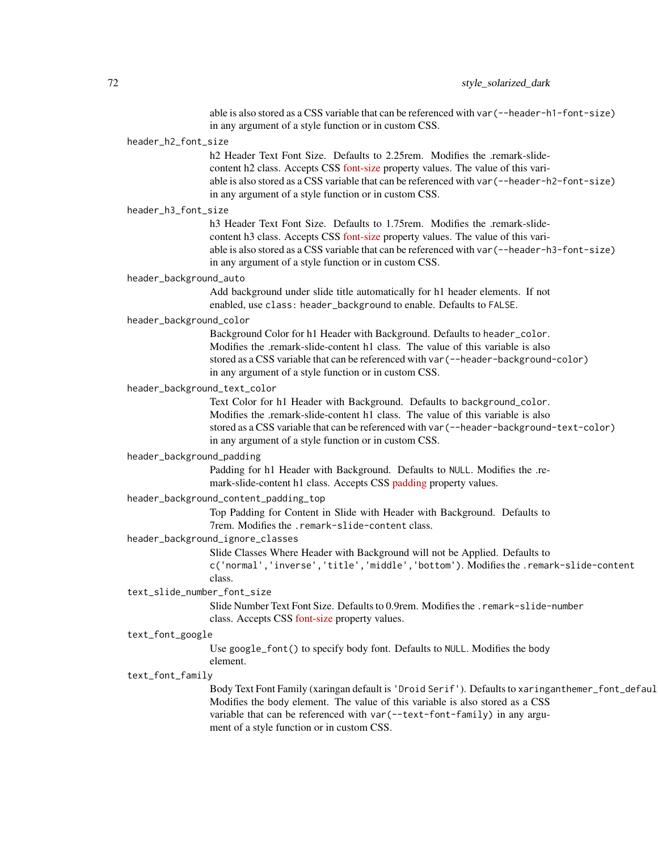able is also stored as a CSS variable that can be referenced with var(--header-h1-font-size) in any argument of a style function or in custom CSS.

## header\_h2\_font\_size

h<sub>2</sub> Header Text Font Size. Defaults to 2.25rem. Modifies the .remark-slidecontent h2 class. Accepts CSS [font-size](https://developer.mozilla.org/en-US/docs/Web/CSS/font-size) property values. The value of this variable is also stored as a CSS variable that can be referenced with var(--header-h2-font-size) in any argument of a style function or in custom CSS.

#### header\_h3\_font\_size

h3 Header Text Font Size. Defaults to 1.75rem. Modifies the .remark-slidecontent h3 class. Accepts CSS [font-size](https://developer.mozilla.org/en-US/docs/Web/CSS/font-size) property values. The value of this variable is also stored as a CSS variable that can be referenced with var(--header-h3-font-size) in any argument of a style function or in custom CSS.

#### header\_background\_auto

Add background under slide title automatically for h1 header elements. If not enabled, use class: header\_background to enable. Defaults to FALSE.

#### header\_background\_color

Background Color for h1 Header with Background. Defaults to header\_color. Modifies the .remark-slide-content h1 class. The value of this variable is also stored as a CSS variable that can be referenced with var(--header-background-color) in any argument of a style function or in custom CSS.

## header\_background\_text\_color

Text Color for h1 Header with Background. Defaults to background\_color. Modifies the .remark-slide-content h1 class. The value of this variable is also stored as a CSS variable that can be referenced with var(--header-background-text-color) in any argument of a style function or in custom CSS.

#### header\_background\_padding

Padding for h1 Header with Background. Defaults to NULL. Modifies the .remark-slide-content h1 class. Accepts CSS [padding](https://developer.mozilla.org/en-US/docs/Web/CSS/padding) property values.

#### header\_background\_content\_padding\_top

Top Padding for Content in Slide with Header with Background. Defaults to 7rem. Modifies the .remark-slide-content class.

#### header\_background\_ignore\_classes

Slide Classes Where Header with Background will not be Applied. Defaults to c('normal','inverse','title','middle','bottom'). Modifies the .remark-slide-content class.

#### text\_slide\_number\_font\_size

Slide Number Text Font Size. Defaults to 0.9rem. Modifies the .remark-slide-number class. Accepts CSS [font-size](https://developer.mozilla.org/en-US/docs/Web/CSS/font-size) property values.

#### text\_font\_google

Use google\_font() to specify body font. Defaults to NULL. Modifies the body element.

## text\_font\_family

Body Text Font Family (xaringan default is 'Droid Serif'). Defaults to xaringanthemer\_font\_defaul Modifies the body element. The value of this variable is also stored as a CSS variable that can be referenced with var (--text-font-family) in any argument of a style function or in custom CSS.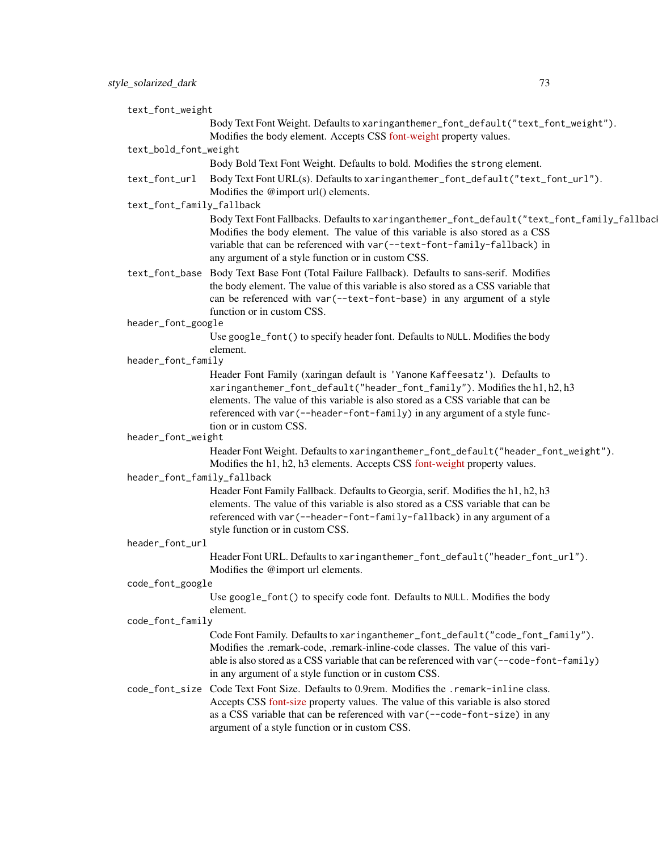| text_font_weight            |                                                                                                                                                                                                                                                                                                                          |  |
|-----------------------------|--------------------------------------------------------------------------------------------------------------------------------------------------------------------------------------------------------------------------------------------------------------------------------------------------------------------------|--|
|                             | Body Text Font Weight. Defaults to xaringanthemer_font_default("text_font_weight").<br>Modifies the body element. Accepts CSS font-weight property values.                                                                                                                                                               |  |
| text_bold_font_weight       |                                                                                                                                                                                                                                                                                                                          |  |
|                             | Body Bold Text Font Weight. Defaults to bold. Modifies the strong element.                                                                                                                                                                                                                                               |  |
| text_font_url               | Body Text Font URL(s). Defaults to xaringanthemer_font_default("text_font_url").<br>Modifies the @import url() elements.                                                                                                                                                                                                 |  |
| text_font_family_fallback   |                                                                                                                                                                                                                                                                                                                          |  |
|                             | Body Text Font Fallbacks. Defaults to xaringanthemer_font_default("text_font_family_fallbac<br>Modifies the body element. The value of this variable is also stored as a CSS<br>variable that can be referenced with var (--text-font-family-fallback) in<br>any argument of a style function or in custom CSS.          |  |
|                             | text_font_base Body Text Base Font (Total Failure Fallback). Defaults to sans-serif. Modifies<br>the body element. The value of this variable is also stored as a CSS variable that<br>can be referenced with var (--text-font-base) in any argument of a style<br>function or in custom CSS.                            |  |
| header_font_google          |                                                                                                                                                                                                                                                                                                                          |  |
|                             | Use google_font() to specify header font. Defaults to NULL. Modifies the body<br>element.                                                                                                                                                                                                                                |  |
| header_font_family          |                                                                                                                                                                                                                                                                                                                          |  |
|                             | Header Font Family (xaringan default is 'Yanone Kaffeesatz'). Defaults to                                                                                                                                                                                                                                                |  |
|                             | xaringanthemer_font_default("header_font_family"). Modifies the h1, h2, h3<br>elements. The value of this variable is also stored as a CSS variable that can be                                                                                                                                                          |  |
|                             | referenced with var (--header-font-family) in any argument of a style func-<br>tion or in custom CSS.                                                                                                                                                                                                                    |  |
| header_font_weight          |                                                                                                                                                                                                                                                                                                                          |  |
|                             | Header Font Weight. Defaults to xaringanthemer_font_default("header_font_weight").<br>Modifies the h1, h2, h3 elements. Accepts CSS font-weight property values.                                                                                                                                                         |  |
| header_font_family_fallback |                                                                                                                                                                                                                                                                                                                          |  |
|                             | Header Font Family Fallback. Defaults to Georgia, serif. Modifies the h1, h2, h3<br>elements. The value of this variable is also stored as a CSS variable that can be<br>referenced with var (--header-font-family-fallback) in any argument of a<br>style function or in custom CSS.                                    |  |
| header_font_url             |                                                                                                                                                                                                                                                                                                                          |  |
|                             | Header Font URL. Defaults to xaringanthemer_font_default("header_font_url").<br>Modifies the @import url elements.                                                                                                                                                                                                       |  |
| code_font_google            |                                                                                                                                                                                                                                                                                                                          |  |
|                             | Use google_font() to specify code font. Defaults to NULL. Modifies the body<br>element.                                                                                                                                                                                                                                  |  |
| code_font_family            |                                                                                                                                                                                                                                                                                                                          |  |
|                             | Code Font Family. Defaults to xaringanthemer_font_default("code_font_family").<br>Modifies the .remark-code, .remark-inline-code classes. The value of this vari-<br>able is also stored as a CSS variable that can be referenced with var (--code-font-family)<br>in any argument of a style function or in custom CSS. |  |
|                             | code_font_size Code Text Font Size. Defaults to 0.9rem. Modifies the .remark-inline class.<br>Accepts CSS font-size property values. The value of this variable is also stored<br>as a CSS variable that can be referenced with var (--code-font-size) in any<br>argument of a style function or in custom CSS.          |  |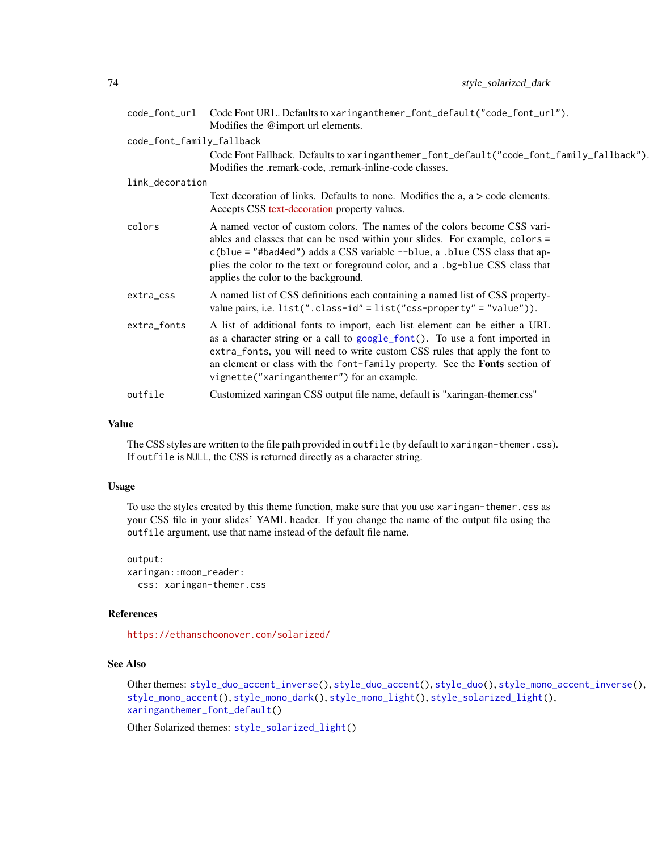<span id="page-73-0"></span>

|                           | code_font_url Code Font URL. Defaults to xaringanthemer_font_default("code_font_url").<br>Modifies the @import url elements.                                                                                                                                                                                                                                                  |
|---------------------------|-------------------------------------------------------------------------------------------------------------------------------------------------------------------------------------------------------------------------------------------------------------------------------------------------------------------------------------------------------------------------------|
| code_font_family_fallback |                                                                                                                                                                                                                                                                                                                                                                               |
|                           | Code Font Fallback. Defaults to xaringanthemer_font_default("code_font_family_fallback").<br>Modifies the .remark-code, .remark-inline-code classes.                                                                                                                                                                                                                          |
| link_decoration           |                                                                                                                                                                                                                                                                                                                                                                               |
|                           | Text decoration of links. Defaults to none. Modifies the a, $a > \text{code elements}$ .<br>Accepts CSS text-decoration property values.                                                                                                                                                                                                                                      |
| colors                    | A named vector of custom colors. The names of the colors become CSS vari-<br>ables and classes that can be used within your slides. For example, colors =<br>$c(blue = "#bad4ed")$ adds a CSS variable $\neg$ -blue, a .blue CSS class that ap-<br>plies the color to the text or foreground color, and a .bg-blue CSS class that<br>applies the color to the background.     |
| extra_css                 | A named list of CSS definitions each containing a named list of CSS property-<br>value pairs, i.e. $list("class-id" = list("cos-property" = "value"))$ .                                                                                                                                                                                                                      |
| extra_fonts               | A list of additional fonts to import, each list element can be either a URL<br>as a character string or a call to google_font(). To use a font imported in<br>extra_fonts, you will need to write custom CSS rules that apply the font to<br>an element or class with the font-family property. See the <b>Fonts</b> section of<br>vignette("xaringanthemer") for an example. |
| outfile                   | Customized xaringan CSS output file name, default is "xaringan-themer.css"                                                                                                                                                                                                                                                                                                    |

The CSS styles are written to the file path provided in outfile (by default to xaringan-themer.css). If outfile is NULL, the CSS is returned directly as a character string.

## Usage

To use the styles created by this theme function, make sure that you use xaringan-themer.css as your CSS file in your slides' YAML header. If you change the name of the output file using the outfile argument, use that name instead of the default file name.

output: xaringan::moon\_reader: css: xaringan-themer.css

## References

<https://ethanschoonover.com/solarized/>

# See Also

```
Other themes: style_duo_accent_inverse(), style_duo_accent(), style_duo(), style_mono_accent_inverse(),
style_mono_accent(), style_mono_dark(), style_mono_light(), style_solarized_light(),
xaringanthemer_font_default()
```
Other Solarized themes: [style\\_solarized\\_light\(](#page-74-0))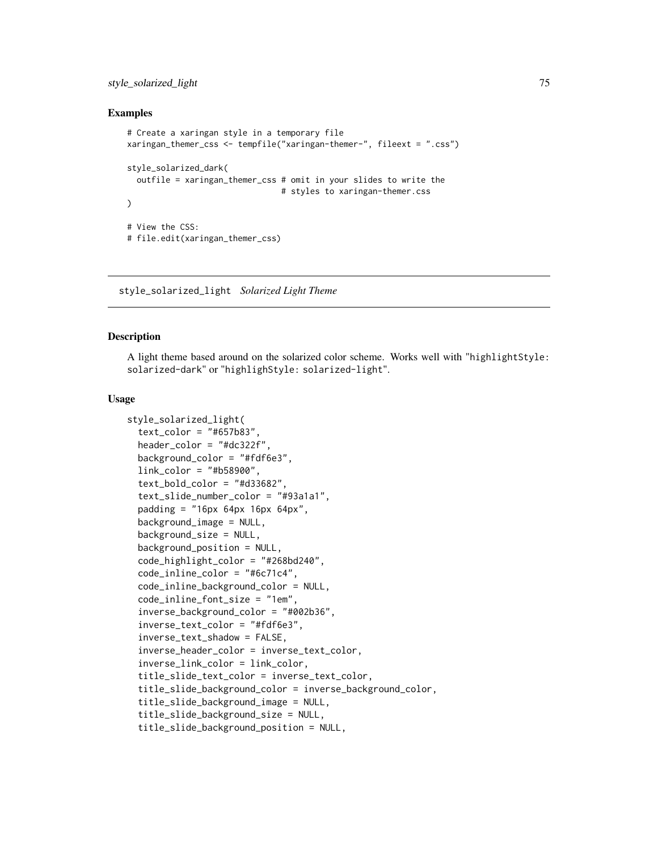## <span id="page-74-1"></span>style\_solarized\_light 75

## Examples

```
# Create a xaringan style in a temporary file
xaringan_themer_css <- tempfile("xaringan-themer-", fileext = ".css")
style_solarized_dark(
 outfile = xaringan_themer_css # omit in your slides to write the
                                # styles to xaringan-themer.css
\lambda# View the CSS:
# file.edit(xaringan_themer_css)
```
<span id="page-74-0"></span>style\_solarized\_light *Solarized Light Theme*

#### Description

A light theme based around on the solarized color scheme. Works well with "highlightStyle: solarized-dark" or "highlighStyle: solarized-light".

#### Usage

```
style_solarized_light(
  text\_color = "#657b83"header\_color = "#dc322f",background_color = "#fdf6e3",
  link\_color = "#b58900".text\_bold\_color = "#d33682",text_slide_number_color = "#93a1a1",
  padding = "16px 64px 16px 64px",
  background_image = NULL,
  background_size = NULL,
  background_position = NULL,
  code_highlight_color = "#268bd240",
  code_inline_color = "#6c71c4",
  code_inline_background_color = NULL,
  code_inline_font_size = "1em",
  inverse_background_color = "#002b36",
  inverse_text_color = "#fdf6e3",
  inverse_text_shadow = FALSE,
  inverse_header_color = inverse_text_color,
  inverse_link_color = link_color,
  title_slide_text_color = inverse_text_color,
  title_slide_background_color = inverse_background_color,
  title_slide_background_image = NULL,
  title_slide_background_size = NULL,
  title_slide_background_position = NULL,
```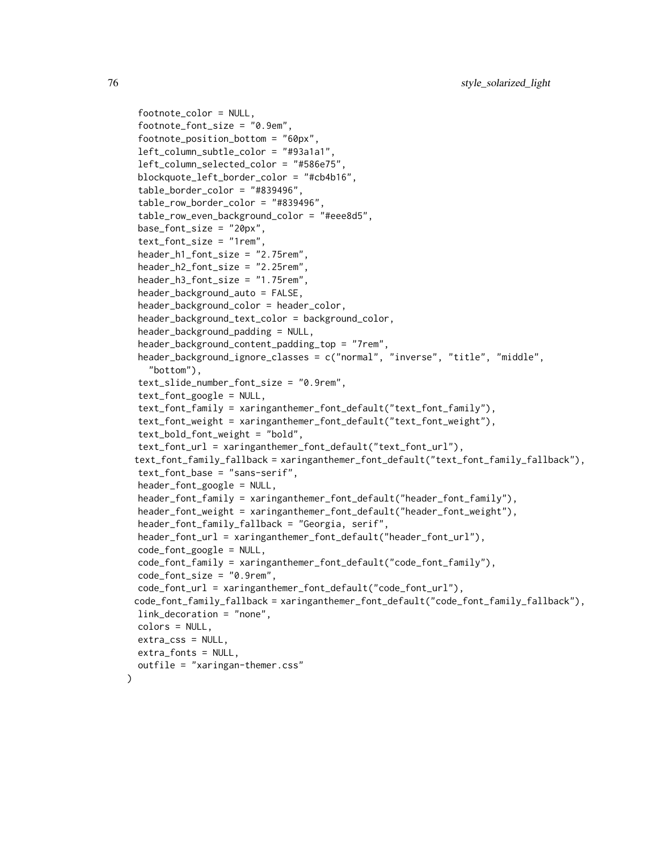```
footnote_color = NULL,
footnote_font_size = "0.9em",
footnote_position_bottom = "60px",
left_column_subtle_color = "#93a1a1",
left_column_selected_color = "#586e75",
blockquote_left_border_color = "#cb4b16",
table_border_color = "#839496",
table_row_border_color = "#839496",
table_row_even_background_color = "#eee8d5",
base_font_size = "20px",
text_font_size = "1rem",
header_h1_font_size = "2.75rem",
header_h2_font_size = "2.25rem",
header_h3_font_size = "1.75rem",
header_background_auto = FALSE,
header_background_color = header_color,
header_background_text_color = background_color,
header_background_padding = NULL,
header_background_content_padding_top = "7rem",
header_background_ignore_classes = c("normal", "inverse", "title", "middle",
  "bottom"),
text_slide_number_font_size = "0.9rem",
text_font_google = NULL,
text_font_family = xaringanthemer_font_default("text_font_family"),
text_font_weight = xaringanthemer_font_default("text_font_weight"),
text_bold_font_weight = "bold",
text_font_url = xaringanthemer_font_default("text_font_url"),
text_font_family_fallback = xaringanthemer_font_default("text_font_family_fallback"),
text_font_base = "sans-serif",
header_font_google = NULL,
header_font_family = xaringanthemer_font_default("header_font_family"),
header_font_weight = xaringanthemer_font_default("header_font_weight"),
header_font_family_fallback = "Georgia, serif",
header_font_url = xaringanthemer_font_default("header_font_url"),
code_font_google = NULL,
code_font_family = xaringanthemer_font_default("code_font_family"),
code_font_size = "0.9rem",
code_font_url = xaringanthemer_font_default("code_font_url"),
code_font_family_fallback = xaringanthemer_font_default("code_font_family_fallback"),
link_decoration = "none",
colors = NULL,
extra_css = NULL,
extra_fonts = NULL,
outfile = "xaringan-themer.css"
```
 $\lambda$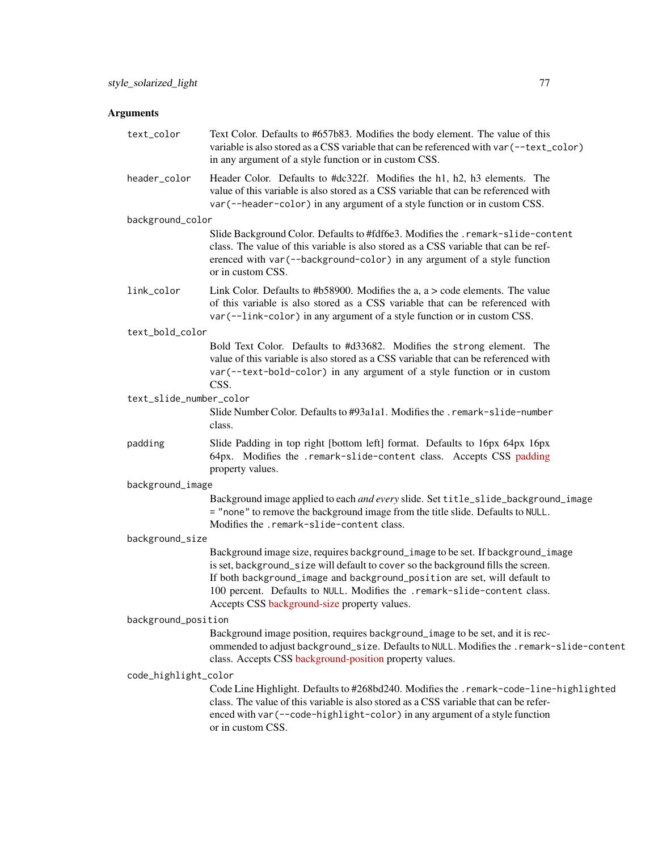# Arguments

| text_color              | Text Color. Defaults to #657b83. Modifies the body element. The value of this<br>variable is also stored as a CSS variable that can be referenced with var (--text_color)<br>in any argument of a style function or in custom CSS.                                                                                                                                            |
|-------------------------|-------------------------------------------------------------------------------------------------------------------------------------------------------------------------------------------------------------------------------------------------------------------------------------------------------------------------------------------------------------------------------|
| header_color            | Header Color. Defaults to #dc322f. Modifies the h1, h2, h3 elements. The<br>value of this variable is also stored as a CSS variable that can be referenced with<br>var (--header-color) in any argument of a style function or in custom CSS.                                                                                                                                 |
| background_color        |                                                                                                                                                                                                                                                                                                                                                                               |
|                         | Slide Background Color. Defaults to #fdf6e3. Modifies the .remark-slide-content<br>class. The value of this variable is also stored as a CSS variable that can be ref-<br>erenced with var (--background-color) in any argument of a style function<br>or in custom CSS.                                                                                                      |
| link_color              | Link Color. Defaults to #b58900. Modifies the $a, a$ > code elements. The value<br>of this variable is also stored as a CSS variable that can be referenced with<br>var (--link-color) in any argument of a style function or in custom CSS.                                                                                                                                  |
| text_bold_color         |                                                                                                                                                                                                                                                                                                                                                                               |
|                         | Bold Text Color. Defaults to #d33682. Modifies the strong element. The<br>value of this variable is also stored as a CSS variable that can be referenced with<br>var (--text-bold-color) in any argument of a style function or in custom<br>CSS.                                                                                                                             |
| text_slide_number_color |                                                                                                                                                                                                                                                                                                                                                                               |
|                         | Slide Number Color. Defaults to #93a1a1. Modifies the . remark-slide-number<br>class.                                                                                                                                                                                                                                                                                         |
| padding                 | Slide Padding in top right [bottom left] format. Defaults to 16px 64px 16px<br>64px. Modifies the .remark-slide-content class. Accepts CSS padding<br>property values.                                                                                                                                                                                                        |
| background_image        |                                                                                                                                                                                                                                                                                                                                                                               |
|                         | Background image applied to each and every slide. Set title_slide_background_image<br>= "none" to remove the background image from the title slide. Defaults to NULL.<br>Modifies the .remark-slide-content class.                                                                                                                                                            |
| background_size         |                                                                                                                                                                                                                                                                                                                                                                               |
|                         | Background image size, requires background_image to be set. If background_image<br>is set, background_size will default to cover so the background fills the screen.<br>If both background_image and background_position are set, will default to<br>100 percent. Defaults to NULL. Modifies the .remark-slide-content class.<br>Accepts CSS background-size property values. |
| background_position     |                                                                                                                                                                                                                                                                                                                                                                               |
|                         | Background image position, requires background_image to be set, and it is rec-<br>ommended to adjust background_size. Defaults to NULL. Modifies the .remark-slide-content<br>class. Accepts CSS background-position property values.                                                                                                                                         |
| code_highlight_color    |                                                                                                                                                                                                                                                                                                                                                                               |
|                         | Code Line Highlight. Defaults to #268bd240. Modifies the .remark-code-line-highlighted<br>class. The value of this variable is also stored as a CSS variable that can be refer-<br>enced with var (--code-highlight-color) in any argument of a style function<br>or in custom CSS.                                                                                           |
|                         |                                                                                                                                                                                                                                                                                                                                                                               |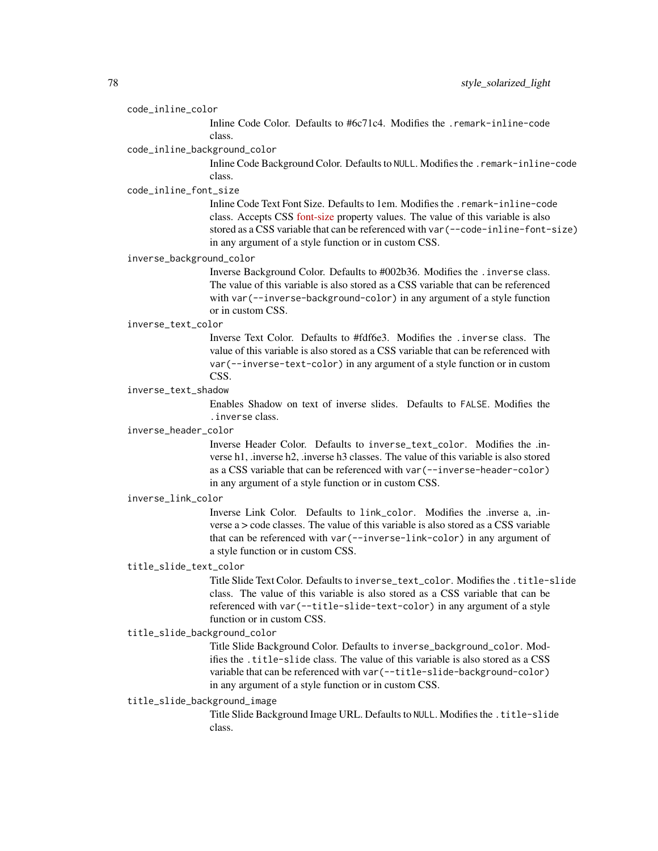#### code\_inline\_color

Inline Code Color. Defaults to #6c71c4. Modifies the .remark-inline-code class.

#### code\_inline\_background\_color

Inline Code Background Color. Defaults to NULL. Modifies the .remark-inline-code class.

#### code\_inline\_font\_size

Inline Code Text Font Size. Defaults to 1em. Modifies the .remark-inline-code class. Accepts CSS [font-size](https://developer.mozilla.org/en-US/docs/Web/CSS/font-size) property values. The value of this variable is also stored as a CSS variable that can be referenced with var(--code-inline-font-size) in any argument of a style function or in custom CSS.

# inverse\_background\_color

Inverse Background Color. Defaults to #002b36. Modifies the .inverse class. The value of this variable is also stored as a CSS variable that can be referenced with var(--inverse-background-color) in any argument of a style function or in custom CSS.

#### inverse\_text\_color

Inverse Text Color. Defaults to #fdf6e3. Modifies the .inverse class. The value of this variable is also stored as a CSS variable that can be referenced with var(--inverse-text-color) in any argument of a style function or in custom CSS.

## inverse\_text\_shadow

Enables Shadow on text of inverse slides. Defaults to FALSE. Modifies the .inverse class.

#### inverse\_header\_color

Inverse Header Color. Defaults to inverse\_text\_color. Modifies the .inverse h1, .inverse h2, .inverse h3 classes. The value of this variable is also stored as a CSS variable that can be referenced with var(--inverse-header-color) in any argument of a style function or in custom CSS.

#### inverse\_link\_color

Inverse Link Color. Defaults to link\_color. Modifies the .inverse a, .inverse a > code classes. The value of this variable is also stored as a CSS variable that can be referenced with var(--inverse-link-color) in any argument of a style function or in custom CSS.

## title\_slide\_text\_color

Title Slide Text Color. Defaults to inverse\_text\_color. Modifies the .title-slide class. The value of this variable is also stored as a CSS variable that can be referenced with var(--title-slide-text-color) in any argument of a style function or in custom CSS.

# title\_slide\_background\_color

Title Slide Background Color. Defaults to inverse\_background\_color. Modifies the .title-slide class. The value of this variable is also stored as a CSS variable that can be referenced with var(--title-slide-background-color) in any argument of a style function or in custom CSS.

#### title\_slide\_background\_image

Title Slide Background Image URL. Defaults to NULL. Modifies the .title-slide class.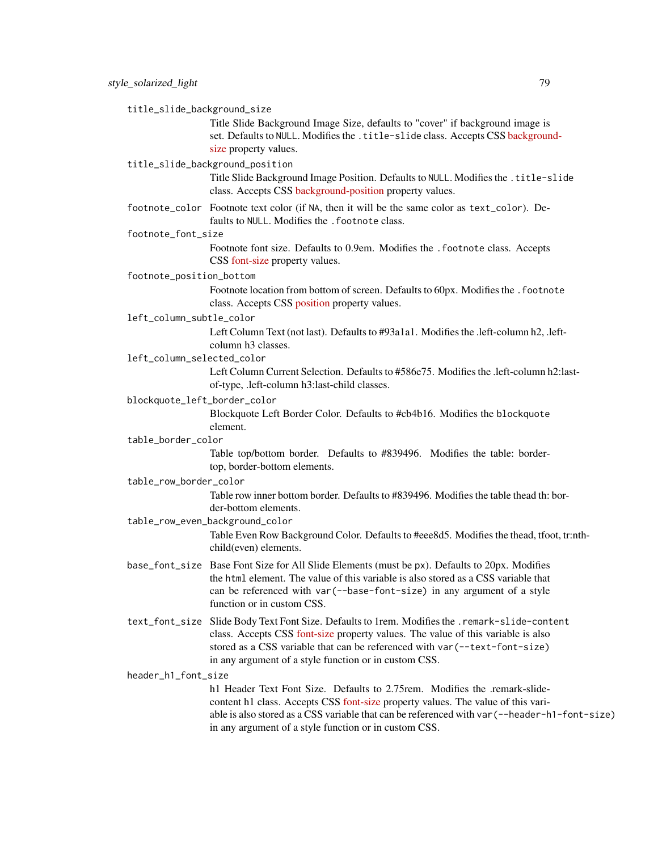title\_slide\_background\_size

Title Slide Background Image Size, defaults to "cover" if background image is set. Defaults to NULL. Modifies the .title-slide class. Accepts CSS [backgroun](https://developer.mozilla.org/en-US/docs/Web/CSS/background-size)d[size](https://developer.mozilla.org/en-US/docs/Web/CSS/background-size) property values.

#### title\_slide\_background\_position

Title Slide Background Image Position. Defaults to NULL. Modifies the .title-slide class. Accepts CSS [background-position](https://developer.mozilla.org/en-US/docs/Web/CSS/background-position) property values.

footnote\_color Footnote text color (if NA, then it will be the same color as text\_color). Defaults to NULL. Modifies the . footnote class.

#### footnote\_font\_size

Footnote font size. Defaults to 0.9em. Modifies the .footnote class. Accepts CSS [font-size](https://developer.mozilla.org/en-US/docs/Web/CSS/font-size) property values.

#### footnote\_position\_bottom

Footnote location from bottom of screen. Defaults to 60px. Modifies the . footnote class. Accepts CSS [position](https://developer.mozilla.org/en-US/docs/Web/CSS/position_value) property values.

#### left\_column\_subtle\_color

Left Column Text (not last). Defaults to #93a1a1. Modifies the .left-column h2, .leftcolumn h3 classes.

## left\_column\_selected\_color

Left Column Current Selection. Defaults to #586e75. Modifies the .left-column h2:lastof-type, .left-column h3:last-child classes.

#### blockquote\_left\_border\_color

Blockquote Left Border Color. Defaults to #cb4b16. Modifies the blockquote element.

#### table\_border\_color

Table top/bottom border. Defaults to #839496. Modifies the table: bordertop, border-bottom elements.

#### table\_row\_border\_color

Table row inner bottom border. Defaults to #839496. Modifies the table thead th: border-bottom elements.

#### table\_row\_even\_background\_color

Table Even Row Background Color. Defaults to #eee8d5. Modifies the thead, tfoot, tr:nthchild(even) elements.

- base\_font\_size Base Font Size for All Slide Elements (must be px). Defaults to 20px. Modifies the html element. The value of this variable is also stored as a CSS variable that can be referenced with var(--base-font-size) in any argument of a style function or in custom CSS.
- text\_font\_size Slide Body Text Font Size. Defaults to 1rem. Modifies the .remark-slide-content class. Accepts CSS [font-size](https://developer.mozilla.org/en-US/docs/Web/CSS/font-size) property values. The value of this variable is also stored as a CSS variable that can be referenced with var(--text-font-size) in any argument of a style function or in custom CSS.

## header\_h1\_font\_size

h1 Header Text Font Size. Defaults to 2.75rem. Modifies the .remark-slidecontent h1 class. Accepts CSS [font-size](https://developer.mozilla.org/en-US/docs/Web/CSS/font-size) property values. The value of this variable is also stored as a CSS variable that can be referenced with var(--header-h1-font-size) in any argument of a style function or in custom CSS.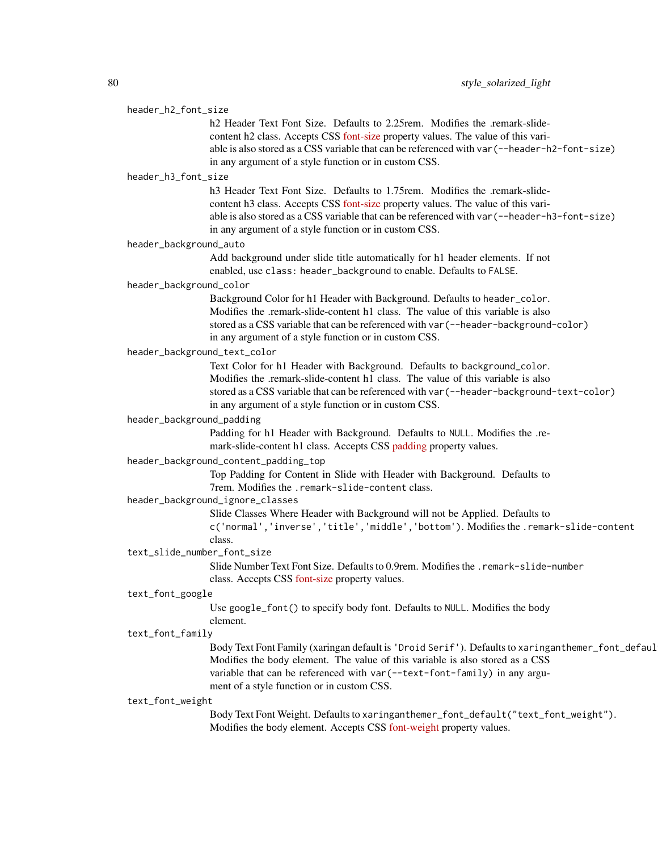#### header\_h2\_font\_size

h<sub>2</sub> Header Text Font Size. Defaults to 2.25rem. Modifies the .remark-slidecontent h2 class. Accepts CSS [font-size](https://developer.mozilla.org/en-US/docs/Web/CSS/font-size) property values. The value of this variable is also stored as a CSS variable that can be referenced with var(--header-h2-font-size) in any argument of a style function or in custom CSS.

## header\_h3\_font\_size

h<sub>3</sub> Header Text Font Size. Defaults to 1.75rem. Modifies the .remark-slidecontent h3 class. Accepts CSS [font-size](https://developer.mozilla.org/en-US/docs/Web/CSS/font-size) property values. The value of this variable is also stored as a CSS variable that can be referenced with var(--header-h3-font-size) in any argument of a style function or in custom CSS.

#### header\_background\_auto

Add background under slide title automatically for h1 header elements. If not enabled, use class: header\_background to enable. Defaults to FALSE.

#### header\_background\_color

Background Color for h1 Header with Background. Defaults to header\_color. Modifies the .remark-slide-content h1 class. The value of this variable is also stored as a CSS variable that can be referenced with var(--header-background-color) in any argument of a style function or in custom CSS.

# header\_background\_text\_color

Text Color for h1 Header with Background. Defaults to background\_color. Modifies the .remark-slide-content h1 class. The value of this variable is also stored as a CSS variable that can be referenced with var(--header-background-text-color) in any argument of a style function or in custom CSS.

#### header\_background\_padding

Padding for h1 Header with Background. Defaults to NULL. Modifies the .remark-slide-content h1 class. Accepts CSS [padding](https://developer.mozilla.org/en-US/docs/Web/CSS/padding) property values.

## header\_background\_content\_padding\_top

Top Padding for Content in Slide with Header with Background. Defaults to 7rem. Modifies the .remark-slide-content class.

#### header\_background\_ignore\_classes

Slide Classes Where Header with Background will not be Applied. Defaults to c('normal','inverse','title','middle','bottom'). Modifies the .remark-slide-content

#### class.

text\_slide\_number\_font\_size

Slide Number Text Font Size. Defaults to 0.9rem. Modifies the .remark-slide-number class. Accepts CSS [font-size](https://developer.mozilla.org/en-US/docs/Web/CSS/font-size) property values.

#### text\_font\_google

Use google\_font() to specify body font. Defaults to NULL. Modifies the body element.

#### text\_font\_family

Body Text Font Family (xaringan default is 'Droid Serif'). Defaults to xaringanthemer\_font\_defaul Modifies the body element. The value of this variable is also stored as a CSS variable that can be referenced with var(--text-font-family) in any argument of a style function or in custom CSS.

#### text\_font\_weight

Body Text Font Weight. Defaults to xaringanthemer\_font\_default("text\_font\_weight"). Modifies the body element. Accepts CSS [font-weight](https://developer.mozilla.org/en-US/docs/Web/CSS/font-weight) property values.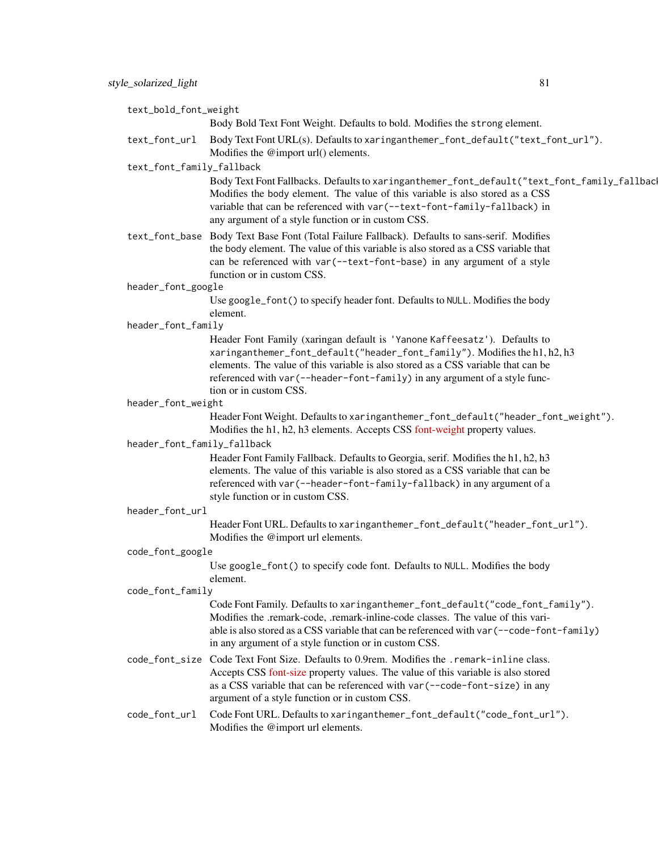| text_bold_font_weight       |                                                                                                                                                                                                                                                                                                                                                       |
|-----------------------------|-------------------------------------------------------------------------------------------------------------------------------------------------------------------------------------------------------------------------------------------------------------------------------------------------------------------------------------------------------|
|                             | Body Bold Text Font Weight. Defaults to bold. Modifies the strong element.                                                                                                                                                                                                                                                                            |
| text_font_url               | Body Text Font URL(s). Defaults to xaringanthemer_font_default("text_font_url").<br>Modifies the @import url() elements.                                                                                                                                                                                                                              |
| text_font_family_fallback   |                                                                                                                                                                                                                                                                                                                                                       |
|                             | Body Text Font Fallbacks. Defaults to xaringanthemer_font_default("text_font_family_fallbac<br>Modifies the body element. The value of this variable is also stored as a CSS<br>variable that can be referenced with var (--text-font-family-fallback) in<br>any argument of a style function or in custom CSS.                                       |
|                             | text_font_base Body Text Base Font (Total Failure Fallback). Defaults to sans-serif. Modifies<br>the body element. The value of this variable is also stored as a CSS variable that<br>can be referenced with var (--text-font-base) in any argument of a style<br>function or in custom CSS.                                                         |
| header_font_google          |                                                                                                                                                                                                                                                                                                                                                       |
|                             | Use google_font() to specify header font. Defaults to NULL. Modifies the body<br>element.                                                                                                                                                                                                                                                             |
| header_font_family          |                                                                                                                                                                                                                                                                                                                                                       |
|                             | Header Font Family (xaringan default is 'Yanone Kaffeesatz'). Defaults to<br>xaringanthemer_font_default("header_font_family"). Modifies the h1, h2, h3<br>elements. The value of this variable is also stored as a CSS variable that can be<br>referenced with var (--header-font-family) in any argument of a style func-<br>tion or in custom CSS. |
| header_font_weight          |                                                                                                                                                                                                                                                                                                                                                       |
|                             | Header Font Weight. Defaults to xaringanthemer_font_default("header_font_weight").<br>Modifies the h1, h2, h3 elements. Accepts CSS font-weight property values.                                                                                                                                                                                      |
| header_font_family_fallback |                                                                                                                                                                                                                                                                                                                                                       |
|                             | Header Font Family Fallback. Defaults to Georgia, serif. Modifies the h1, h2, h3<br>elements. The value of this variable is also stored as a CSS variable that can be<br>referenced with var (--header-font-family-fallback) in any argument of a<br>style function or in custom CSS.                                                                 |
| header_font_url             |                                                                                                                                                                                                                                                                                                                                                       |
|                             | Header Font URL. Defaults to xaringanthemer_font_default("header_font_url").<br>Modifies the @import url elements.                                                                                                                                                                                                                                    |
| code_font_google            |                                                                                                                                                                                                                                                                                                                                                       |
|                             | Use google_font() to specify code font. Defaults to NULL. Modifies the body<br>element.                                                                                                                                                                                                                                                               |
| code_font_family            |                                                                                                                                                                                                                                                                                                                                                       |
|                             | Code Font Family. Defaults to xaringanthemer_font_default("code_font_family").<br>Modifies the .remark-code, .remark-inline-code classes. The value of this vari-<br>able is also stored as a CSS variable that can be referenced with var (--code-font-family)<br>in any argument of a style function or in custom CSS.                              |
|                             | code_font_size Code Text Font Size. Defaults to 0.9rem. Modifies the .remark-inline class.<br>Accepts CSS font-size property values. The value of this variable is also stored<br>as a CSS variable that can be referenced with var (--code-font-size) in any<br>argument of a style function or in custom CSS.                                       |
| code_font_url               | Code Font URL. Defaults to xaringanthemer_font_default("code_font_url").<br>Modifies the @import url elements.                                                                                                                                                                                                                                        |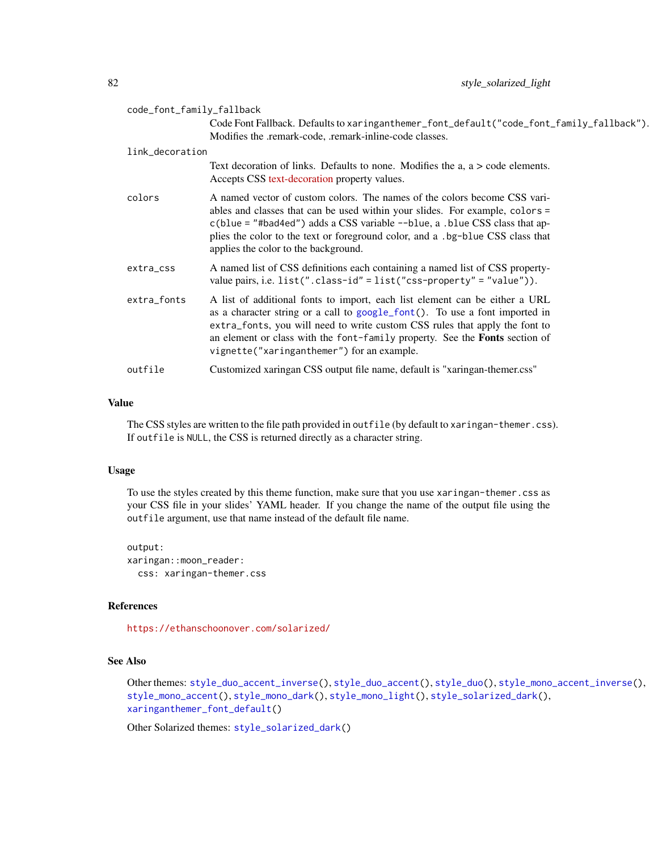<span id="page-81-0"></span>

| code_font_family_fallback |                                                                                                                                                                                                                                                                                                                                                                               |
|---------------------------|-------------------------------------------------------------------------------------------------------------------------------------------------------------------------------------------------------------------------------------------------------------------------------------------------------------------------------------------------------------------------------|
|                           | Code Font Fallback. Defaults to xaringanthemer_font_default("code_font_family_fallback").<br>Modifies the .remark-code, .remark-inline-code classes.                                                                                                                                                                                                                          |
| link_decoration           |                                                                                                                                                                                                                                                                                                                                                                               |
|                           | Text decoration of links. Defaults to none. Modifies the $a, a > code$ elements.<br>Accepts CSS text-decoration property values.                                                                                                                                                                                                                                              |
| colors                    | A named vector of custom colors. The names of the colors become CSS vari-<br>ables and classes that can be used within your slides. For example, colors =<br>$c(blue = "#bad4ed")$ adds a CSS variable $\neg$ -blue, a .blue CSS class that ap-<br>plies the color to the text or foreground color, and a .bg-blue CSS class that<br>applies the color to the background.     |
| extra_css                 | A named list of CSS definitions each containing a named list of CSS property-<br>value pairs, i.e. $list("class-id" = list("css-property" = "value"))$ .                                                                                                                                                                                                                      |
| extra_fonts               | A list of additional fonts to import, each list element can be either a URL<br>as a character string or a call to google_font(). To use a font imported in<br>extra_fonts, you will need to write custom CSS rules that apply the font to<br>an element or class with the font-family property. See the <b>Fonts</b> section of<br>vignette("xaringanthemer") for an example. |
| outfile                   | Customized xaringan CSS output file name, default is "xaringan-themer.css"                                                                                                                                                                                                                                                                                                    |

The CSS styles are written to the file path provided in outfile (by default to xaringan-themer.css). If outfile is NULL, the CSS is returned directly as a character string.

#### Usage

To use the styles created by this theme function, make sure that you use xaringan-themer.css as your CSS file in your slides' YAML header. If you change the name of the output file using the outfile argument, use that name instead of the default file name.

output: xaringan::moon\_reader: css: xaringan-themer.css

#### References

<https://ethanschoonover.com/solarized/>

# See Also

```
Other themes: style_duo_accent_inverse(), style_duo_accent(), style_duo(), style_mono_accent_inverse(),
style_mono_accent(), style_mono_dark(), style_mono_light(), style_solarized_dark(),
xaringanthemer_font_default()
```
Other Solarized themes: [style\\_solarized\\_dark\(](#page-66-0))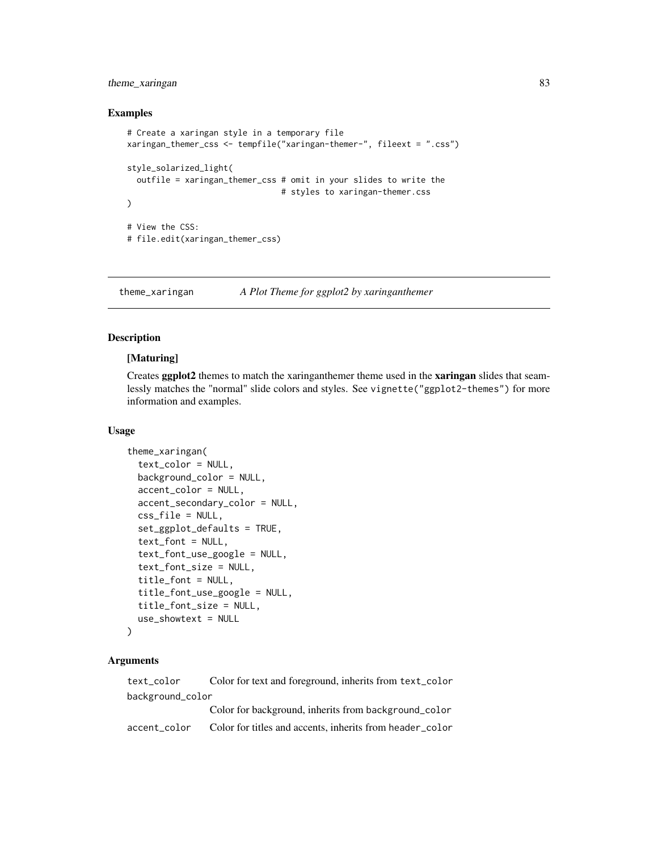# <span id="page-82-1"></span>theme\_xaringan 83

#### Examples

```
# Create a xaringan style in a temporary file
xaringan_themer_css <- tempfile("xaringan-themer-", fileext = ".css")
style_solarized_light(
 outfile = xaringan_themer_css # omit in your slides to write the
                                 # styles to xaringan-themer.css
\mathcal{L}# View the CSS:
# file.edit(xaringan_themer_css)
```
<span id="page-82-0"></span>theme\_xaringan *A Plot Theme for ggplot2 by xaringanthemer*

## Description

# [Maturing]

Creates ggplot2 themes to match the xaringanthemer theme used in the xaringan slides that seamlessly matches the "normal" slide colors and styles. See vignette("ggplot2-themes") for more information and examples.

#### Usage

```
theme_xaringan(
  text_color = NULL,
 background_color = NULL,
  accent_color = NULL,
  accent_secondary_color = NULL,
  css_file = NULL,
  set_ggplot_defaults = TRUE,
  text_font = NULL,text_font_use_google = NULL,
  text_font_size = NULL,
  title_font = NULL,
  title_font_use_google = NULL,
  title_font_size = NULL,
  use_showtext = NULL
)
```
## Arguments

text\_color Color for text and foreground, inherits from text\_color background\_color Color for background, inherits from background\_color accent\_color Color for titles and accents, inherits from header\_color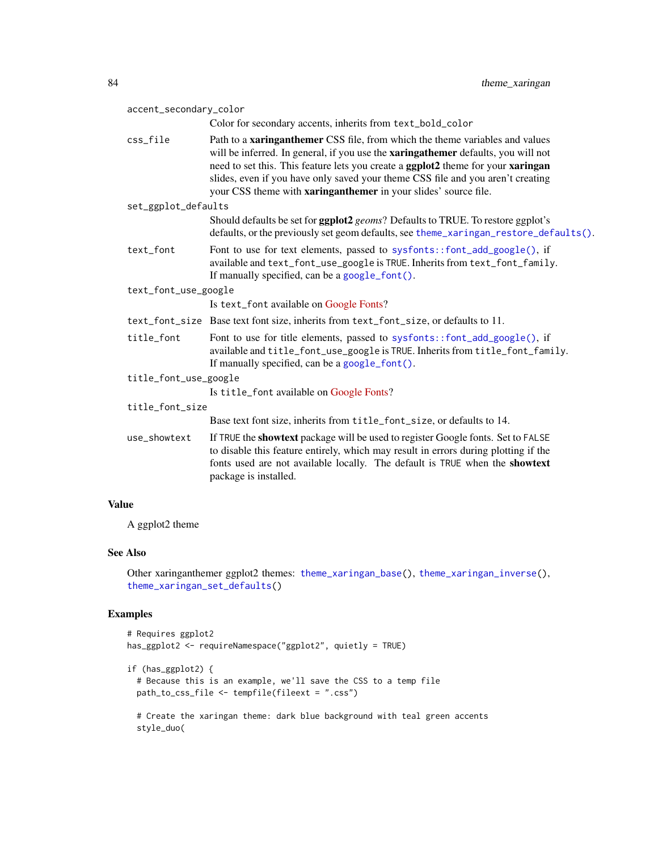<span id="page-83-0"></span>

| accent_secondary_color |                                                                                                                                                                                                                                                                                                                                                                                                                           |  |
|------------------------|---------------------------------------------------------------------------------------------------------------------------------------------------------------------------------------------------------------------------------------------------------------------------------------------------------------------------------------------------------------------------------------------------------------------------|--|
|                        | Color for secondary accents, inherits from text_bold_color                                                                                                                                                                                                                                                                                                                                                                |  |
| css_file               | Path to a <b>xaringanthemer</b> CSS file, from which the theme variables and values<br>will be inferred. In general, if you use the <b>xaringathemer</b> defaults, you will not<br>need to set this. This feature lets you create a ggplot2 theme for your xaringan<br>slides, even if you have only saved your theme CSS file and you aren't creating<br>your CSS theme with xaringanthemer in your slides' source file. |  |
| set_ggplot_defaults    |                                                                                                                                                                                                                                                                                                                                                                                                                           |  |
|                        | Should defaults be set for ggplot2 geoms? Defaults to TRUE. To restore ggplot's<br>defaults, or the previously set geom defaults, see theme_xaringan_restore_defaults().                                                                                                                                                                                                                                                  |  |
| text_font              | Font to use for text elements, passed to sysfonts::font_add_google(), if<br>available and text_font_use_google is TRUE. Inherits from text_font_family.<br>If manually specified, can be a google_font().                                                                                                                                                                                                                 |  |
| text_font_use_google   |                                                                                                                                                                                                                                                                                                                                                                                                                           |  |
|                        | Is text_font available on Google Fonts?                                                                                                                                                                                                                                                                                                                                                                                   |  |
|                        | text_font_size Base text font size, inherits from text_font_size, or defaults to 11.                                                                                                                                                                                                                                                                                                                                      |  |
| title_font             | Font to use for title elements, passed to sysfonts::font_add_google(), if<br>available and title_font_use_google is TRUE. Inherits from title_font_family.<br>If manually specified, can be a google_font().                                                                                                                                                                                                              |  |
| title_font_use_google  |                                                                                                                                                                                                                                                                                                                                                                                                                           |  |
|                        | Is title_font available on Google Fonts?                                                                                                                                                                                                                                                                                                                                                                                  |  |
| title_font_size        |                                                                                                                                                                                                                                                                                                                                                                                                                           |  |
|                        | Base text font size, inherits from title_font_size, or defaults to 14.                                                                                                                                                                                                                                                                                                                                                    |  |
| use_showtext           | If TRUE the showtext package will be used to register Google fonts. Set to FALSE<br>to disable this feature entirely, which may result in errors during plotting if the<br>fonts used are not available locally. The default is TRUE when the showtext<br>package is installed.                                                                                                                                           |  |
|                        |                                                                                                                                                                                                                                                                                                                                                                                                                           |  |

A ggplot2 theme

# See Also

Other xaringanthemer ggplot2 themes: [theme\\_xaringan\\_base\(](#page-84-0)), [theme\\_xaringan\\_inverse\(](#page-89-0)), [theme\\_xaringan\\_set\\_defaults\(](#page-91-1))

# Examples

```
# Requires ggplot2
has_ggplot2 <- requireNamespace("ggplot2", quietly = TRUE)
if (has_ggplot2) {
  # Because this is an example, we'll save the CSS to a temp file
  path_to_css_file <- tempfile(fileext = ".css")
```
# Create the xaringan theme: dark blue background with teal green accents style\_duo(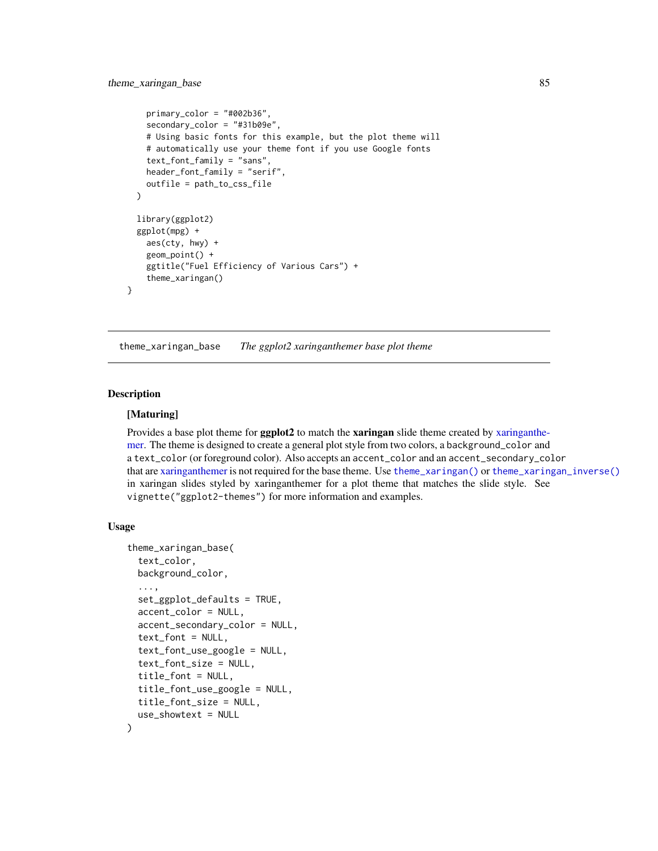```
primary_color = "#002b36",
  secondary_color = "#31b09e",
  # Using basic fonts for this example, but the plot theme will
  # automatically use your theme font if you use Google fonts
  text_font_family = "sans",
 header_font_family = "serif",
  outfile = path_to_css_file
)
library(ggplot2)
ggplot(mpg) +
  aes(cty, hwy) +
  geom_point() +
  ggtitle("Fuel Efficiency of Various Cars") +
  theme_xaringan()
```
<span id="page-84-0"></span>theme\_xaringan\_base *The ggplot2 xaringanthemer base plot theme*

#### Description

}

## [Maturing]

Provides a base plot theme for **ggplot2** to match the **xaringan** slide theme created by [xaringanthe](#page-0-0)[mer.](#page-0-0) The theme is designed to create a general plot style from two colors, a background\_color and a text\_color (or foreground color). Also accepts an accent\_color and an accent\_secondary\_color that are [xaringanthemer](#page-0-0) is not required for the base theme. Use [theme\\_xaringan\(\)](#page-82-0) or [theme\\_xaringan\\_inverse\(\)](#page-89-0) in xaringan slides styled by xaringanthemer for a plot theme that matches the slide style. See vignette("ggplot2-themes") for more information and examples.

#### Usage

```
theme_xaringan_base(
  text_color,
 background_color,
  ...,
  set_ggplot_defaults = TRUE,
  accent_color = NULL,
  accent_secondary_color = NULL,
  text_font = NULL,
  text_font_use_google = NULL,
  text_font_size = NULL,
  title_font = NULL,
  title_font_use_google = NULL,
  title_font_size = NULL,
  use_showtext = NULL
)
```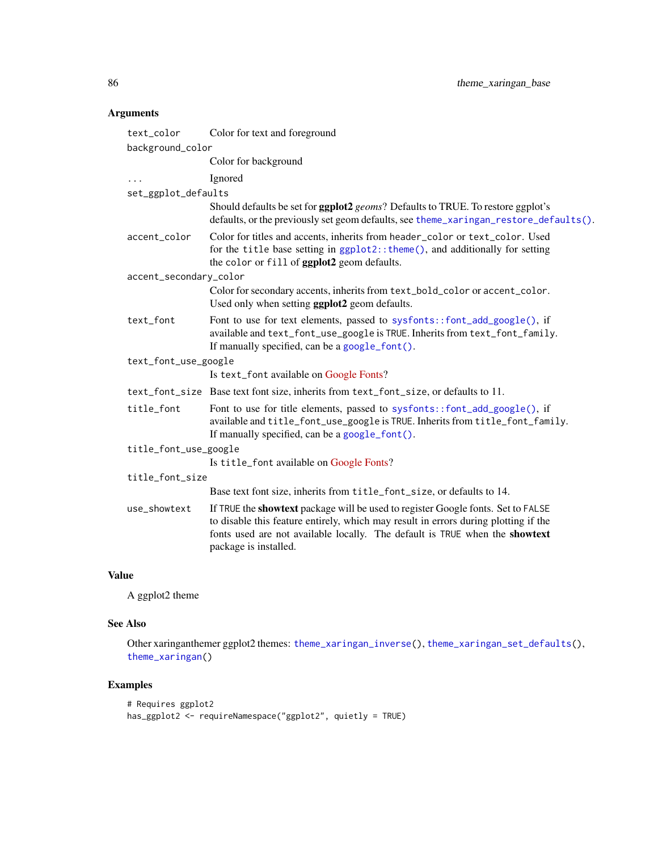# <span id="page-85-0"></span>Arguments

| text_color             | Color for text and foreground                                                                                                                                                                                                                                                   |  |
|------------------------|---------------------------------------------------------------------------------------------------------------------------------------------------------------------------------------------------------------------------------------------------------------------------------|--|
| background_color       |                                                                                                                                                                                                                                                                                 |  |
|                        | Color for background                                                                                                                                                                                                                                                            |  |
|                        | Ignored                                                                                                                                                                                                                                                                         |  |
| set_ggplot_defaults    |                                                                                                                                                                                                                                                                                 |  |
|                        | Should defaults be set for ggplot2 geoms? Defaults to TRUE. To restore ggplot's<br>defaults, or the previously set geom defaults, see theme_xaringan_restore_defaults().                                                                                                        |  |
| accent_color           | Color for titles and accents, inherits from header_color or text_color. Used<br>for the title base setting in ggplot2:: theme(), and additionally for setting<br>the color or fill of ggplot2 geom defaults.                                                                    |  |
| accent_secondary_color |                                                                                                                                                                                                                                                                                 |  |
|                        | Color for secondary accents, inherits from text_bold_color or accent_color.<br>Used only when setting ggplot2 geom defaults.                                                                                                                                                    |  |
| text_font              | Font to use for text elements, passed to sysfonts::font_add_google(), if<br>available and text_font_use_google is TRUE. Inherits from text_font_family.<br>If manually specified, can be a google_font().                                                                       |  |
| text_font_use_google   |                                                                                                                                                                                                                                                                                 |  |
|                        | Is text_font available on Google Fonts?                                                                                                                                                                                                                                         |  |
|                        | text_font_size Base text font size, inherits from text_font_size, or defaults to 11.                                                                                                                                                                                            |  |
| title_font             | Font to use for title elements, passed to sysfonts::font_add_google(), if<br>available and title_font_use_google is TRUE. Inherits from title_font_family.<br>If manually specified, can be a google_font().                                                                    |  |
| title_font_use_google  |                                                                                                                                                                                                                                                                                 |  |
|                        | Is title_font available on Google Fonts?                                                                                                                                                                                                                                        |  |
| title_font_size        |                                                                                                                                                                                                                                                                                 |  |
|                        | Base text font size, inherits from title_font_size, or defaults to 14.                                                                                                                                                                                                          |  |
| use_showtext           | If TRUE the showtext package will be used to register Google fonts. Set to FALSE<br>to disable this feature entirely, which may result in errors during plotting if the<br>fonts used are not available locally. The default is TRUE when the showtext<br>package is installed. |  |

# Value

A ggplot2 theme

# See Also

Other xaringanthemer ggplot2 themes: [theme\\_xaringan\\_inverse\(](#page-89-0)), [theme\\_xaringan\\_set\\_defaults\(](#page-91-1)), [theme\\_xaringan\(](#page-82-0))

# Examples

```
# Requires ggplot2
has_ggplot2 <- requireNamespace("ggplot2", quietly = TRUE)
```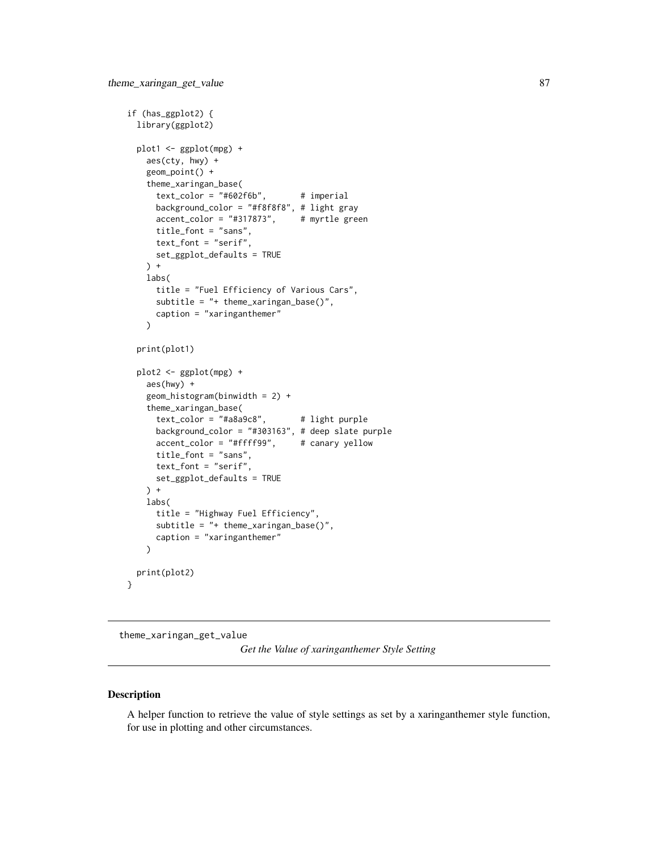```
if (has_ggplot2) {
 library(ggplot2)
 plot1 <- ggplot(mpg) +
   aes(cty, hwy) +
   geom_point() +
    theme_xaringan_base(
     text\_color = "#602f6b", # imperialbackground_color = "#f8f8f8", # light gray
     \text{accept\_color} = "#317873", # myrtle greentitle_font = "sans",
     text_font = "serif",
     set_ggplot_defaults = TRUE
   ) +
   labs(
     title = "Fuel Efficiency of Various Cars",
     subtitle = "+ theme_xaringan_base()",
     caption = "xaringanthemer"
    )
 print(plot1)
 plot2 <- ggplot(mpg) +
   aes(hwy) +
    geom_histogram(binwidth = 2) +
    theme_xaringan_base(
     text_{color} = "#a8a9c8", # light purplebackground_color = "#303163", # deep slate purple
     accent_color = "#ffff99", # canary yellow
     title_font = "sans",
     text_font = "serif",
     set_ggplot_defaults = TRUE
   ) +
   labs(
     title = "Highway Fuel Efficiency",
     subtitle = "+ theme_xaringan_base()",
     caption = "xaringanthemer"
   \lambdaprint(plot2)
}
```
theme\_xaringan\_get\_value

*Get the Value of xaringanthemer Style Setting*

#### Description

A helper function to retrieve the value of style settings as set by a xaringanthemer style function, for use in plotting and other circumstances.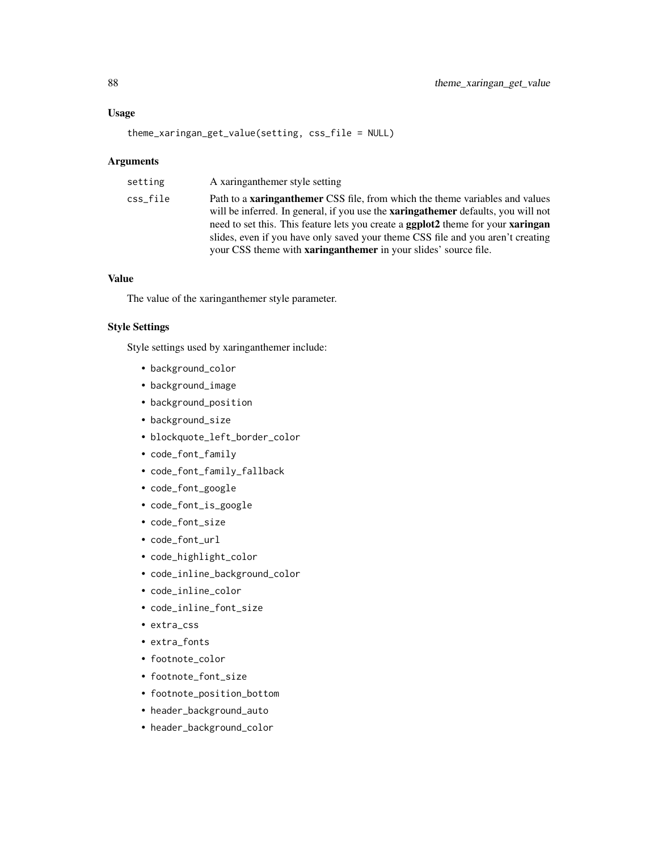## Usage

theme\_xaringan\_get\_value(setting, css\_file = NULL)

#### Arguments

| setting  | A xaringanthemer style setting                                                                                                                                                                                                                                                                                                                                                                                                                 |
|----------|------------------------------------------------------------------------------------------------------------------------------------------------------------------------------------------------------------------------------------------------------------------------------------------------------------------------------------------------------------------------------------------------------------------------------------------------|
| css file | Path to a <b>xaringanthemer</b> CSS file, from which the theme variables and values<br>will be inferred. In general, if you use the <b>xaringathemer</b> defaults, you will not<br>need to set this. This feature lets you create a <b>ggplot2</b> theme for your <b>xaringan</b><br>slides, even if you have only saved your theme CSS file and you aren't creating<br>your CSS theme with <b>xaringanthemer</b> in your slides' source file. |

# Value

The value of the xaringanthemer style parameter.

# Style Settings

Style settings used by xaringanthemer include:

- background\_color
- background\_image
- background\_position
- background\_size
- blockquote\_left\_border\_color
- code\_font\_family
- code\_font\_family\_fallback
- code\_font\_google
- code\_font\_is\_google
- code\_font\_size
- code\_font\_url
- code\_highlight\_color
- code\_inline\_background\_color
- code\_inline\_color
- code\_inline\_font\_size
- extra\_css
- extra\_fonts
- footnote\_color
- footnote\_font\_size
- footnote\_position\_bottom
- header\_background\_auto
- header\_background\_color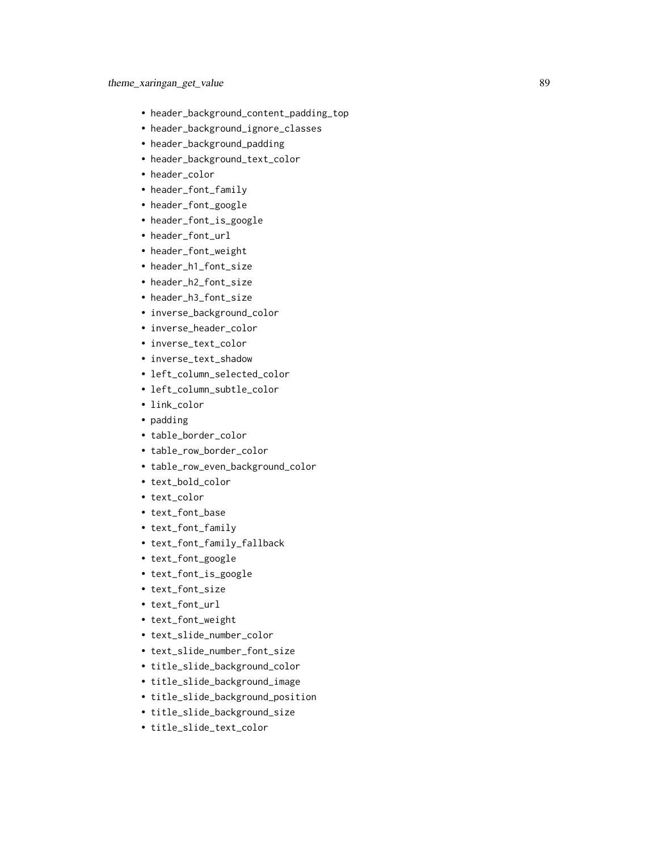- header\_background\_content\_padding\_top
- header\_background\_ignore\_classes
- header\_background\_padding
- header\_background\_text\_color
- header\_color
- header\_font\_family
- header\_font\_google
- header\_font\_is\_google
- header\_font\_url
- header\_font\_weight
- header\_h1\_font\_size
- header\_h2\_font\_size
- header\_h3\_font\_size
- inverse\_background\_color
- inverse\_header\_color
- inverse\_text\_color
- inverse\_text\_shadow
- left\_column\_selected\_color
- left\_column\_subtle\_color
- link\_color
- padding
- table\_border\_color
- table\_row\_border\_color
- table\_row\_even\_background\_color
- text\_bold\_color
- text\_color
- text\_font\_base
- text\_font\_family
- text\_font\_family\_fallback
- text\_font\_google
- text\_font\_is\_google
- text\_font\_size
- text\_font\_url
- text\_font\_weight
- text\_slide\_number\_color
- text\_slide\_number\_font\_size
- title\_slide\_background\_color
- title\_slide\_background\_image
- title\_slide\_background\_position
- title\_slide\_background\_size
- title\_slide\_text\_color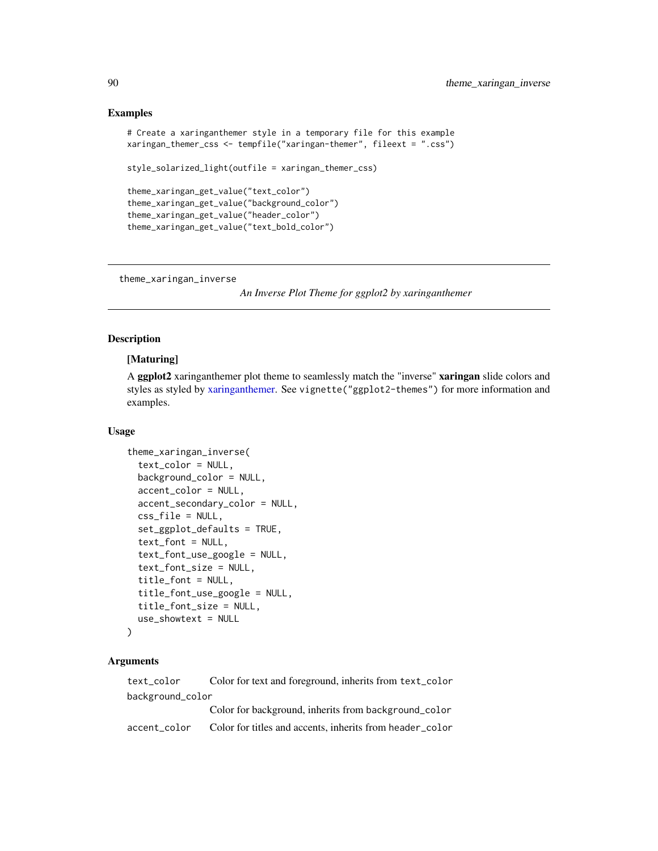#### Examples

```
# Create a xaringanthemer style in a temporary file for this example
xaringan_themer_css <- tempfile("xaringan-themer", fileext = ".css")
style_solarized_light(outfile = xaringan_themer_css)
theme_xaringan_get_value("text_color")
theme_xaringan_get_value("background_color")
theme_xaringan_get_value("header_color")
```
theme\_xaringan\_get\_value("text\_bold\_color")

<span id="page-89-0"></span>theme\_xaringan\_inverse

*An Inverse Plot Theme for ggplot2 by xaringanthemer*

## Description

# [Maturing]

A ggplot2 xaringanthemer plot theme to seamlessly match the "inverse" xaringan slide colors and styles as styled by [xaringanthemer.](#page-0-0) See vignette("ggplot2-themes") for more information and examples.

#### Usage

```
theme_xaringan_inverse(
  text_color = NULL,
 background_color = NULL,
  accent_color = NULL,
  accent_secondary_color = NULL,
  css_file = NULL,
  set_ggplot_defaults = TRUE,
  text_font = NULL,
  text_font_use_google = NULL,
  text_font_size = NULL,
  title_font = NULL,
  title_font_use_google = NULL,
  title_font_size = NULL,
  use_showtext = NULL
)
```
#### Arguments

text\_color Color for text and foreground, inherits from text\_color background\_color Color for background, inherits from background\_color accent\_color Color for titles and accents, inherits from header\_color

<span id="page-89-1"></span>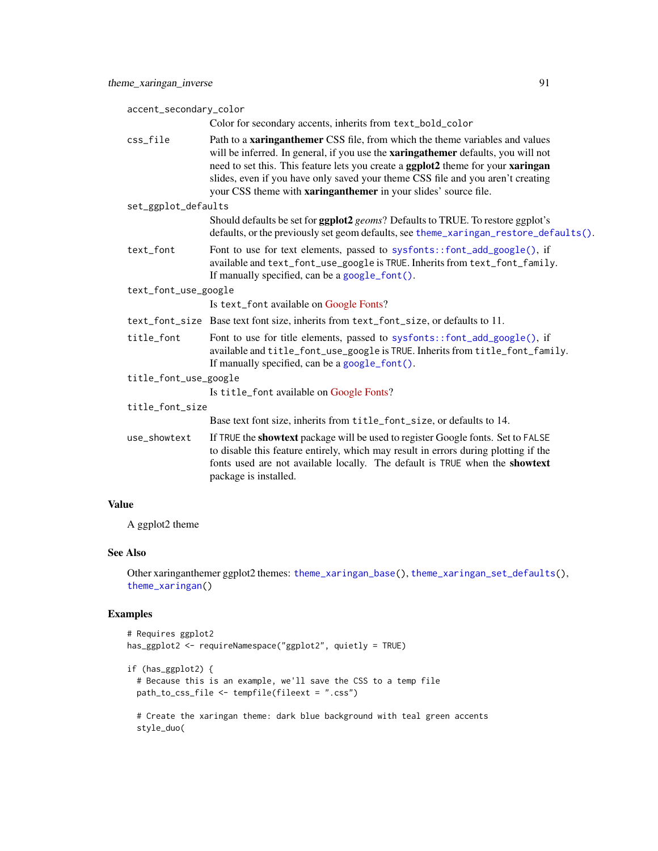<span id="page-90-0"></span>

| accent_secondary_color |                                                                                                                                                                                                                                                                                                                                                                                                                           |  |
|------------------------|---------------------------------------------------------------------------------------------------------------------------------------------------------------------------------------------------------------------------------------------------------------------------------------------------------------------------------------------------------------------------------------------------------------------------|--|
|                        | Color for secondary accents, inherits from text_bold_color                                                                                                                                                                                                                                                                                                                                                                |  |
| css_file               | Path to a <b>xaringanthemer</b> CSS file, from which the theme variables and values<br>will be inferred. In general, if you use the <b>xaringathemer</b> defaults, you will not<br>need to set this. This feature lets you create a ggplot2 theme for your xaringan<br>slides, even if you have only saved your theme CSS file and you aren't creating<br>your CSS theme with xaringanthemer in your slides' source file. |  |
| set_ggplot_defaults    |                                                                                                                                                                                                                                                                                                                                                                                                                           |  |
|                        | Should defaults be set for ggplot2 geoms? Defaults to TRUE. To restore ggplot's<br>defaults, or the previously set geom defaults, see theme_xaringan_restore_defaults().                                                                                                                                                                                                                                                  |  |
| text_font              | Font to use for text elements, passed to sysfonts::font_add_google(), if<br>available and text_font_use_google is TRUE. Inherits from text_font_family.<br>If manually specified, can be a google_font().                                                                                                                                                                                                                 |  |
| text_font_use_google   |                                                                                                                                                                                                                                                                                                                                                                                                                           |  |
|                        | Is text_font available on Google Fonts?                                                                                                                                                                                                                                                                                                                                                                                   |  |
|                        | text_font_size Base text font size, inherits from text_font_size, or defaults to 11.                                                                                                                                                                                                                                                                                                                                      |  |
| title_font             | Font to use for title elements, passed to sysfonts::font_add_google(), if<br>available and title_font_use_google is TRUE. Inherits from title_font_family.<br>If manually specified, can be a google_font().                                                                                                                                                                                                              |  |
| title_font_use_google  |                                                                                                                                                                                                                                                                                                                                                                                                                           |  |
|                        | Is title_font available on Google Fonts?                                                                                                                                                                                                                                                                                                                                                                                  |  |
| title_font_size        |                                                                                                                                                                                                                                                                                                                                                                                                                           |  |
|                        | Base text font size, inherits from title_font_size, or defaults to 14.                                                                                                                                                                                                                                                                                                                                                    |  |
| use_showtext           | If TRUE the showtext package will be used to register Google fonts. Set to FALSE<br>to disable this feature entirely, which may result in errors during plotting if the<br>fonts used are not available locally. The default is TRUE when the showtext<br>package is installed.                                                                                                                                           |  |

A ggplot2 theme

# Requires ggplot2

# See Also

Other xaringanthemer ggplot2 themes: [theme\\_xaringan\\_base\(](#page-84-0)), [theme\\_xaringan\\_set\\_defaults\(](#page-91-1)), [theme\\_xaringan\(](#page-82-0))

# Examples

```
has_ggplot2 <- requireNamespace("ggplot2", quietly = TRUE)
if (has_ggplot2) {
  # Because this is an example, we'll save the CSS to a temp file
  path_to_css_file <- tempfile(fileext = ".css")
  # Create the xaringan theme: dark blue background with teal green accents
  style_duo(
```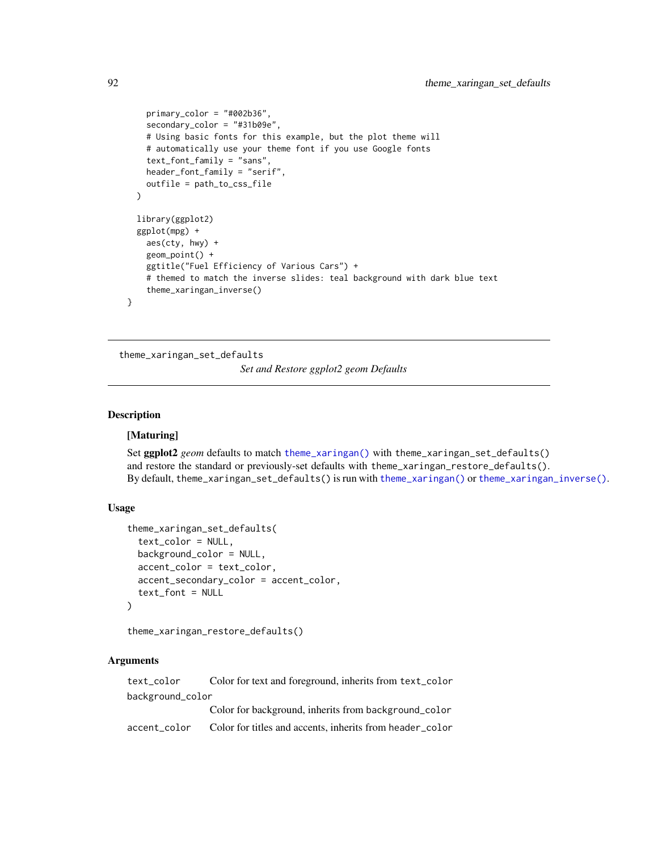```
primary_color = "#002b36",
  secondary_color = "#31b09e",
  # Using basic fonts for this example, but the plot theme will
  # automatically use your theme font if you use Google fonts
  text_font_family = "sans",
 header_font_family = "serif",
  outfile = path_to_css_file
\lambdalibrary(ggplot2)
ggplot(mpg) +
  aes(cty, hwy) +
  geom_point() +
  ggtitle("Fuel Efficiency of Various Cars") +
  # themed to match the inverse slides: teal background with dark blue text
  theme_xaringan_inverse()
```
<span id="page-91-1"></span>theme\_xaringan\_set\_defaults *Set and Restore ggplot2 geom Defaults*

# <span id="page-91-0"></span>Description

}

## [Maturing]

Set ggplot2 *geom* defaults to match [theme\\_xaringan\(\)](#page-82-0) with theme\_xaringan\_set\_defaults() and restore the standard or previously-set defaults with theme\_xaringan\_restore\_defaults(). By default, theme\_xaringan\_set\_defaults() is run with [theme\\_xaringan\(\)](#page-82-0) or [theme\\_xaringan\\_inverse\(\)](#page-89-0).

# Usage

```
theme_xaringan_set_defaults(
  text_color = NULL,
 background_color = NULL,
  accent_color = text_color,
  accent_secondary_color = accent_color,
  text_font = NULL
)
```
theme\_xaringan\_restore\_defaults()

## Arguments

| text color       | Color for text and foreground, inherits from text_color  |
|------------------|----------------------------------------------------------|
| background_color |                                                          |
|                  | Color for background, inherits from background_color     |
| accent color     | Color for titles and accents, inherits from header_color |

<span id="page-91-2"></span>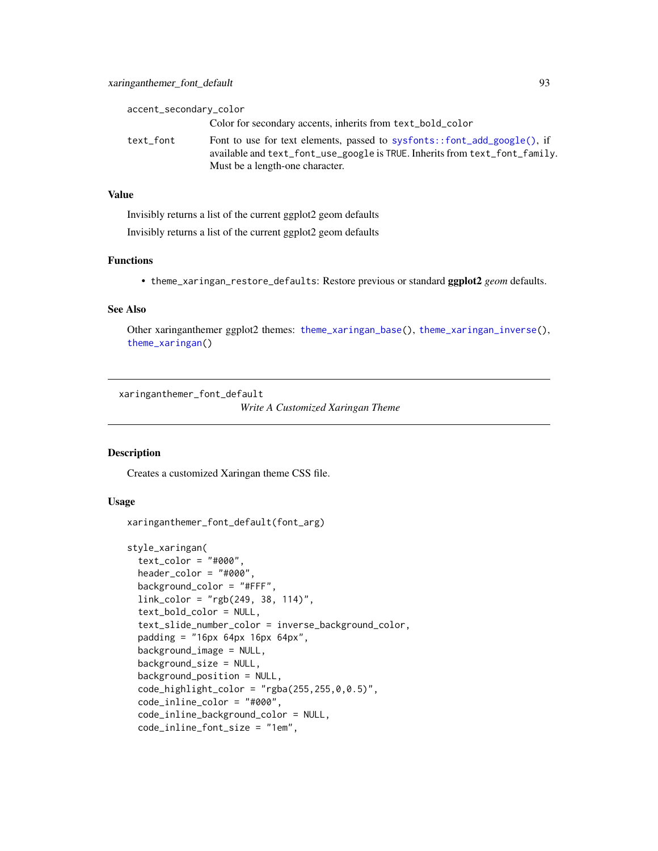<span id="page-92-1"></span>

| accent_secondary_color |                                                                                                                                                                                            |
|------------------------|--------------------------------------------------------------------------------------------------------------------------------------------------------------------------------------------|
|                        | Color for secondary accents, inherits from text_bold_color                                                                                                                                 |
| text_font              | Font to use for text elements, passed to sysfonts::font_add_google(), if<br>available and text_font_use_google is TRUE. Inherits from text_font_family.<br>Must be a length-one character. |

Invisibly returns a list of the current ggplot2 geom defaults Invisibly returns a list of the current ggplot2 geom defaults

## Functions

• theme\_xaringan\_restore\_defaults: Restore previous or standard ggplot2 *geom* defaults.

#### See Also

Other xaringanthemer ggplot2 themes: [theme\\_xaringan\\_base\(](#page-84-0)), [theme\\_xaringan\\_inverse\(](#page-89-0)), [theme\\_xaringan\(](#page-82-0))

<span id="page-92-0"></span>xaringanthemer\_font\_default

*Write A Customized Xaringan Theme*

## Description

Creates a customized Xaringan theme CSS file.

## Usage

```
xaringanthemer_font_default(font_arg)
```

```
style_xaringan(
  text\_color = "#000",header_color = "#000",
 background_color = "#FFF",
  link_color = "rgb(249, 38, 114)",
  text_bold_color = NULL,
  text_slide_number_color = inverse_background_color,
  padding = "16px 64px 16px 64px",
  background_image = NULL,
  background_size = NULL,
  background_position = NULL,
  code_highlight\_color = "rgba(255, 255, 0, 0.5)code_inline_color = "#000",
  code_inline_background_color = NULL,
  code_inline_font_size = "1em",
```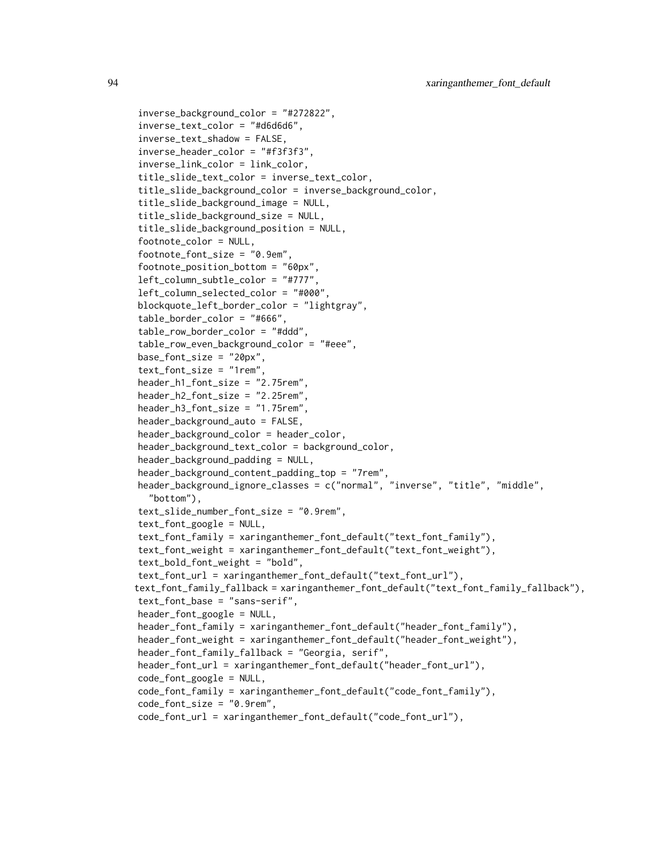```
inverse_background_color = "#272822",
inverse_text_color = "#d6d6d6",
inverse_text_shadow = FALSE,
inverse_header_color = "#f3f3f3",
inverse_link_color = link_color,
title_slide_text_color = inverse_text_color,
title_slide_background_color = inverse_background_color,
title_slide_background_image = NULL,
title_slide_background_size = NULL,
title_slide_background_position = NULL,
footnote_color = NULL,
footnote_font_size = "0.9em",
footnote_position_bottom = "60px",
left_column_subtle_color = "#777",
left_column_selected_color = "#000",
blockquote_left_border_color = "lightgray",
table_border_color = "#666",
table_row_border_color = "#ddd",
table_row_even_background_color = "#eee",
base_font_size = "20px",text_font_size = "1rem",
header_h1_font_size = "2.75rem",
header_h2_font_size = "2.25rem",
header_h3_font_size = "1.75rem",
header_background_auto = FALSE,
header_background_color = header_color,
header_background_text_color = background_color,
header_background_padding = NULL,
header_background_content_padding_top = "7rem",
header_background_ignore_classes = c("normal", "inverse", "title", "middle",
  "bottom"),
text_slide_number_font_size = "0.9rem",
text_font_google = NULL,
text_font_family = xaringanthemer_font_default("text_font_family"),
text_font_weight = xaringanthemer_font_default("text_font_weight"),
text_bold_font_weight = "bold",
text_font_url = xaringanthemer_font_default("text_font_url"),
text_font_family_fallback = xaringanthemer_font_default("text_font_family_fallback"),
text_font_base = "sans-serif",
header_font_google = NULL,
header_font_family = xaringanthemer_font_default("header_font_family"),
header_font_weight = xaringanthemer_font_default("header_font_weight"),
header_font_family_fallback = "Georgia, serif",
header_font_url = xaringanthemer_font_default("header_font_url"),
code_font_google = NULL,
code_font_family = xaringanthemer_font_default("code_font_family"),
code_font_size = "0.9rem",
code_font_url = xaringanthemer_font_default("code_font_url"),
```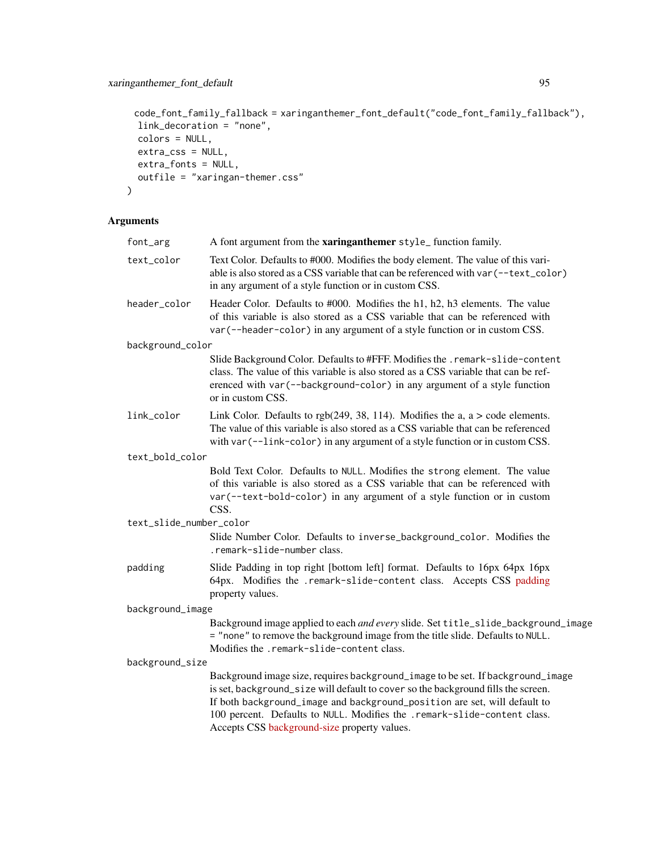# xaringanthemer\_font\_default 95

```
code_font_family_fallback = xaringanthemer_font_default("code_font_family_fallback"),
 link_decoration = "none",
 colors = NULL,
 extra_css = NULL,
 extra_fonts = NULL,
 outfile = "xaringan-themer.css"
\mathcal{L}
```
# Arguments

| font_arg                | A font argument from the xaringanthemer style_function family.                                                                                                                                                                                                                                                                                                                |
|-------------------------|-------------------------------------------------------------------------------------------------------------------------------------------------------------------------------------------------------------------------------------------------------------------------------------------------------------------------------------------------------------------------------|
| text_color              | Text Color. Defaults to #000. Modifies the body element. The value of this vari-<br>able is also stored as a CSS variable that can be referenced with var (--text_color)<br>in any argument of a style function or in custom CSS.                                                                                                                                             |
| header_color            | Header Color. Defaults to #000. Modifies the h1, h2, h3 elements. The value<br>of this variable is also stored as a CSS variable that can be referenced with<br>var (--header-color) in any argument of a style function or in custom CSS.                                                                                                                                    |
| background_color        |                                                                                                                                                                                                                                                                                                                                                                               |
|                         | Slide Background Color. Defaults to #FFF. Modifies the . remark-slide-content<br>class. The value of this variable is also stored as a CSS variable that can be ref-<br>erenced with var (--background-color) in any argument of a style function<br>or in custom CSS.                                                                                                        |
| link_color              | Link Color. Defaults to $rgb(249, 38, 114)$ . Modifies the a, a $>$ code elements.<br>The value of this variable is also stored as a CSS variable that can be referenced<br>with var (--link-color) in any argument of a style function or in custom CSS.                                                                                                                     |
| text_bold_color         |                                                                                                                                                                                                                                                                                                                                                                               |
|                         | Bold Text Color. Defaults to NULL. Modifies the strong element. The value<br>of this variable is also stored as a CSS variable that can be referenced with<br>var (--text-bold-color) in any argument of a style function or in custom<br>CSS.                                                                                                                                |
| text_slide_number_color |                                                                                                                                                                                                                                                                                                                                                                               |
|                         | Slide Number Color. Defaults to inverse_background_color. Modifies the<br>.remark-slide-number class.                                                                                                                                                                                                                                                                         |
| padding                 | Slide Padding in top right [bottom left] format. Defaults to 16px 64px 16px<br>64px. Modifies the .remark-slide-content class. Accepts CSS padding<br>property values.                                                                                                                                                                                                        |
| background_image        |                                                                                                                                                                                                                                                                                                                                                                               |
|                         | Background image applied to each and every slide. Set title_slide_background_image<br>= "none" to remove the background image from the title slide. Defaults to NULL.<br>Modifies the .remark-slide-content class.                                                                                                                                                            |
| background_size         |                                                                                                                                                                                                                                                                                                                                                                               |
|                         | Background image size, requires background_image to be set. If background_image<br>is set, background_size will default to cover so the background fills the screen.<br>If both background_image and background_position are set, will default to<br>100 percent. Defaults to NULL. Modifies the .remark-slide-content class.<br>Accepts CSS background-size property values. |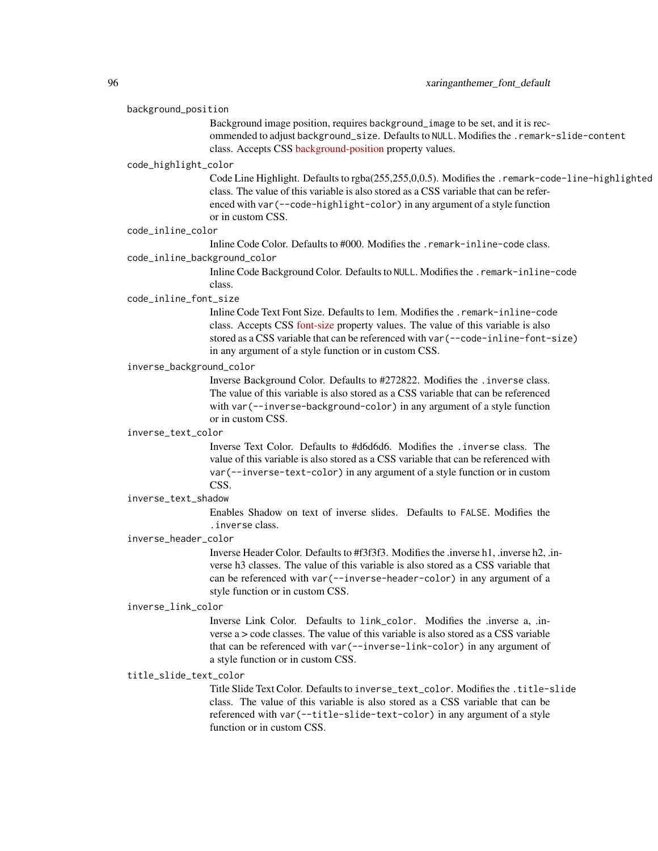#### background\_position

Background image position, requires background\_image to be set, and it is recommended to adjust background\_size. Defaults to NULL. Modifies the .remark-slide-content class. Accepts CSS [background-position](https://developer.mozilla.org/en-US/docs/Web/CSS/background-position) property values.

#### code\_highlight\_color

Code Line Highlight. Defaults to rgba(255,255,0,0.5). Modifies the .remark-code-line-highlighted class. The value of this variable is also stored as a CSS variable that can be referenced with var(--code-highlight-color) in any argument of a style function or in custom CSS.

## code\_inline\_color

Inline Code Color. Defaults to #000. Modifies the .remark-inline-code class. code\_inline\_background\_color

> Inline Code Background Color. Defaults to NULL. Modifies the .remark-inline-code class.

## code\_inline\_font\_size

Inline Code Text Font Size. Defaults to 1em. Modifies the .remark-inline-code class. Accepts CSS [font-size](https://developer.mozilla.org/en-US/docs/Web/CSS/font-size) property values. The value of this variable is also stored as a CSS variable that can be referenced with var(--code-inline-font-size) in any argument of a style function or in custom CSS.

#### inverse\_background\_color

Inverse Background Color. Defaults to #272822. Modifies the .inverse class. The value of this variable is also stored as a CSS variable that can be referenced with var (--inverse-background-color) in any argument of a style function or in custom CSS.

#### inverse\_text\_color

Inverse Text Color. Defaults to #d6d6d6. Modifies the .inverse class. The value of this variable is also stored as a CSS variable that can be referenced with var(--inverse-text-color) in any argument of a style function or in custom CSS.

#### inverse\_text\_shadow

Enables Shadow on text of inverse slides. Defaults to FALSE. Modifies the .inverse class.

#### inverse\_header\_color

Inverse Header Color. Defaults to #f3f3f3. Modifies the .inverse h1, .inverse h2, .inverse h3 classes. The value of this variable is also stored as a CSS variable that can be referenced with var(--inverse-header-color) in any argument of a style function or in custom CSS.

#### inverse\_link\_color

Inverse Link Color. Defaults to link\_color. Modifies the .inverse a, .inverse a > code classes. The value of this variable is also stored as a CSS variable that can be referenced with var(--inverse-link-color) in any argument of a style function or in custom CSS.

## title\_slide\_text\_color

Title Slide Text Color. Defaults to inverse\_text\_color. Modifies the .title-slide class. The value of this variable is also stored as a CSS variable that can be referenced with var(--title-slide-text-color) in any argument of a style function or in custom CSS.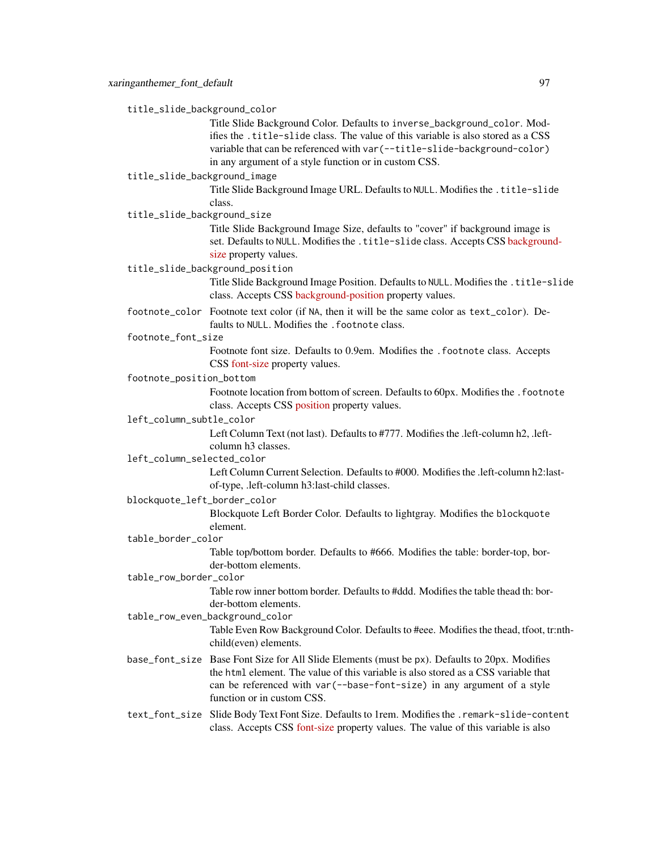title\_slide\_background\_color

Title Slide Background Color. Defaults to inverse\_background\_color. Modifies the .title-slide class. The value of this variable is also stored as a CSS variable that can be referenced with var(--title-slide-background-color) in any argument of a style function or in custom CSS.

# title\_slide\_background\_image

Title Slide Background Image URL. Defaults to NULL. Modifies the .title-slide class.

title\_slide\_background\_size

Title Slide Background Image Size, defaults to "cover" if background image is set. Defaults to NULL. Modifies the .title-slide class. Accepts CSS [backgroun](https://developer.mozilla.org/en-US/docs/Web/CSS/background-size)d[size](https://developer.mozilla.org/en-US/docs/Web/CSS/background-size) property values.

#### title\_slide\_background\_position

Title Slide Background Image Position. Defaults to NULL. Modifies the .title-slide class. Accepts CSS [background-position](https://developer.mozilla.org/en-US/docs/Web/CSS/background-position) property values.

footnote\_color Footnote text color (if NA, then it will be the same color as text\_color). Defaults to NULL. Modifies the . footnote class.

#### footnote\_font\_size

Footnote font size. Defaults to 0.9em. Modifies the .footnote class. Accepts CSS [font-size](https://developer.mozilla.org/en-US/docs/Web/CSS/font-size) property values.

#### footnote\_position\_bottom

Footnote location from bottom of screen. Defaults to 60px. Modifies the .footnote class. Accepts CSS [position](https://developer.mozilla.org/en-US/docs/Web/CSS/position_value) property values.

#### left\_column\_subtle\_color

Left Column Text (not last). Defaults to #777. Modifies the .left-column h2, .leftcolumn h3 classes.

# left\_column\_selected\_color

Left Column Current Selection. Defaults to #000. Modifies the .left-column h2:lastof-type, .left-column h3:last-child classes.

#### blockquote\_left\_border\_color

Blockquote Left Border Color. Defaults to lightgray. Modifies the blockquote element.

## table\_border\_color

Table top/bottom border. Defaults to #666. Modifies the table: border-top, border-bottom elements.

# table\_row\_border\_color

Table row inner bottom border. Defaults to #ddd. Modifies the table thead th: border-bottom elements.

## table\_row\_even\_background\_color

Table Even Row Background Color. Defaults to #eee. Modifies the thead, tfoot, tr:nthchild(even) elements.

base\_font\_size Base Font Size for All Slide Elements (must be px). Defaults to 20px. Modifies the html element. The value of this variable is also stored as a CSS variable that can be referenced with var(--base-font-size) in any argument of a style function or in custom CSS.

# text\_font\_size Slide Body Text Font Size. Defaults to 1rem. Modifies the .remark-slide-content class. Accepts CSS [font-size](https://developer.mozilla.org/en-US/docs/Web/CSS/font-size) property values. The value of this variable is also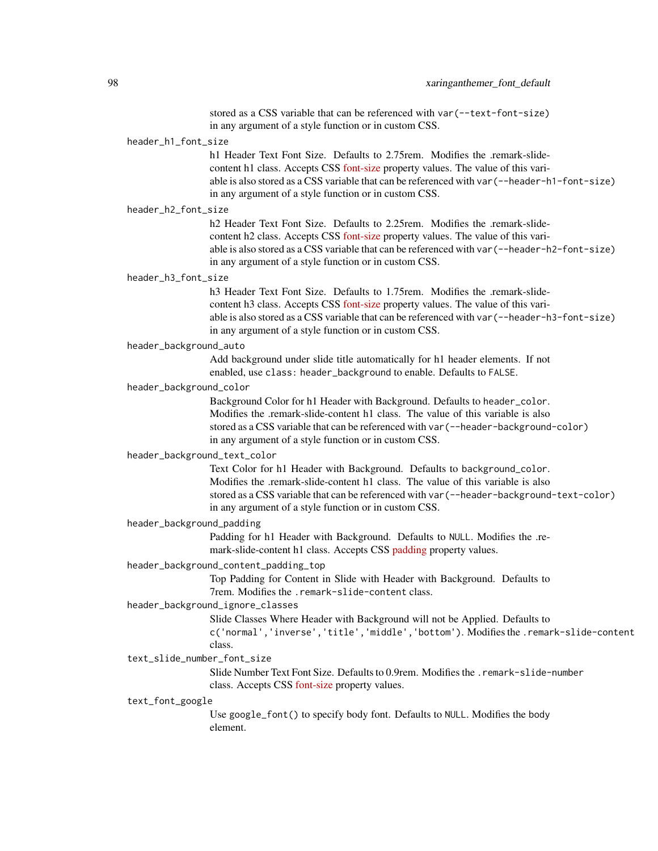stored as a CSS variable that can be referenced with var(--text-font-size) in any argument of a style function or in custom CSS.

## header\_h1\_font\_size

h1 Header Text Font Size. Defaults to 2.75rem. Modifies the .remark-slidecontent h1 class. Accepts CSS [font-size](https://developer.mozilla.org/en-US/docs/Web/CSS/font-size) property values. The value of this variable is also stored as a CSS variable that can be referenced with var(--header-h1-font-size) in any argument of a style function or in custom CSS.

#### header\_h2\_font\_size

h2 Header Text Font Size. Defaults to 2.25rem. Modifies the .remark-slidecontent h2 class. Accepts CSS [font-size](https://developer.mozilla.org/en-US/docs/Web/CSS/font-size) property values. The value of this variable is also stored as a CSS variable that can be referenced with var(--header-h2-font-size) in any argument of a style function or in custom CSS.

#### header\_h3\_font\_size

h<sub>3</sub> Header Text Font Size. Defaults to 1.75rem. Modifies the .remark-slidecontent h3 class. Accepts CSS [font-size](https://developer.mozilla.org/en-US/docs/Web/CSS/font-size) property values. The value of this variable is also stored as a CSS variable that can be referenced with var(--header-h3-font-size) in any argument of a style function or in custom CSS.

#### header\_background\_auto

Add background under slide title automatically for h1 header elements. If not enabled, use class: header\_background to enable. Defaults to FALSE.

#### header\_background\_color

Background Color for h1 Header with Background. Defaults to header\_color. Modifies the .remark-slide-content h1 class. The value of this variable is also stored as a CSS variable that can be referenced with var(--header-background-color) in any argument of a style function or in custom CSS.

## header\_background\_text\_color

Text Color for h1 Header with Background. Defaults to background\_color. Modifies the .remark-slide-content h1 class. The value of this variable is also stored as a CSS variable that can be referenced with var(--header-background-text-color) in any argument of a style function or in custom CSS.

#### header\_background\_padding

Padding for h1 Header with Background. Defaults to NULL. Modifies the .remark-slide-content h1 class. Accepts CSS [padding](https://developer.mozilla.org/en-US/docs/Web/CSS/padding) property values.

## header\_background\_content\_padding\_top

Top Padding for Content in Slide with Header with Background. Defaults to 7rem. Modifies the .remark-slide-content class.

## header\_background\_ignore\_classes

Slide Classes Where Header with Background will not be Applied. Defaults to

c('normal','inverse','title','middle','bottom'). Modifies the .remark-slide-content class.

#### text slide number font size

Slide Number Text Font Size. Defaults to 0.9rem. Modifies the .remark-slide-number class. Accepts CSS [font-size](https://developer.mozilla.org/en-US/docs/Web/CSS/font-size) property values.

#### text\_font\_google

Use google\_font() to specify body font. Defaults to NULL. Modifies the body element.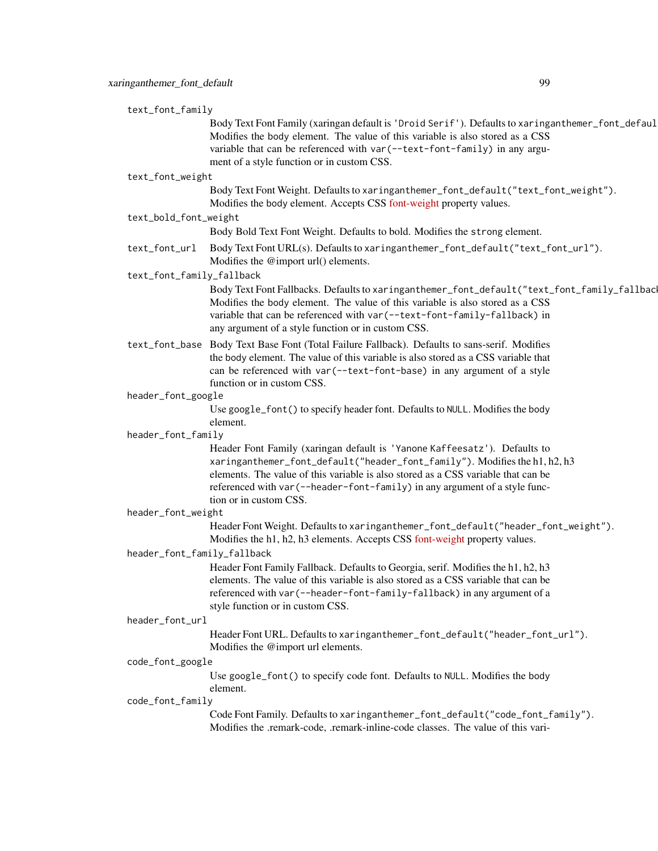| text_font_family            |                                                                                                                                                                                                                                                                                                                                                       |
|-----------------------------|-------------------------------------------------------------------------------------------------------------------------------------------------------------------------------------------------------------------------------------------------------------------------------------------------------------------------------------------------------|
|                             | Body Text Font Family (xaringan default is 'Droid Serif'). Defaults to xaringanthemer_font_defaul<br>Modifies the body element. The value of this variable is also stored as a CSS<br>variable that can be referenced with var (--text-font-family) in any argu-<br>ment of a style function or in custom CSS.                                        |
| text_font_weight            |                                                                                                                                                                                                                                                                                                                                                       |
|                             | Body Text Font Weight. Defaults to xaringanthemer_font_default("text_font_weight").<br>Modifies the body element. Accepts CSS font-weight property values.                                                                                                                                                                                            |
| text_bold_font_weight       |                                                                                                                                                                                                                                                                                                                                                       |
|                             | Body Bold Text Font Weight. Defaults to bold. Modifies the strong element.                                                                                                                                                                                                                                                                            |
| text_font_url               | Body Text Font URL(s). Defaults to xaringanthemer_font_default("text_font_url").<br>Modifies the @import url() elements.                                                                                                                                                                                                                              |
| text_font_family_fallback   |                                                                                                                                                                                                                                                                                                                                                       |
|                             | Body Text Font Fallbacks. Defaults to xaringanthemer_font_default("text_font_family_fallbac<br>Modifies the body element. The value of this variable is also stored as a CSS<br>variable that can be referenced with var (--text-font-family-fallback) in<br>any argument of a style function or in custom CSS.                                       |
|                             | text_font_base Body Text Base Font (Total Failure Fallback). Defaults to sans-serif. Modifies<br>the body element. The value of this variable is also stored as a CSS variable that<br>can be referenced with var (--text-font-base) in any argument of a style<br>function or in custom CSS.                                                         |
| header_font_google          |                                                                                                                                                                                                                                                                                                                                                       |
|                             | Use google_font() to specify header font. Defaults to NULL. Modifies the body<br>element.                                                                                                                                                                                                                                                             |
| header_font_family          |                                                                                                                                                                                                                                                                                                                                                       |
|                             | Header Font Family (xaringan default is 'Yanone Kaffeesatz'). Defaults to<br>xaringanthemer_font_default("header_font_family"). Modifies the h1, h2, h3<br>elements. The value of this variable is also stored as a CSS variable that can be<br>referenced with var (--header-font-family) in any argument of a style func-<br>tion or in custom CSS. |
| header_font_weight          |                                                                                                                                                                                                                                                                                                                                                       |
|                             | Header Font Weight. Defaults to xaringanthemer_font_default("header_font_weight").                                                                                                                                                                                                                                                                    |
|                             | Modifies the h1, h2, h3 elements. Accepts CSS font-weight property values.                                                                                                                                                                                                                                                                            |
| header_font_family_fallback |                                                                                                                                                                                                                                                                                                                                                       |
|                             | Header Font Family Fallback. Defaults to Georgia, serif. Modifies the h1, h2, h3<br>elements. The value of this variable is also stored as a CSS variable that can be<br>referenced with var (--header-font-family-fallback) in any argument of a<br>style function or in custom CSS.                                                                 |
| header_font_url             |                                                                                                                                                                                                                                                                                                                                                       |
|                             | Header Font URL. Defaults to xaringanthemer_font_default("header_font_url").<br>Modifies the @import url elements.                                                                                                                                                                                                                                    |
| code_font_google            |                                                                                                                                                                                                                                                                                                                                                       |
|                             | Use google_font() to specify code font. Defaults to NULL. Modifies the body<br>element.                                                                                                                                                                                                                                                               |
| code_font_family            |                                                                                                                                                                                                                                                                                                                                                       |
|                             | Code Font Family. Defaults to xaringanthemer_font_default("code_font_family").<br>Modifies the .remark-code, .remark-inline-code classes. The value of this vari-                                                                                                                                                                                     |
|                             |                                                                                                                                                                                                                                                                                                                                                       |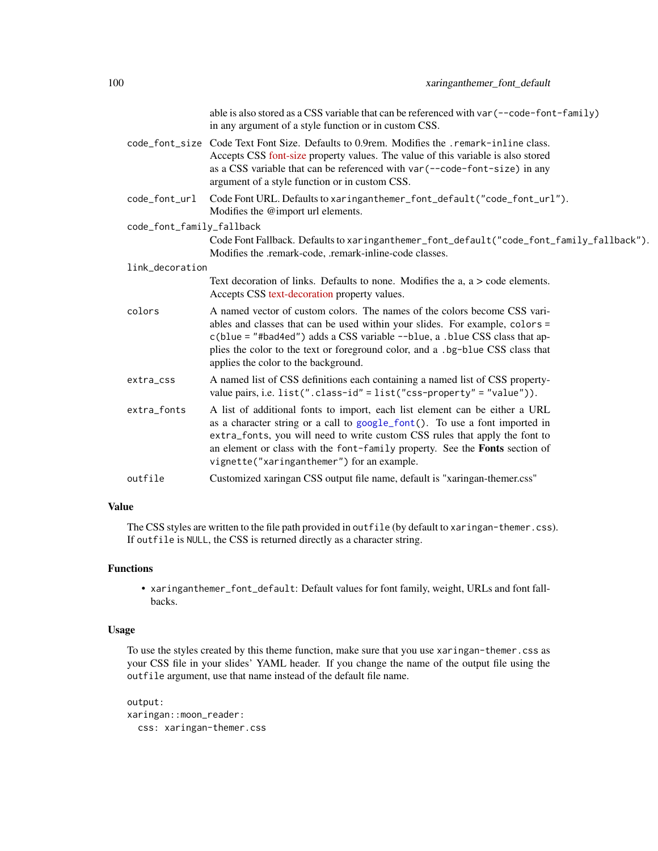<span id="page-99-0"></span>

|                           | able is also stored as a CSS variable that can be referenced with var (--code-font-family)<br>in any argument of a style function or in custom CSS.                                                                                                                                                                                                                    |
|---------------------------|------------------------------------------------------------------------------------------------------------------------------------------------------------------------------------------------------------------------------------------------------------------------------------------------------------------------------------------------------------------------|
|                           | code_font_size Code Text Font Size. Defaults to 0.9rem. Modifies the .remark-inline class.<br>Accepts CSS font-size property values. The value of this variable is also stored<br>as a CSS variable that can be referenced with var (--code-font-size) in any<br>argument of a style function or in custom CSS.                                                        |
| code_font_url             | Code Font URL. Defaults to xaringanthemer_font_default("code_font_url").<br>Modifies the @import url elements.                                                                                                                                                                                                                                                         |
| code_font_family_fallback |                                                                                                                                                                                                                                                                                                                                                                        |
|                           | Code Font Fallback. Defaults to xaringanthemer_font_default("code_font_family_fallback").<br>Modifies the .remark-code, .remark-inline-code classes.                                                                                                                                                                                                                   |
| link_decoration           |                                                                                                                                                                                                                                                                                                                                                                        |
|                           | Text decoration of links. Defaults to none. Modifies the $a$ , $a >$ code elements.<br>Accepts CSS text-decoration property values.                                                                                                                                                                                                                                    |
| colors                    | A named vector of custom colors. The names of the colors become CSS vari-<br>ables and classes that can be used within your slides. For example, colors =<br>c(blue = "#bad4ed") adds a CSS variable --blue, a .blue CSS class that ap-<br>plies the color to the text or foreground color, and a .bg-blue CSS class that<br>applies the color to the background.      |
| extra_css                 | A named list of CSS definitions each containing a named list of CSS property-<br>value pairs, i.e. $list("class-id" = list("ess-property" = "value"))$ .                                                                                                                                                                                                               |
| extra_fonts               | A list of additional fonts to import, each list element can be either a URL<br>as a character string or a call to google_font(). To use a font imported in<br>extra_fonts, you will need to write custom CSS rules that apply the font to<br>an element or class with the font-family property. See the Fonts section of<br>vignette("xaringanthemer") for an example. |
| outfile                   | Customized xaringan CSS output file name, default is "xaringan-themer.css"                                                                                                                                                                                                                                                                                             |

The CSS styles are written to the file path provided in outfile (by default to xaringan-themer.css). If outfile is NULL, the CSS is returned directly as a character string.

# Functions

• xaringanthemer\_font\_default: Default values for font family, weight, URLs and font fallbacks.

#### Usage

To use the styles created by this theme function, make sure that you use xaringan-themer.css as your CSS file in your slides' YAML header. If you change the name of the output file using the outfile argument, use that name instead of the default file name.

```
output:
xaringan::moon_reader:
 css: xaringan-themer.css
```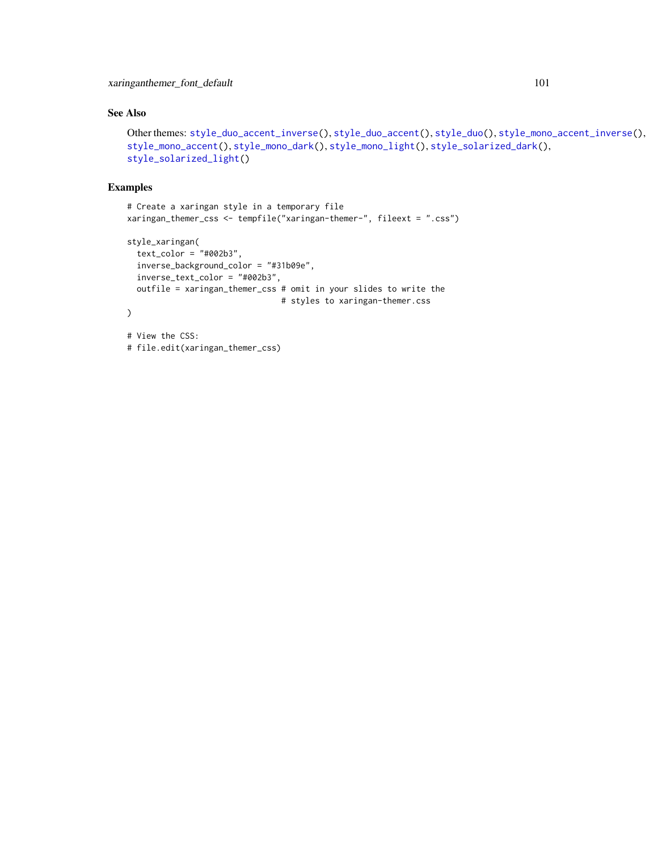# <span id="page-100-0"></span>See Also

```
Other themes: style_duo_accent_inverse(), style_duo_accent(), style_duo(), style_mono_accent_inverse(),
style_mono_accent(), style_mono_dark(), style_mono_light(), style_solarized_dark(),
style_solarized_light()
```
## Examples

```
# Create a xaringan style in a temporary file
xaringan_themer_css <- tempfile("xaringan-themer-", fileext = ".css")
style_xaringan(
  text_color = "#002b3",
  inverse_background_color = "#31b09e",
  inverse_text_color = "#002b3",
  outfile = xaringan_themer_css # omit in your slides to write the
                                # styles to xaringan-themer.css
)
# View the CSS:
# file.edit(xaringan_themer_css)
```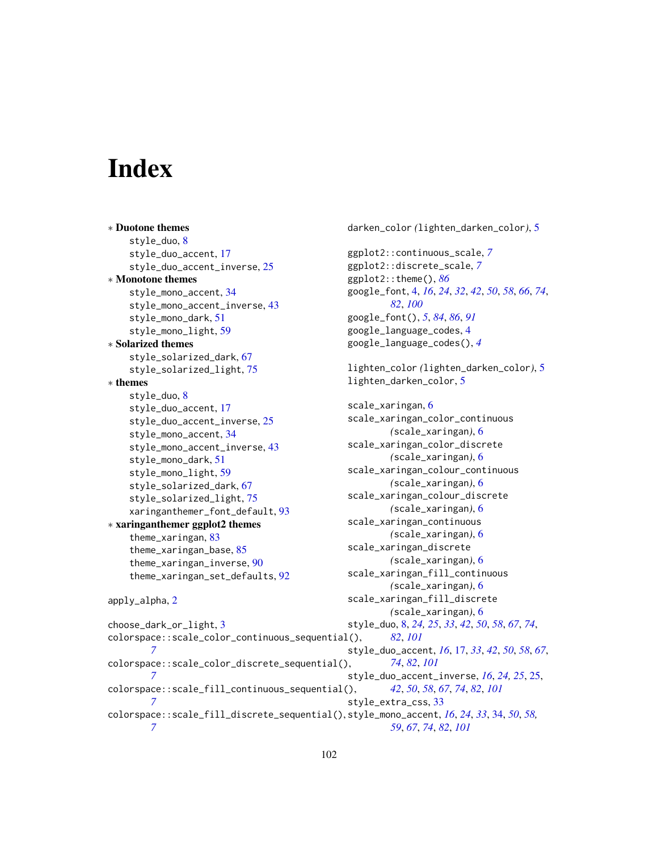# **Index**

*[7](#page-6-0)*

*[7](#page-6-0)*

*[7](#page-6-0)*

∗ Duotone themes style\_duo, [8](#page-7-1) style\_duo\_accent, [17](#page-16-1) style\_duo\_accent\_inverse, [25](#page-24-1) ∗ Monotone themes style\_mono\_accent, [34](#page-33-1) style\_mono\_accent\_inverse, [43](#page-42-1) style\_mono\_dark, [51](#page-50-1) style\_mono\_light, [59](#page-58-1) ∗ Solarized themes style\_solarized\_dark, [67](#page-66-1) style\_solarized\_light, [75](#page-74-1) ∗ themes style\_duo, [8](#page-7-1) style\_duo\_accent, [17](#page-16-1) style\_duo\_accent\_inverse, [25](#page-24-1) style\_mono\_accent, [34](#page-33-1) style\_mono\_accent\_inverse, [43](#page-42-1) style\_mono\_dark, [51](#page-50-1) style\_mono\_light, [59](#page-58-1) style\_solarized\_dark, [67](#page-66-1) style\_solarized\_light, [75](#page-74-1) xaringanthemer\_font\_default, [93](#page-92-1) ∗ xaringanthemer ggplot2 themes theme\_xaringan, [83](#page-82-1) theme\_xaringan\_base, [85](#page-84-1) theme\_xaringan\_inverse, [90](#page-89-1) theme\_xaringan\_set\_defaults, [92](#page-91-2) apply\_alpha, [2](#page-1-0) choose\_dark\_or\_light, [3](#page-2-0) colorspace::scale\_color\_continuous\_sequential(), *[7](#page-6-0)*

colorspace::scale\_color\_discrete\_sequential(), colorspace::scale\_fill\_continuous\_sequential(), colorspace::scale\_fill\_discrete\_sequential(), style\_mono\_accent, *[16](#page-15-0)*, *[24](#page-23-0)*, *[33](#page-32-0)*, [34,](#page-33-1) *[50](#page-49-0)*, *[58,](#page-57-0)* darken\_color *(*lighten\_darken\_color*)*, [5](#page-4-0) ggplot2::continuous\_scale, *[7](#page-6-0)* ggplot2::discrete\_scale, *[7](#page-6-0)* ggplot2::theme(), *[86](#page-85-0)* google\_font, [4,](#page-3-1) *[16](#page-15-0)*, *[24](#page-23-0)*, *[32](#page-31-0)*, *[42](#page-41-0)*, *[50](#page-49-0)*, *[58](#page-57-0)*, *[66](#page-65-0)*, *[74](#page-73-0)*, *[82](#page-81-0)*, *[100](#page-99-0)* google\_font(), *[5](#page-4-0)*, *[84](#page-83-0)*, *[86](#page-85-0)*, *[91](#page-90-0)* google\_language\_codes, [4](#page-3-1) google\_language\_codes(), *[4](#page-3-1)* lighten\_color *(*lighten\_darken\_color*)*, [5](#page-4-0) lighten\_darken\_color, [5](#page-4-0) scale\_xaringan, [6](#page-5-0) scale\_xaringan\_color\_continuous *(*scale\_xaringan*)*, [6](#page-5-0) scale\_xaringan\_color\_discrete *(*scale\_xaringan*)*, [6](#page-5-0) scale\_xaringan\_colour\_continuous *(*scale\_xaringan*)*, [6](#page-5-0) scale\_xaringan\_colour\_discrete *(*scale\_xaringan*)*, [6](#page-5-0) scale\_xaringan\_continuous *(*scale\_xaringan*)*, [6](#page-5-0) scale\_xaringan\_discrete *(*scale\_xaringan*)*, [6](#page-5-0) scale\_xaringan\_fill\_continuous *(*scale\_xaringan*)*, [6](#page-5-0) scale\_xaringan\_fill\_discrete *(*scale\_xaringan*)*, [6](#page-5-0) style\_duo, [8,](#page-7-1) *[24,](#page-23-0) [25](#page-24-1)*, *[33](#page-32-0)*, *[42](#page-41-0)*, *[50](#page-49-0)*, *[58](#page-57-0)*, *[67](#page-66-1)*, *[74](#page-73-0)*, *[82](#page-81-0)*, *[101](#page-100-0)* style\_duo\_accent, *[16](#page-15-0)*, [17,](#page-16-1) *[33](#page-32-0)*, *[42](#page-41-0)*, *[50](#page-49-0)*, *[58](#page-57-0)*, *[67](#page-66-1)*, *[74](#page-73-0)*, *[82](#page-81-0)*, *[101](#page-100-0)* style\_duo\_accent\_inverse, *[16](#page-15-0)*, *[24,](#page-23-0) [25](#page-24-1)*, [25,](#page-24-1) *[42](#page-41-0)*, *[50](#page-49-0)*, *[58](#page-57-0)*, *[67](#page-66-1)*, *[74](#page-73-0)*, *[82](#page-81-0)*, *[101](#page-100-0)* style\_extra\_css, [33](#page-32-0)

*[59](#page-58-1)*, *[67](#page-66-1)*, *[74](#page-73-0)*, *[82](#page-81-0)*, *[101](#page-100-0)*